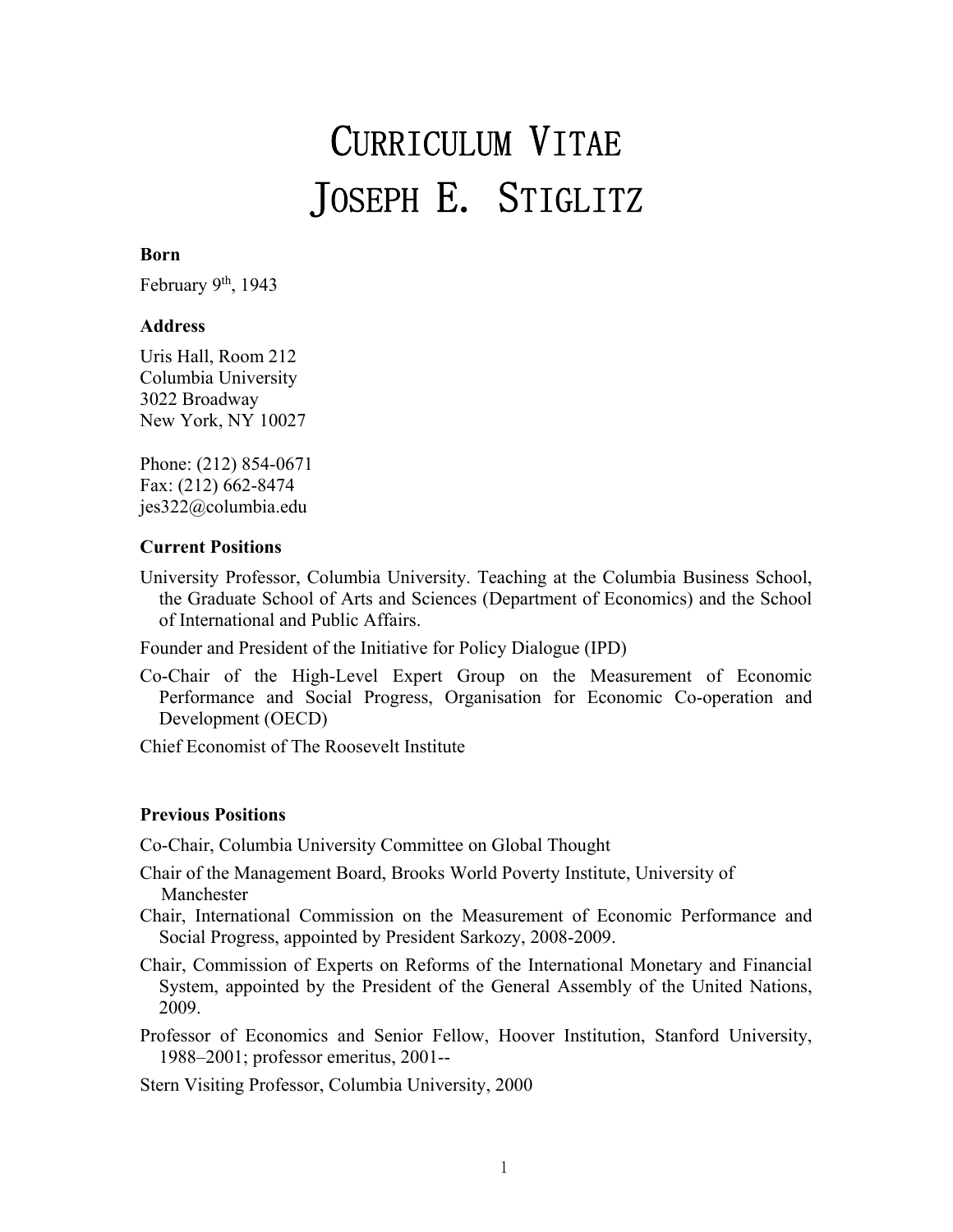# CURRICULUM VITAE JOSEPH E. STIGLITZ

# **Born**

February  $9<sup>th</sup>$ , 1943

#### **Address**

Uris Hall, Room 212 Columbia University 3022 Broadway New York, NY 10027

Phone: (212) 854-0671 Fax: (212) 662-8474 jes322@columbia.edu

#### **Current Positions**

University Professor, Columbia University. Teaching at the Columbia Business School, the Graduate School of Arts and Sciences (Department of Economics) and the School of International and Public Affairs.

Founder and President of the Initiative for Policy Dialogue (IPD)

Co-Chair of the High-Level Expert Group on the Measurement of Economic Performance and Social Progress, Organisation for Economic Co-operation and Development (OECD)

Chief Economist of The Roosevelt Institute

#### **Previous Positions**

Co-Chair, Columbia University Committee on Global Thought

- Chair of the Management Board, Brooks World Poverty Institute, University of Manchester
- Chair, International Commission on the Measurement of Economic Performance and Social Progress, appointed by President Sarkozy, 2008-2009.
- Chair, Commission of Experts on Reforms of the International Monetary and Financial System, appointed by the President of the General Assembly of the United Nations, 2009.

Professor of Economics and Senior Fellow, Hoover Institution, Stanford University, 1988–2001; professor emeritus, 2001--

Stern Visiting Professor, Columbia University, 2000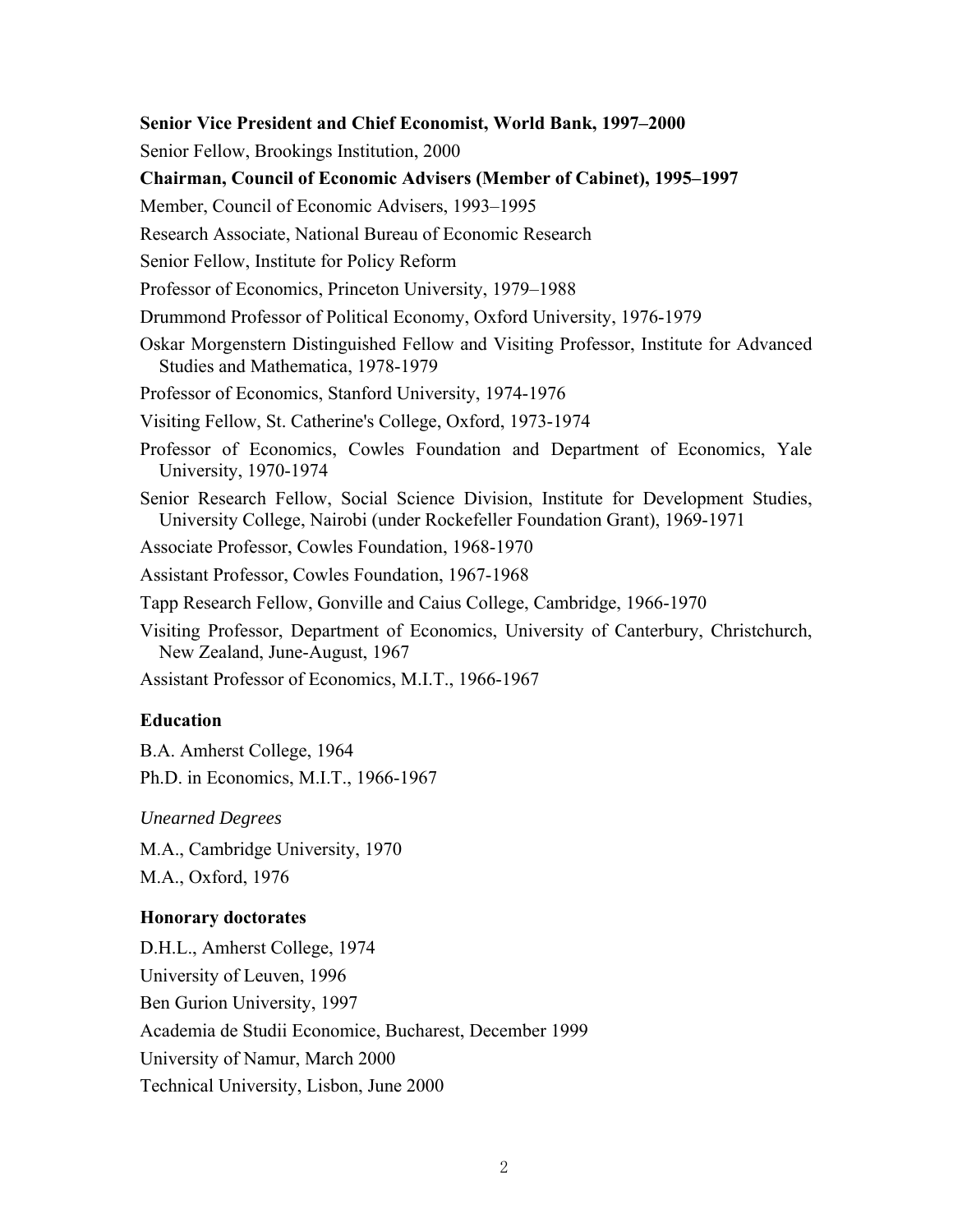#### **Senior Vice President and Chief Economist, World Bank, 1997–2000**

Senior Fellow, Brookings Institution, 2000

#### **Chairman, Council of Economic Advisers (Member of Cabinet), 1995–1997**

Member, Council of Economic Advisers, 1993–1995

Research Associate, National Bureau of Economic Research

Senior Fellow, Institute for Policy Reform

Professor of Economics, Princeton University, 1979–1988

Drummond Professor of Political Economy, Oxford University, 1976-1979

Oskar Morgenstern Distinguished Fellow and Visiting Professor, Institute for Advanced Studies and Mathematica, 1978-1979

Professor of Economics, Stanford University, 1974-1976

Visiting Fellow, St. Catherine's College, Oxford, 1973-1974

Professor of Economics, Cowles Foundation and Department of Economics, Yale University, 1970-1974

Senior Research Fellow, Social Science Division, Institute for Development Studies, University College, Nairobi (under Rockefeller Foundation Grant), 1969-1971

Associate Professor, Cowles Foundation, 1968-1970

Assistant Professor, Cowles Foundation, 1967-1968

Tapp Research Fellow, Gonville and Caius College, Cambridge, 1966-1970

Visiting Professor, Department of Economics, University of Canterbury, Christchurch, New Zealand, June-August, 1967

Assistant Professor of Economics, M.I.T., 1966-1967

## **Education**

B.A. Amherst College, 1964 Ph.D. in Economics, M.I.T., 1966-1967

*Unearned Degrees* 

M.A., Cambridge University, 1970

M.A., Oxford, 1976

#### **Honorary doctorates**

D.H.L., Amherst College, 1974 University of Leuven, 1996 Ben Gurion University, 1997 Academia de Studii Economice, Bucharest, December 1999 University of Namur, March 2000 Technical University, Lisbon, June 2000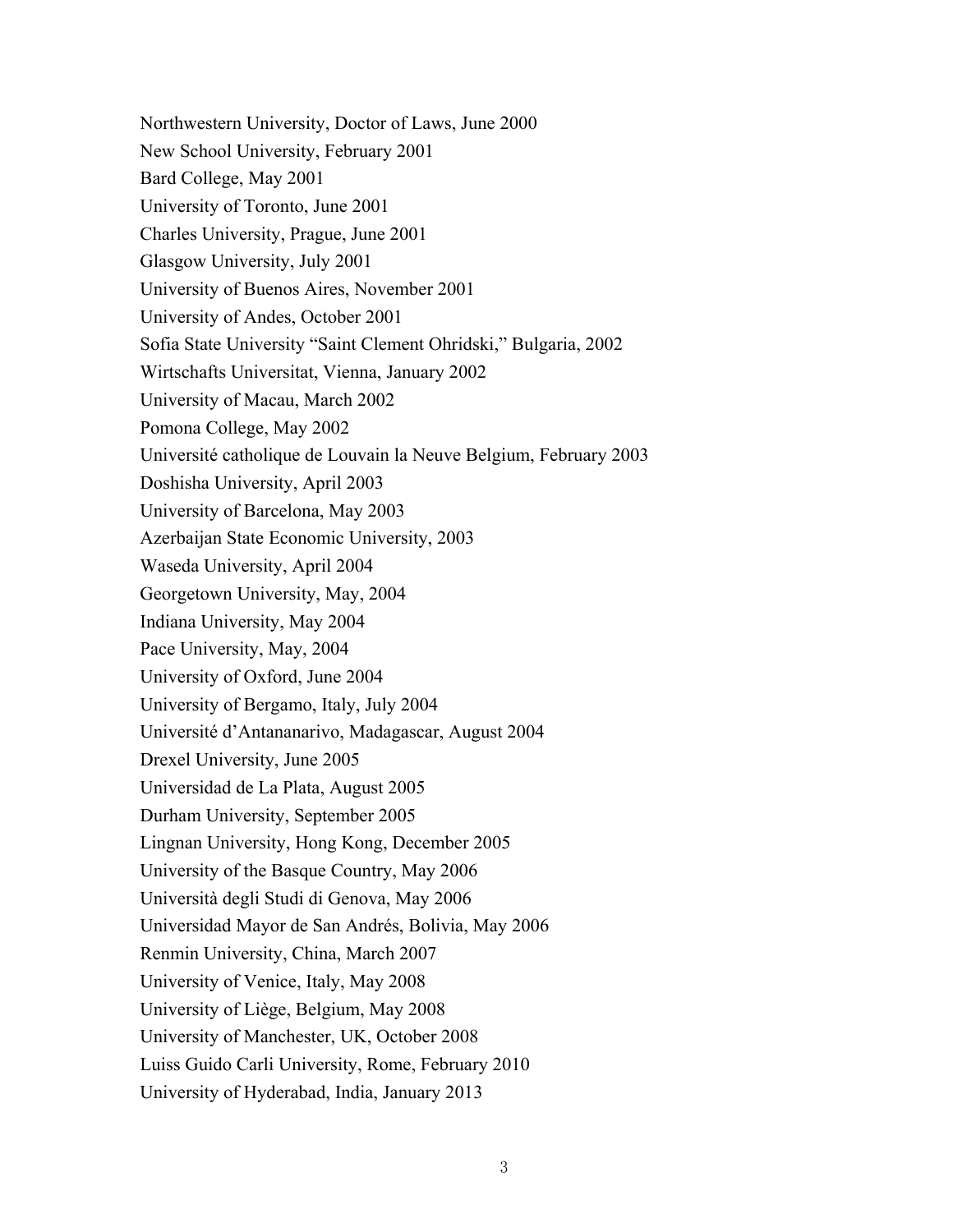Northwestern University, Doctor of Laws, June 2000 New School University, February 2001 Bard College, May 2001 University of Toronto, June 2001 Charles University, Prague, June 2001 Glasgow University, July 2001 University of Buenos Aires, November 2001 University of Andes, October 2001 Sofia State University "Saint Clement Ohridski," Bulgaria, 2002 Wirtschafts Universitat, Vienna, January 2002 University of Macau, March 2002 Pomona College, May 2002 Université catholique de Louvain la Neuve Belgium, February 2003 Doshisha University, April 2003 University of Barcelona, May 2003 Azerbaijan State Economic University, 2003 Waseda University, April 2004 Georgetown University, May, 2004 Indiana University, May 2004 Pace University, May, 2004 University of Oxford, June 2004 University of Bergamo, Italy, July 2004 Université d'Antananarivo, Madagascar, August 2004 Drexel University, June 2005 Universidad de La Plata, August 2005 Durham University, September 2005 Lingnan University, Hong Kong, December 2005 University of the Basque Country, May 2006 Università degli Studi di Genova, May 2006 Universidad Mayor de San Andrés, Bolivia, May 2006 Renmin University, China, March 2007 University of Venice, Italy, May 2008 University of Liège, Belgium, May 2008 University of Manchester, UK, October 2008 Luiss Guido Carli University, Rome, February 2010 University of Hyderabad, India, January 2013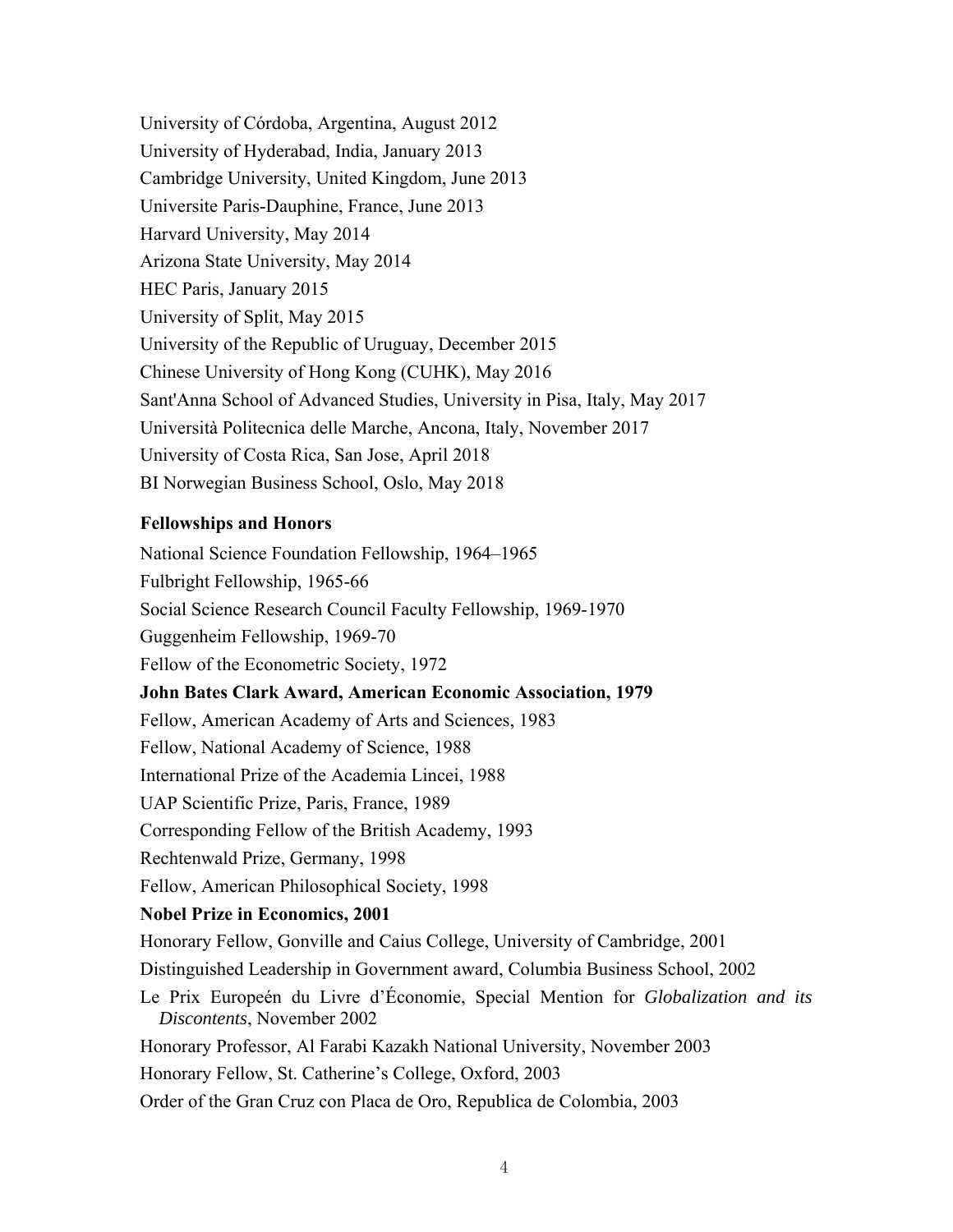University of Córdoba, Argentina, August 2012 University of Hyderabad, India, January 2013 Cambridge University, United Kingdom, June 2013 Universite Paris-Dauphine, France, June 2013 Harvard University, May 2014 Arizona State University, May 2014 HEC Paris, January 2015 University of Split, May 2015 University of the Republic of Uruguay, December 2015 Chinese University of Hong Kong (CUHK), May 2016 Sant'Anna School of Advanced Studies, University in Pisa, Italy, May 2017 Università Politecnica delle Marche, Ancona, Italy, November 2017 University of Costa Rica, San Jose, April 2018 BI Norwegian Business School, Oslo, May 2018

# **Fellowships and Honors**

National Science Foundation Fellowship, 1964–1965 Fulbright Fellowship, 1965-66 Social Science Research Council Faculty Fellowship, 1969-1970 Guggenheim Fellowship, 1969-70 Fellow of the Econometric Society, 1972 **John Bates Clark Award, American Economic Association, 1979**  Fellow, American Academy of Arts and Sciences, 1983 Fellow, National Academy of Science, 1988 International Prize of the Academia Lincei, 1988 UAP Scientific Prize, Paris, France, 1989 Corresponding Fellow of the British Academy, 1993 Rechtenwald Prize, Germany, 1998 Fellow, American Philosophical Society, 1998 **Nobel Prize in Economics, 2001**  Honorary Fellow, Gonville and Caius College, University of Cambridge, 2001 Distinguished Leadership in Government award, Columbia Business School, 2002 Le Prix Europeén du Livre d'Économie, Special Mention for *Globalization and its Discontents*, November 2002 Honorary Professor, Al Farabi Kazakh National University, November 2003 Honorary Fellow, St. Catherine's College, Oxford, 2003 Order of the Gran Cruz con Placa de Oro, Republica de Colombia, 2003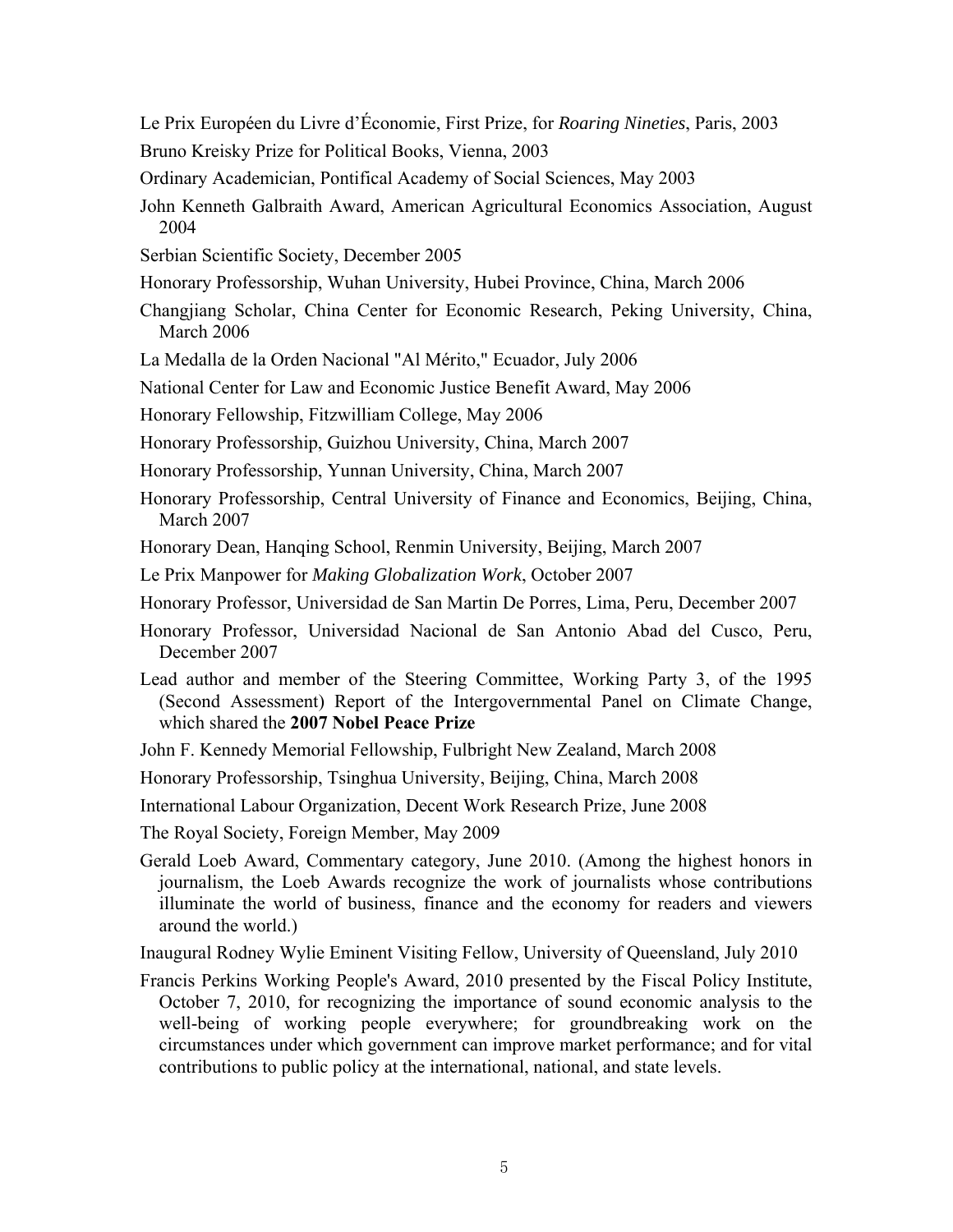Le Prix Européen du Livre d'Économie, First Prize, for *Roaring Nineties*, Paris, 2003 Bruno Kreisky Prize for Political Books, Vienna, 2003

Ordinary Academician, Pontifical Academy of Social Sciences, May 2003

- John Kenneth Galbraith Award, American Agricultural Economics Association, August 2004
- Serbian Scientific Society, December 2005
- Honorary Professorship, Wuhan University, Hubei Province, China, March 2006
- Changjiang Scholar, China Center for Economic Research, Peking University, China, March 2006
- La Medalla de la Orden Nacional "Al Mérito," Ecuador, July 2006

National Center for Law and Economic Justice Benefit Award, May 2006

Honorary Fellowship, Fitzwilliam College, May 2006

- Honorary Professorship, Guizhou University, China, March 2007
- Honorary Professorship, Yunnan University, China, March 2007
- Honorary Professorship, Central University of Finance and Economics, Beijing, China, March 2007
- Honorary Dean, Hanqing School, Renmin University, Beijing, March 2007
- Le Prix Manpower for *Making Globalization Work*, October 2007
- Honorary Professor, Universidad de San Martin De Porres, Lima, Peru, December 2007
- Honorary Professor, Universidad Nacional de San Antonio Abad del Cusco, Peru, December 2007

Lead author and member of the Steering Committee, Working Party 3, of the 1995 (Second Assessment) Report of the Intergovernmental Panel on Climate Change, which shared the **2007 Nobel Peace Prize**

John F. Kennedy Memorial Fellowship, Fulbright New Zealand, March 2008

Honorary Professorship, Tsinghua University, Beijing, China, March 2008

International Labour Organization, Decent Work Research Prize, June 2008

The Royal Society, Foreign Member, May 2009

Gerald Loeb Award, Commentary category, June 2010. (Among the highest honors in journalism, the Loeb Awards recognize the work of journalists whose contributions illuminate the world of business, finance and the economy for readers and viewers around the world.)

Inaugural Rodney Wylie Eminent Visiting Fellow, University of Queensland, July 2010

Francis Perkins Working People's Award, 2010 presented by the Fiscal Policy Institute, October 7, 2010, for recognizing the importance of sound economic analysis to the well-being of working people everywhere; for groundbreaking work on the circumstances under which government can improve market performance; and for vital contributions to public policy at the international, national, and state levels.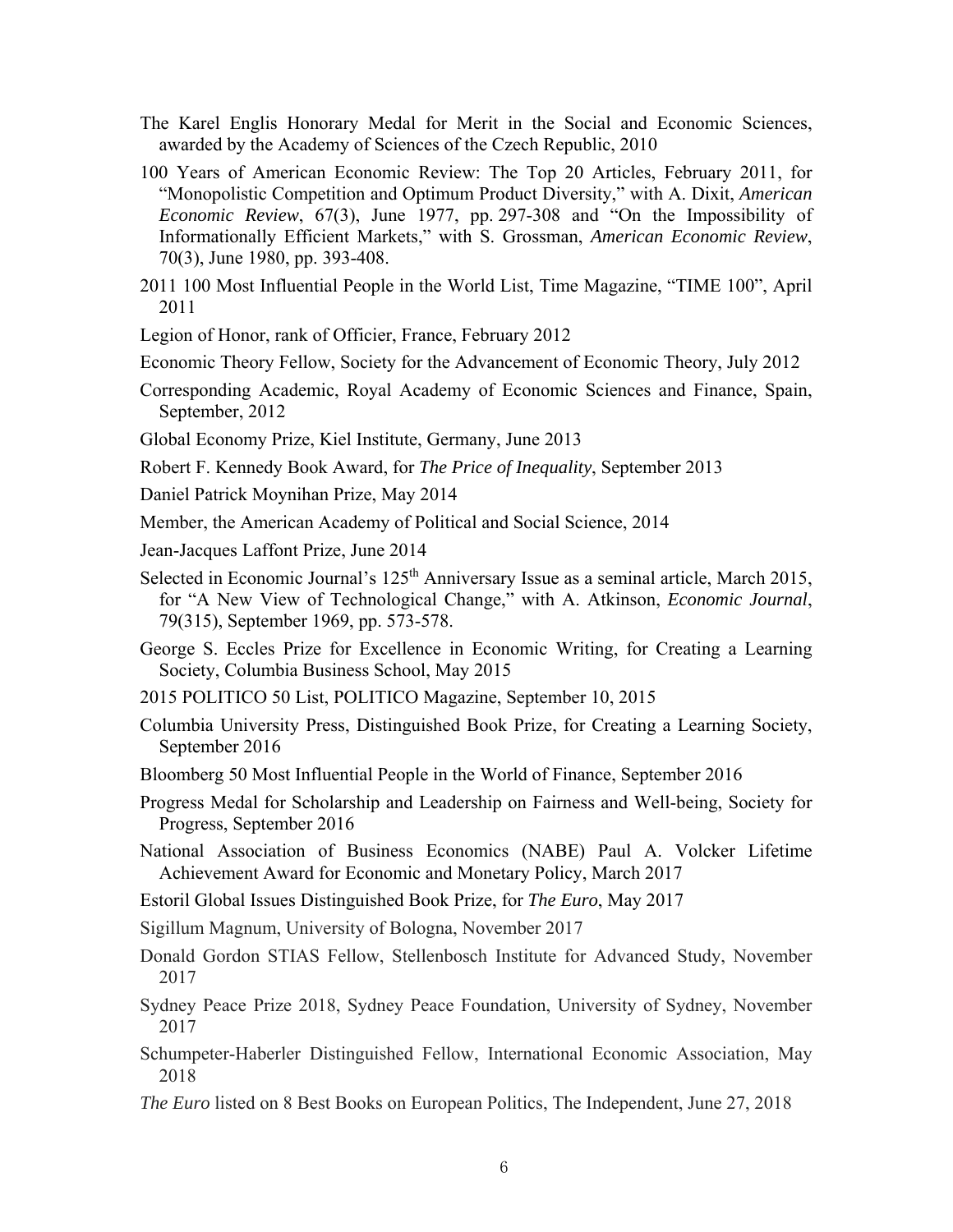- The Karel Englis Honorary Medal for Merit in the Social and Economic Sciences, awarded by the Academy of Sciences of the Czech Republic, 2010
- 100 Years of American Economic Review: The Top 20 Articles, February 2011, for "Monopolistic Competition and Optimum Product Diversity," with A. Dixit, *American Economic Review*, 67(3), June 1977, pp. 297-308 and "On the Impossibility of Informationally Efficient Markets," with S. Grossman, *American Economic Review*, 70(3), June 1980, pp. 393-408.
- 2011 100 Most Influential People in the World List, Time Magazine, "TIME 100", April 2011

Legion of Honor, rank of Officier, France, February 2012

Economic Theory Fellow, Society for the Advancement of Economic Theory, July 2012

Corresponding Academic, Royal Academy of Economic Sciences and Finance, Spain, September, 2012

Global Economy Prize, Kiel Institute, Germany, June 2013

Robert F. Kennedy Book Award, for *The Price of Inequality*, September 2013

Daniel Patrick Moynihan Prize, May 2014

Member, the American Academy of Political and Social Science, 2014

Jean-Jacques Laffont Prize, June 2014

Selected in Economic Journal's  $125<sup>th</sup>$  Anniversary Issue as a seminal article, March 2015, for "A New View of Technological Change," with A. Atkinson, *Economic Journal*, 79(315), September 1969, pp. 573-578.

George S. Eccles Prize for Excellence in Economic Writing, for Creating a Learning Society, Columbia Business School, May 2015

2015 POLITICO 50 List, POLITICO Magazine, September 10, 2015

- Columbia University Press, Distinguished Book Prize, for Creating a Learning Society, September 2016
- Bloomberg 50 Most Influential People in the World of Finance, September 2016

Progress Medal for Scholarship and Leadership on Fairness and Well-being, Society for Progress, September 2016

- National Association of Business Economics (NABE) Paul A. Volcker Lifetime Achievement Award for Economic and Monetary Policy, March 2017
- Estoril Global Issues Distinguished Book Prize, for *The Euro*, May 2017
- Sigillum Magnum, University of Bologna, November 2017
- Donald Gordon STIAS Fellow, Stellenbosch Institute for Advanced Study, November 2017
- Sydney Peace Prize 2018, Sydney Peace Foundation, University of Sydney, November 2017
- Schumpeter-Haberler Distinguished Fellow, International Economic Association, May 2018
- *The Euro* listed on 8 Best Books on European Politics, The Independent, June 27, 2018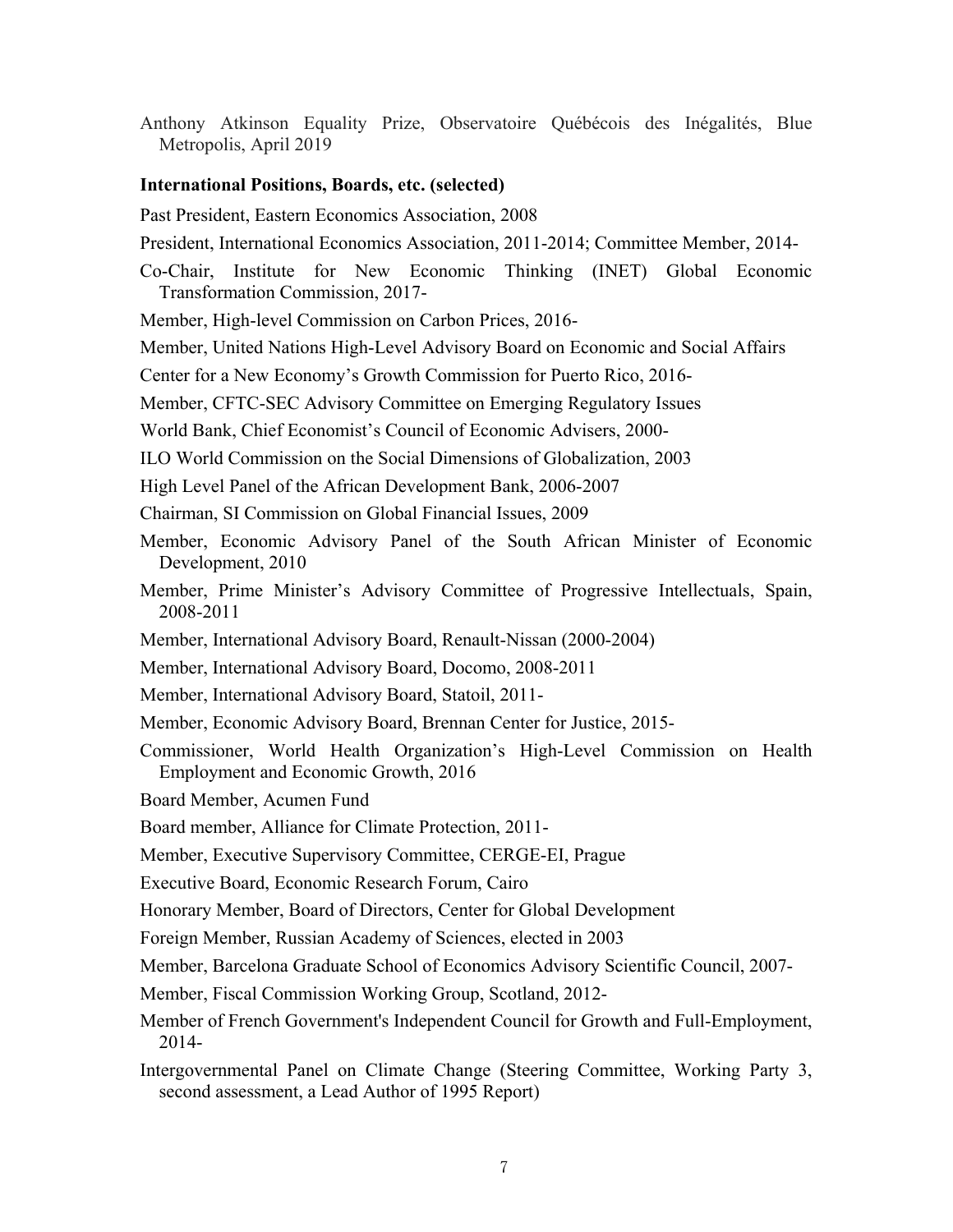Anthony Atkinson Equality Prize, Observatoire Québécois des Inégalités, Blue Metropolis, April 2019

#### **International Positions, Boards, etc. (selected)**

Past President, Eastern Economics Association, 2008

- President, International Economics Association, 2011-2014; Committee Member, 2014-
- Co-Chair, Institute for New Economic Thinking (INET) Global Economic Transformation Commission, 2017-

Member, High-level Commission on Carbon Prices, 2016-

Member, United Nations High-Level Advisory Board on Economic and Social Affairs

Center for a New Economy's Growth Commission for Puerto Rico, 2016-

Member, CFTC-SEC Advisory Committee on Emerging Regulatory Issues

World Bank, Chief Economist's Council of Economic Advisers, 2000-

ILO World Commission on the Social Dimensions of Globalization, 2003

High Level Panel of the African Development Bank, 2006-2007

Chairman, SI Commission on Global Financial Issues, 2009

- Member, Economic Advisory Panel of the South African Minister of Economic Development, 2010
- Member, Prime Minister's Advisory Committee of Progressive Intellectuals, Spain, 2008-2011
- Member, International Advisory Board, Renault-Nissan (2000-2004)
- Member, International Advisory Board, Docomo, 2008-2011
- Member, International Advisory Board, Statoil, 2011-
- Member, Economic Advisory Board, Brennan Center for Justice, 2015-
- Commissioner, World Health Organization's High-Level Commission on Health Employment and Economic Growth, 2016

Board Member, Acumen Fund

Board member, Alliance for Climate Protection, 2011-

Member, Executive Supervisory Committee, CERGE-EI, Prague

Executive Board, Economic Research Forum, Cairo

Honorary Member, Board of Directors, Center for Global Development

Foreign Member, Russian Academy of Sciences, elected in 2003

Member, Barcelona Graduate School of Economics Advisory Scientific Council, 2007-

Member, Fiscal Commission Working Group, Scotland, 2012-

Member of French Government's Independent Council for Growth and Full-Employment, 2014-

Intergovernmental Panel on Climate Change (Steering Committee, Working Party 3, second assessment, a Lead Author of 1995 Report)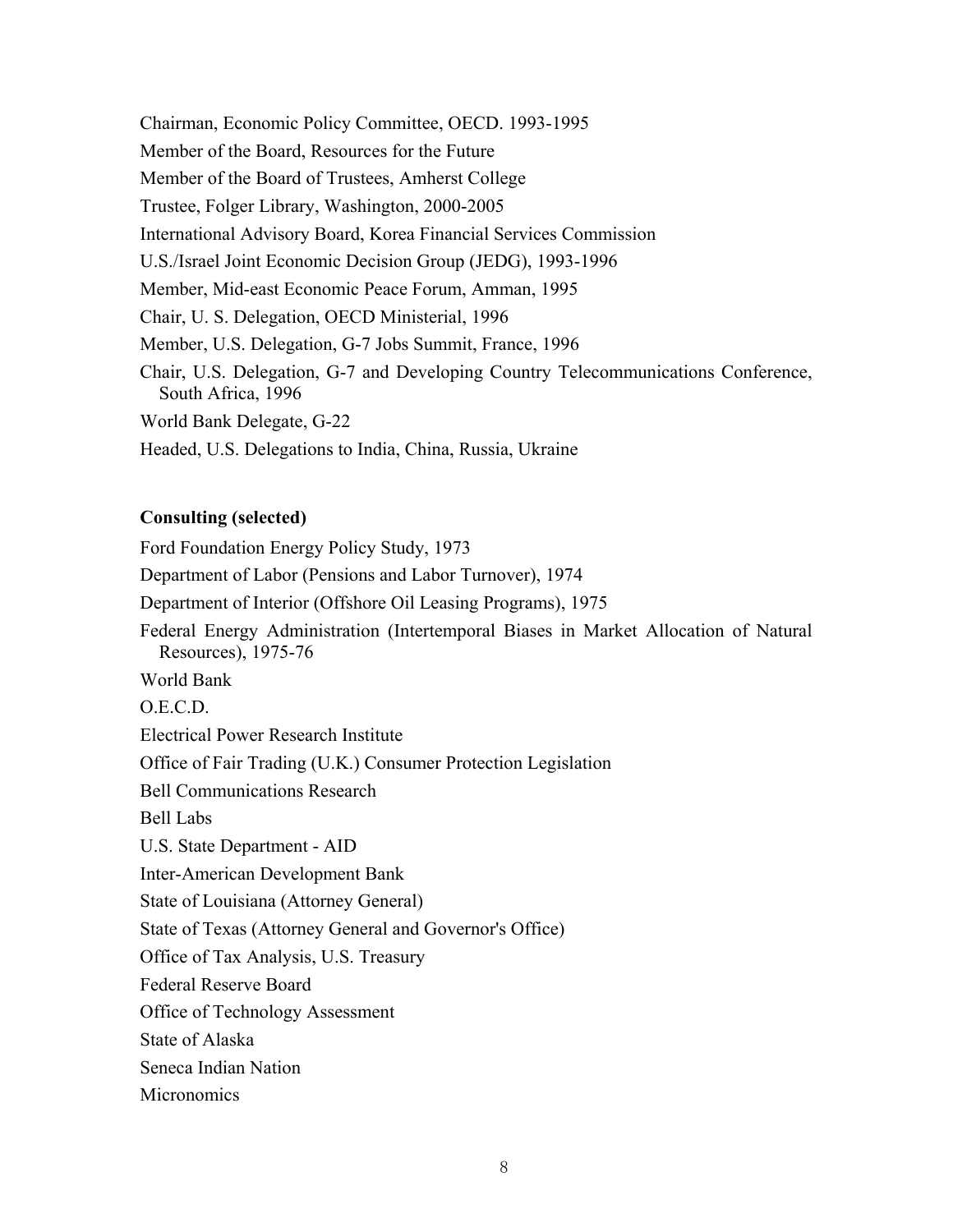Chairman, Economic Policy Committee, OECD. 1993-1995 Member of the Board, Resources for the Future Member of the Board of Trustees, Amherst College Trustee, Folger Library, Washington, 2000-2005 International Advisory Board, Korea Financial Services Commission U.S./Israel Joint Economic Decision Group (JEDG), 1993-1996 Member, Mid-east Economic Peace Forum, Amman, 1995 Chair, U. S. Delegation, OECD Ministerial, 1996 Member, U.S. Delegation, G-7 Jobs Summit, France, 1996 Chair, U.S. Delegation, G-7 and Developing Country Telecommunications Conference, South Africa, 1996 World Bank Delegate, G-22 Headed, U.S. Delegations to India, China, Russia, Ukraine

# **Consulting (selected)**

Ford Foundation Energy Policy Study, 1973 Department of Labor (Pensions and Labor Turnover), 1974 Department of Interior (Offshore Oil Leasing Programs), 1975 Federal Energy Administration (Intertemporal Biases in Market Allocation of Natural Resources), 1975-76 World Bank O.E.C.D. Electrical Power Research Institute Office of Fair Trading (U.K.) Consumer Protection Legislation Bell Communications Research Bell Labs U.S. State Department - AID Inter-American Development Bank State of Louisiana (Attorney General) State of Texas (Attorney General and Governor's Office) Office of Tax Analysis, U.S. Treasury Federal Reserve Board Office of Technology Assessment State of Alaska Seneca Indian Nation

**Micronomics**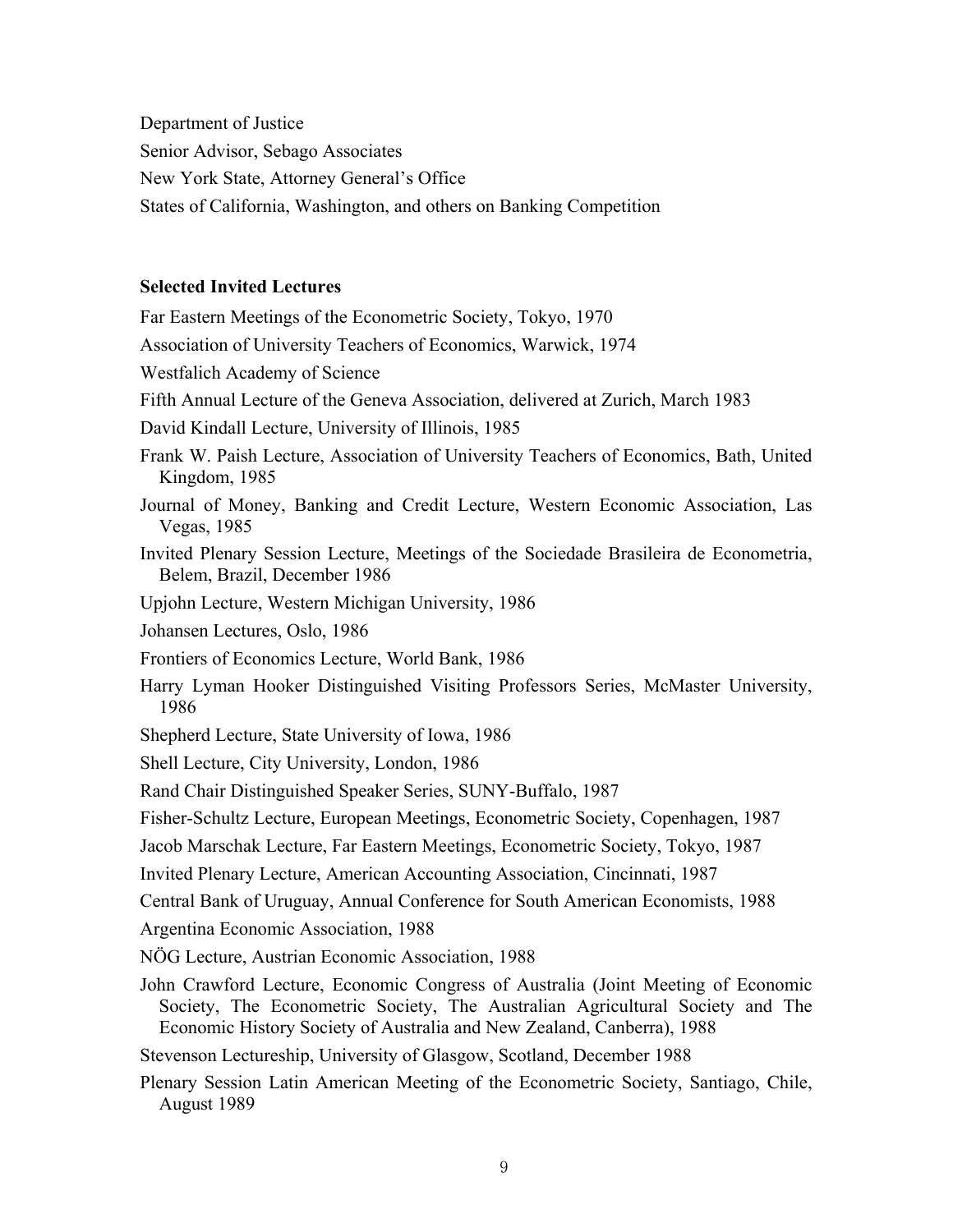Department of Justice Senior Advisor, Sebago Associates New York State, Attorney General's Office States of California, Washington, and others on Banking Competition

# **Selected Invited Lectures**

Far Eastern Meetings of the Econometric Society, Tokyo, 1970

Association of University Teachers of Economics, Warwick, 1974

Westfalich Academy of Science

- Fifth Annual Lecture of the Geneva Association, delivered at Zurich, March 1983
- David Kindall Lecture, University of Illinois, 1985
- Frank W. Paish Lecture, Association of University Teachers of Economics, Bath, United Kingdom, 1985
- Journal of Money, Banking and Credit Lecture, Western Economic Association, Las Vegas, 1985
- Invited Plenary Session Lecture, Meetings of the Sociedade Brasileira de Econometria, Belem, Brazil, December 1986
- Upjohn Lecture, Western Michigan University, 1986

Johansen Lectures, Oslo, 1986

- Frontiers of Economics Lecture, World Bank, 1986
- Harry Lyman Hooker Distinguished Visiting Professors Series, McMaster University, 1986
- Shepherd Lecture, State University of Iowa, 1986

Shell Lecture, City University, London, 1986

- Rand Chair Distinguished Speaker Series, SUNY-Buffalo, 1987
- Fisher-Schultz Lecture, European Meetings, Econometric Society, Copenhagen, 1987
- Jacob Marschak Lecture, Far Eastern Meetings, Econometric Society, Tokyo, 1987

Invited Plenary Lecture, American Accounting Association, Cincinnati, 1987

Central Bank of Uruguay, Annual Conference for South American Economists, 1988

Argentina Economic Association, 1988

- NÖG Lecture, Austrian Economic Association, 1988
- John Crawford Lecture, Economic Congress of Australia (Joint Meeting of Economic Society, The Econometric Society, The Australian Agricultural Society and The Economic History Society of Australia and New Zealand, Canberra), 1988

Stevenson Lectureship, University of Glasgow, Scotland, December 1988

Plenary Session Latin American Meeting of the Econometric Society, Santiago, Chile, August 1989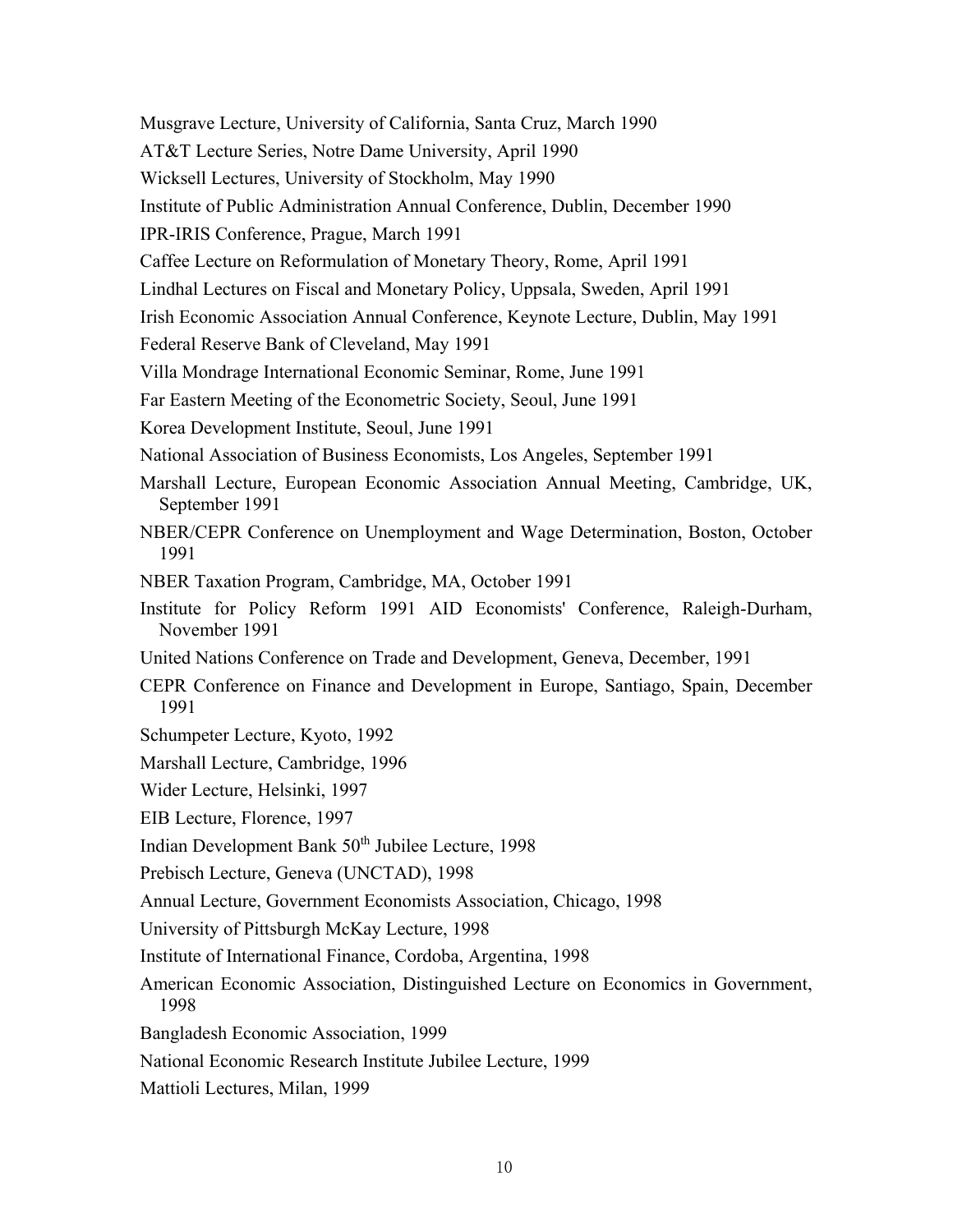Musgrave Lecture, University of California, Santa Cruz, March 1990 AT&T Lecture Series, Notre Dame University, April 1990 Wicksell Lectures, University of Stockholm, May 1990 Institute of Public Administration Annual Conference, Dublin, December 1990 IPR-IRIS Conference, Prague, March 1991 Caffee Lecture on Reformulation of Monetary Theory, Rome, April 1991 Lindhal Lectures on Fiscal and Monetary Policy, Uppsala, Sweden, April 1991 Irish Economic Association Annual Conference, Keynote Lecture, Dublin, May 1991 Federal Reserve Bank of Cleveland, May 1991 Villa Mondrage International Economic Seminar, Rome, June 1991 Far Eastern Meeting of the Econometric Society, Seoul, June 1991 Korea Development Institute, Seoul, June 1991 National Association of Business Economists, Los Angeles, September 1991 Marshall Lecture, European Economic Association Annual Meeting, Cambridge, UK, September 1991 NBER/CEPR Conference on Unemployment and Wage Determination, Boston, October 1991 NBER Taxation Program, Cambridge, MA, October 1991 Institute for Policy Reform 1991 AID Economists' Conference, Raleigh-Durham, November 1991 United Nations Conference on Trade and Development, Geneva, December, 1991 CEPR Conference on Finance and Development in Europe, Santiago, Spain, December 1991 Schumpeter Lecture, Kyoto, 1992 Marshall Lecture, Cambridge, 1996 Wider Lecture, Helsinki, 1997 EIB Lecture, Florence, 1997 Indian Development Bank 50<sup>th</sup> Jubilee Lecture, 1998 Prebisch Lecture, Geneva (UNCTAD), 1998 Annual Lecture, Government Economists Association, Chicago, 1998 University of Pittsburgh McKay Lecture, 1998 Institute of International Finance, Cordoba, Argentina, 1998 American Economic Association, Distinguished Lecture on Economics in Government, 1998 Bangladesh Economic Association, 1999 National Economic Research Institute Jubilee Lecture, 1999 Mattioli Lectures, Milan, 1999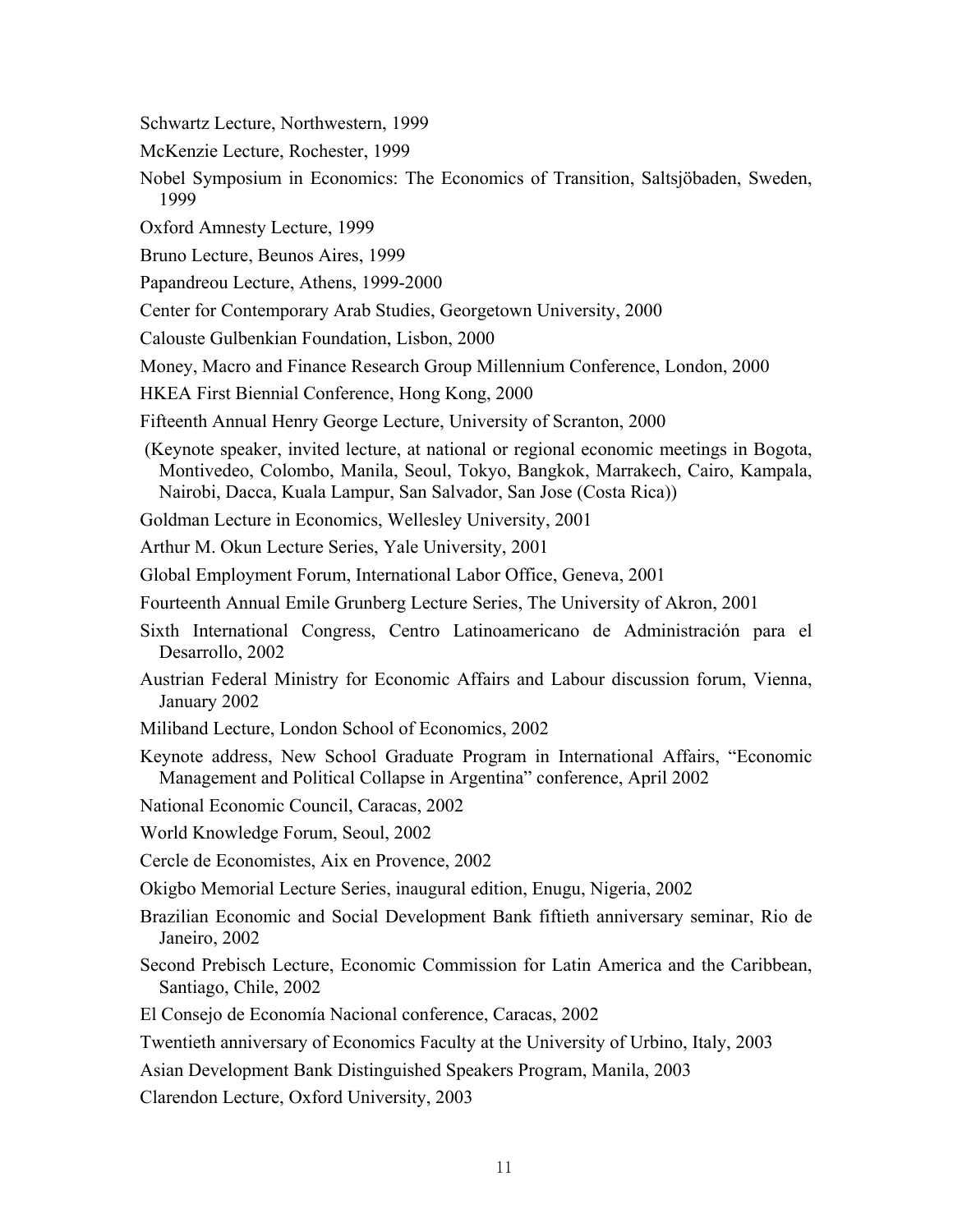- Schwartz Lecture, Northwestern, 1999
- McKenzie Lecture, Rochester, 1999
- Nobel Symposium in Economics: The Economics of Transition, Saltsjöbaden, Sweden, 1999
- Oxford Amnesty Lecture, 1999
- Bruno Lecture, Beunos Aires, 1999
- Papandreou Lecture, Athens, 1999-2000
- Center for Contemporary Arab Studies, Georgetown University, 2000
- Calouste Gulbenkian Foundation, Lisbon, 2000
- Money, Macro and Finance Research Group Millennium Conference, London, 2000
- HKEA First Biennial Conference, Hong Kong, 2000
- Fifteenth Annual Henry George Lecture, University of Scranton, 2000
- (Keynote speaker, invited lecture, at national or regional economic meetings in Bogota, Montivedeo, Colombo, Manila, Seoul, Tokyo, Bangkok, Marrakech, Cairo, Kampala, Nairobi, Dacca, Kuala Lampur, San Salvador, San Jose (Costa Rica))
- Goldman Lecture in Economics, Wellesley University, 2001
- Arthur M. Okun Lecture Series, Yale University, 2001
- Global Employment Forum, International Labor Office, Geneva, 2001
- Fourteenth Annual Emile Grunberg Lecture Series, The University of Akron, 2001
- Sixth International Congress, Centro Latinoamericano de Administración para el Desarrollo, 2002
- Austrian Federal Ministry for Economic Affairs and Labour discussion forum, Vienna, January 2002
- Miliband Lecture, London School of Economics, 2002
- Keynote address, New School Graduate Program in International Affairs, "Economic Management and Political Collapse in Argentina" conference, April 2002
- National Economic Council, Caracas, 2002
- World Knowledge Forum, Seoul, 2002
- Cercle de Economistes, Aix en Provence, 2002
- Okigbo Memorial Lecture Series, inaugural edition, Enugu, Nigeria, 2002
- Brazilian Economic and Social Development Bank fiftieth anniversary seminar, Rio de Janeiro, 2002
- Second Prebisch Lecture, Economic Commission for Latin America and the Caribbean, Santiago, Chile, 2002
- El Consejo de Economía Nacional conference, Caracas, 2002
- Twentieth anniversary of Economics Faculty at the University of Urbino, Italy, 2003
- Asian Development Bank Distinguished Speakers Program, Manila, 2003

Clarendon Lecture, Oxford University, 2003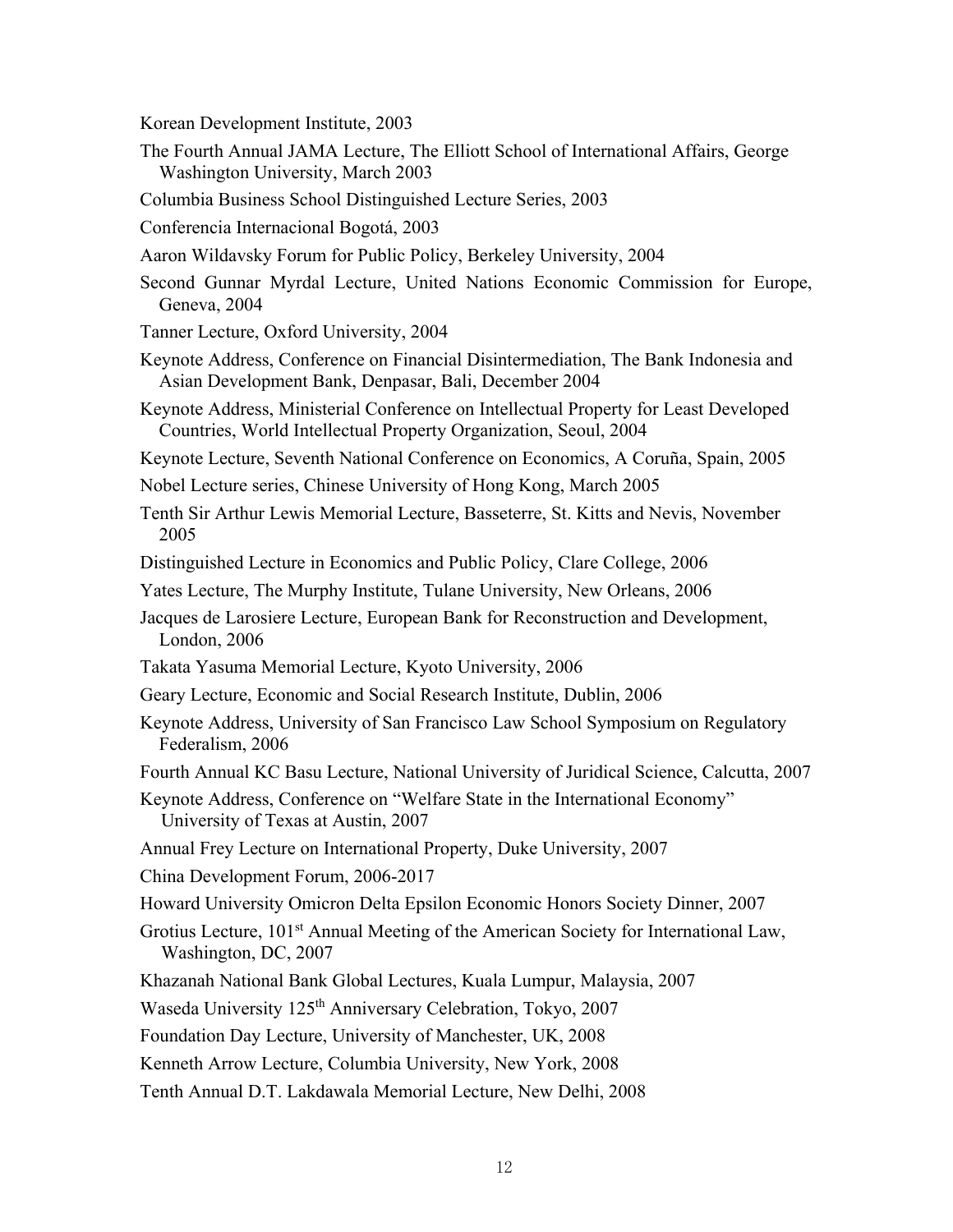Korean Development Institute, 2003

- The Fourth Annual JAMA Lecture, The Elliott School of International Affairs, George Washington University, March 2003
- Columbia Business School Distinguished Lecture Series, 2003
- Conferencia Internacional Bogotá, 2003
- Aaron Wildavsky Forum for Public Policy, Berkeley University, 2004
- Second Gunnar Myrdal Lecture, United Nations Economic Commission for Europe, Geneva, 2004
- Tanner Lecture, Oxford University, 2004
- Keynote Address, Conference on Financial Disintermediation, The Bank Indonesia and Asian Development Bank, Denpasar, Bali, December 2004
- Keynote Address, Ministerial Conference on Intellectual Property for Least Developed Countries, World Intellectual Property Organization, Seoul, 2004
- Keynote Lecture, Seventh National Conference on Economics, A Coruña, Spain, 2005
- Nobel Lecture series, Chinese University of Hong Kong, March 2005
- Tenth Sir Arthur Lewis Memorial Lecture, Basseterre, St. Kitts and Nevis, November 2005
- Distinguished Lecture in Economics and Public Policy, Clare College, 2006
- Yates Lecture, The Murphy Institute, Tulane University, New Orleans, 2006
- Jacques de Larosiere Lecture, European Bank for Reconstruction and Development, London, 2006
- Takata Yasuma Memorial Lecture, Kyoto University, 2006
- Geary Lecture, Economic and Social Research Institute, Dublin, 2006
- Keynote Address, University of San Francisco Law School Symposium on Regulatory Federalism, 2006
- Fourth Annual KC Basu Lecture, National University of Juridical Science, Calcutta, 2007

Keynote Address, Conference on "Welfare State in the International Economy" University of Texas at Austin, 2007

Annual Frey Lecture on International Property, Duke University, 2007

China Development Forum, 2006-2017

- Howard University Omicron Delta Epsilon Economic Honors Society Dinner, 2007
- Grotius Lecture, 101<sup>st</sup> Annual Meeting of the American Society for International Law, Washington, DC, 2007
- Khazanah National Bank Global Lectures, Kuala Lumpur, Malaysia, 2007

Waseda University 125<sup>th</sup> Anniversary Celebration, Tokyo, 2007

Foundation Day Lecture, University of Manchester, UK, 2008

Kenneth Arrow Lecture, Columbia University, New York, 2008

Tenth Annual D.T. Lakdawala Memorial Lecture, New Delhi, 2008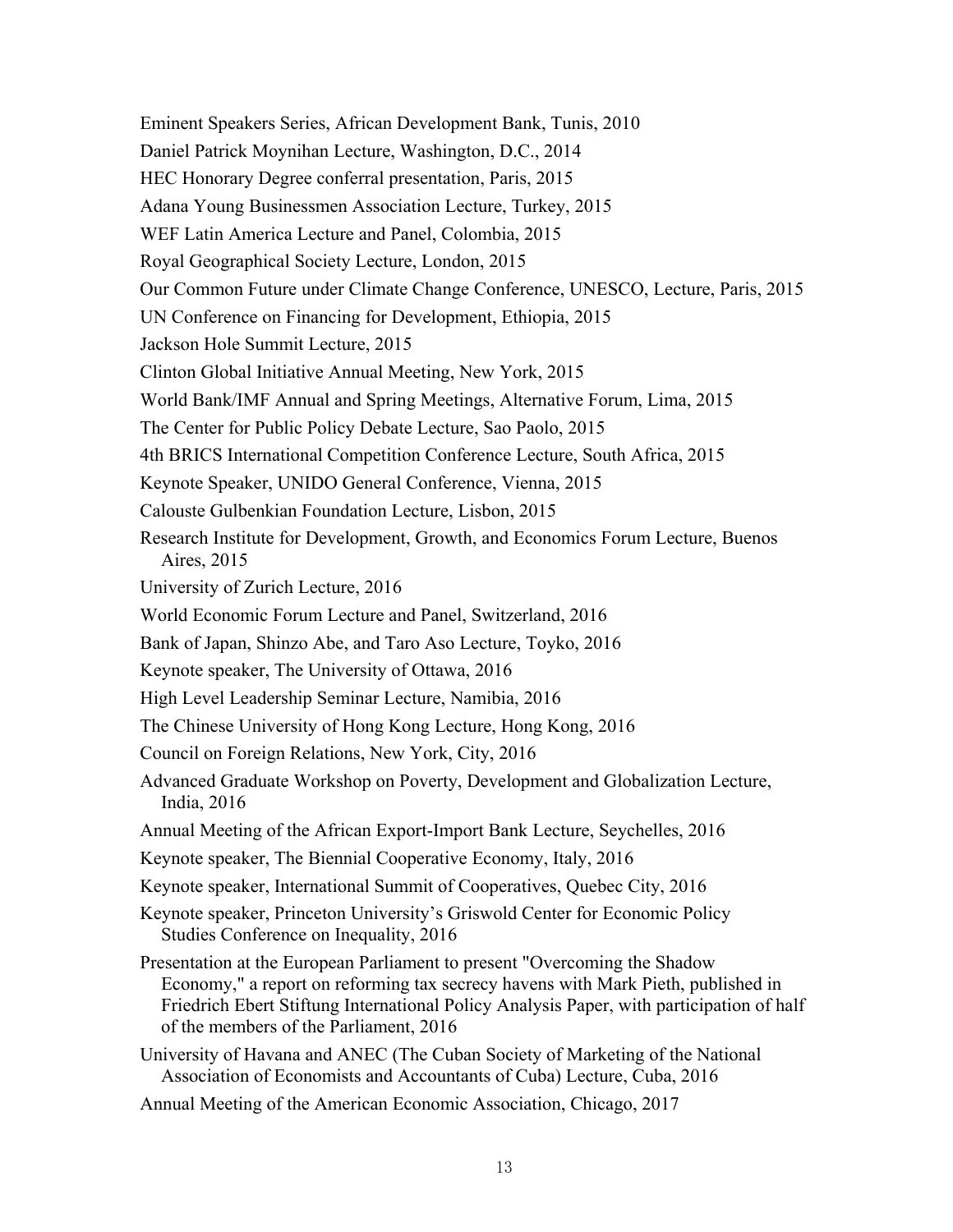Eminent Speakers Series, African Development Bank, Tunis, 2010 Daniel Patrick Moynihan Lecture, Washington, D.C., 2014 HEC Honorary Degree conferral presentation, Paris, 2015 Adana Young Businessmen Association Lecture, Turkey, 2015 WEF Latin America Lecture and Panel, Colombia, 2015 Royal Geographical Society Lecture, London, 2015 Our Common Future under Climate Change Conference, UNESCO, Lecture, Paris, 2015 UN Conference on Financing for Development, Ethiopia, 2015 Jackson Hole Summit Lecture, 2015 Clinton Global Initiative Annual Meeting, New York, 2015 World Bank/IMF Annual and Spring Meetings, Alternative Forum, Lima, 2015 The Center for Public Policy Debate Lecture, Sao Paolo, 2015 4th BRICS International Competition Conference Lecture, South Africa, 2015 Keynote Speaker, UNIDO General Conference, Vienna, 2015 Calouste Gulbenkian Foundation Lecture, Lisbon, 2015 Research Institute for Development, Growth, and Economics Forum Lecture, Buenos Aires, 2015 University of Zurich Lecture, 2016 World Economic Forum Lecture and Panel, Switzerland, 2016 Bank of Japan, Shinzo Abe, and Taro Aso Lecture, Toyko, 2016 Keynote speaker, The University of Ottawa, 2016 High Level Leadership Seminar Lecture, Namibia, 2016 The Chinese University of Hong Kong Lecture, Hong Kong, 2016 Council on Foreign Relations, New York, City, 2016 Advanced Graduate Workshop on Poverty, Development and Globalization Lecture, India, 2016 Annual Meeting of the African Export-Import Bank Lecture, Seychelles, 2016 Keynote speaker, The Biennial Cooperative Economy, Italy, 2016 Keynote speaker, International Summit of Cooperatives, Quebec City, 2016 Keynote speaker, Princeton University's Griswold Center for Economic Policy Studies Conference on Inequality, 2016 Presentation at the European Parliament to present "Overcoming the Shadow Economy," a report on reforming tax secrecy havens with Mark Pieth, published in Friedrich Ebert Stiftung International Policy Analysis Paper, with participation of half of the members of the Parliament, 2016 University of Havana and ANEC (The Cuban Society of Marketing of the National Association of Economists and Accountants of Cuba) Lecture, Cuba, 2016 Annual Meeting of the American Economic Association, Chicago, 2017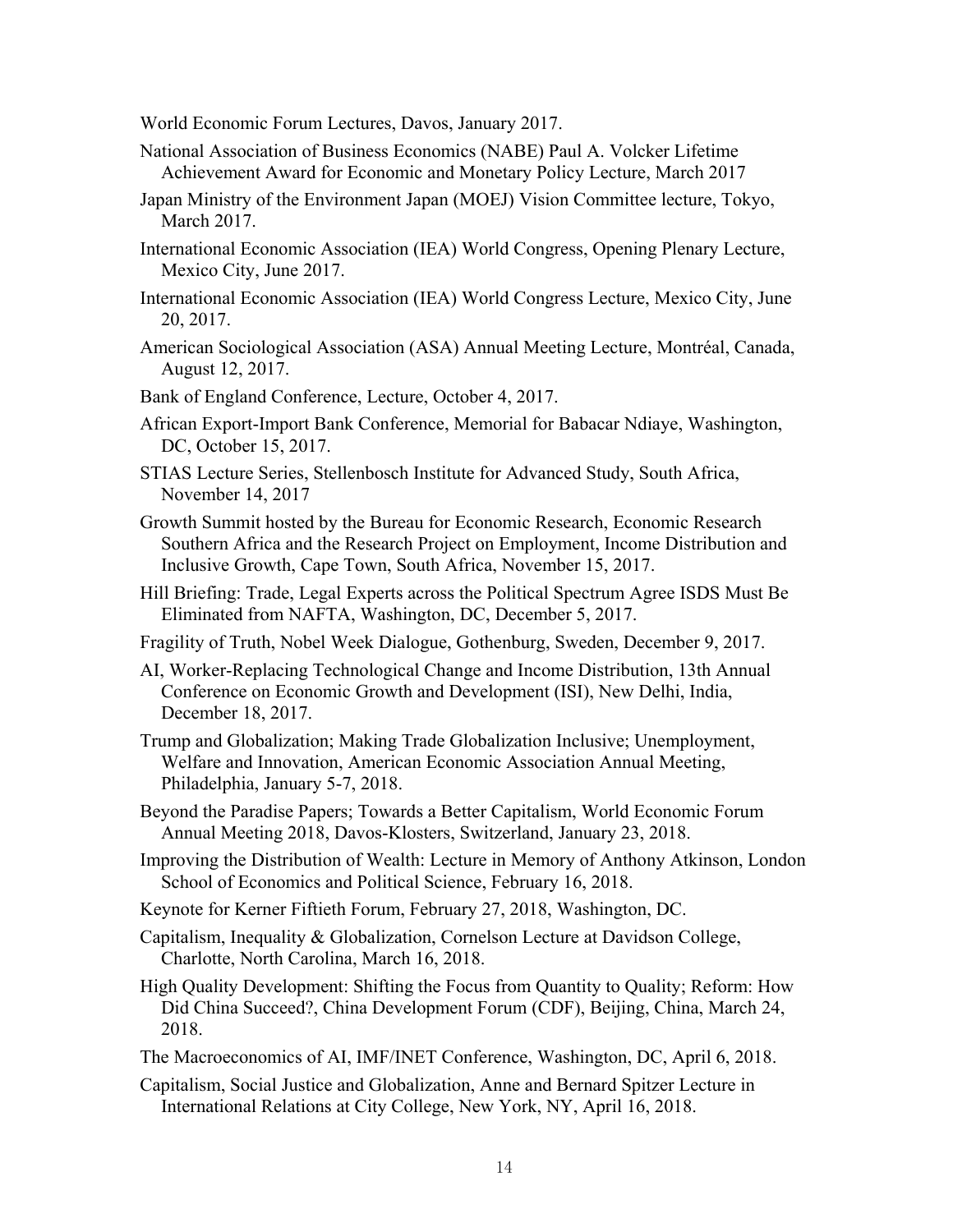World Economic Forum Lectures, Davos, January 2017.

- National Association of Business Economics (NABE) Paul A. Volcker Lifetime Achievement Award for Economic and Monetary Policy Lecture, March 2017
- Japan Ministry of the Environment Japan (MOEJ) Vision Committee lecture, Tokyo, March 2017.
- International Economic Association (IEA) World Congress, Opening Plenary Lecture, Mexico City, June 2017.
- International Economic Association (IEA) World Congress Lecture, Mexico City, June 20, 2017.
- American Sociological Association (ASA) Annual Meeting Lecture, Montréal, Canada, August 12, 2017.
- Bank of England Conference, Lecture, October 4, 2017.
- African Export-Import Bank Conference, Memorial for Babacar Ndiaye, Washington, DC, October 15, 2017.
- STIAS Lecture Series, Stellenbosch Institute for Advanced Study, South Africa, November 14, 2017
- Growth Summit hosted by the Bureau for Economic Research, Economic Research Southern Africa and the Research Project on Employment, Income Distribution and Inclusive Growth, Cape Town, South Africa, November 15, 2017.
- Hill Briefing: Trade, Legal Experts across the Political Spectrum Agree ISDS Must Be Eliminated from NAFTA, Washington, DC, December 5, 2017.
- Fragility of Truth, Nobel Week Dialogue, Gothenburg, Sweden, December 9, 2017.
- AI, Worker-Replacing Technological Change and Income Distribution, 13th Annual Conference on Economic Growth and Development (ISI), New Delhi, India, December 18, 2017.
- Trump and Globalization; Making Trade Globalization Inclusive; Unemployment, Welfare and Innovation, American Economic Association Annual Meeting, Philadelphia, January 5-7, 2018.
- Beyond the Paradise Papers; Towards a Better Capitalism, World Economic Forum Annual Meeting 2018, Davos-Klosters, Switzerland, January 23, 2018.
- Improving the Distribution of Wealth: Lecture in Memory of Anthony Atkinson, London School of Economics and Political Science, February 16, 2018.
- Keynote for Kerner Fiftieth Forum, February 27, 2018, Washington, DC.
- Capitalism, Inequality & Globalization, Cornelson Lecture at Davidson College, Charlotte, North Carolina, March 16, 2018.
- High Quality Development: Shifting the Focus from Quantity to Quality; Reform: How Did China Succeed?, China Development Forum (CDF), Beijing, China, March 24, 2018.
- The Macroeconomics of AI, IMF/INET Conference, Washington, DC, April 6, 2018.
- Capitalism, Social Justice and Globalization, Anne and Bernard Spitzer Lecture in International Relations at City College, New York, NY, April 16, 2018.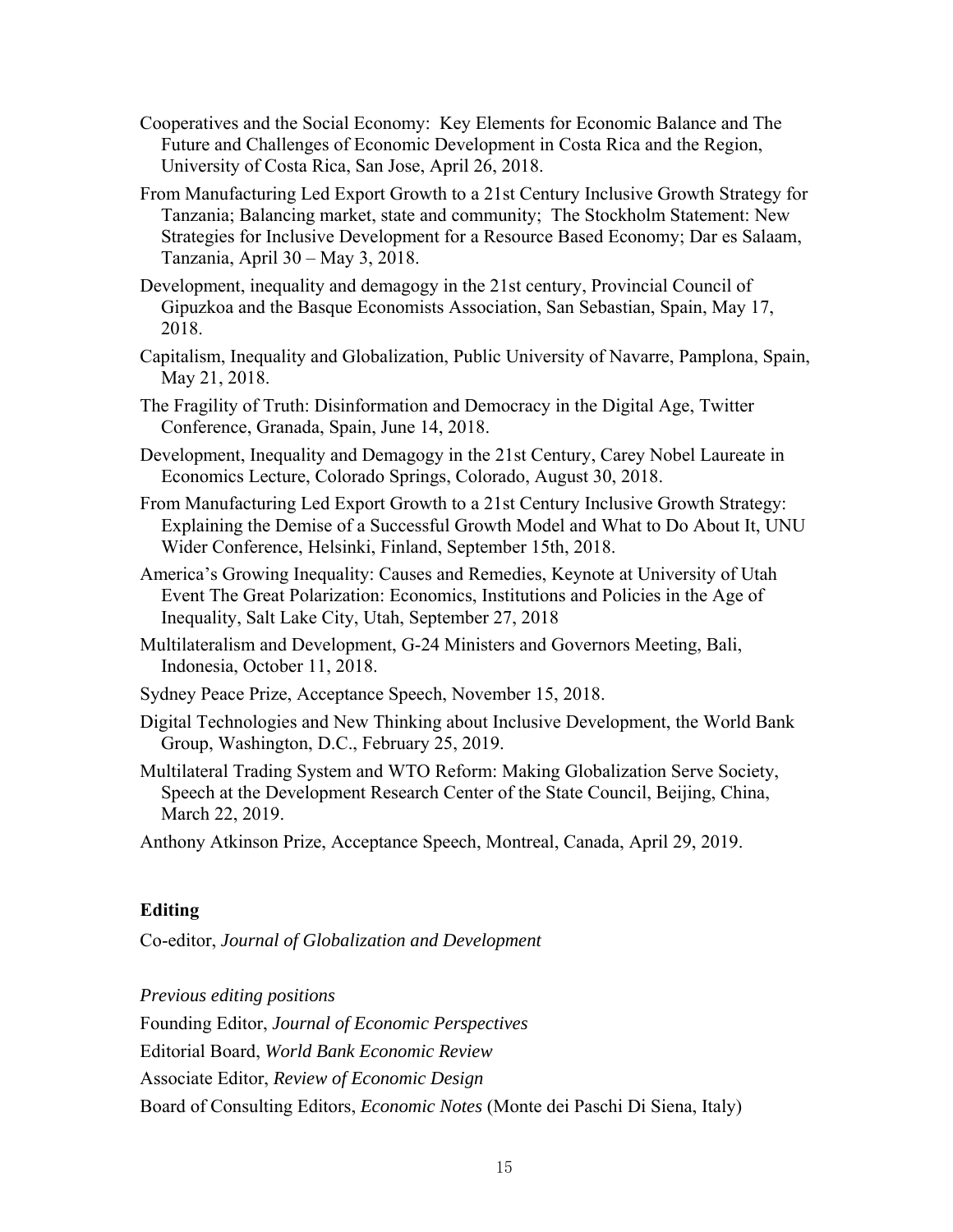- Cooperatives and the Social Economy: Key Elements for Economic Balance and The Future and Challenges of Economic Development in Costa Rica and the Region, University of Costa Rica, San Jose, April 26, 2018.
- From Manufacturing Led Export Growth to a 21st Century Inclusive Growth Strategy for Tanzania; Balancing market, state and community; The Stockholm Statement: New Strategies for Inclusive Development for a Resource Based Economy; Dar es Salaam, Tanzania, April 30 – May 3, 2018.
- Development, inequality and demagogy in the 21st century, Provincial Council of Gipuzkoa and the Basque Economists Association, San Sebastian, Spain, May 17, 2018.
- Capitalism, Inequality and Globalization, Public University of Navarre, Pamplona, Spain, May 21, 2018.
- The Fragility of Truth: Disinformation and Democracy in the Digital Age, Twitter Conference, Granada, Spain, June 14, 2018.
- Development, Inequality and Demagogy in the 21st Century, Carey Nobel Laureate in Economics Lecture, Colorado Springs, Colorado, August 30, 2018.
- From Manufacturing Led Export Growth to a 21st Century Inclusive Growth Strategy: Explaining the Demise of a Successful Growth Model and What to Do About It, UNU Wider Conference, Helsinki, Finland, September 15th, 2018.
- America's Growing Inequality: Causes and Remedies, Keynote at University of Utah Event The Great Polarization: Economics, Institutions and Policies in the Age of Inequality, Salt Lake City, Utah, September 27, 2018
- Multilateralism and Development, G-24 Ministers and Governors Meeting, Bali, Indonesia, October 11, 2018.
- Sydney Peace Prize, Acceptance Speech, November 15, 2018.
- Digital Technologies and New Thinking about Inclusive Development, the World Bank Group, Washington, D.C., February 25, 2019.
- Multilateral Trading System and WTO Reform: Making Globalization Serve Society, Speech at the Development Research Center of the State Council, Beijing, China, March 22, 2019.

Anthony Atkinson Prize, Acceptance Speech, Montreal, Canada, April 29, 2019.

#### **Editing**

Co-editor, *Journal of Globalization and Development* 

*Previous editing positions* 

Founding Editor, *Journal of Economic Perspectives*

Editorial Board, *World Bank Economic Review* 

Associate Editor, *Review of Economic Design*

Board of Consulting Editors, *Economic Notes* (Monte dei Paschi Di Siena, Italy)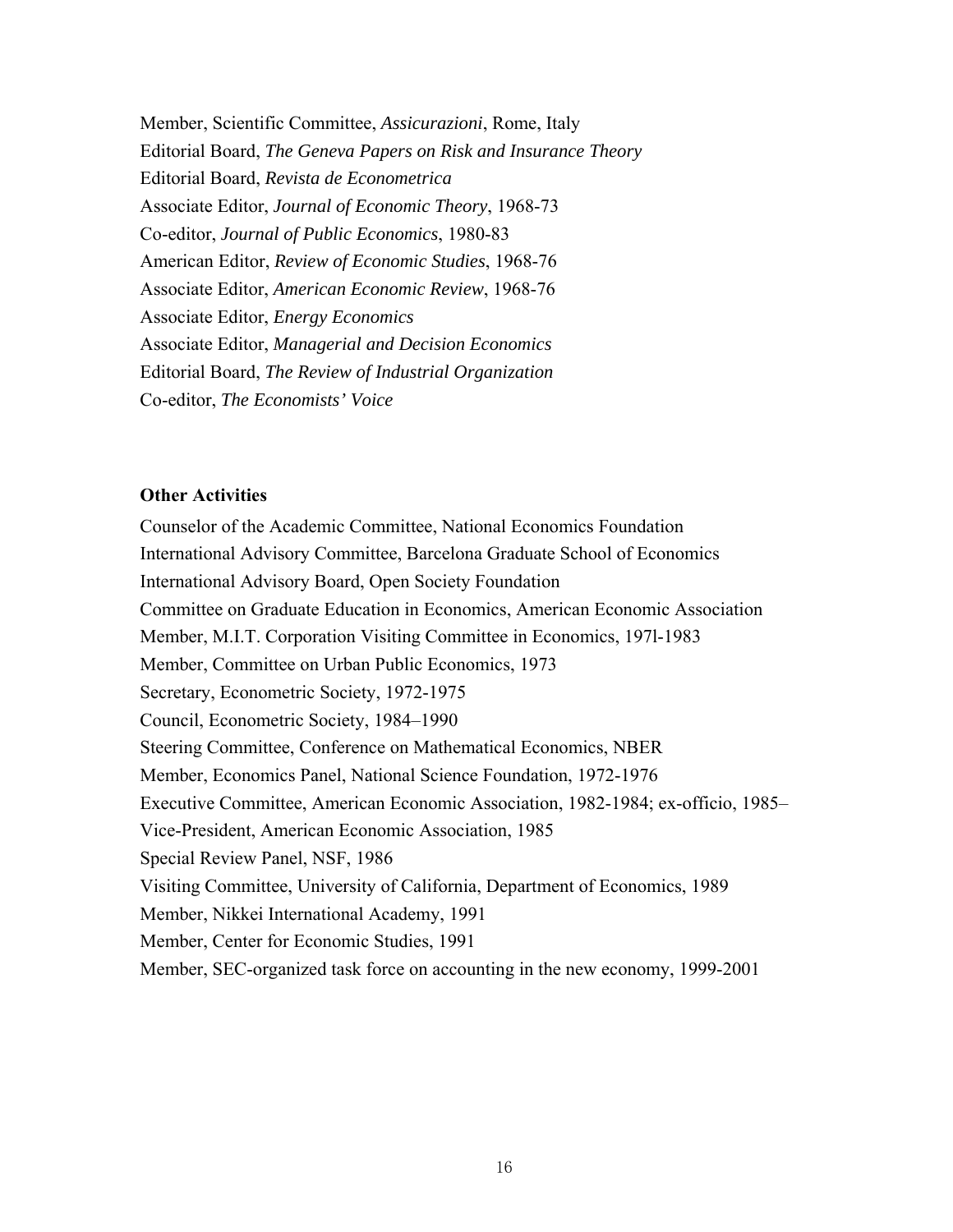Member, Scientific Committee, *Assicurazioni*, Rome, Italy Editorial Board, *The Geneva Papers on Risk and Insurance Theory* Editorial Board, *Revista de Econometrica* Associate Editor, *Journal of Economic Theory*, 1968-73 Co-editor, *Journal of Public Economics*, 1980-83 American Editor, *Review of Economic Studies*, 1968-76 Associate Editor, *American Economic Review*, 1968-76 Associate Editor, *Energy Economics* Associate Editor, *Managerial and Decision Economics* Editorial Board, *The Review of Industrial Organization*  Co-editor, *The Economists' Voice* 

## **Other Activities**

Counselor of the Academic Committee, National Economics Foundation International Advisory Committee, Barcelona Graduate School of Economics International Advisory Board, Open Society Foundation Committee on Graduate Education in Economics, American Economic Association Member, M.I.T. Corporation Visiting Committee in Economics, 197l-1983 Member, Committee on Urban Public Economics, 1973 Secretary, Econometric Society, 1972-1975 Council, Econometric Society, 1984–1990 Steering Committee, Conference on Mathematical Economics, NBER Member, Economics Panel, National Science Foundation, 1972-1976 Executive Committee, American Economic Association, 1982-1984; ex-officio, 1985– Vice-President, American Economic Association, 1985 Special Review Panel, NSF, 1986 Visiting Committee, University of California, Department of Economics, 1989 Member, Nikkei International Academy, 1991 Member, Center for Economic Studies, 1991 Member, SEC-organized task force on accounting in the new economy, 1999-2001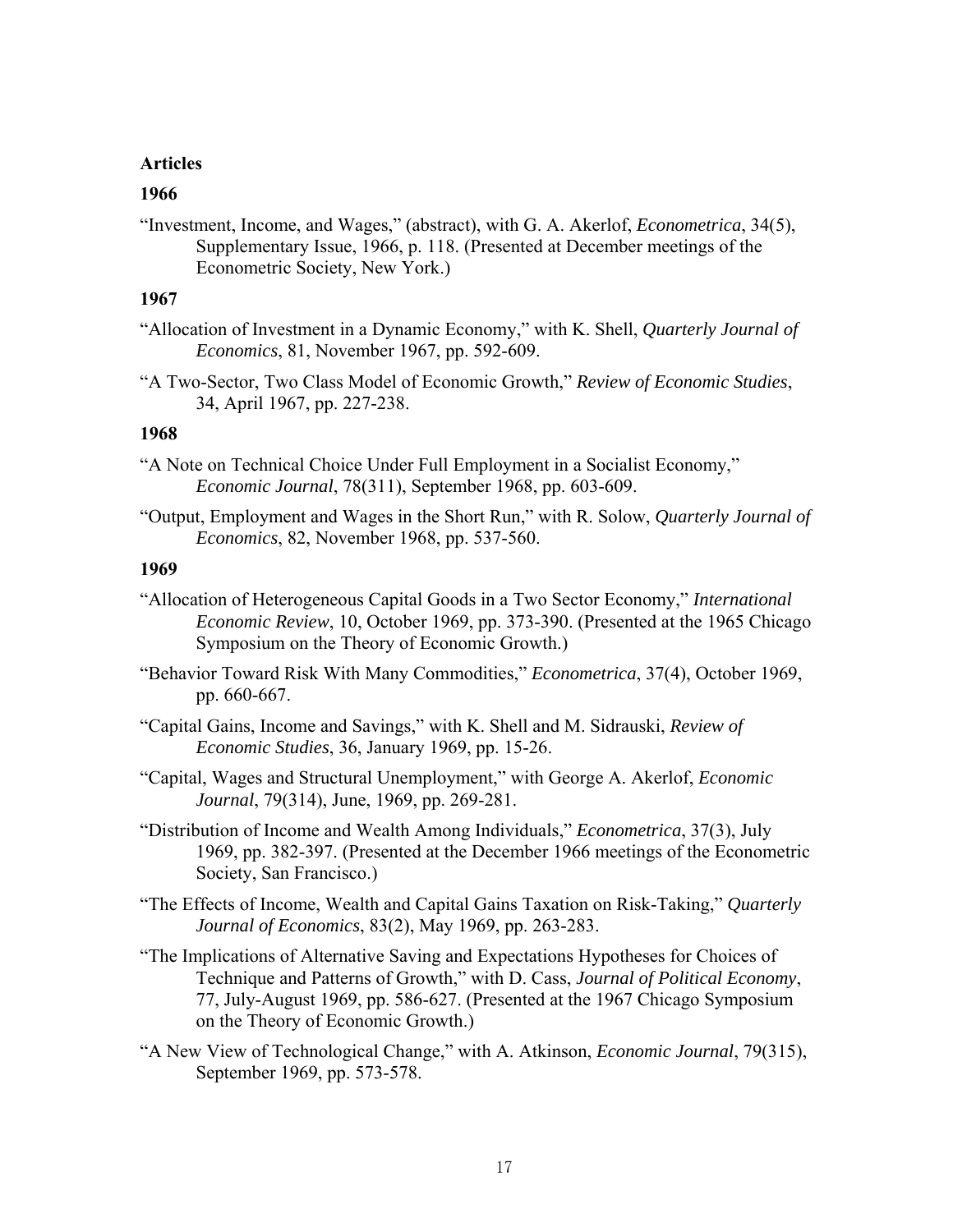#### **Articles**

#### **1966**

"Investment, Income, and Wages," (abstract), with G. A. Akerlof, *Econometrica*, 34(5), Supplementary Issue, 1966, p. 118. (Presented at December meetings of the Econometric Society, New York.)

## **1967**

- "Allocation of Investment in a Dynamic Economy," with K. Shell, *Quarterly Journal of Economics*, 81, November 1967, pp. 592-609.
- "A Two-Sector, Two Class Model of Economic Growth," *Review of Economic Studies*, 34, April 1967, pp. 227-238.

## **1968**

- "A Note on Technical Choice Under Full Employment in a Socialist Economy," *Economic Journal*, 78(311), September 1968, pp. 603-609.
- "Output, Employment and Wages in the Short Run," with R. Solow, *Quarterly Journal of Economics*, 82, November 1968, pp. 537-560.

- "Allocation of Heterogeneous Capital Goods in a Two Sector Economy," *International Economic Review*, 10, October 1969, pp. 373-390. (Presented at the 1965 Chicago Symposium on the Theory of Economic Growth.)
- "Behavior Toward Risk With Many Commodities," *Econometrica*, 37(4), October 1969, pp. 660-667.
- "Capital Gains, Income and Savings," with K. Shell and M. Sidrauski, *Review of Economic Studies*, 36, January 1969, pp. 15-26.
- "Capital, Wages and Structural Unemployment," with George A. Akerlof, *Economic Journal*, 79(314), June, 1969, pp. 269-281.
- "Distribution of Income and Wealth Among Individuals," *Econometrica*, 37(3), July 1969, pp. 382-397. (Presented at the December 1966 meetings of the Econometric Society, San Francisco.)
- "The Effects of Income, Wealth and Capital Gains Taxation on Risk-Taking," *Quarterly Journal of Economics*, 83(2), May 1969, pp. 263-283.
- "The Implications of Alternative Saving and Expectations Hypotheses for Choices of Technique and Patterns of Growth," with D. Cass, *Journal of Political Economy*, 77, July-August 1969, pp. 586-627. (Presented at the 1967 Chicago Symposium on the Theory of Economic Growth.)
- "A New View of Technological Change," with A. Atkinson, *Economic Journal*, 79(315), September 1969, pp. 573-578.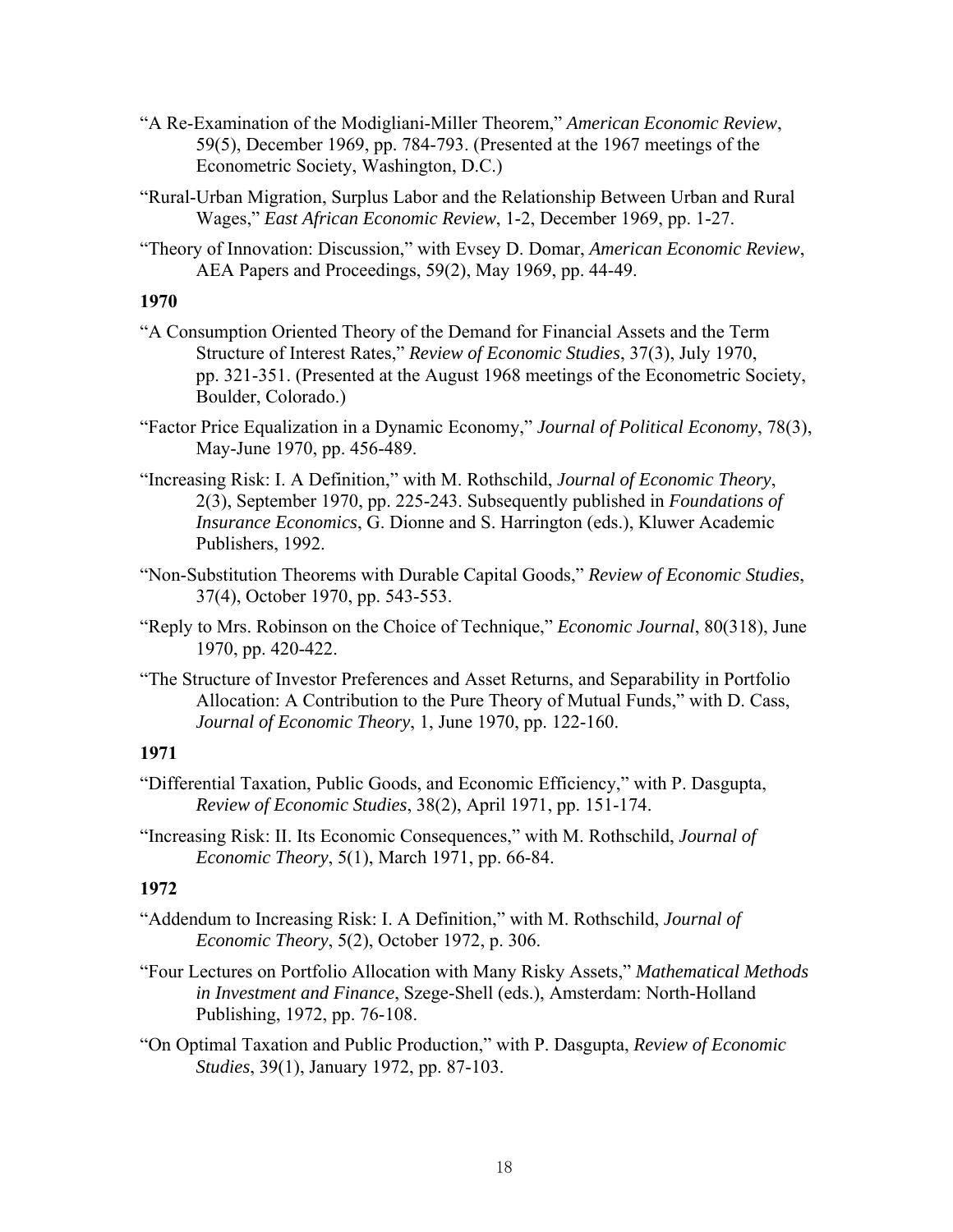- "A Re-Examination of the Modigliani-Miller Theorem," *American Economic Review*, 59(5), December 1969, pp. 784-793. (Presented at the 1967 meetings of the Econometric Society, Washington, D.C.)
- "Rural-Urban Migration, Surplus Labor and the Relationship Between Urban and Rural Wages," *East African Economic Review*, 1-2, December 1969, pp. 1-27.
- "Theory of Innovation: Discussion," with Evsey D. Domar, *American Economic Review*, AEA Papers and Proceedings, 59(2), May 1969, pp. 44-49.

- "A Consumption Oriented Theory of the Demand for Financial Assets and the Term Structure of Interest Rates," *Review of Economic Studies*, 37(3), July 1970, pp. 321-351. (Presented at the August 1968 meetings of the Econometric Society, Boulder, Colorado.)
- "Factor Price Equalization in a Dynamic Economy," *Journal of Political Economy*, 78(3), May-June 1970, pp. 456-489.
- "Increasing Risk: I. A Definition," with M. Rothschild, *Journal of Economic Theory*, 2(3), September 1970, pp. 225-243. Subsequently published in *Foundations of Insurance Economics*, G. Dionne and S. Harrington (eds.), Kluwer Academic Publishers, 1992.
- "Non-Substitution Theorems with Durable Capital Goods," *Review of Economic Studies*, 37(4), October 1970, pp. 543-553.
- "Reply to Mrs. Robinson on the Choice of Technique," *Economic Journal*, 80(318), June 1970, pp. 420-422.
- "The Structure of Investor Preferences and Asset Returns, and Separability in Portfolio Allocation: A Contribution to the Pure Theory of Mutual Funds," with D. Cass, *Journal of Economic Theory*, 1, June 1970, pp. 122-160.

# **1971**

- "Differential Taxation, Public Goods, and Economic Efficiency," with P. Dasgupta, *Review of Economic Studies*, 38(2), April 1971, pp. 151-174.
- "Increasing Risk: II. Its Economic Consequences," with M. Rothschild, *Journal of Economic Theory*, 5(1), March 1971, pp. 66-84.

- "Addendum to Increasing Risk: I. A Definition," with M. Rothschild, *Journal of Economic Theory*, 5(2), October 1972, p. 306.
- "Four Lectures on Portfolio Allocation with Many Risky Assets," *Mathematical Methods in Investment and Finance*, Szege-Shell (eds.), Amsterdam: North-Holland Publishing, 1972, pp. 76-108.
- "On Optimal Taxation and Public Production," with P. Dasgupta, *Review of Economic Studies*, 39(1), January 1972, pp. 87-103.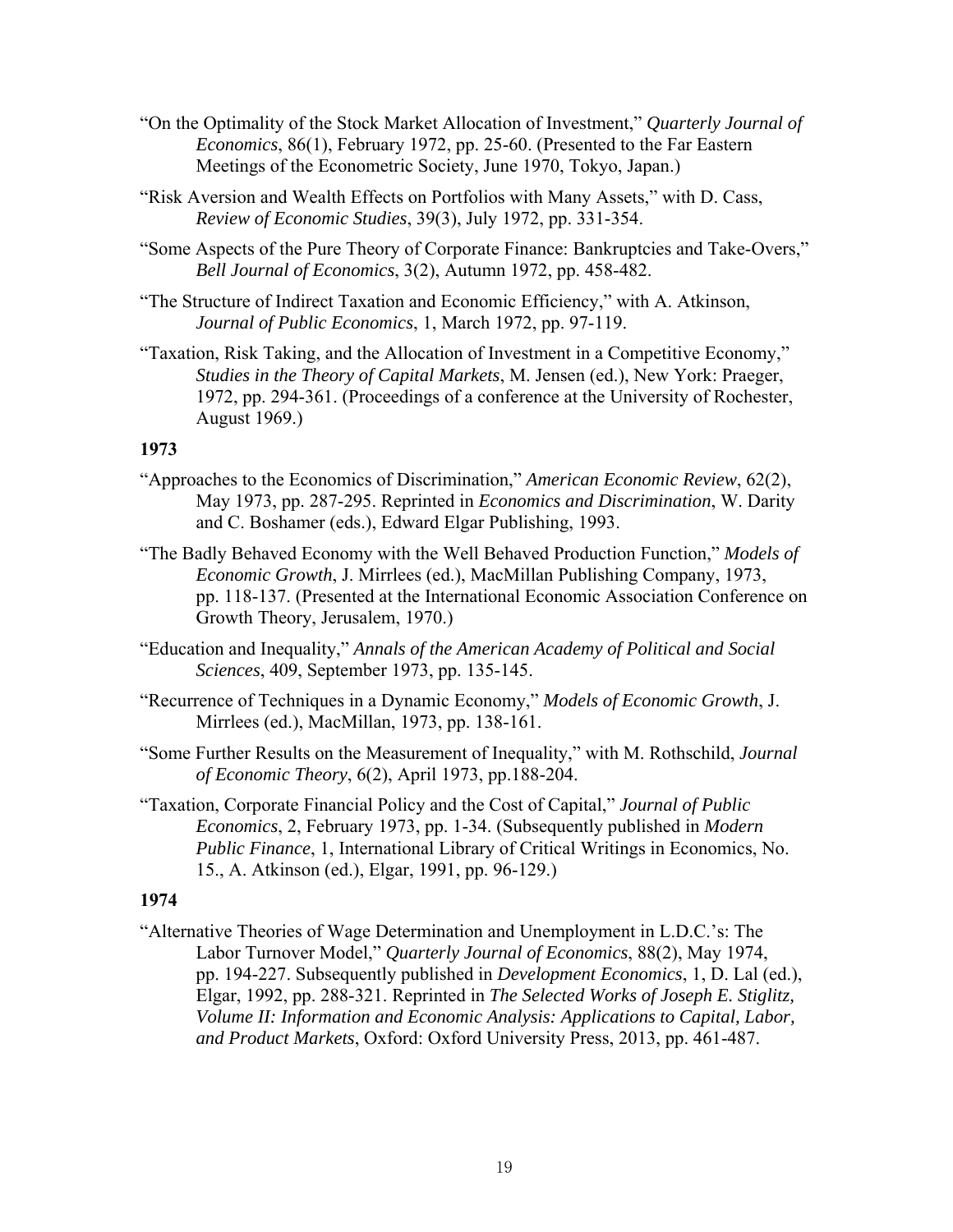- "On the Optimality of the Stock Market Allocation of Investment," *Quarterly Journal of Economics*, 86(1), February 1972, pp. 25-60. (Presented to the Far Eastern Meetings of the Econometric Society, June 1970, Tokyo, Japan.)
- "Risk Aversion and Wealth Effects on Portfolios with Many Assets," with D. Cass, *Review of Economic Studies*, 39(3), July 1972, pp. 331-354.
- "Some Aspects of the Pure Theory of Corporate Finance: Bankruptcies and Take-Overs," *Bell Journal of Economics*, 3(2), Autumn 1972, pp. 458-482.
- "The Structure of Indirect Taxation and Economic Efficiency," with A. Atkinson, *Journal of Public Economics*, 1, March 1972, pp. 97-119.
- "Taxation, Risk Taking, and the Allocation of Investment in a Competitive Economy," *Studies in the Theory of Capital Markets*, M. Jensen (ed.), New York: Praeger, 1972, pp. 294-361. (Proceedings of a conference at the University of Rochester, August 1969.)

- "Approaches to the Economics of Discrimination," *American Economic Review*, 62(2), May 1973, pp. 287-295. Reprinted in *Economics and Discrimination*, W. Darity and C. Boshamer (eds.), Edward Elgar Publishing, 1993.
- "The Badly Behaved Economy with the Well Behaved Production Function," *Models of Economic Growth*, J. Mirrlees (ed.), MacMillan Publishing Company, 1973, pp. 118-137. (Presented at the International Economic Association Conference on Growth Theory, Jerusalem, 1970.)
- "Education and Inequality," *Annals of the American Academy of Political and Social Sciences*, 409, September 1973, pp. 135-145.
- "Recurrence of Techniques in a Dynamic Economy," *Models of Economic Growth*, J. Mirrlees (ed.), MacMillan, 1973, pp. 138-161.
- "Some Further Results on the Measurement of Inequality," with M. Rothschild, *Journal of Economic Theory*, 6(2), April 1973, pp.188-204.
- "Taxation, Corporate Financial Policy and the Cost of Capital," *Journal of Public Economics*, 2, February 1973, pp. 1-34. (Subsequently published in *Modern Public Finance*, 1, International Library of Critical Writings in Economics, No. 15., A. Atkinson (ed.), Elgar, 1991, pp. 96-129.)

# **1974**

"Alternative Theories of Wage Determination and Unemployment in L.D.C.'s: The Labor Turnover Model," *Quarterly Journal of Economics*, 88(2), May 1974, pp. 194-227. Subsequently published in *Development Economics*, 1, D. Lal (ed.), Elgar, 1992, pp. 288-321. Reprinted in *The Selected Works of Joseph E. Stiglitz, Volume II: Information and Economic Analysis: Applications to Capital, Labor, and Product Markets*, Oxford: Oxford University Press, 2013, pp. 461-487.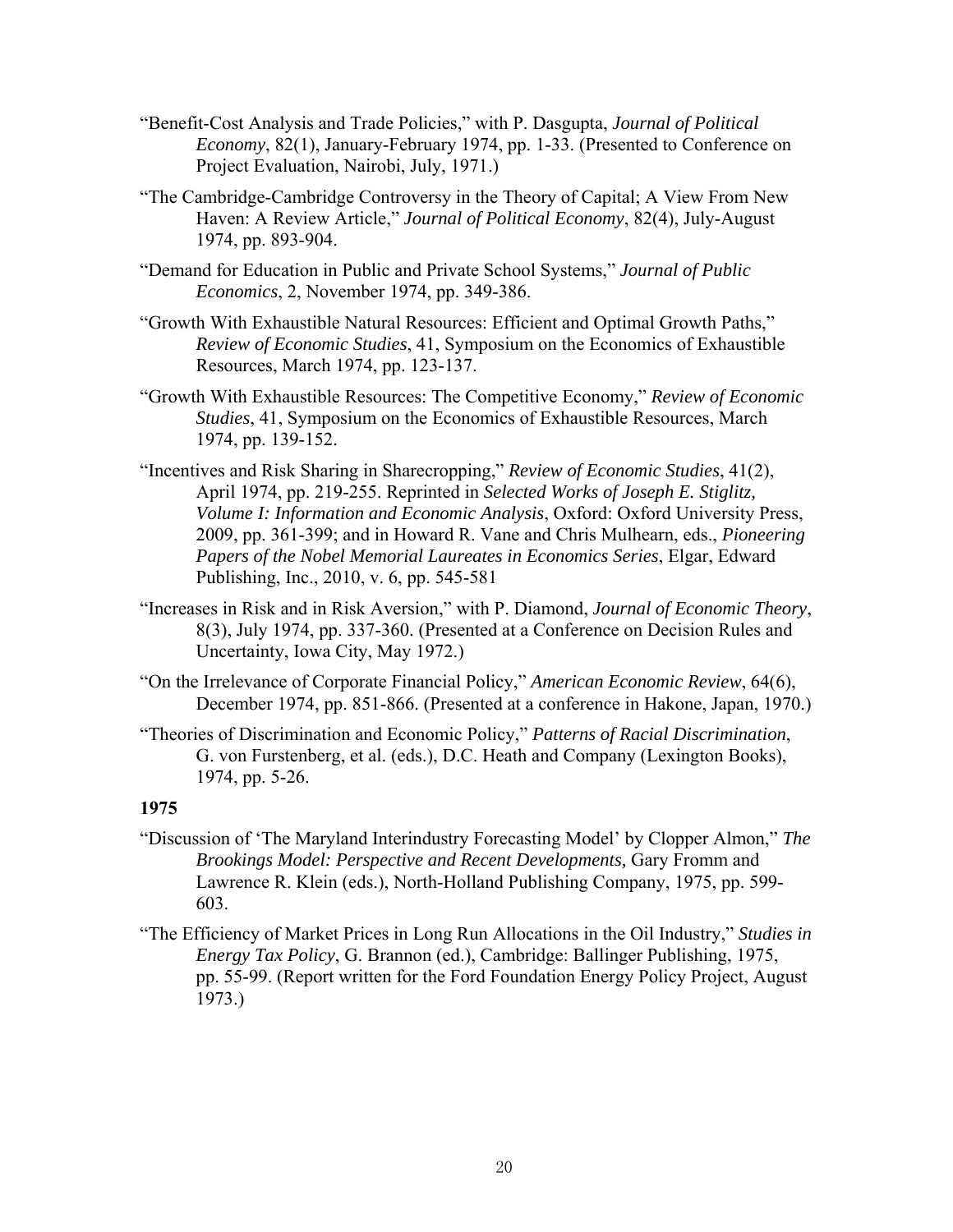- "Benefit-Cost Analysis and Trade Policies," with P. Dasgupta, *Journal of Political Economy*, 82(1), January-February 1974, pp. 1-33. (Presented to Conference on Project Evaluation, Nairobi, July, 1971.)
- "The Cambridge-Cambridge Controversy in the Theory of Capital; A View From New Haven: A Review Article," *Journal of Political Economy*, 82(4), July-August 1974, pp. 893-904.
- "Demand for Education in Public and Private School Systems," *Journal of Public Economics*, 2, November 1974, pp. 349-386.
- "Growth With Exhaustible Natural Resources: Efficient and Optimal Growth Paths," *Review of Economic Studies*, 41, Symposium on the Economics of Exhaustible Resources, March 1974, pp. 123-137.
- "Growth With Exhaustible Resources: The Competitive Economy," *Review of Economic Studies*, 41, Symposium on the Economics of Exhaustible Resources, March 1974, pp. 139-152.
- "Incentives and Risk Sharing in Sharecropping," *Review of Economic Studies*, 41(2), April 1974, pp. 219-255. Reprinted in *Selected Works of Joseph E. Stiglitz, Volume I: Information and Economic Analysis*, Oxford: Oxford University Press, 2009, pp. 361-399; and in Howard R. Vane and Chris Mulhearn, eds., *Pioneering Papers of the Nobel Memorial Laureates in Economics Series*, Elgar, Edward Publishing, Inc., 2010, v. 6, pp. 545-581
- "Increases in Risk and in Risk Aversion," with P. Diamond, *Journal of Economic Theory*, 8(3), July 1974, pp. 337-360. (Presented at a Conference on Decision Rules and Uncertainty, Iowa City, May 1972.)
- "On the Irrelevance of Corporate Financial Policy," *American Economic Review*, 64(6), December 1974, pp. 851-866. (Presented at a conference in Hakone, Japan, 1970.)
- "Theories of Discrimination and Economic Policy," *Patterns of Racial Discrimination*, G. von Furstenberg, et al. (eds.), D.C. Heath and Company (Lexington Books), 1974, pp. 5-26.

- "Discussion of 'The Maryland Interindustry Forecasting Model' by Clopper Almon," *The Brookings Model: Perspective and Recent Developments,* Gary Fromm and Lawrence R. Klein (eds.), North-Holland Publishing Company, 1975, pp. 599- 603.
- "The Efficiency of Market Prices in Long Run Allocations in the Oil Industry," *Studies in Energy Tax Policy*, G. Brannon (ed.), Cambridge: Ballinger Publishing, 1975, pp. 55-99. (Report written for the Ford Foundation Energy Policy Project, August 1973.)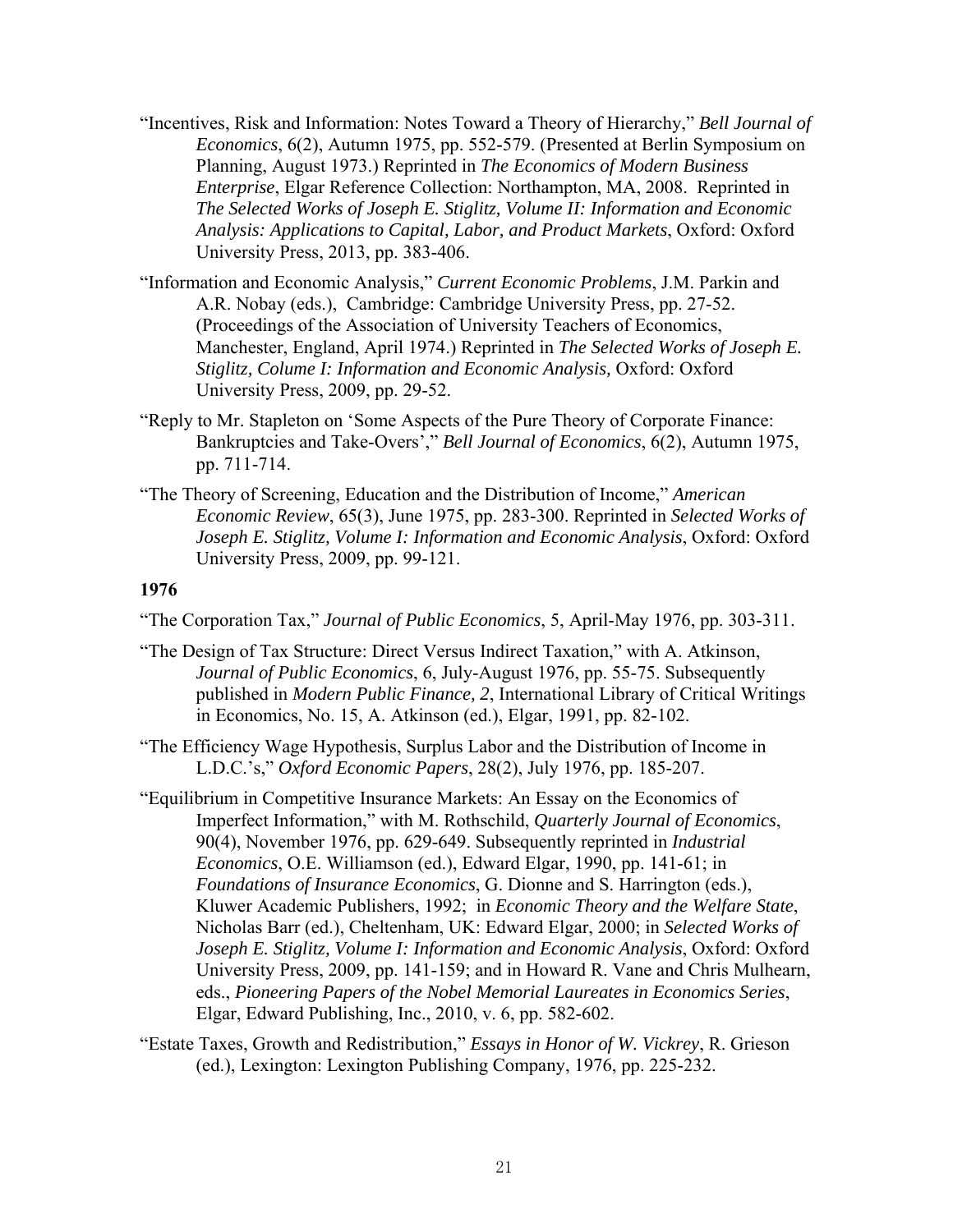- "Incentives, Risk and Information: Notes Toward a Theory of Hierarchy," *Bell Journal of Economics*, 6(2), Autumn 1975, pp. 552-579. (Presented at Berlin Symposium on Planning, August 1973.) Reprinted in *The Economics of Modern Business Enterprise*, Elgar Reference Collection: Northampton, MA, 2008. Reprinted in *The Selected Works of Joseph E. Stiglitz, Volume II: Information and Economic Analysis: Applications to Capital, Labor, and Product Markets*, Oxford: Oxford University Press, 2013, pp. 383-406.
- "Information and Economic Analysis," *Current Economic Problems*, J.M. Parkin and A.R. Nobay (eds.), Cambridge: Cambridge University Press, pp. 27-52. (Proceedings of the Association of University Teachers of Economics, Manchester, England, April 1974.) Reprinted in *The Selected Works of Joseph E. Stiglitz, Colume I: Information and Economic Analysis,* Oxford: Oxford University Press, 2009, pp. 29-52.
- "Reply to Mr. Stapleton on 'Some Aspects of the Pure Theory of Corporate Finance: Bankruptcies and Take-Overs'," *Bell Journal of Economics*, 6(2), Autumn 1975, pp. 711-714.
- "The Theory of Screening, Education and the Distribution of Income," *American Economic Review*, 65(3), June 1975, pp. 283-300. Reprinted in *Selected Works of Joseph E. Stiglitz, Volume I: Information and Economic Analysis*, Oxford: Oxford University Press, 2009, pp. 99-121.

"The Corporation Tax," *Journal of Public Economics*, 5, April-May 1976, pp. 303-311.

- "The Design of Tax Structure: Direct Versus Indirect Taxation," with A. Atkinson, *Journal of Public Economics*, 6, July-August 1976, pp. 55-75. Subsequently published in *Modern Public Finance, 2*, International Library of Critical Writings in Economics, No. 15, A. Atkinson (ed.), Elgar, 1991, pp. 82-102.
- "The Efficiency Wage Hypothesis, Surplus Labor and the Distribution of Income in L.D.C.'s," *Oxford Economic Papers*, 28(2), July 1976, pp. 185-207.
- "Equilibrium in Competitive Insurance Markets: An Essay on the Economics of Imperfect Information," with M. Rothschild, *Quarterly Journal of Economics*, 90(4), November 1976, pp. 629-649. Subsequently reprinted in *Industrial Economics*, O.E. Williamson (ed.), Edward Elgar, 1990, pp. 141-61; in *Foundations of Insurance Economics*, G. Dionne and S. Harrington (eds.), Kluwer Academic Publishers, 1992; in *Economic Theory and the Welfare State*, Nicholas Barr (ed.), Cheltenham, UK: Edward Elgar, 2000; in *Selected Works of Joseph E. Stiglitz, Volume I: Information and Economic Analysis*, Oxford: Oxford University Press, 2009, pp. 141-159; and in Howard R. Vane and Chris Mulhearn, eds., *Pioneering Papers of the Nobel Memorial Laureates in Economics Series*, Elgar, Edward Publishing, Inc., 2010, v. 6, pp. 582-602.
- "Estate Taxes, Growth and Redistribution," *Essays in Honor of W. Vickrey*, R. Grieson (ed.), Lexington: Lexington Publishing Company, 1976, pp. 225-232.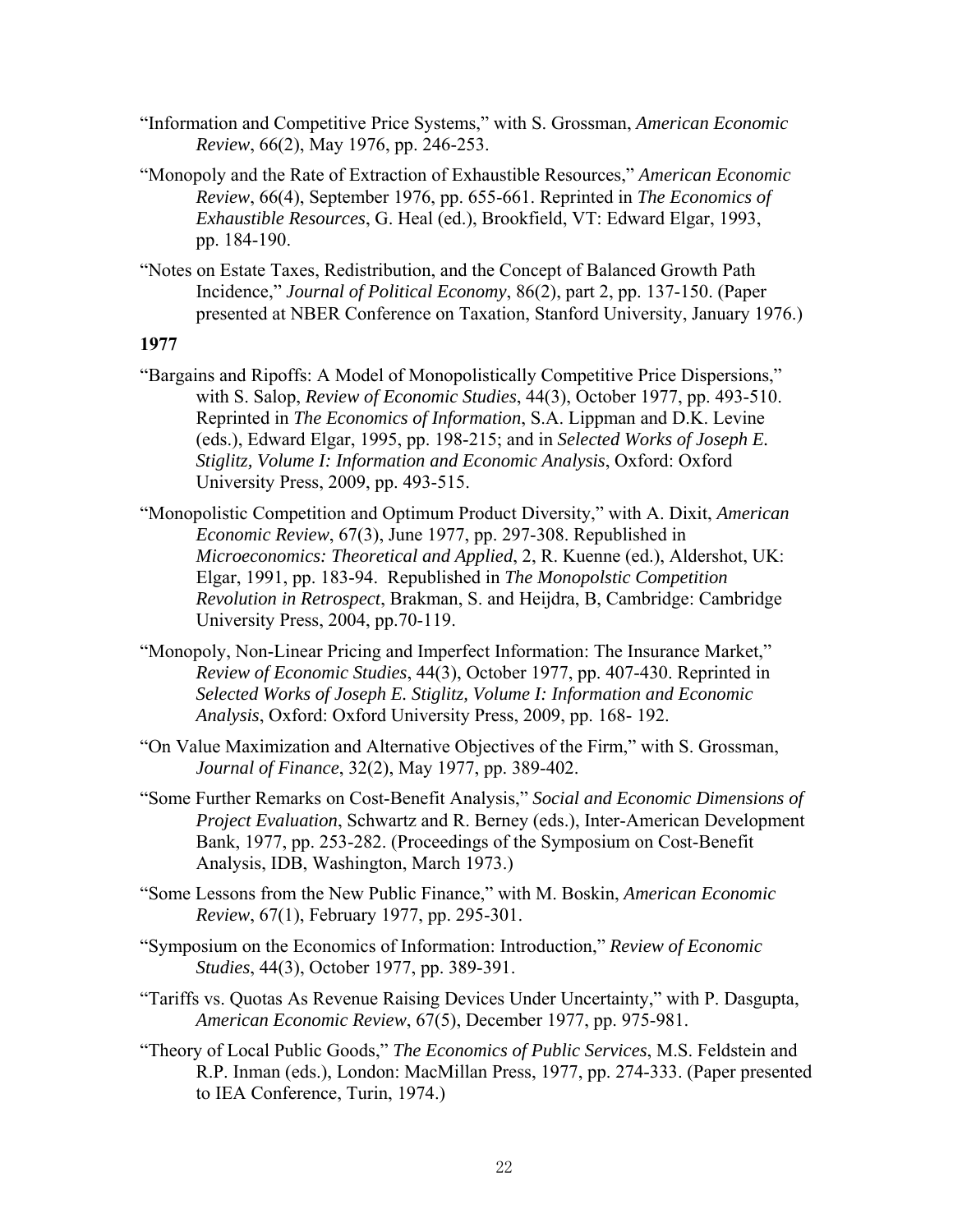- "Information and Competitive Price Systems," with S. Grossman, *American Economic Review*, 66(2), May 1976, pp. 246-253.
- "Monopoly and the Rate of Extraction of Exhaustible Resources," *American Economic Review*, 66(4), September 1976, pp. 655-661. Reprinted in *The Economics of Exhaustible Resources*, G. Heal (ed.), Brookfield, VT: Edward Elgar, 1993, pp. 184-190.
- "Notes on Estate Taxes, Redistribution, and the Concept of Balanced Growth Path Incidence," *Journal of Political Economy*, 86(2), part 2, pp. 137-150. (Paper presented at NBER Conference on Taxation, Stanford University, January 1976.)

- "Bargains and Ripoffs: A Model of Monopolistically Competitive Price Dispersions," with S. Salop, *Review of Economic Studies*, 44(3), October 1977, pp. 493-510. Reprinted in *The Economics of Information*, S.A. Lippman and D.K. Levine (eds.), Edward Elgar, 1995, pp. 198-215; and in *Selected Works of Joseph E. Stiglitz, Volume I: Information and Economic Analysis*, Oxford: Oxford University Press, 2009, pp. 493-515.
- "Monopolistic Competition and Optimum Product Diversity," with A. Dixit, *American Economic Review*, 67(3), June 1977, pp. 297-308. Republished in *Microeconomics: Theoretical and Applied*, 2, R. Kuenne (ed.), Aldershot, UK: Elgar, 1991, pp. 183-94. Republished in *The Monopolstic Competition Revolution in Retrospect*, Brakman, S. and Heijdra, B, Cambridge: Cambridge University Press, 2004, pp.70-119.
- "Monopoly, Non-Linear Pricing and Imperfect Information: The Insurance Market," *Review of Economic Studies*, 44(3), October 1977, pp. 407-430. Reprinted in *Selected Works of Joseph E. Stiglitz, Volume I: Information and Economic Analysis*, Oxford: Oxford University Press, 2009, pp. 168- 192.
- "On Value Maximization and Alternative Objectives of the Firm," with S. Grossman, *Journal of Finance*, 32(2), May 1977, pp. 389-402.
- "Some Further Remarks on Cost-Benefit Analysis," *Social and Economic Dimensions of Project Evaluation*, Schwartz and R. Berney (eds.), Inter-American Development Bank, 1977, pp. 253-282. (Proceedings of the Symposium on Cost-Benefit Analysis, IDB, Washington, March 1973.)
- "Some Lessons from the New Public Finance," with M. Boskin, *American Economic Review*, 67(1), February 1977, pp. 295-301.
- "Symposium on the Economics of Information: Introduction," *Review of Economic Studies*, 44(3), October 1977, pp. 389-391.
- "Tariffs vs. Quotas As Revenue Raising Devices Under Uncertainty," with P. Dasgupta, *American Economic Review*, 67(5), December 1977, pp. 975-981.
- "Theory of Local Public Goods," *The Economics of Public Services*, M.S. Feldstein and R.P. Inman (eds.), London: MacMillan Press, 1977, pp. 274-333. (Paper presented to IEA Conference, Turin, 1974.)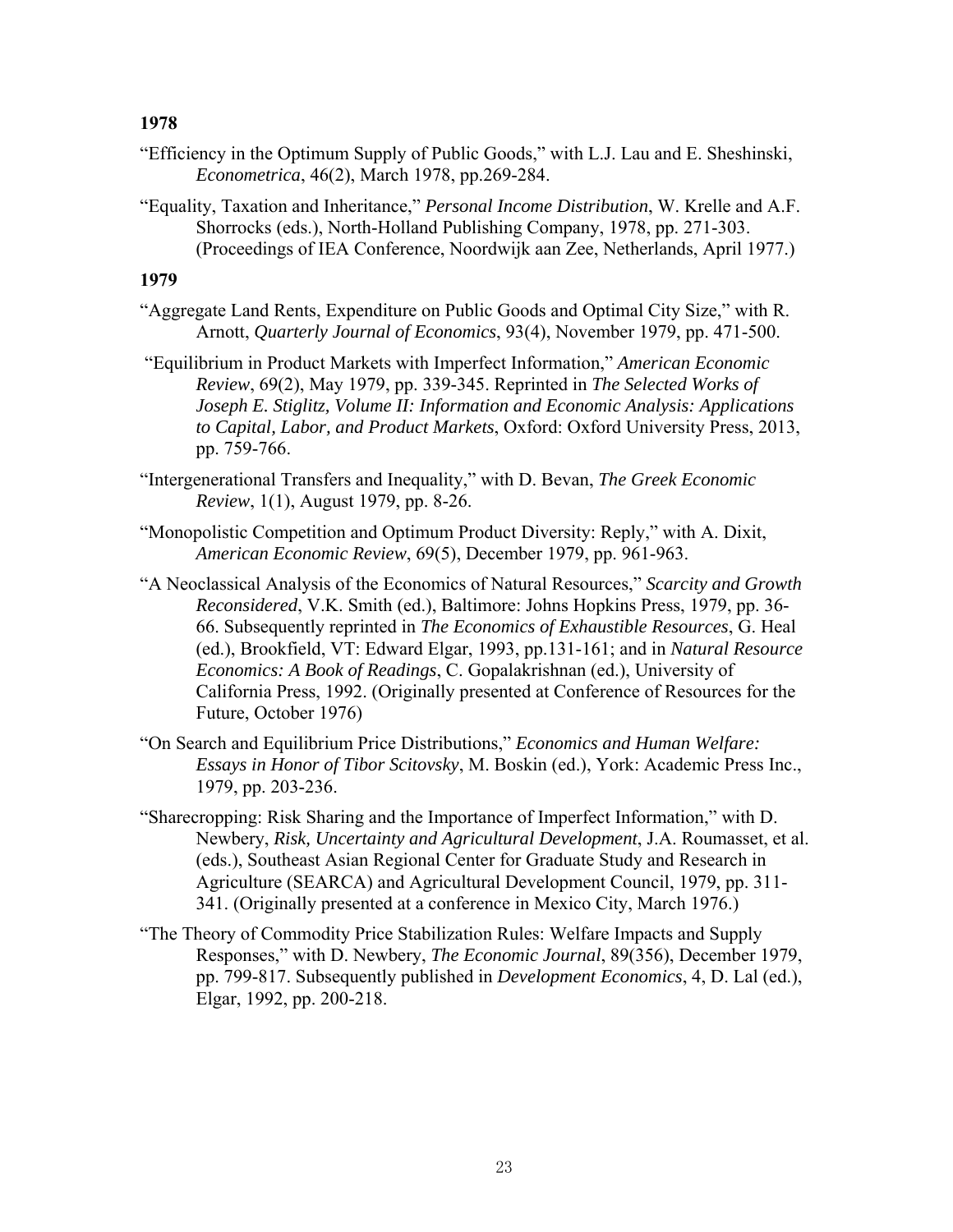- "Efficiency in the Optimum Supply of Public Goods," with L.J. Lau and E. Sheshinski, *Econometrica*, 46(2), March 1978, pp.269-284.
- "Equality, Taxation and Inheritance," *Personal Income Distribution*, W. Krelle and A.F. Shorrocks (eds.), North-Holland Publishing Company, 1978, pp. 271-303. (Proceedings of IEA Conference, Noordwijk aan Zee, Netherlands, April 1977.)

- "Aggregate Land Rents, Expenditure on Public Goods and Optimal City Size," with R. Arnott, *Quarterly Journal of Economics*, 93(4), November 1979, pp. 471-500.
- "Equilibrium in Product Markets with Imperfect Information," *American Economic Review*, 69(2), May 1979, pp. 339-345. Reprinted in *The Selected Works of Joseph E. Stiglitz, Volume II: Information and Economic Analysis: Applications to Capital, Labor, and Product Markets*, Oxford: Oxford University Press, 2013, pp. 759-766.
- "Intergenerational Transfers and Inequality," with D. Bevan, *The Greek Economic Review*, 1(1), August 1979, pp. 8-26.
- "Monopolistic Competition and Optimum Product Diversity: Reply," with A. Dixit, *American Economic Review*, 69(5), December 1979, pp. 961-963.
- "A Neoclassical Analysis of the Economics of Natural Resources," *Scarcity and Growth Reconsidered*, V.K. Smith (ed.), Baltimore: Johns Hopkins Press, 1979, pp. 36- 66. Subsequently reprinted in *The Economics of Exhaustible Resources*, G. Heal (ed.), Brookfield, VT: Edward Elgar, 1993, pp.131-161; and in *Natural Resource Economics: A Book of Readings*, C. Gopalakrishnan (ed.), University of California Press, 1992. (Originally presented at Conference of Resources for the Future, October 1976)
- "On Search and Equilibrium Price Distributions," *Economics and Human Welfare: Essays in Honor of Tibor Scitovsky*, M. Boskin (ed.), York: Academic Press Inc., 1979, pp. 203-236.
- "Sharecropping: Risk Sharing and the Importance of Imperfect Information," with D. Newbery, *Risk, Uncertainty and Agricultural Development*, J.A. Roumasset, et al. (eds.), Southeast Asian Regional Center for Graduate Study and Research in Agriculture (SEARCA) and Agricultural Development Council, 1979, pp. 311- 341. (Originally presented at a conference in Mexico City, March 1976.)
- "The Theory of Commodity Price Stabilization Rules: Welfare Impacts and Supply Responses," with D. Newbery, *The Economic Journal*, 89(356), December 1979, pp. 799-817. Subsequently published in *Development Economics*, 4, D. Lal (ed.), Elgar, 1992, pp. 200-218.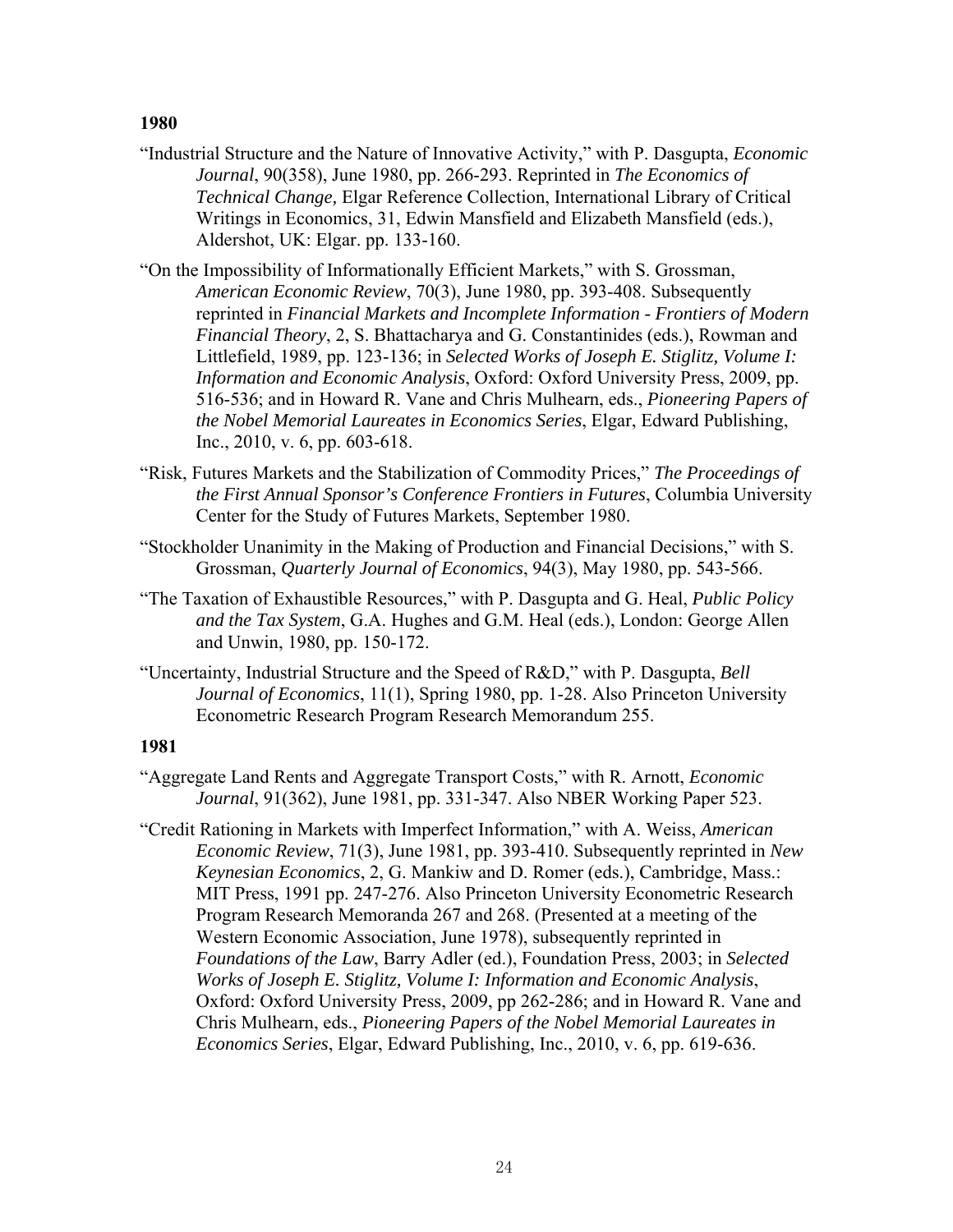- "Industrial Structure and the Nature of Innovative Activity," with P. Dasgupta, *Economic Journal*, 90(358), June 1980, pp. 266-293. Reprinted in *The Economics of Technical Change,* Elgar Reference Collection, International Library of Critical Writings in Economics, 31, Edwin Mansfield and Elizabeth Mansfield (eds.), Aldershot, UK: Elgar. pp. 133-160.
- "On the Impossibility of Informationally Efficient Markets," with S. Grossman, *American Economic Review*, 70(3), June 1980, pp. 393-408. Subsequently reprinted in *Financial Markets and Incomplete Information - Frontiers of Modern Financial Theory*, 2, S. Bhattacharya and G. Constantinides (eds.), Rowman and Littlefield, 1989, pp. 123-136; in *Selected Works of Joseph E. Stiglitz, Volume I: Information and Economic Analysis*, Oxford: Oxford University Press, 2009, pp. 516-536; and in Howard R. Vane and Chris Mulhearn, eds., *Pioneering Papers of the Nobel Memorial Laureates in Economics Series*, Elgar, Edward Publishing, Inc., 2010, v. 6, pp. 603-618.
- "Risk, Futures Markets and the Stabilization of Commodity Prices," *The Proceedings of the First Annual Sponsor's Conference Frontiers in Futures*, Columbia University Center for the Study of Futures Markets, September 1980.
- "Stockholder Unanimity in the Making of Production and Financial Decisions," with S. Grossman, *Quarterly Journal of Economics*, 94(3), May 1980, pp. 543-566.
- "The Taxation of Exhaustible Resources," with P. Dasgupta and G. Heal, *Public Policy and the Tax System*, G.A. Hughes and G.M. Heal (eds.), London: George Allen and Unwin, 1980, pp. 150-172.
- "Uncertainty, Industrial Structure and the Speed of R&D," with P. Dasgupta, *Bell Journal of Economics*, 11(1), Spring 1980, pp. 1-28. Also Princeton University Econometric Research Program Research Memorandum 255.

- "Aggregate Land Rents and Aggregate Transport Costs," with R. Arnott, *Economic Journal*, 91(362), June 1981, pp. 331-347. Also NBER Working Paper 523.
- "Credit Rationing in Markets with Imperfect Information," with A. Weiss, *American Economic Review*, 71(3), June 1981, pp. 393-410. Subsequently reprinted in *New Keynesian Economics*, 2, G. Mankiw and D. Romer (eds.), Cambridge, Mass.: MIT Press, 1991 pp. 247-276. Also Princeton University Econometric Research Program Research Memoranda 267 and 268. (Presented at a meeting of the Western Economic Association, June 1978), subsequently reprinted in *Foundations of the Law*, Barry Adler (ed.), Foundation Press, 2003; in *Selected Works of Joseph E. Stiglitz, Volume I: Information and Economic Analysis*, Oxford: Oxford University Press, 2009, pp 262-286; and in Howard R. Vane and Chris Mulhearn, eds., *Pioneering Papers of the Nobel Memorial Laureates in Economics Series*, Elgar, Edward Publishing, Inc., 2010, v. 6, pp. 619-636.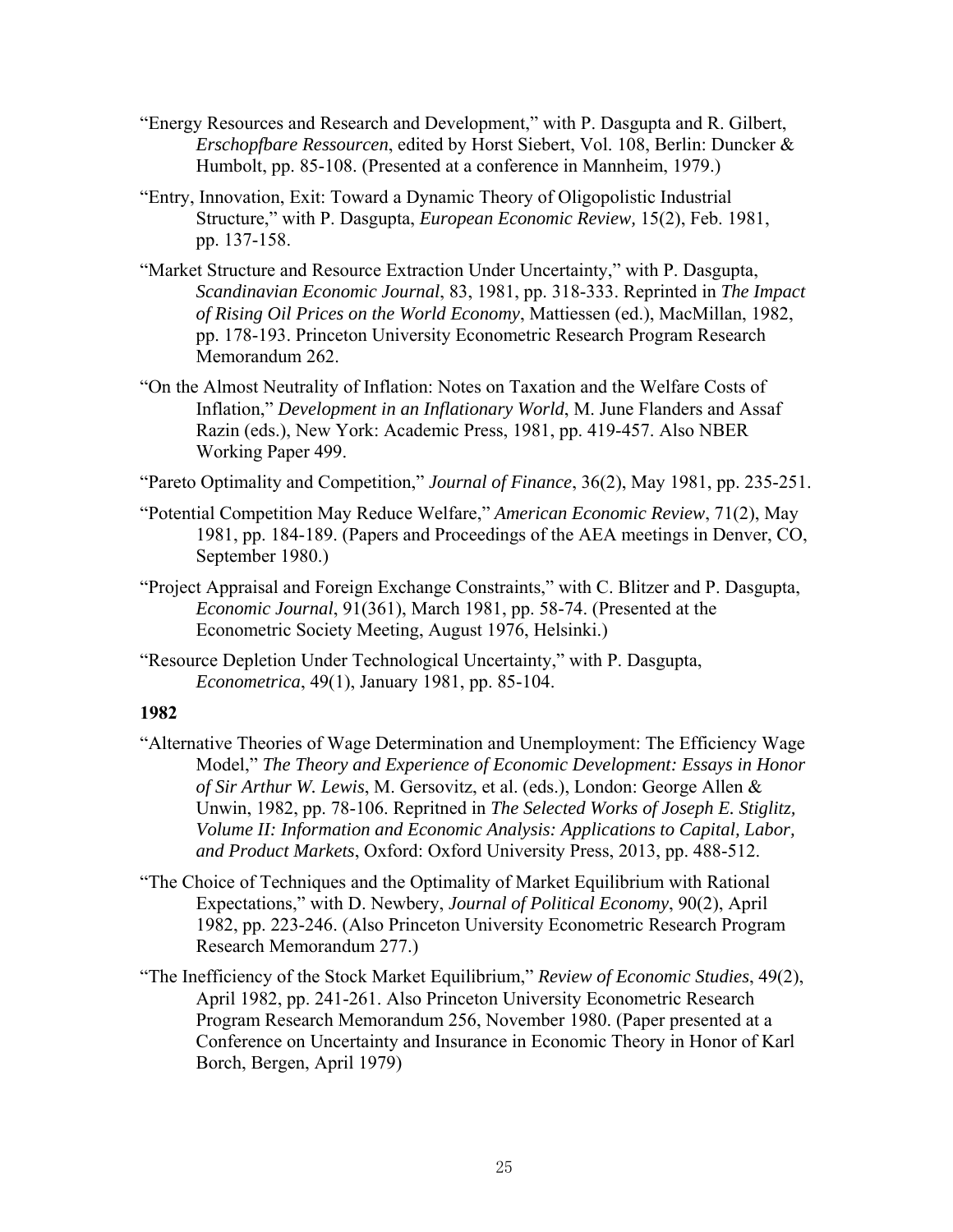- "Energy Resources and Research and Development," with P. Dasgupta and R. Gilbert, *Erschopfbare Ressourcen*, edited by Horst Siebert, Vol. 108, Berlin: Duncker & Humbolt, pp. 85-108. (Presented at a conference in Mannheim, 1979.)
- "Entry, Innovation, Exit: Toward a Dynamic Theory of Oligopolistic Industrial Structure," with P. Dasgupta, *European Economic Review,* 15(2), Feb. 1981, pp. 137-158.
- "Market Structure and Resource Extraction Under Uncertainty," with P. Dasgupta, *Scandinavian Economic Journal*, 83, 1981, pp. 318-333. Reprinted in *The Impact of Rising Oil Prices on the World Economy*, Mattiessen (ed.), MacMillan, 1982, pp. 178-193. Princeton University Econometric Research Program Research Memorandum 262.
- "On the Almost Neutrality of Inflation: Notes on Taxation and the Welfare Costs of Inflation," *Development in an Inflationary World*, M. June Flanders and Assaf Razin (eds.), New York: Academic Press, 1981, pp. 419-457. Also NBER Working Paper 499.
- "Pareto Optimality and Competition," *Journal of Finance*, 36(2), May 1981, pp. 235-251.
- "Potential Competition May Reduce Welfare," *American Economic Review*, 71(2), May 1981, pp. 184-189. (Papers and Proceedings of the AEA meetings in Denver, CO, September 1980.)
- "Project Appraisal and Foreign Exchange Constraints," with C. Blitzer and P. Dasgupta, *Economic Journal*, 91(361), March 1981, pp. 58-74. (Presented at the Econometric Society Meeting, August 1976, Helsinki.)
- "Resource Depletion Under Technological Uncertainty," with P. Dasgupta, *Econometrica*, 49(1), January 1981, pp. 85-104.

- "Alternative Theories of Wage Determination and Unemployment: The Efficiency Wage Model," *The Theory and Experience of Economic Development: Essays in Honor of Sir Arthur W. Lewis*, M. Gersovitz, et al. (eds.), London: George Allen & Unwin, 1982, pp. 78-106. Repritned in *The Selected Works of Joseph E. Stiglitz, Volume II: Information and Economic Analysis: Applications to Capital, Labor, and Product Markets*, Oxford: Oxford University Press, 2013, pp. 488-512.
- "The Choice of Techniques and the Optimality of Market Equilibrium with Rational Expectations," with D. Newbery, *Journal of Political Economy*, 90(2), April 1982, pp. 223-246. (Also Princeton University Econometric Research Program Research Memorandum 277.)
- "The Inefficiency of the Stock Market Equilibrium," *Review of Economic Studies*, 49(2), April 1982, pp. 241-261. Also Princeton University Econometric Research Program Research Memorandum 256, November 1980. (Paper presented at a Conference on Uncertainty and Insurance in Economic Theory in Honor of Karl Borch, Bergen, April 1979)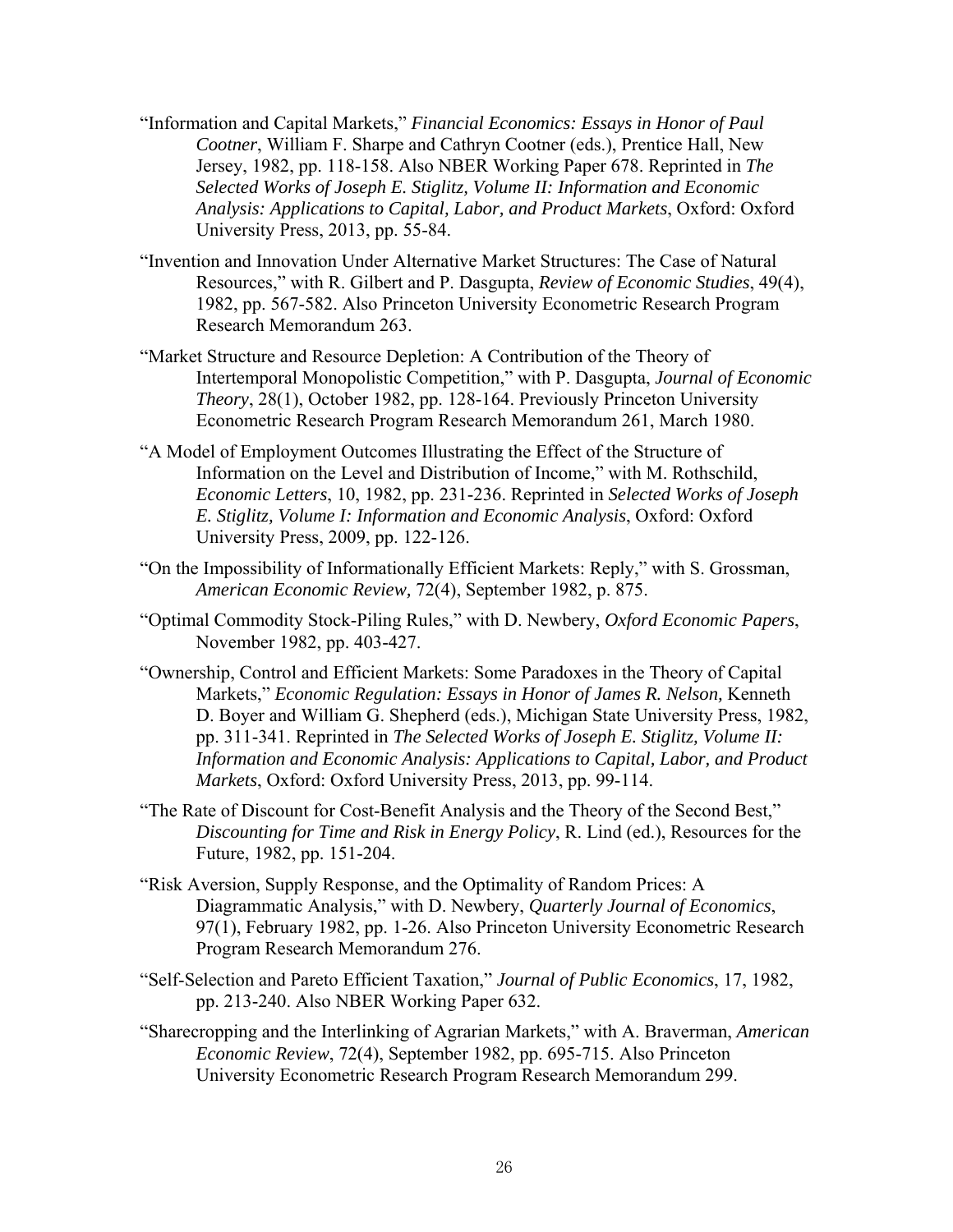- "Information and Capital Markets," *Financial Economics: Essays in Honor of Paul Cootner*, William F. Sharpe and Cathryn Cootner (eds.), Prentice Hall, New Jersey, 1982, pp. 118-158. Also NBER Working Paper 678. Reprinted in *The Selected Works of Joseph E. Stiglitz, Volume II: Information and Economic Analysis: Applications to Capital, Labor, and Product Markets*, Oxford: Oxford University Press, 2013, pp. 55-84.
- "Invention and Innovation Under Alternative Market Structures: The Case of Natural Resources," with R. Gilbert and P. Dasgupta, *Review of Economic Studies*, 49(4), 1982, pp. 567-582. Also Princeton University Econometric Research Program Research Memorandum 263.
- "Market Structure and Resource Depletion: A Contribution of the Theory of Intertemporal Monopolistic Competition," with P. Dasgupta, *Journal of Economic Theory*, 28(1), October 1982, pp. 128-164. Previously Princeton University Econometric Research Program Research Memorandum 261, March 1980.
- "A Model of Employment Outcomes Illustrating the Effect of the Structure of Information on the Level and Distribution of Income," with M. Rothschild, *Economic Letters*, 10, 1982, pp. 231-236. Reprinted in *Selected Works of Joseph E. Stiglitz, Volume I: Information and Economic Analysis*, Oxford: Oxford University Press, 2009, pp. 122-126.
- "On the Impossibility of Informationally Efficient Markets: Reply," with S. Grossman, *American Economic Review,* 72(4), September 1982, p. 875.
- "Optimal Commodity Stock-Piling Rules," with D. Newbery, *Oxford Economic Papers*, November 1982, pp. 403-427.
- "Ownership, Control and Efficient Markets: Some Paradoxes in the Theory of Capital Markets," *Economic Regulation: Essays in Honor of James R. Nelson,* Kenneth D. Boyer and William G. Shepherd (eds.), Michigan State University Press, 1982, pp. 311-341. Reprinted in *The Selected Works of Joseph E. Stiglitz, Volume II: Information and Economic Analysis: Applications to Capital, Labor, and Product Markets*, Oxford: Oxford University Press, 2013, pp. 99-114.
- "The Rate of Discount for Cost-Benefit Analysis and the Theory of the Second Best," *Discounting for Time and Risk in Energy Policy*, R. Lind (ed.), Resources for the Future, 1982, pp. 151-204.
- "Risk Aversion, Supply Response, and the Optimality of Random Prices: A Diagrammatic Analysis," with D. Newbery, *Quarterly Journal of Economics*, 97(1), February 1982, pp. 1-26. Also Princeton University Econometric Research Program Research Memorandum 276.
- "Self-Selection and Pareto Efficient Taxation," *Journal of Public Economics*, 17, 1982, pp. 213-240. Also NBER Working Paper 632.
- "Sharecropping and the Interlinking of Agrarian Markets," with A. Braverman, *American Economic Review*, 72(4), September 1982, pp. 695-715. Also Princeton University Econometric Research Program Research Memorandum 299.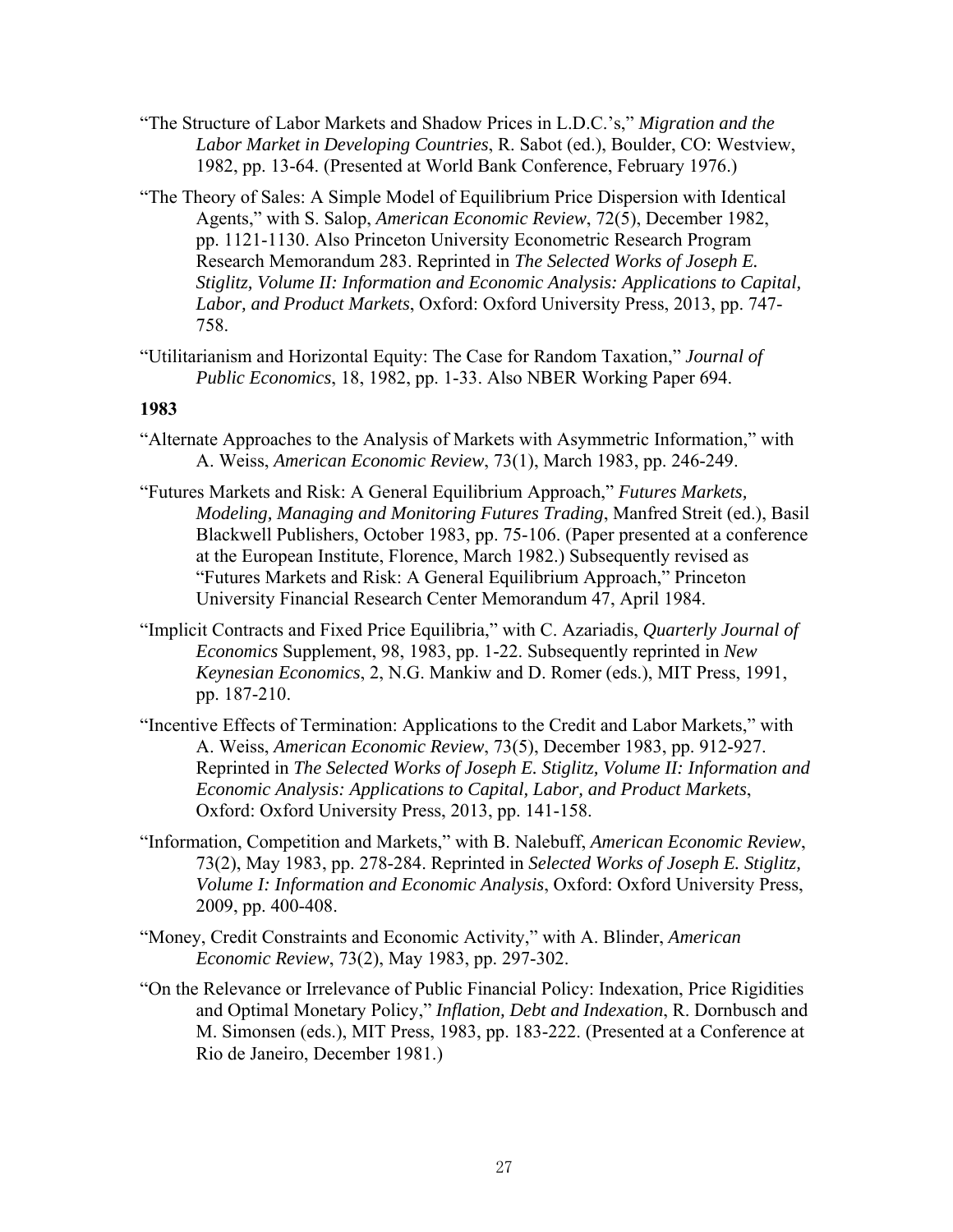- "The Structure of Labor Markets and Shadow Prices in L.D.C.'s," *Migration and the Labor Market in Developing Countries*, R. Sabot (ed.), Boulder, CO: Westview, 1982, pp. 13-64. (Presented at World Bank Conference, February 1976.)
- "The Theory of Sales: A Simple Model of Equilibrium Price Dispersion with Identical Agents," with S. Salop, *American Economic Review*, 72(5), December 1982, pp. 1121-1130. Also Princeton University Econometric Research Program Research Memorandum 283. Reprinted in *The Selected Works of Joseph E. Stiglitz, Volume II: Information and Economic Analysis: Applications to Capital, Labor, and Product Markets*, Oxford: Oxford University Press, 2013, pp. 747- 758.

"Utilitarianism and Horizontal Equity: The Case for Random Taxation," *Journal of Public Economics*, 18, 1982, pp. 1-33. Also NBER Working Paper 694.

- "Alternate Approaches to the Analysis of Markets with Asymmetric Information," with A. Weiss, *American Economic Review*, 73(1), March 1983, pp. 246-249.
- "Futures Markets and Risk: A General Equilibrium Approach," *Futures Markets, Modeling, Managing and Monitoring Futures Trading*, Manfred Streit (ed.), Basil Blackwell Publishers, October 1983, pp. 75-106. (Paper presented at a conference at the European Institute, Florence, March 1982.) Subsequently revised as "Futures Markets and Risk: A General Equilibrium Approach," Princeton University Financial Research Center Memorandum 47, April 1984.
- "Implicit Contracts and Fixed Price Equilibria," with C. Azariadis, *Quarterly Journal of Economics* Supplement, 98, 1983, pp. 1-22. Subsequently reprinted in *New Keynesian Economics*, 2, N.G. Mankiw and D. Romer (eds.), MIT Press, 1991, pp. 187-210.
- "Incentive Effects of Termination: Applications to the Credit and Labor Markets," with A. Weiss, *American Economic Review*, 73(5), December 1983, pp. 912-927. Reprinted in *The Selected Works of Joseph E. Stiglitz, Volume II: Information and Economic Analysis: Applications to Capital, Labor, and Product Markets*, Oxford: Oxford University Press, 2013, pp. 141-158.
- "Information, Competition and Markets," with B. Nalebuff, *American Economic Review*, 73(2), May 1983, pp. 278-284. Reprinted in *Selected Works of Joseph E. Stiglitz, Volume I: Information and Economic Analysis*, Oxford: Oxford University Press, 2009, pp. 400-408.
- "Money, Credit Constraints and Economic Activity," with A. Blinder, *American Economic Review*, 73(2), May 1983, pp. 297-302.
- "On the Relevance or Irrelevance of Public Financial Policy: Indexation, Price Rigidities and Optimal Monetary Policy," *Inflation, Debt and Indexation*, R. Dornbusch and M. Simonsen (eds.), MIT Press, 1983, pp. 183-222. (Presented at a Conference at Rio de Janeiro, December 1981.)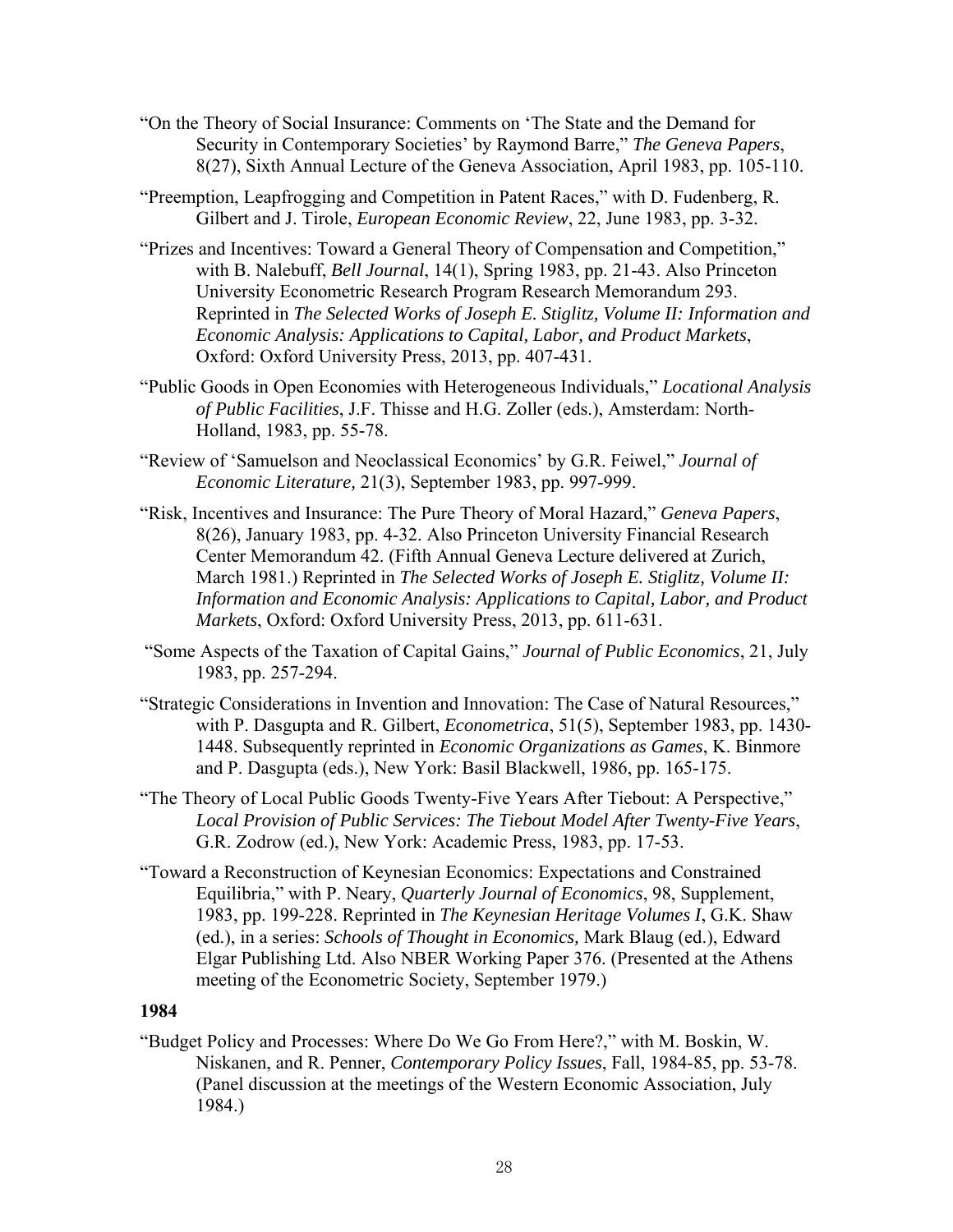- "On the Theory of Social Insurance: Comments on 'The State and the Demand for Security in Contemporary Societies' by Raymond Barre," *The Geneva Papers*, 8(27), Sixth Annual Lecture of the Geneva Association, April 1983, pp. 105-110.
- "Preemption, Leapfrogging and Competition in Patent Races," with D. Fudenberg, R. Gilbert and J. Tirole, *European Economic Review*, 22, June 1983, pp. 3-32.
- "Prizes and Incentives: Toward a General Theory of Compensation and Competition," with B. Nalebuff, *Bell Journal*, 14(1), Spring 1983, pp. 21-43. Also Princeton University Econometric Research Program Research Memorandum 293. Reprinted in *The Selected Works of Joseph E. Stiglitz, Volume II: Information and Economic Analysis: Applications to Capital, Labor, and Product Markets*, Oxford: Oxford University Press, 2013, pp. 407-431.
- "Public Goods in Open Economies with Heterogeneous Individuals," *Locational Analysis of Public Facilities*, J.F. Thisse and H.G. Zoller (eds.), Amsterdam: North-Holland, 1983, pp. 55-78.
- "Review of 'Samuelson and Neoclassical Economics' by G.R. Feiwel," *Journal of Economic Literature,* 21(3), September 1983, pp. 997-999.
- "Risk, Incentives and Insurance: The Pure Theory of Moral Hazard," *Geneva Papers*, 8(26), January 1983, pp. 4-32. Also Princeton University Financial Research Center Memorandum 42. (Fifth Annual Geneva Lecture delivered at Zurich, March 1981.) Reprinted in *The Selected Works of Joseph E. Stiglitz, Volume II: Information and Economic Analysis: Applications to Capital, Labor, and Product Markets*, Oxford: Oxford University Press, 2013, pp. 611-631.
- "Some Aspects of the Taxation of Capital Gains," *Journal of Public Economics*, 21, July 1983, pp. 257-294.
- "Strategic Considerations in Invention and Innovation: The Case of Natural Resources," with P. Dasgupta and R. Gilbert, *Econometrica*, 51(5), September 1983, pp. 1430- 1448. Subsequently reprinted in *Economic Organizations as Games*, K. Binmore and P. Dasgupta (eds.), New York: Basil Blackwell, 1986, pp. 165-175.
- "The Theory of Local Public Goods Twenty-Five Years After Tiebout: A Perspective," *Local Provision of Public Services: The Tiebout Model After Twenty-Five Years*, G.R. Zodrow (ed.), New York: Academic Press, 1983, pp. 17-53.
- "Toward a Reconstruction of Keynesian Economics: Expectations and Constrained Equilibria," with P. Neary, *Quarterly Journal of Economics*, 98, Supplement, 1983, pp. 199-228. Reprinted in *The Keynesian Heritage Volumes I*, G.K. Shaw (ed.), in a series: *Schools of Thought in Economics,* Mark Blaug (ed.), Edward Elgar Publishing Ltd. Also NBER Working Paper 376. (Presented at the Athens meeting of the Econometric Society, September 1979.)

"Budget Policy and Processes: Where Do We Go From Here?," with M. Boskin, W. Niskanen, and R. Penner, *Contemporary Policy Issues*, Fall, 1984-85, pp. 53-78. (Panel discussion at the meetings of the Western Economic Association, July 1984.)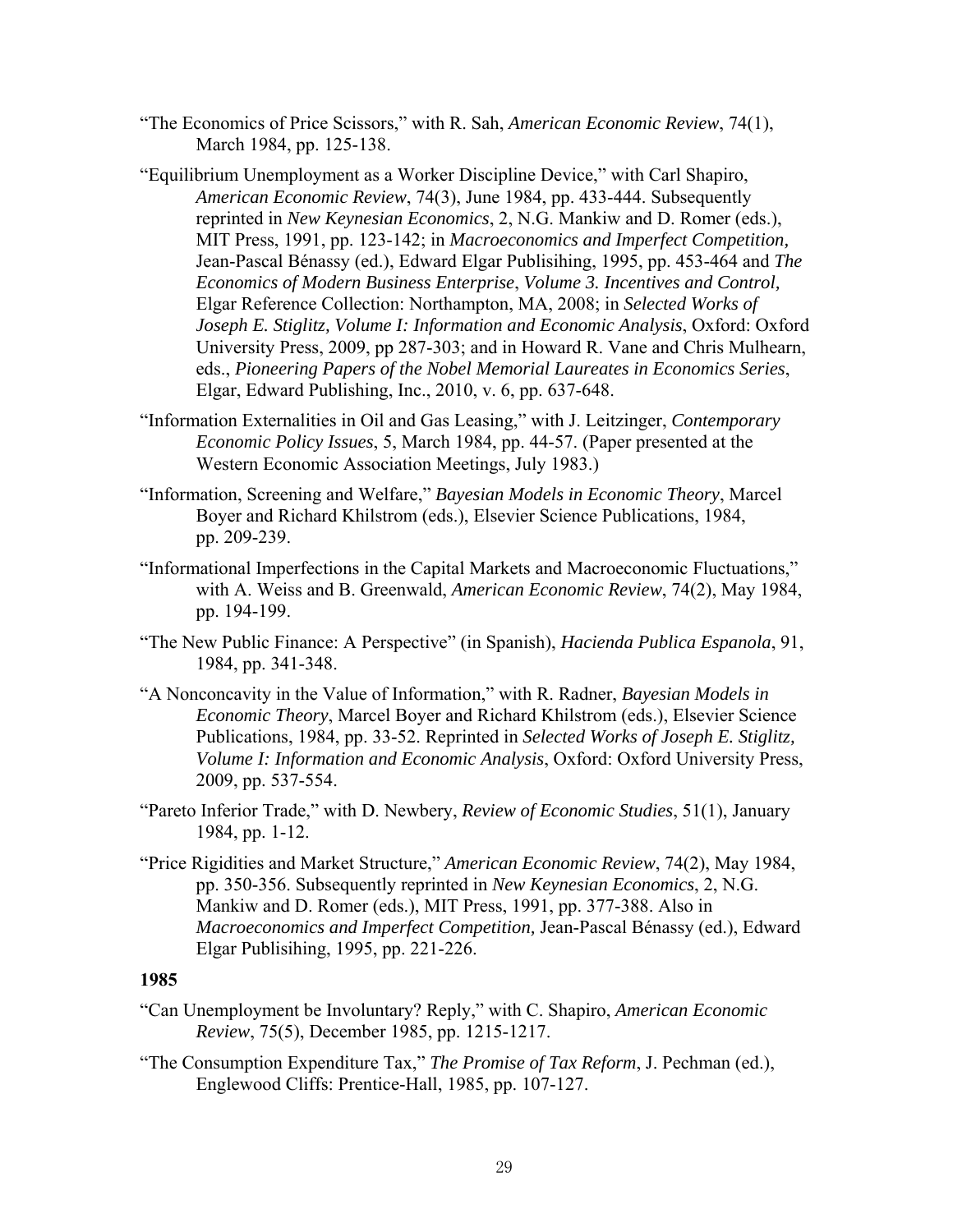- "The Economics of Price Scissors," with R. Sah, *American Economic Review*, 74(1), March 1984, pp. 125-138.
- "Equilibrium Unemployment as a Worker Discipline Device," with Carl Shapiro, *American Economic Review*, 74(3), June 1984, pp. 433-444. Subsequently reprinted in *New Keynesian Economics*, 2, N.G. Mankiw and D. Romer (eds.), MIT Press, 1991, pp. 123-142; in *Macroeconomics and Imperfect Competition,*  Jean-Pascal Bénassy (ed.), Edward Elgar Publisihing, 1995, pp. 453-464 and *The Economics of Modern Business Enterprise*, *Volume 3. Incentives and Control,*  Elgar Reference Collection: Northampton, MA, 2008; in *Selected Works of Joseph E. Stiglitz, Volume I: Information and Economic Analysis*, Oxford: Oxford University Press, 2009, pp 287-303; and in Howard R. Vane and Chris Mulhearn, eds., *Pioneering Papers of the Nobel Memorial Laureates in Economics Series*, Elgar, Edward Publishing, Inc., 2010, v. 6, pp. 637-648.
- "Information Externalities in Oil and Gas Leasing," with J. Leitzinger, *Contemporary Economic Policy Issues*, 5, March 1984, pp. 44-57. (Paper presented at the Western Economic Association Meetings, July 1983.)
- "Information, Screening and Welfare," *Bayesian Models in Economic Theory*, Marcel Boyer and Richard Khilstrom (eds.), Elsevier Science Publications, 1984, pp. 209-239.
- "Informational Imperfections in the Capital Markets and Macroeconomic Fluctuations," with A. Weiss and B. Greenwald, *American Economic Review*, 74(2), May 1984, pp. 194-199.
- "The New Public Finance: A Perspective" (in Spanish), *Hacienda Publica Espanola*, 91, 1984, pp. 341-348.
- "A Nonconcavity in the Value of Information," with R. Radner, *Bayesian Models in Economic Theory*, Marcel Boyer and Richard Khilstrom (eds.), Elsevier Science Publications, 1984, pp. 33-52. Reprinted in *Selected Works of Joseph E. Stiglitz, Volume I: Information and Economic Analysis*, Oxford: Oxford University Press, 2009, pp. 537-554.
- "Pareto Inferior Trade," with D. Newbery, *Review of Economic Studies*, 51(1), January 1984, pp. 1-12.
- "Price Rigidities and Market Structure," *American Economic Review*, 74(2), May 1984, pp. 350-356. Subsequently reprinted in *New Keynesian Economics*, 2, N.G. Mankiw and D. Romer (eds.), MIT Press, 1991, pp. 377-388. Also in *Macroeconomics and Imperfect Competition,* Jean-Pascal Bénassy (ed.), Edward Elgar Publisihing, 1995, pp. 221-226.

- "Can Unemployment be Involuntary? Reply," with C. Shapiro, *American Economic Review*, 75(5), December 1985, pp. 1215-1217.
- "The Consumption Expenditure Tax," *The Promise of Tax Reform*, J. Pechman (ed.), Englewood Cliffs: Prentice-Hall, 1985, pp. 107-127.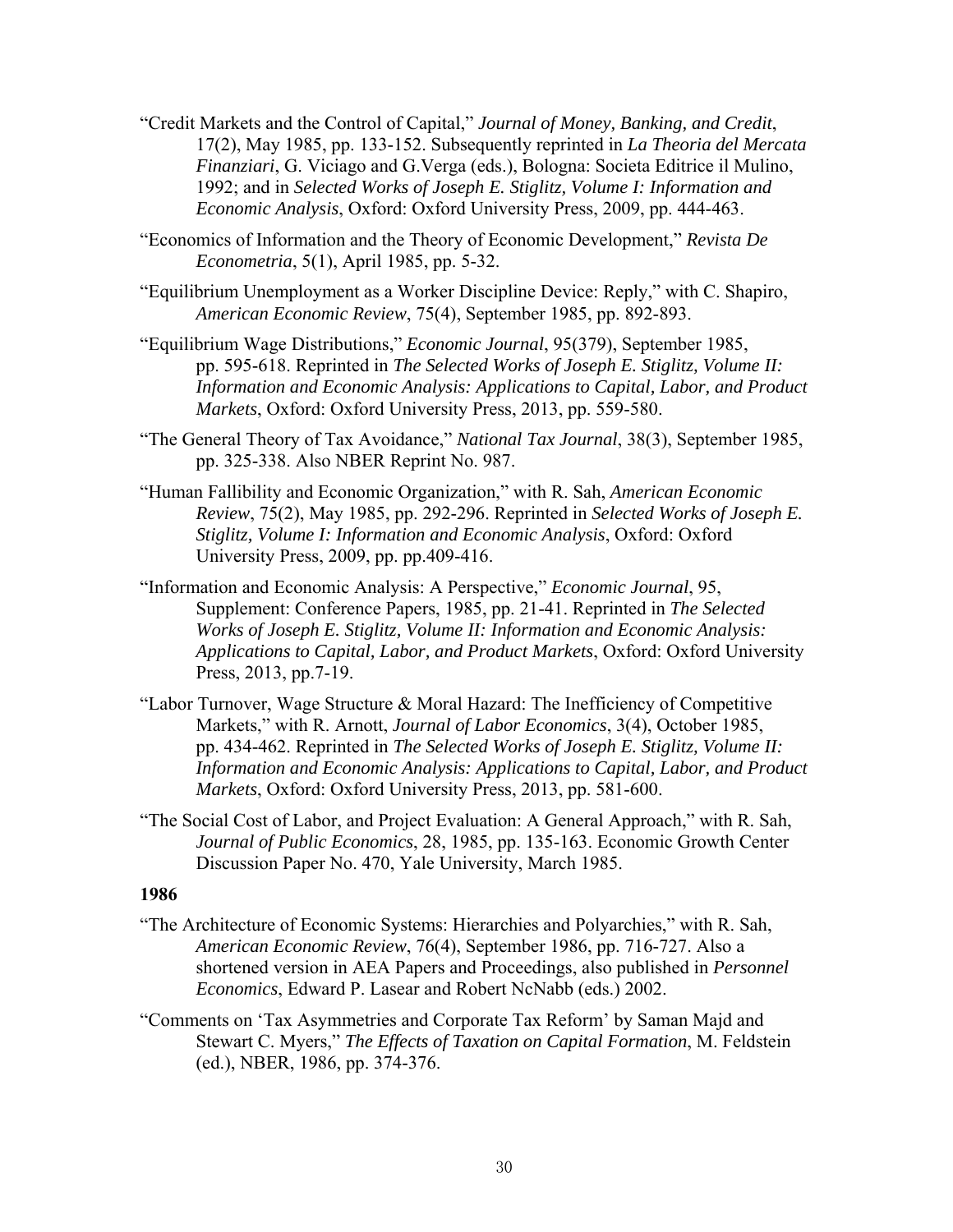- "Credit Markets and the Control of Capital," *Journal of Money, Banking, and Credit*, 17(2), May 1985, pp. 133-152. Subsequently reprinted in *La Theoria del Mercata Finanziari*, G. Viciago and G.Verga (eds.), Bologna: Societa Editrice il Mulino, 1992; and in *Selected Works of Joseph E. Stiglitz, Volume I: Information and Economic Analysis*, Oxford: Oxford University Press, 2009, pp. 444-463.
- "Economics of Information and the Theory of Economic Development," *Revista De Econometria*, 5(1), April 1985, pp. 5-32.
- "Equilibrium Unemployment as a Worker Discipline Device: Reply," with C. Shapiro, *American Economic Review*, 75(4), September 1985, pp. 892-893.
- "Equilibrium Wage Distributions," *Economic Journal*, 95(379), September 1985, pp. 595-618. Reprinted in *The Selected Works of Joseph E. Stiglitz, Volume II: Information and Economic Analysis: Applications to Capital, Labor, and Product Markets*, Oxford: Oxford University Press, 2013, pp. 559-580.
- "The General Theory of Tax Avoidance," *National Tax Journal*, 38(3), September 1985, pp. 325-338. Also NBER Reprint No. 987.
- "Human Fallibility and Economic Organization," with R. Sah, *American Economic Review*, 75(2), May 1985, pp. 292-296. Reprinted in *Selected Works of Joseph E. Stiglitz, Volume I: Information and Economic Analysis*, Oxford: Oxford University Press, 2009, pp. pp.409-416.
- "Information and Economic Analysis: A Perspective," *Economic Journal*, 95, Supplement: Conference Papers, 1985, pp. 21-41. Reprinted in *The Selected Works of Joseph E. Stiglitz, Volume II: Information and Economic Analysis: Applications to Capital, Labor, and Product Markets*, Oxford: Oxford University Press, 2013, pp.7-19.
- "Labor Turnover, Wage Structure & Moral Hazard: The Inefficiency of Competitive Markets," with R. Arnott, *Journal of Labor Economics*, 3(4), October 1985, pp. 434-462. Reprinted in *The Selected Works of Joseph E. Stiglitz, Volume II: Information and Economic Analysis: Applications to Capital, Labor, and Product Markets*, Oxford: Oxford University Press, 2013, pp. 581-600.
- "The Social Cost of Labor, and Project Evaluation: A General Approach," with R. Sah, *Journal of Public Economics*, 28, 1985, pp. 135-163. Economic Growth Center Discussion Paper No. 470, Yale University, March 1985.

- "The Architecture of Economic Systems: Hierarchies and Polyarchies," with R. Sah, *American Economic Review*, 76(4), September 1986, pp. 716-727. Also a shortened version in AEA Papers and Proceedings, also published in *Personnel Economics*, Edward P. Lasear and Robert NcNabb (eds.) 2002.
- "Comments on 'Tax Asymmetries and Corporate Tax Reform' by Saman Majd and Stewart C. Myers," *The Effects of Taxation on Capital Formation*, M. Feldstein (ed.), NBER, 1986, pp. 374-376.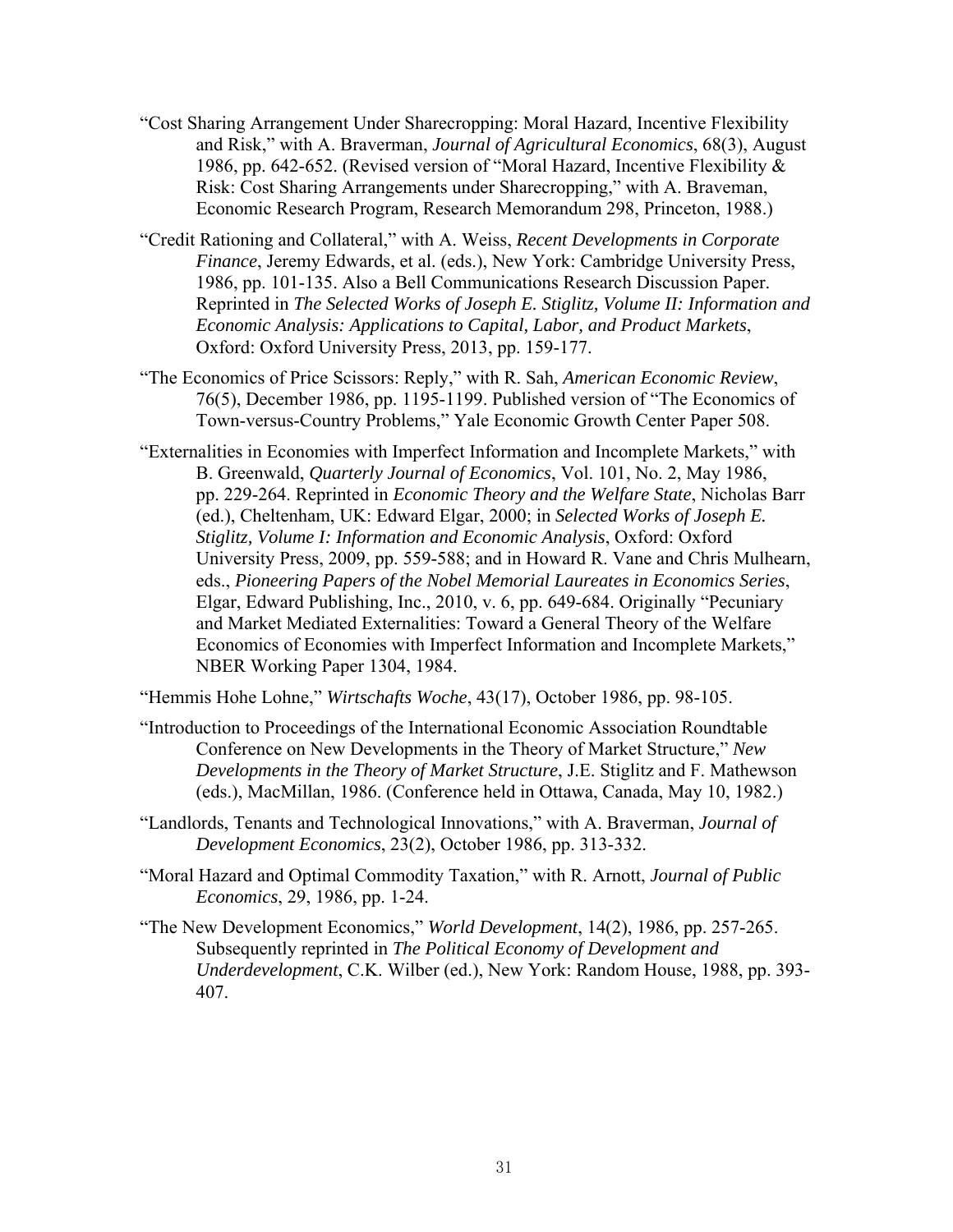- "Cost Sharing Arrangement Under Sharecropping: Moral Hazard, Incentive Flexibility and Risk," with A. Braverman, *Journal of Agricultural Economics*, 68(3), August 1986, pp. 642-652. (Revised version of "Moral Hazard, Incentive Flexibility & Risk: Cost Sharing Arrangements under Sharecropping," with A. Braveman, Economic Research Program, Research Memorandum 298, Princeton, 1988.)
- "Credit Rationing and Collateral," with A. Weiss, *Recent Developments in Corporate Finance*, Jeremy Edwards, et al. (eds.), New York: Cambridge University Press, 1986, pp. 101-135. Also a Bell Communications Research Discussion Paper. Reprinted in *The Selected Works of Joseph E. Stiglitz, Volume II: Information and Economic Analysis: Applications to Capital, Labor, and Product Markets*, Oxford: Oxford University Press, 2013, pp. 159-177.
- "The Economics of Price Scissors: Reply," with R. Sah, *American Economic Review*, 76(5), December 1986, pp. 1195-1199. Published version of "The Economics of Town-versus-Country Problems," Yale Economic Growth Center Paper 508.
- "Externalities in Economies with Imperfect Information and Incomplete Markets," with B. Greenwald, *Quarterly Journal of Economics*, Vol. 101, No. 2, May 1986, pp. 229-264. Reprinted in *Economic Theory and the Welfare State*, Nicholas Barr (ed.), Cheltenham, UK: Edward Elgar, 2000; in *Selected Works of Joseph E. Stiglitz, Volume I: Information and Economic Analysis*, Oxford: Oxford University Press, 2009, pp. 559-588; and in Howard R. Vane and Chris Mulhearn, eds., *Pioneering Papers of the Nobel Memorial Laureates in Economics Series*, Elgar, Edward Publishing, Inc., 2010, v. 6, pp. 649-684. Originally "Pecuniary and Market Mediated Externalities: Toward a General Theory of the Welfare Economics of Economies with Imperfect Information and Incomplete Markets," NBER Working Paper 1304, 1984.

"Hemmis Hohe Lohne," *Wirtschafts Woche*, 43(17), October 1986, pp. 98-105.

- "Introduction to Proceedings of the International Economic Association Roundtable Conference on New Developments in the Theory of Market Structure," *New Developments in the Theory of Market Structure*, J.E. Stiglitz and F. Mathewson (eds.), MacMillan, 1986. (Conference held in Ottawa, Canada, May 10, 1982.)
- "Landlords, Tenants and Technological Innovations," with A. Braverman, *Journal of Development Economics*, 23(2), October 1986, pp. 313-332.
- "Moral Hazard and Optimal Commodity Taxation," with R. Arnott, *Journal of Public Economics*, 29, 1986, pp. 1-24.
- "The New Development Economics," *World Development*, 14(2), 1986, pp. 257-265. Subsequently reprinted in *The Political Economy of Development and Underdevelopment*, C.K. Wilber (ed.), New York: Random House, 1988, pp. 393- 407.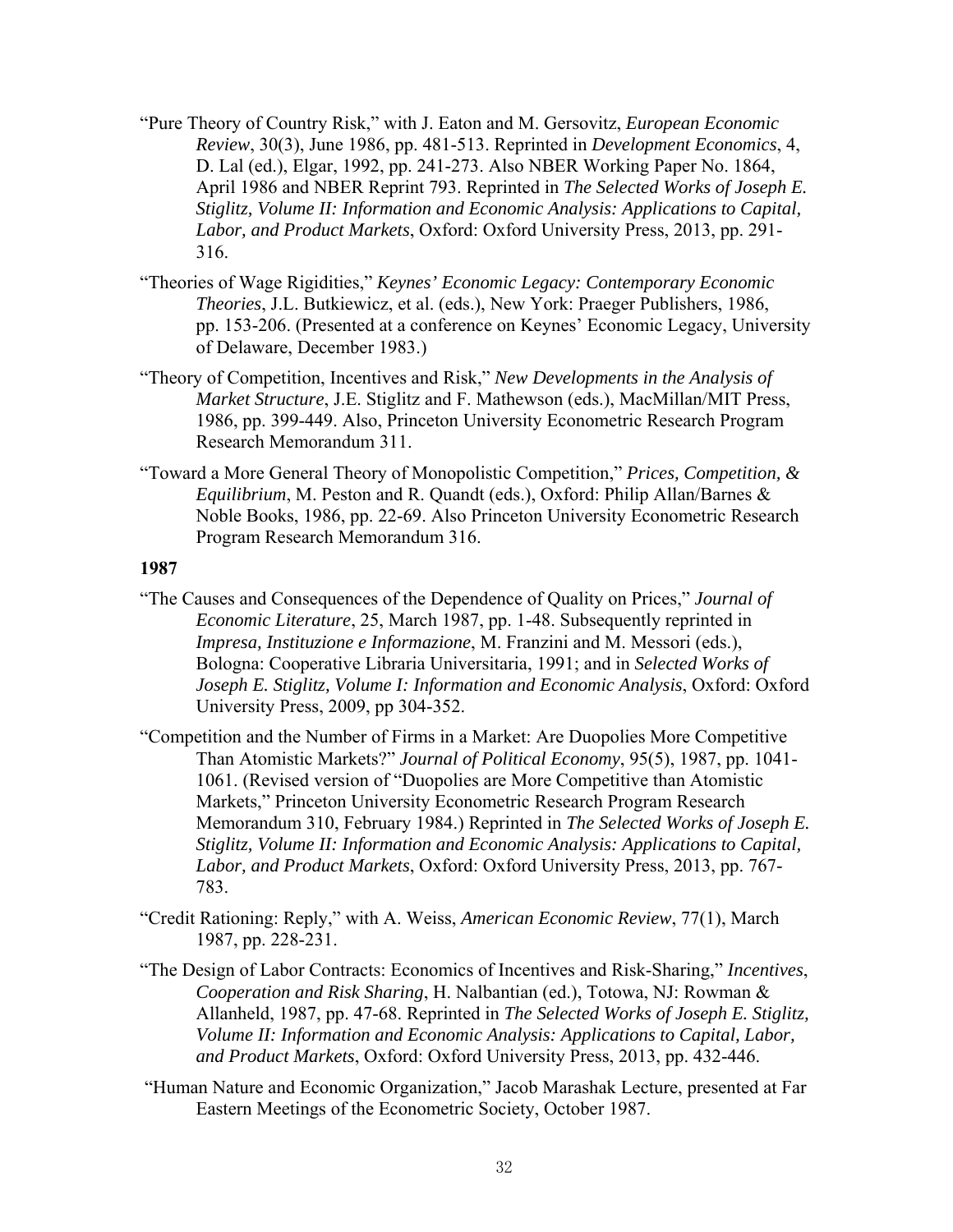- "Pure Theory of Country Risk," with J. Eaton and M. Gersovitz, *European Economic Review*, 30(3), June 1986, pp. 481-513. Reprinted in *Development Economics*, 4, D. Lal (ed.), Elgar, 1992, pp. 241-273. Also NBER Working Paper No. 1864, April 1986 and NBER Reprint 793. Reprinted in *The Selected Works of Joseph E. Stiglitz, Volume II: Information and Economic Analysis: Applications to Capital, Labor, and Product Markets*, Oxford: Oxford University Press, 2013, pp. 291- 316.
- "Theories of Wage Rigidities," *Keynes' Economic Legacy: Contemporary Economic Theories*, J.L. Butkiewicz, et al. (eds.), New York: Praeger Publishers, 1986, pp. 153-206. (Presented at a conference on Keynes' Economic Legacy, University of Delaware, December 1983.)
- "Theory of Competition, Incentives and Risk," *New Developments in the Analysis of Market Structure*, J.E. Stiglitz and F. Mathewson (eds.), MacMillan/MIT Press, 1986, pp. 399-449. Also, Princeton University Econometric Research Program Research Memorandum 311.
- "Toward a More General Theory of Monopolistic Competition," *Prices, Competition, & Equilibrium*, M. Peston and R. Quandt (eds.), Oxford: Philip Allan/Barnes & Noble Books, 1986, pp. 22-69. Also Princeton University Econometric Research Program Research Memorandum 316.

- "The Causes and Consequences of the Dependence of Quality on Prices," *Journal of Economic Literature*, 25, March 1987, pp. 1-48. Subsequently reprinted in *Impresa, Instituzione e Informazione*, M. Franzini and M. Messori (eds.), Bologna: Cooperative Libraria Universitaria, 1991; and in *Selected Works of Joseph E. Stiglitz, Volume I: Information and Economic Analysis*, Oxford: Oxford University Press, 2009, pp 304-352.
- "Competition and the Number of Firms in a Market: Are Duopolies More Competitive Than Atomistic Markets?" *Journal of Political Economy*, 95(5), 1987, pp. 1041- 1061. (Revised version of "Duopolies are More Competitive than Atomistic Markets," Princeton University Econometric Research Program Research Memorandum 310, February 1984.) Reprinted in *The Selected Works of Joseph E. Stiglitz, Volume II: Information and Economic Analysis: Applications to Capital, Labor, and Product Markets*, Oxford: Oxford University Press, 2013, pp. 767- 783.
- "Credit Rationing: Reply," with A. Weiss, *American Economic Review*, 77(1), March 1987, pp. 228-231.
- "The Design of Labor Contracts: Economics of Incentives and Risk-Sharing," *Incentives*, *Cooperation and Risk Sharing*, H. Nalbantian (ed.), Totowa, NJ: Rowman & Allanheld, 1987, pp. 47-68. Reprinted in *The Selected Works of Joseph E. Stiglitz, Volume II: Information and Economic Analysis: Applications to Capital, Labor, and Product Markets*, Oxford: Oxford University Press, 2013, pp. 432-446.
- "Human Nature and Economic Organization," Jacob Marashak Lecture, presented at Far Eastern Meetings of the Econometric Society, October 1987.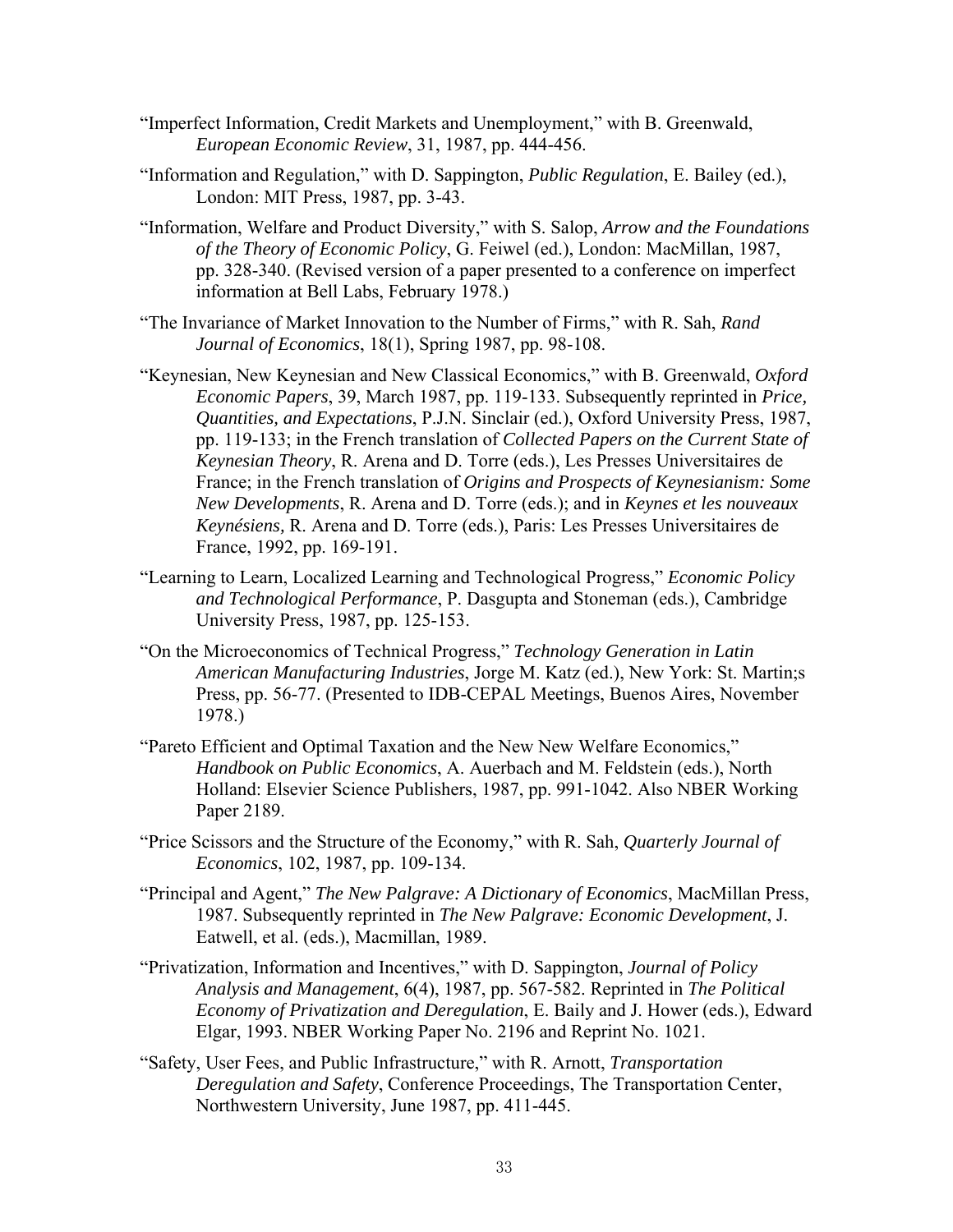- "Imperfect Information, Credit Markets and Unemployment," with B. Greenwald, *European Economic Review*, 31, 1987, pp. 444-456.
- "Information and Regulation," with D. Sappington, *Public Regulation*, E. Bailey (ed.), London: MIT Press, 1987, pp. 3-43.
- "Information, Welfare and Product Diversity," with S. Salop, *Arrow and the Foundations of the Theory of Economic Policy*, G. Feiwel (ed.), London: MacMillan, 1987, pp. 328-340. (Revised version of a paper presented to a conference on imperfect information at Bell Labs, February 1978.)
- "The Invariance of Market Innovation to the Number of Firms," with R. Sah, *Rand Journal of Economics*, 18(1), Spring 1987, pp. 98-108.
- "Keynesian, New Keynesian and New Classical Economics," with B. Greenwald, *Oxford Economic Papers*, 39, March 1987, pp. 119-133. Subsequently reprinted in *Price, Quantities, and Expectations*, P.J.N. Sinclair (ed.), Oxford University Press, 1987, pp. 119-133; in the French translation of *Collected Papers on the Current State of Keynesian Theory*, R. Arena and D. Torre (eds.), Les Presses Universitaires de France; in the French translation of *Origins and Prospects of Keynesianism: Some New Developments*, R. Arena and D. Torre (eds.); and in *Keynes et les nouveaux Keynésiens,* R. Arena and D. Torre (eds.), Paris: Les Presses Universitaires de France, 1992, pp. 169-191.
- "Learning to Learn, Localized Learning and Technological Progress," *Economic Policy and Technological Performance*, P. Dasgupta and Stoneman (eds.), Cambridge University Press, 1987, pp. 125-153.
- "On the Microeconomics of Technical Progress," *Technology Generation in Latin American Manufacturing Industries*, Jorge M. Katz (ed.), New York: St. Martin;s Press, pp. 56-77. (Presented to IDB-CEPAL Meetings, Buenos Aires, November 1978.)
- "Pareto Efficient and Optimal Taxation and the New New Welfare Economics," *Handbook on Public Economics*, A. Auerbach and M. Feldstein (eds.), North Holland: Elsevier Science Publishers, 1987, pp. 991-1042. Also NBER Working Paper 2189.
- "Price Scissors and the Structure of the Economy," with R. Sah, *Quarterly Journal of Economics*, 102, 1987, pp. 109-134.
- "Principal and Agent," *The New Palgrave: A Dictionary of Economics*, MacMillan Press, 1987. Subsequently reprinted in *The New Palgrave: Economic Development*, J. Eatwell, et al. (eds.), Macmillan, 1989.
- "Privatization, Information and Incentives," with D. Sappington, *Journal of Policy Analysis and Management*, 6(4), 1987, pp. 567-582. Reprinted in *The Political Economy of Privatization and Deregulation*, E. Baily and J. Hower (eds.), Edward Elgar, 1993. NBER Working Paper No. 2196 and Reprint No. 1021.
- "Safety, User Fees, and Public Infrastructure," with R. Arnott, *Transportation Deregulation and Safety*, Conference Proceedings, The Transportation Center, Northwestern University, June 1987, pp. 411-445.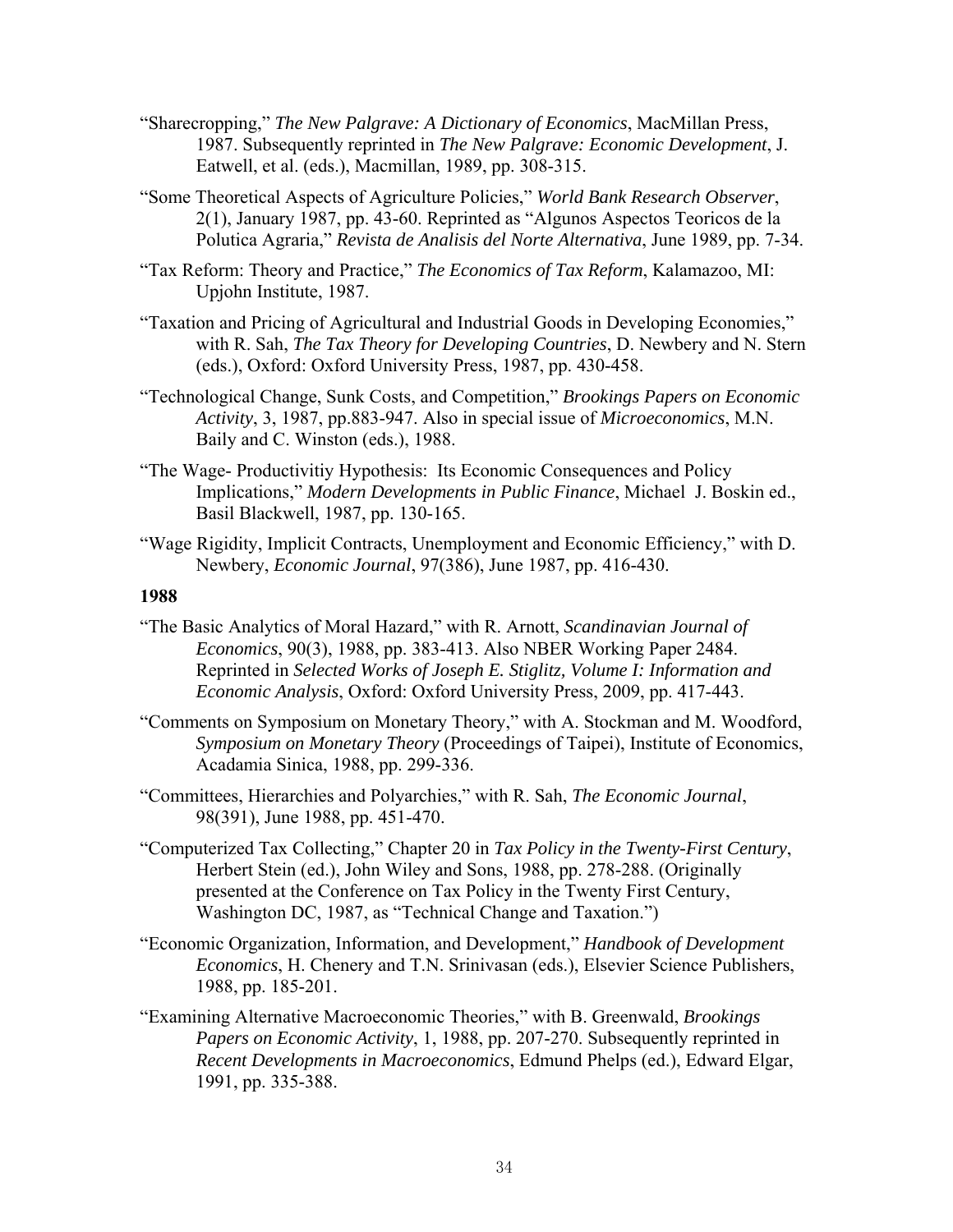- "Sharecropping," *The New Palgrave: A Dictionary of Economics*, MacMillan Press, 1987. Subsequently reprinted in *The New Palgrave: Economic Development*, J. Eatwell, et al. (eds.), Macmillan, 1989, pp. 308-315.
- "Some Theoretical Aspects of Agriculture Policies," *World Bank Research Observer*, 2(1), January 1987, pp. 43-60. Reprinted as "Algunos Aspectos Teoricos de la Polutica Agraria," *Revista de Analisis del Norte Alternativa*, June 1989, pp. 7-34.
- "Tax Reform: Theory and Practice," *The Economics of Tax Reform*, Kalamazoo, MI: Upjohn Institute, 1987.
- "Taxation and Pricing of Agricultural and Industrial Goods in Developing Economies," with R. Sah, *The Tax Theory for Developing Countries*, D. Newbery and N. Stern (eds.), Oxford: Oxford University Press, 1987, pp. 430-458.
- "Technological Change, Sunk Costs, and Competition," *Brookings Papers on Economic Activity*, 3, 1987, pp.883-947. Also in special issue of *Microeconomics*, M.N. Baily and C. Winston (eds.), 1988.
- "The Wage- Productivitiy Hypothesis: Its Economic Consequences and Policy Implications," *Modern Developments in Public Finance*, Michael J. Boskin ed., Basil Blackwell, 1987, pp. 130-165.
- "Wage Rigidity, Implicit Contracts, Unemployment and Economic Efficiency," with D. Newbery, *Economic Journal*, 97(386), June 1987, pp. 416-430.

- "The Basic Analytics of Moral Hazard," with R. Arnott, *Scandinavian Journal of Economics*, 90(3), 1988, pp. 383-413. Also NBER Working Paper 2484. Reprinted in *Selected Works of Joseph E. Stiglitz, Volume I: Information and Economic Analysis*, Oxford: Oxford University Press, 2009, pp. 417-443.
- "Comments on Symposium on Monetary Theory," with A. Stockman and M. Woodford, *Symposium on Monetary Theory* (Proceedings of Taipei), Institute of Economics, Acadamia Sinica, 1988, pp. 299-336.
- "Committees, Hierarchies and Polyarchies," with R. Sah, *The Economic Journal*, 98(391), June 1988, pp. 451-470.
- "Computerized Tax Collecting," Chapter 20 in *Tax Policy in the Twenty-First Century*, Herbert Stein (ed.), John Wiley and Sons, 1988, pp. 278-288. (Originally presented at the Conference on Tax Policy in the Twenty First Century, Washington DC, 1987, as "Technical Change and Taxation.")
- "Economic Organization, Information, and Development," *Handbook of Development Economics*, H. Chenery and T.N. Srinivasan (eds.), Elsevier Science Publishers, 1988, pp. 185-201.
- "Examining Alternative Macroeconomic Theories," with B. Greenwald, *Brookings Papers on Economic Activity*, 1, 1988, pp. 207-270. Subsequently reprinted in *Recent Developments in Macroeconomics*, Edmund Phelps (ed.), Edward Elgar, 1991, pp. 335-388.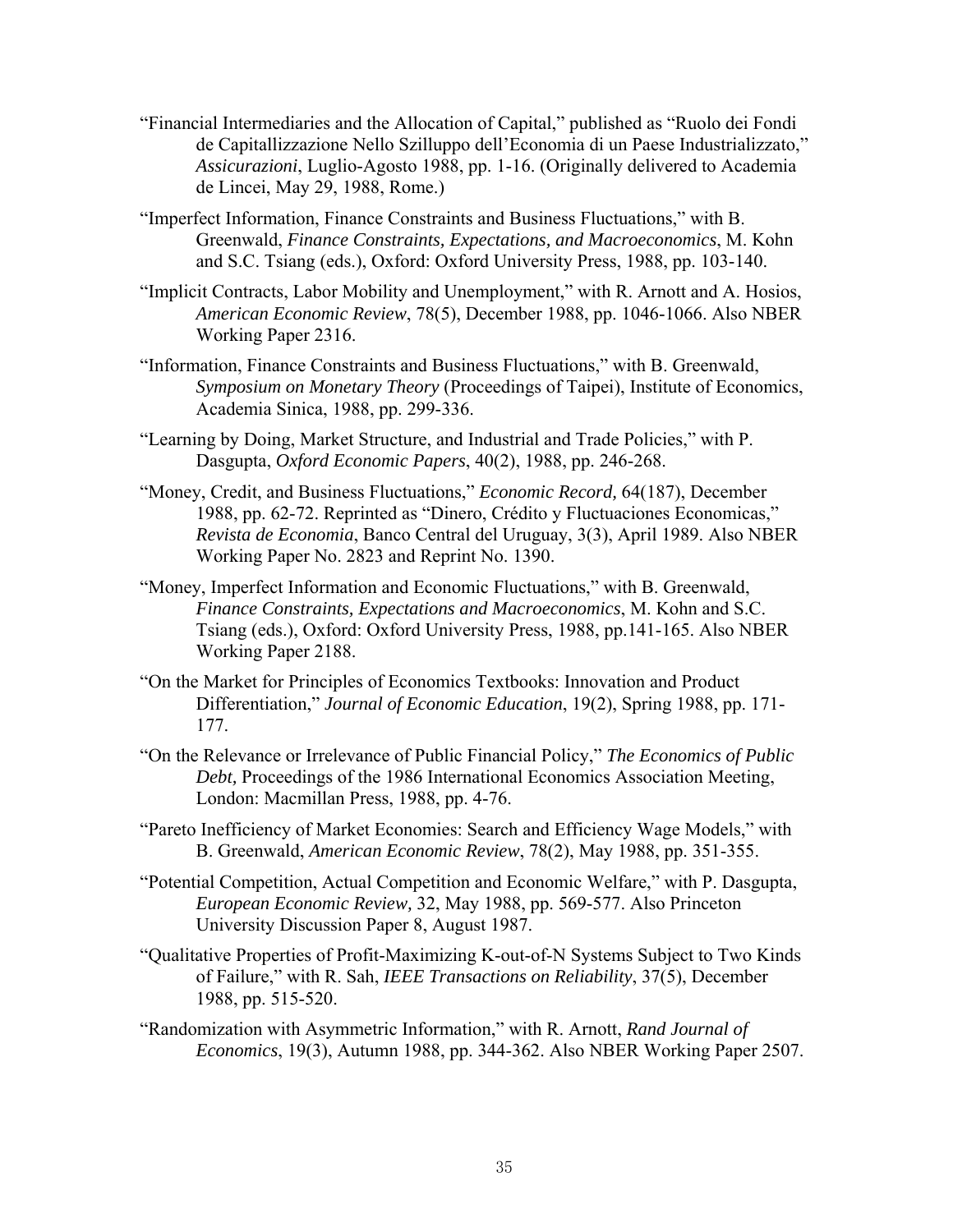- "Financial Intermediaries and the Allocation of Capital," published as "Ruolo dei Fondi de Capitallizzazione Nello Szilluppo dell'Economia di un Paese Industrializzato," *Assicurazioni*, Luglio-Agosto 1988, pp. 1-16. (Originally delivered to Academia de Lincei, May 29, 1988, Rome.)
- "Imperfect Information, Finance Constraints and Business Fluctuations," with B. Greenwald, *Finance Constraints, Expectations, and Macroeconomics*, M. Kohn and S.C. Tsiang (eds.), Oxford: Oxford University Press, 1988, pp. 103-140.
- "Implicit Contracts, Labor Mobility and Unemployment," with R. Arnott and A. Hosios, *American Economic Review*, 78(5), December 1988, pp. 1046-1066. Also NBER Working Paper 2316.
- "Information, Finance Constraints and Business Fluctuations," with B. Greenwald, *Symposium on Monetary Theory* (Proceedings of Taipei), Institute of Economics, Academia Sinica, 1988, pp. 299-336.
- "Learning by Doing, Market Structure, and Industrial and Trade Policies," with P. Dasgupta, *Oxford Economic Papers*, 40(2), 1988, pp. 246-268.
- "Money, Credit, and Business Fluctuations," *Economic Record,* 64(187), December 1988, pp. 62-72. Reprinted as "Dinero, Crédito y Fluctuaciones Economicas," *Revista de Economia*, Banco Central del Uruguay, 3(3), April 1989. Also NBER Working Paper No. 2823 and Reprint No. 1390.
- "Money, Imperfect Information and Economic Fluctuations," with B. Greenwald, *Finance Constraints, Expectations and Macroeconomics*, M. Kohn and S.C. Tsiang (eds.), Oxford: Oxford University Press, 1988, pp.141-165. Also NBER Working Paper 2188.
- "On the Market for Principles of Economics Textbooks: Innovation and Product Differentiation," *Journal of Economic Education*, 19(2), Spring 1988, pp. 171- 177.
- "On the Relevance or Irrelevance of Public Financial Policy," *The Economics of Public Debt,* Proceedings of the 1986 International Economics Association Meeting, London: Macmillan Press, 1988, pp. 4-76.
- "Pareto Inefficiency of Market Economies: Search and Efficiency Wage Models," with B. Greenwald, *American Economic Review*, 78(2), May 1988, pp. 351-355.
- "Potential Competition, Actual Competition and Economic Welfare," with P. Dasgupta, *European Economic Review,* 32, May 1988, pp. 569-577. Also Princeton University Discussion Paper 8, August 1987.
- "Qualitative Properties of Profit-Maximizing K-out-of-N Systems Subject to Two Kinds of Failure," with R. Sah, *IEEE Transactions on Reliability*, 37(5), December 1988, pp. 515-520.
- "Randomization with Asymmetric Information," with R. Arnott, *Rand Journal of Economics*, 19(3), Autumn 1988, pp. 344-362. Also NBER Working Paper 2507.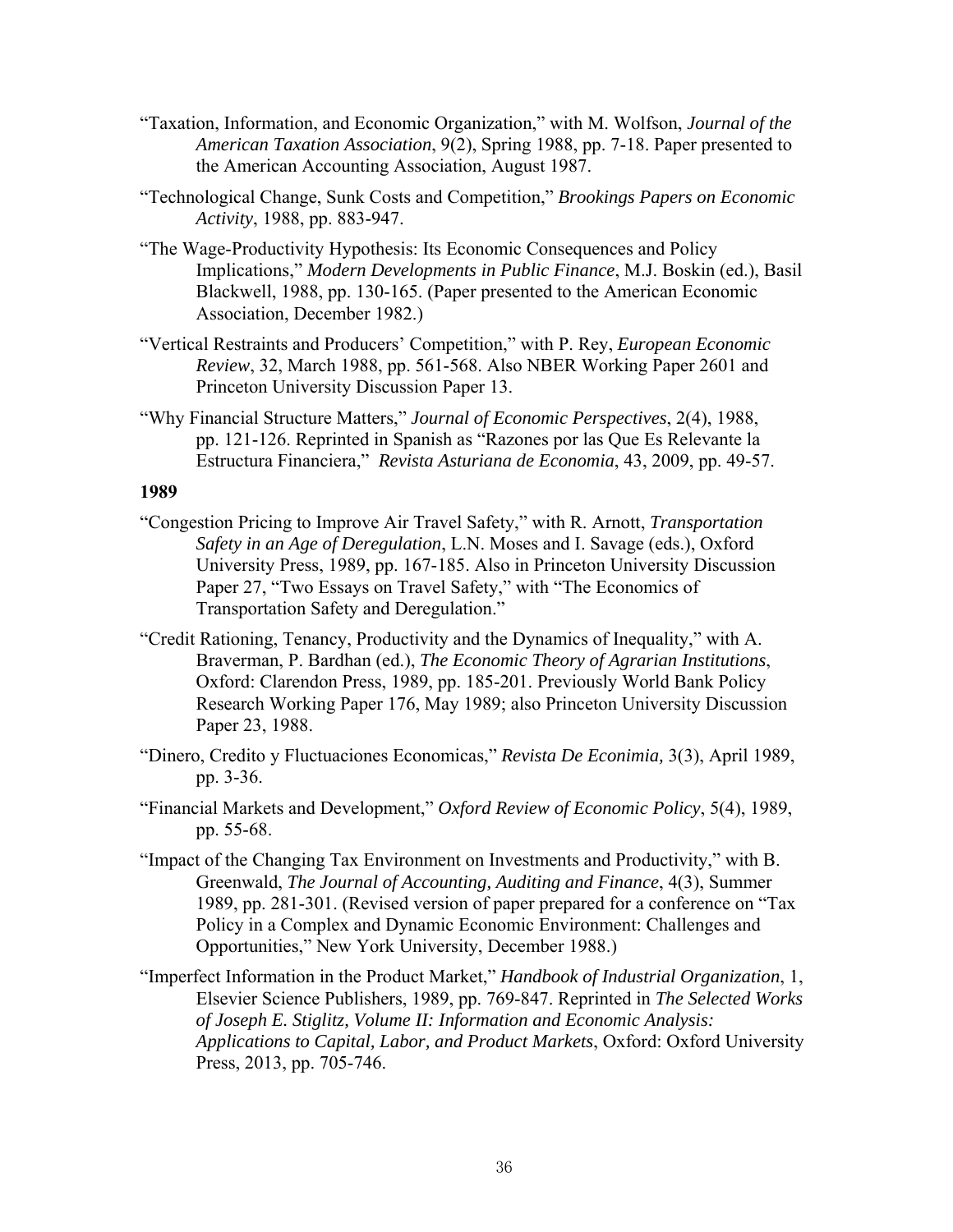- "Taxation, Information, and Economic Organization," with M. Wolfson, *Journal of the American Taxation Association*, 9(2), Spring 1988, pp. 7-18. Paper presented to the American Accounting Association, August 1987.
- "Technological Change, Sunk Costs and Competition," *Brookings Papers on Economic Activity*, 1988, pp. 883-947.
- "The Wage-Productivity Hypothesis: Its Economic Consequences and Policy Implications," *Modern Developments in Public Finance*, M.J. Boskin (ed.), Basil Blackwell, 1988, pp. 130-165. (Paper presented to the American Economic Association, December 1982.)
- "Vertical Restraints and Producers' Competition," with P. Rey, *European Economic Review*, 32, March 1988, pp. 561-568. Also NBER Working Paper 2601 and Princeton University Discussion Paper 13.
- "Why Financial Structure Matters," *Journal of Economic Perspectives*, 2(4), 1988, pp. 121-126. Reprinted in Spanish as "Razones por las Que Es Relevante la Estructura Financiera," *Revista Asturiana de Economia*, 43, 2009, pp. 49-57.

- "Congestion Pricing to Improve Air Travel Safety," with R. Arnott, *Transportation Safety in an Age of Deregulation*, L.N. Moses and I. Savage (eds.), Oxford University Press, 1989, pp. 167-185. Also in Princeton University Discussion Paper 27, "Two Essays on Travel Safety," with "The Economics of Transportation Safety and Deregulation."
- "Credit Rationing, Tenancy, Productivity and the Dynamics of Inequality," with A. Braverman, P. Bardhan (ed.), *The Economic Theory of Agrarian Institutions*, Oxford: Clarendon Press, 1989, pp. 185-201. Previously World Bank Policy Research Working Paper 176, May 1989; also Princeton University Discussion Paper 23, 1988.
- "Dinero, Credito y Fluctuaciones Economicas," *Revista De Econimia,* 3(3), April 1989, pp. 3-36.
- "Financial Markets and Development," *Oxford Review of Economic Policy*, 5(4), 1989, pp. 55-68.
- "Impact of the Changing Tax Environment on Investments and Productivity," with B. Greenwald, *The Journal of Accounting, Auditing and Finance*, 4(3), Summer 1989, pp. 281-301. (Revised version of paper prepared for a conference on "Tax Policy in a Complex and Dynamic Economic Environment: Challenges and Opportunities," New York University, December 1988.)
- "Imperfect Information in the Product Market," *Handbook of Industrial Organization*, 1, Elsevier Science Publishers, 1989, pp. 769-847. Reprinted in *The Selected Works of Joseph E. Stiglitz, Volume II: Information and Economic Analysis: Applications to Capital, Labor, and Product Markets*, Oxford: Oxford University Press, 2013, pp. 705-746.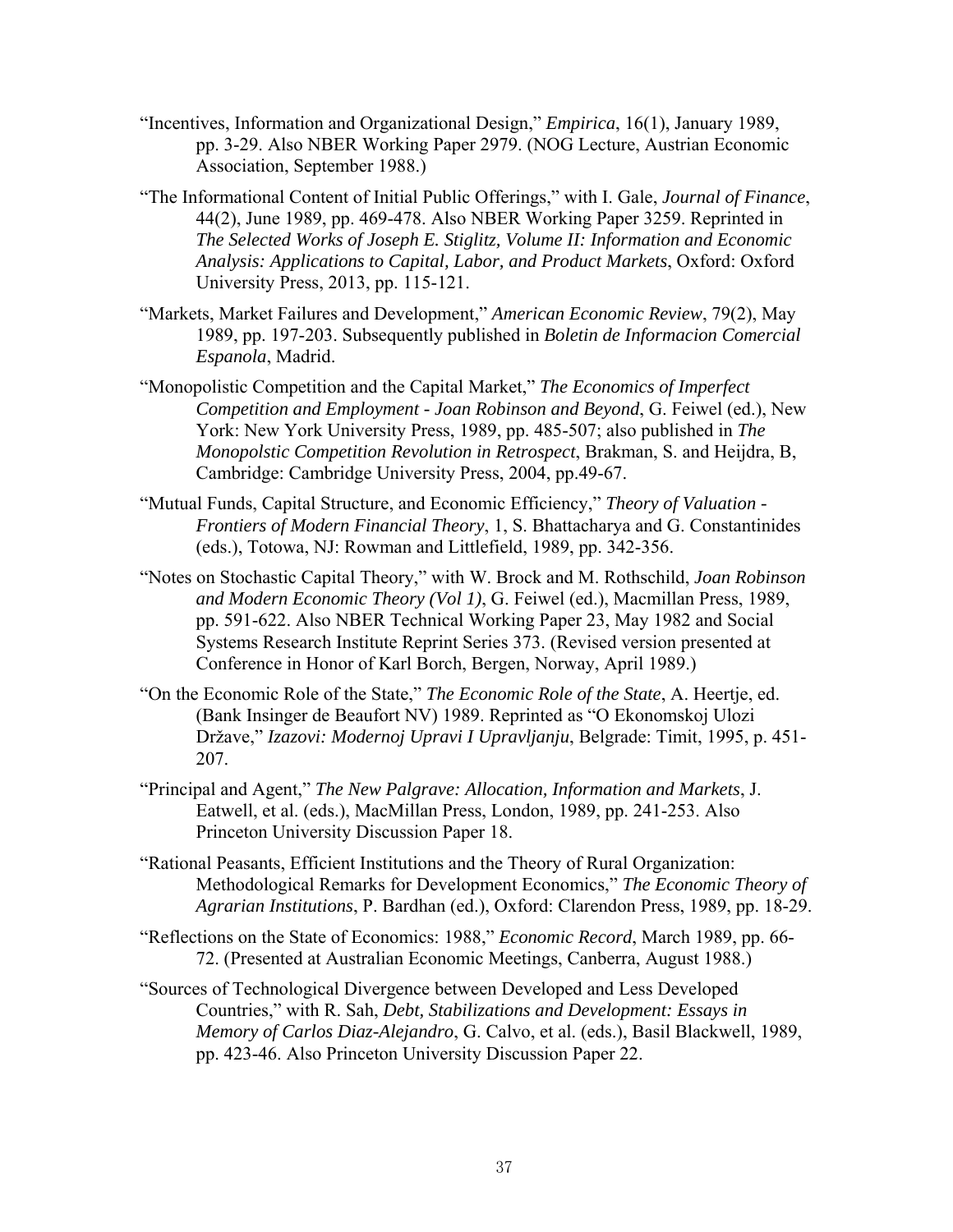- "Incentives, Information and Organizational Design," *Empirica*, 16(1), January 1989, pp. 3-29. Also NBER Working Paper 2979. (NOG Lecture, Austrian Economic Association, September 1988.)
- "The Informational Content of Initial Public Offerings," with I. Gale, *Journal of Finance*, 44(2), June 1989, pp. 469-478. Also NBER Working Paper 3259. Reprinted in *The Selected Works of Joseph E. Stiglitz, Volume II: Information and Economic Analysis: Applications to Capital, Labor, and Product Markets*, Oxford: Oxford University Press, 2013, pp. 115-121.
- "Markets, Market Failures and Development," *American Economic Review*, 79(2), May 1989, pp. 197-203. Subsequently published in *Boletin de Informacion Comercial Espanola*, Madrid.
- "Monopolistic Competition and the Capital Market," *The Economics of Imperfect Competition and Employment - Joan Robinson and Beyond*, G. Feiwel (ed.), New York: New York University Press, 1989, pp. 485-507; also published in *The Monopolstic Competition Revolution in Retrospect*, Brakman, S. and Heijdra, B, Cambridge: Cambridge University Press, 2004, pp.49-67.
- "Mutual Funds, Capital Structure, and Economic Efficiency," *Theory of Valuation Frontiers of Modern Financial Theory*, 1, S. Bhattacharya and G. Constantinides (eds.), Totowa, NJ: Rowman and Littlefield, 1989, pp. 342-356.
- "Notes on Stochastic Capital Theory," with W. Brock and M. Rothschild, *Joan Robinson and Modern Economic Theory (Vol 1)*, G. Feiwel (ed.), Macmillan Press, 1989, pp. 591-622. Also NBER Technical Working Paper 23, May 1982 and Social Systems Research Institute Reprint Series 373. (Revised version presented at Conference in Honor of Karl Borch, Bergen, Norway, April 1989.)
- "On the Economic Role of the State," *The Economic Role of the State*, A. Heertje, ed. (Bank Insinger de Beaufort NV) 1989. Reprinted as "O Ekonomskoj Ulozi Države," *Izazovi: Modernoj Upravi I Upravljanju*, Belgrade: Timit, 1995, p. 451- 207.
- "Principal and Agent," *The New Palgrave: Allocation, Information and Markets*, J. Eatwell, et al. (eds.), MacMillan Press, London, 1989, pp. 241-253. Also Princeton University Discussion Paper 18.
- "Rational Peasants, Efficient Institutions and the Theory of Rural Organization: Methodological Remarks for Development Economics," *The Economic Theory of Agrarian Institutions*, P. Bardhan (ed.), Oxford: Clarendon Press, 1989, pp. 18-29.
- "Reflections on the State of Economics: 1988," *Economic Record*, March 1989, pp. 66- 72. (Presented at Australian Economic Meetings, Canberra, August 1988.)
- "Sources of Technological Divergence between Developed and Less Developed Countries," with R. Sah, *Debt, Stabilizations and Development: Essays in Memory of Carlos Diaz-Alejandro*, G. Calvo, et al. (eds.), Basil Blackwell, 1989, pp. 423-46. Also Princeton University Discussion Paper 22.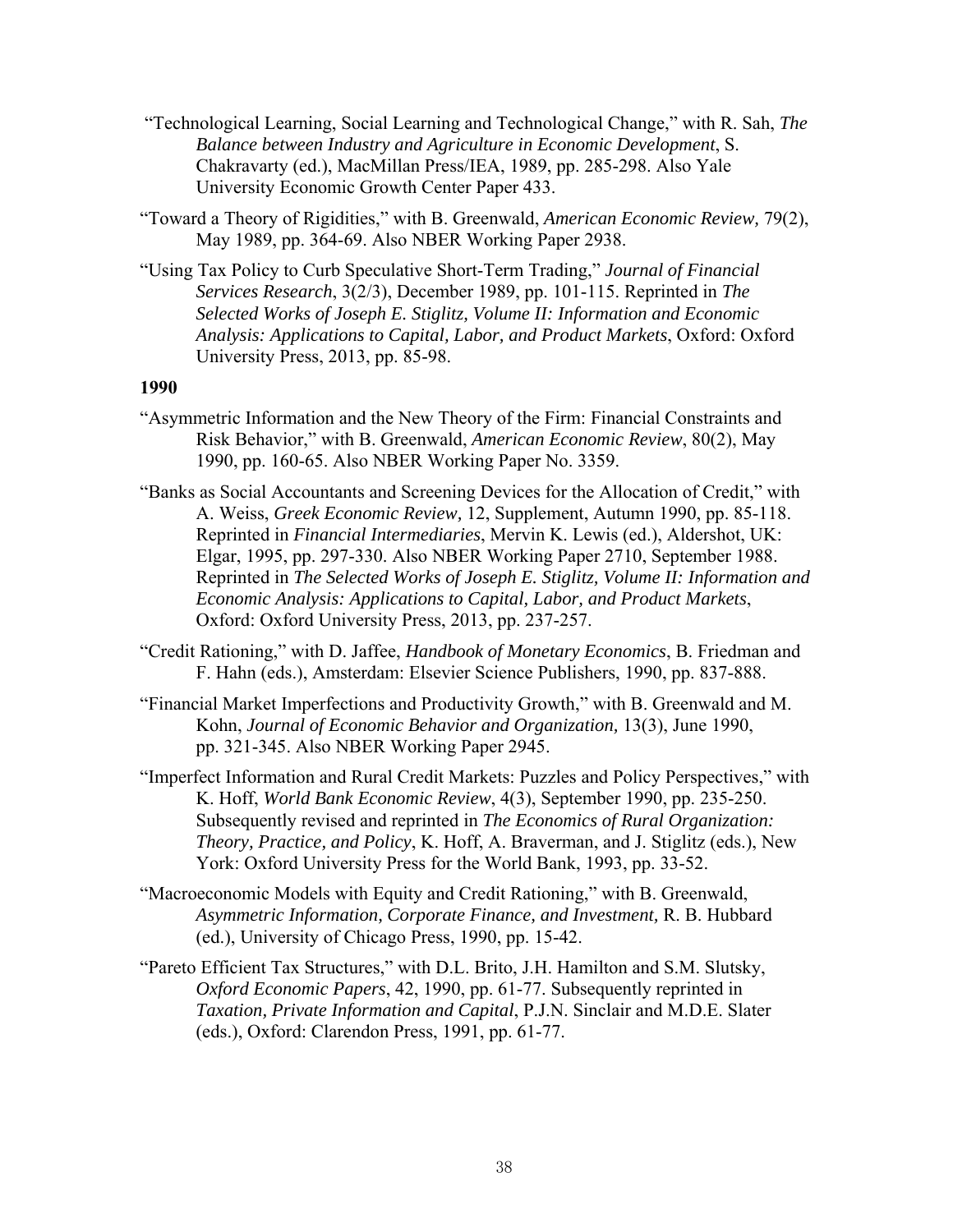- "Technological Learning, Social Learning and Technological Change," with R. Sah, *The Balance between Industry and Agriculture in Economic Development*, S. Chakravarty (ed.), MacMillan Press/IEA, 1989, pp. 285-298. Also Yale University Economic Growth Center Paper 433.
- "Toward a Theory of Rigidities," with B. Greenwald, *American Economic Review,* 79(2), May 1989, pp. 364-69. Also NBER Working Paper 2938.
- "Using Tax Policy to Curb Speculative Short-Term Trading," *Journal of Financial Services Research*, 3(2/3), December 1989, pp. 101-115. Reprinted in *The Selected Works of Joseph E. Stiglitz, Volume II: Information and Economic Analysis: Applications to Capital, Labor, and Product Markets*, Oxford: Oxford University Press, 2013, pp. 85-98.

- "Asymmetric Information and the New Theory of the Firm: Financial Constraints and Risk Behavior," with B. Greenwald, *American Economic Review*, 80(2), May 1990, pp. 160-65. Also NBER Working Paper No. 3359.
- "Banks as Social Accountants and Screening Devices for the Allocation of Credit," with A. Weiss, *Greek Economic Review,* 12, Supplement, Autumn 1990, pp. 85-118. Reprinted in *Financial Intermediaries*, Mervin K. Lewis (ed.), Aldershot, UK: Elgar, 1995, pp. 297-330. Also NBER Working Paper 2710, September 1988. Reprinted in *The Selected Works of Joseph E. Stiglitz, Volume II: Information and Economic Analysis: Applications to Capital, Labor, and Product Markets*, Oxford: Oxford University Press, 2013, pp. 237-257.
- "Credit Rationing," with D. Jaffee, *Handbook of Monetary Economics*, B. Friedman and F. Hahn (eds.), Amsterdam: Elsevier Science Publishers, 1990, pp. 837-888.
- "Financial Market Imperfections and Productivity Growth," with B. Greenwald and M. Kohn, *Journal of Economic Behavior and Organization,* 13(3), June 1990, pp. 321-345. Also NBER Working Paper 2945.
- "Imperfect Information and Rural Credit Markets: Puzzles and Policy Perspectives," with K. Hoff, *World Bank Economic Review*, 4(3), September 1990, pp. 235-250. Subsequently revised and reprinted in *The Economics of Rural Organization: Theory, Practice, and Policy*, K. Hoff, A. Braverman, and J. Stiglitz (eds.), New York: Oxford University Press for the World Bank, 1993, pp. 33-52.
- "Macroeconomic Models with Equity and Credit Rationing," with B. Greenwald, *Asymmetric Information, Corporate Finance, and Investment,* R. B. Hubbard (ed.), University of Chicago Press, 1990, pp. 15-42.
- "Pareto Efficient Tax Structures," with D.L. Brito, J.H. Hamilton and S.M. Slutsky, *Oxford Economic Papers*, 42, 1990, pp. 61-77. Subsequently reprinted in *Taxation, Private Information and Capital*, P.J.N. Sinclair and M.D.E. Slater (eds.), Oxford: Clarendon Press, 1991, pp. 61-77.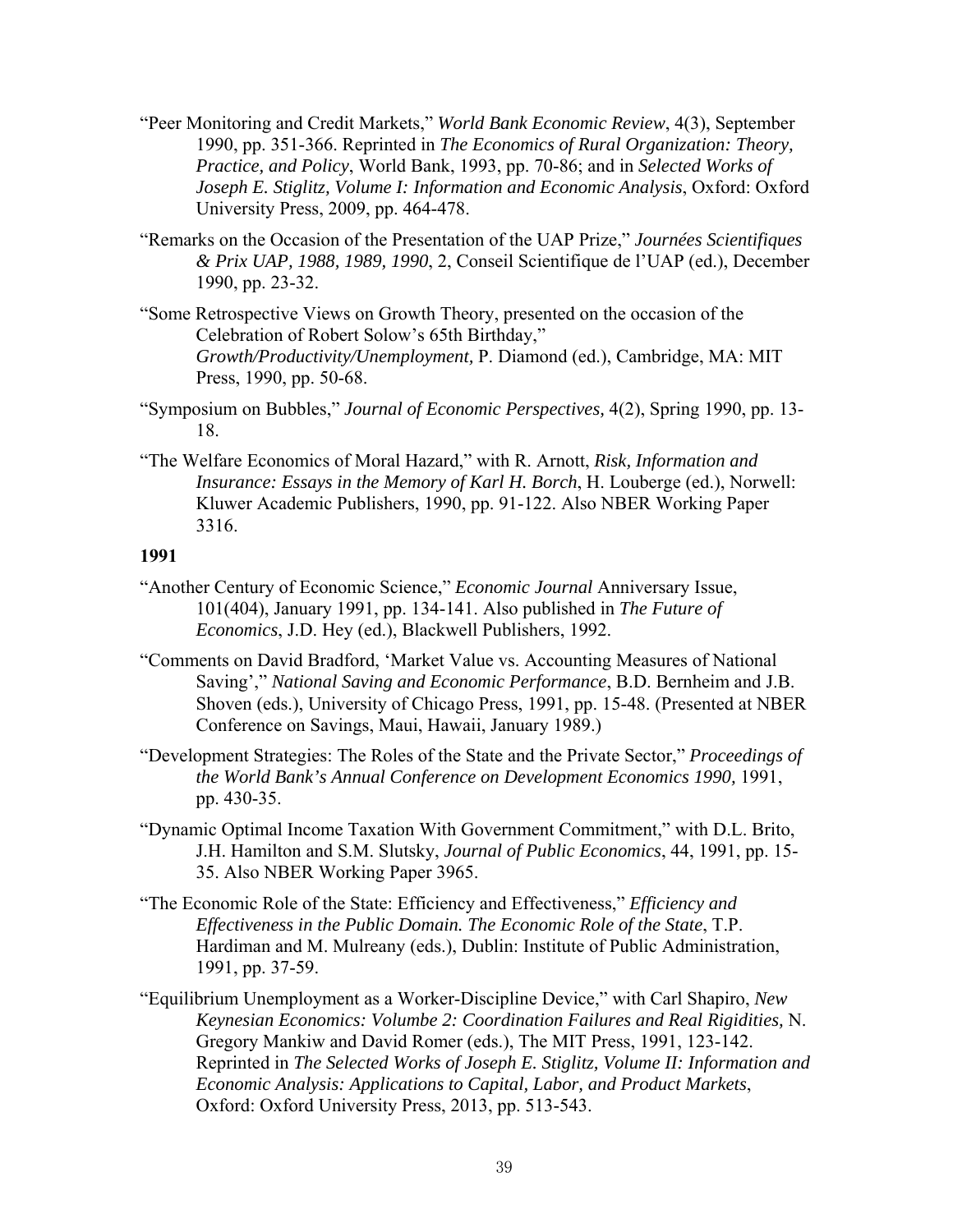- "Peer Monitoring and Credit Markets," *World Bank Economic Review*, 4(3), September 1990, pp. 351-366. Reprinted in *The Economics of Rural Organization: Theory, Practice, and Policy*, World Bank, 1993, pp. 70-86; and in *Selected Works of Joseph E. Stiglitz, Volume I: Information and Economic Analysis*, Oxford: Oxford University Press, 2009, pp. 464-478.
- "Remarks on the Occasion of the Presentation of the UAP Prize," *Journées Scientifiques & Prix UAP, 1988, 1989, 1990*, 2, Conseil Scientifique de l'UAP (ed.), December 1990, pp. 23-32.
- "Some Retrospective Views on Growth Theory, presented on the occasion of the Celebration of Robert Solow's 65th Birthday," *Growth/Productivity/Unemployment,* P. Diamond (ed.), Cambridge, MA: MIT Press, 1990, pp. 50-68.
- "Symposium on Bubbles," *Journal of Economic Perspectives,* 4(2), Spring 1990, pp. 13- 18.
- "The Welfare Economics of Moral Hazard," with R. Arnott, *Risk, Information and Insurance: Essays in the Memory of Karl H. Borch*, H. Louberge (ed.), Norwell: Kluwer Academic Publishers, 1990, pp. 91-122. Also NBER Working Paper 3316.

- "Another Century of Economic Science," *Economic Journal* Anniversary Issue, 101(404), January 1991, pp. 134-141. Also published in *The Future of Economics*, J.D. Hey (ed.), Blackwell Publishers, 1992.
- "Comments on David Bradford, 'Market Value vs. Accounting Measures of National Saving'," *National Saving and Economic Performance*, B.D. Bernheim and J.B. Shoven (eds.), University of Chicago Press, 1991, pp. 15-48. (Presented at NBER Conference on Savings, Maui, Hawaii, January 1989.)
- "Development Strategies: The Roles of the State and the Private Sector," *Proceedings of the World Bank's Annual Conference on Development Economics 1990,* 1991, pp. 430-35.
- "Dynamic Optimal Income Taxation With Government Commitment," with D.L. Brito, J.H. Hamilton and S.M. Slutsky, *Journal of Public Economics*, 44, 1991, pp. 15- 35. Also NBER Working Paper 3965.
- "The Economic Role of the State: Efficiency and Effectiveness," *Efficiency and Effectiveness in the Public Domain. The Economic Role of the State*, T.P. Hardiman and M. Mulreany (eds.), Dublin: Institute of Public Administration, 1991, pp. 37-59.
- "Equilibrium Unemployment as a Worker-Discipline Device," with Carl Shapiro, *New Keynesian Economics: Volumbe 2: Coordination Failures and Real Rigidities,* N. Gregory Mankiw and David Romer (eds.), The MIT Press, 1991, 123-142. Reprinted in *The Selected Works of Joseph E. Stiglitz, Volume II: Information and Economic Analysis: Applications to Capital, Labor, and Product Markets*, Oxford: Oxford University Press, 2013, pp. 513-543.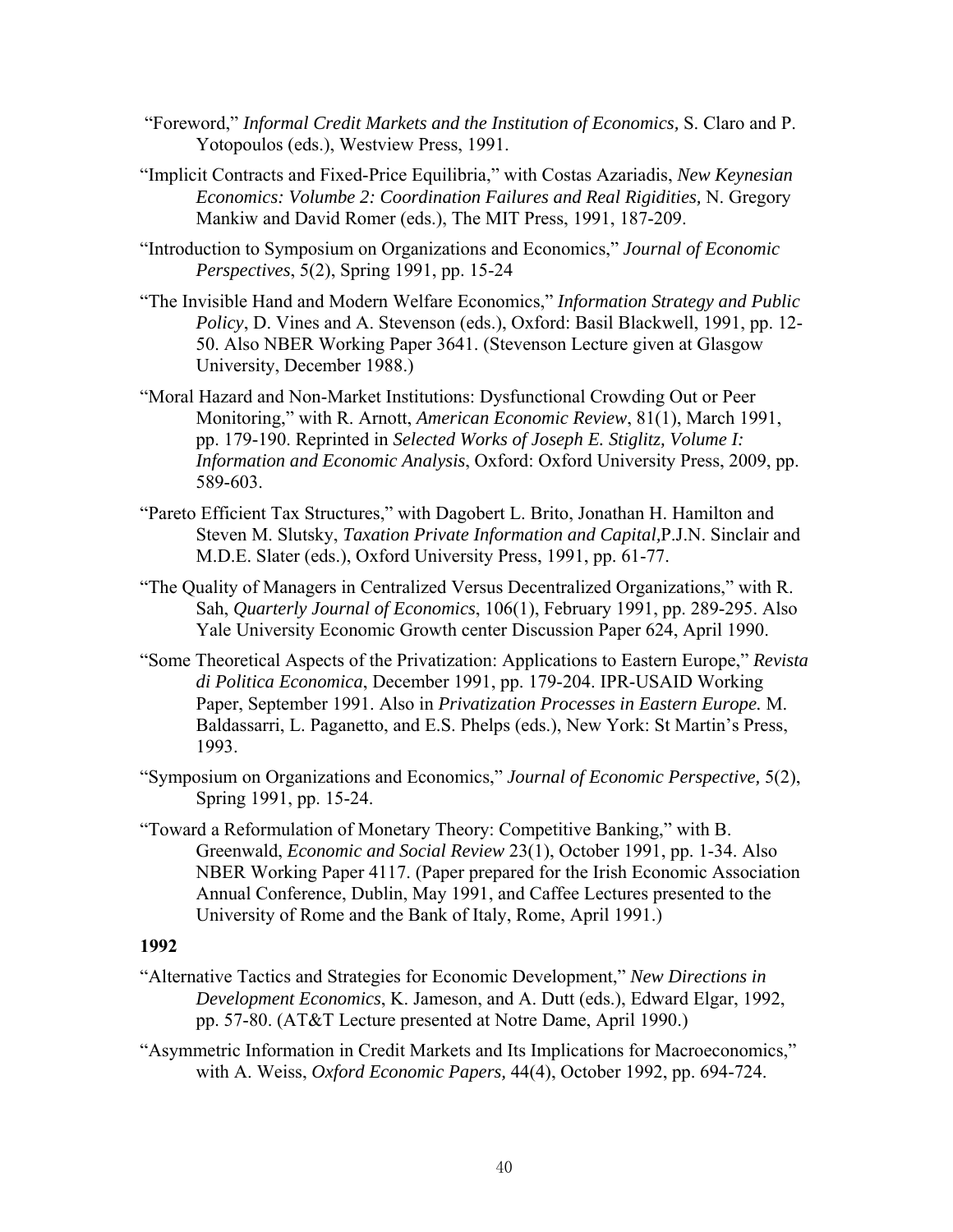- "Foreword," *Informal Credit Markets and the Institution of Economics,* S. Claro and P. Yotopoulos (eds.), Westview Press, 1991.
- "Implicit Contracts and Fixed-Price Equilibria," with Costas Azariadis, *New Keynesian Economics: Volumbe 2: Coordination Failures and Real Rigidities,* N. Gregory Mankiw and David Romer (eds.), The MIT Press, 1991, 187-209.
- "Introduction to Symposium on Organizations and Economics," *Journal of Economic Perspectives*, 5(2), Spring 1991, pp. 15-24
- "The Invisible Hand and Modern Welfare Economics," *Information Strategy and Public Policy*, D. Vines and A. Stevenson (eds.), Oxford: Basil Blackwell, 1991, pp. 12- 50. Also NBER Working Paper 3641. (Stevenson Lecture given at Glasgow University, December 1988.)
- "Moral Hazard and Non-Market Institutions: Dysfunctional Crowding Out or Peer Monitoring," with R. Arnott, *American Economic Review*, 81(1), March 1991, pp. 179-190. Reprinted in *Selected Works of Joseph E. Stiglitz, Volume I: Information and Economic Analysis*, Oxford: Oxford University Press, 2009, pp. 589-603.
- "Pareto Efficient Tax Structures," with Dagobert L. Brito, Jonathan H. Hamilton and Steven M. Slutsky, *Taxation Private Information and Capital,*P.J.N. Sinclair and M.D.E. Slater (eds.), Oxford University Press, 1991, pp. 61-77.
- "The Quality of Managers in Centralized Versus Decentralized Organizations," with R. Sah, *Quarterly Journal of Economics*, 106(1), February 1991, pp. 289-295. Also Yale University Economic Growth center Discussion Paper 624, April 1990.
- "Some Theoretical Aspects of the Privatization: Applications to Eastern Europe," *Revista di Politica Economica*, December 1991, pp. 179-204. IPR-USAID Working Paper, September 1991. Also in *Privatization Processes in Eastern Europe.* M. Baldassarri, L. Paganetto, and E.S. Phelps (eds.), New York: St Martin's Press, 1993.
- "Symposium on Organizations and Economics," *Journal of Economic Perspective,* 5(2), Spring 1991, pp. 15-24.
- "Toward a Reformulation of Monetary Theory: Competitive Banking," with B. Greenwald, *Economic and Social Review* 23(1), October 1991, pp. 1-34. Also NBER Working Paper 4117. (Paper prepared for the Irish Economic Association Annual Conference, Dublin, May 1991, and Caffee Lectures presented to the University of Rome and the Bank of Italy, Rome, April 1991.)

- "Alternative Tactics and Strategies for Economic Development," *New Directions in Development Economics*, K. Jameson, and A. Dutt (eds.), Edward Elgar, 1992, pp. 57-80. (AT&T Lecture presented at Notre Dame, April 1990.)
- "Asymmetric Information in Credit Markets and Its Implications for Macroeconomics," with A. Weiss, *Oxford Economic Papers,* 44(4), October 1992, pp. 694-724.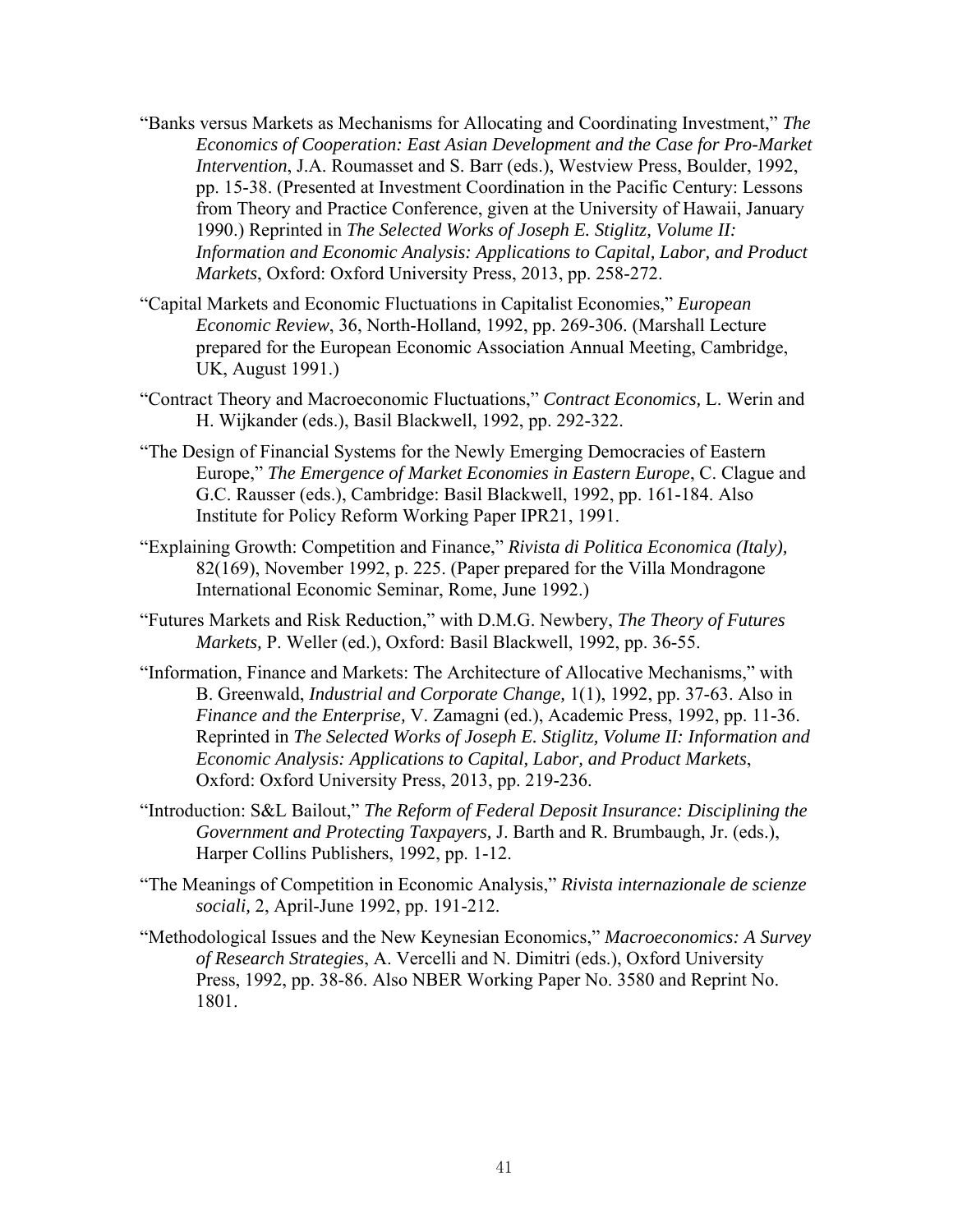- "Banks versus Markets as Mechanisms for Allocating and Coordinating Investment," *The Economics of Cooperation: East Asian Development and the Case for Pro-Market Intervention*, J.A. Roumasset and S. Barr (eds.), Westview Press, Boulder, 1992, pp. 15-38. (Presented at Investment Coordination in the Pacific Century: Lessons from Theory and Practice Conference, given at the University of Hawaii, January 1990.) Reprinted in *The Selected Works of Joseph E. Stiglitz, Volume II: Information and Economic Analysis: Applications to Capital, Labor, and Product Markets*, Oxford: Oxford University Press, 2013, pp. 258-272.
- "Capital Markets and Economic Fluctuations in Capitalist Economies," *European Economic Review*, 36, North-Holland, 1992, pp. 269-306. (Marshall Lecture prepared for the European Economic Association Annual Meeting, Cambridge, UK, August 1991.)
- "Contract Theory and Macroeconomic Fluctuations," *Contract Economics,* L. Werin and H. Wijkander (eds.), Basil Blackwell, 1992, pp. 292-322.
- "The Design of Financial Systems for the Newly Emerging Democracies of Eastern Europe," *The Emergence of Market Economies in Eastern Europe*, C. Clague and G.C. Rausser (eds.), Cambridge: Basil Blackwell, 1992, pp. 161-184. Also Institute for Policy Reform Working Paper IPR21, 1991.
- "Explaining Growth: Competition and Finance," *Rivista di Politica Economica (Italy),* 82(169), November 1992, p. 225. (Paper prepared for the Villa Mondragone International Economic Seminar, Rome, June 1992.)
- "Futures Markets and Risk Reduction," with D.M.G. Newbery, *The Theory of Futures Markets,* P. Weller (ed.), Oxford: Basil Blackwell, 1992, pp. 36-55.
- "Information, Finance and Markets: The Architecture of Allocative Mechanisms," with B. Greenwald, *Industrial and Corporate Change,* 1(1), 1992, pp. 37-63. Also in *Finance and the Enterprise,* V. Zamagni (ed.), Academic Press, 1992, pp. 11-36. Reprinted in *The Selected Works of Joseph E. Stiglitz, Volume II: Information and Economic Analysis: Applications to Capital, Labor, and Product Markets*, Oxford: Oxford University Press, 2013, pp. 219-236.
- "Introduction: S&L Bailout," *The Reform of Federal Deposit Insurance: Disciplining the Government and Protecting Taxpayers,* J. Barth and R. Brumbaugh, Jr. (eds.), Harper Collins Publishers, 1992, pp. 1-12.
- "The Meanings of Competition in Economic Analysis," *Rivista internazionale de scienze sociali,* 2, April-June 1992, pp. 191-212.
- "Methodological Issues and the New Keynesian Economics," *Macroeconomics: A Survey of Research Strategies*, A. Vercelli and N. Dimitri (eds.), Oxford University Press, 1992, pp. 38-86. Also NBER Working Paper No. 3580 and Reprint No. 1801.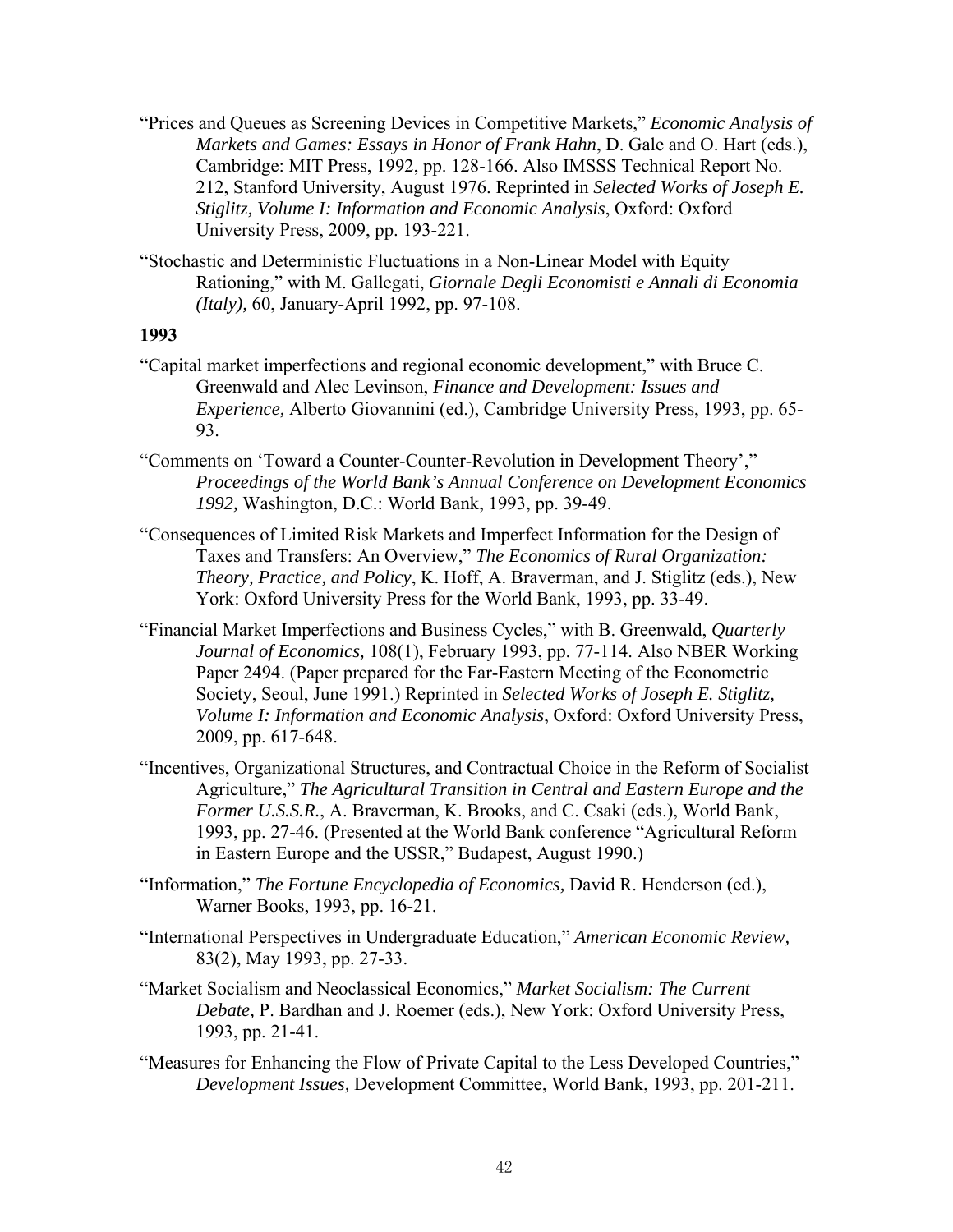- "Prices and Queues as Screening Devices in Competitive Markets," *Economic Analysis of Markets and Games: Essays in Honor of Frank Hahn*, D. Gale and O. Hart (eds.), Cambridge: MIT Press, 1992, pp. 128-166. Also IMSSS Technical Report No. 212, Stanford University, August 1976. Reprinted in *Selected Works of Joseph E. Stiglitz, Volume I: Information and Economic Analysis*, Oxford: Oxford University Press, 2009, pp. 193-221.
- "Stochastic and Deterministic Fluctuations in a Non-Linear Model with Equity Rationing," with M. Gallegati, *Giornale Degli Economisti e Annali di Economia (Italy),* 60, January-April 1992, pp. 97-108.

- "Capital market imperfections and regional economic development," with Bruce C. Greenwald and Alec Levinson, *Finance and Development: Issues and Experience,* Alberto Giovannini (ed.), Cambridge University Press, 1993, pp. 65- 93.
- "Comments on 'Toward a Counter-Counter-Revolution in Development Theory'," *Proceedings of the World Bank's Annual Conference on Development Economics 1992,* Washington, D.C.: World Bank, 1993, pp. 39-49.
- "Consequences of Limited Risk Markets and Imperfect Information for the Design of Taxes and Transfers: An Overview," *The Economics of Rural Organization: Theory, Practice, and Policy*, K. Hoff, A. Braverman, and J. Stiglitz (eds.), New York: Oxford University Press for the World Bank, 1993, pp. 33-49.
- "Financial Market Imperfections and Business Cycles," with B. Greenwald, *Quarterly Journal of Economics,* 108(1), February 1993, pp. 77-114. Also NBER Working Paper 2494. (Paper prepared for the Far-Eastern Meeting of the Econometric Society, Seoul, June 1991.) Reprinted in *Selected Works of Joseph E. Stiglitz, Volume I: Information and Economic Analysis*, Oxford: Oxford University Press, 2009, pp. 617-648.
- "Incentives, Organizational Structures, and Contractual Choice in the Reform of Socialist Agriculture," *The Agricultural Transition in Central and Eastern Europe and the Former U.S.S.R.*, A. Braverman, K. Brooks, and C. Csaki (eds.), World Bank, 1993, pp. 27-46. (Presented at the World Bank conference "Agricultural Reform in Eastern Europe and the USSR," Budapest, August 1990.)
- "Information," *The Fortune Encyclopedia of Economics,* David R. Henderson (ed.), Warner Books, 1993, pp. 16-21.
- "International Perspectives in Undergraduate Education," *American Economic Review,* 83(2), May 1993, pp. 27-33.
- "Market Socialism and Neoclassical Economics," *Market Socialism: The Current Debate,* P. Bardhan and J. Roemer (eds.), New York: Oxford University Press, 1993, pp. 21-41.
- "Measures for Enhancing the Flow of Private Capital to the Less Developed Countries," *Development Issues,* Development Committee, World Bank, 1993, pp. 201-211.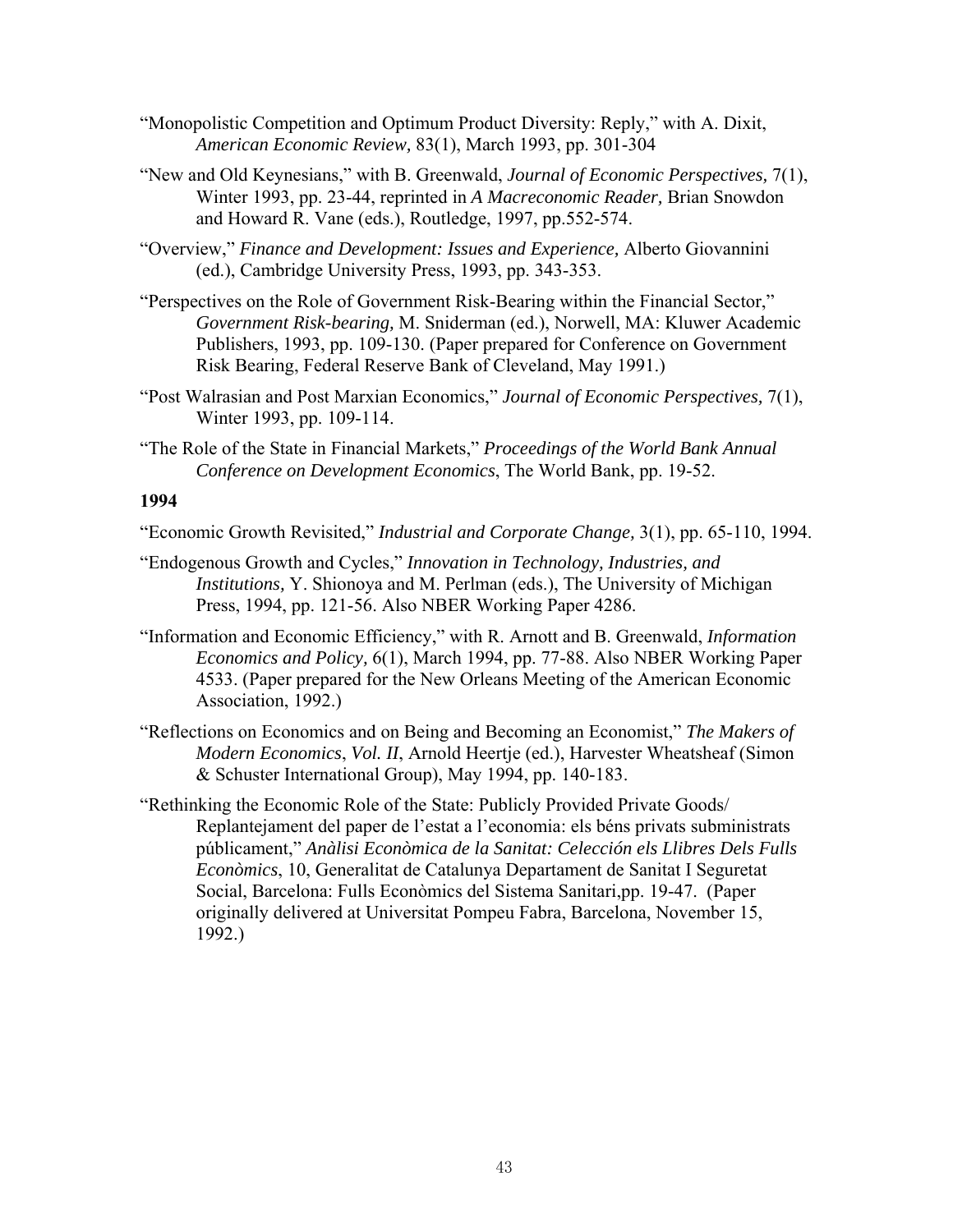- "Monopolistic Competition and Optimum Product Diversity: Reply," with A. Dixit, *American Economic Review,* 83(1), March 1993, pp. 301-304
- "New and Old Keynesians," with B. Greenwald, *Journal of Economic Perspectives,* 7(1), Winter 1993, pp. 23-44, reprinted in *A Macreconomic Reader,* Brian Snowdon and Howard R. Vane (eds.), Routledge, 1997, pp.552-574.
- "Overview," *Finance and Development: Issues and Experience,* Alberto Giovannini (ed.), Cambridge University Press, 1993, pp. 343-353.
- "Perspectives on the Role of Government Risk-Bearing within the Financial Sector," *Government Risk-bearing,* M. Sniderman (ed.), Norwell, MA: Kluwer Academic Publishers, 1993, pp. 109-130. (Paper prepared for Conference on Government Risk Bearing, Federal Reserve Bank of Cleveland, May 1991.)
- "Post Walrasian and Post Marxian Economics," *Journal of Economic Perspectives,* 7(1), Winter 1993, pp. 109-114.
- "The Role of the State in Financial Markets," *Proceedings of the World Bank Annual Conference on Development Economics*, The World Bank, pp. 19-52.

- "Economic Growth Revisited," *Industrial and Corporate Change,* 3(1), pp. 65-110, 1994.
- "Endogenous Growth and Cycles," *Innovation in Technology, Industries, and Institutions,* Y. Shionoya and M. Perlman (eds.), The University of Michigan Press, 1994, pp. 121-56. Also NBER Working Paper 4286.
- "Information and Economic Efficiency," with R. Arnott and B. Greenwald, *Information Economics and Policy,* 6(1), March 1994, pp. 77-88. Also NBER Working Paper 4533. (Paper prepared for the New Orleans Meeting of the American Economic Association, 1992.)
- "Reflections on Economics and on Being and Becoming an Economist," *The Makers of Modern Economics*, *Vol. II*, Arnold Heertje (ed.), Harvester Wheatsheaf (Simon & Schuster International Group), May 1994, pp. 140-183.
- "Rethinking the Economic Role of the State: Publicly Provided Private Goods/ Replantejament del paper de l'estat a l'economia: els béns privats subministrats públicament," *Anàlisi Econòmica de la Sanitat: Celección els Llibres Dels Fulls Econòmics*, 10, Generalitat de Catalunya Departament de Sanitat I Seguretat Social, Barcelona: Fulls Econòmics del Sistema Sanitari,pp. 19-47. (Paper originally delivered at Universitat Pompeu Fabra, Barcelona, November 15, 1992.)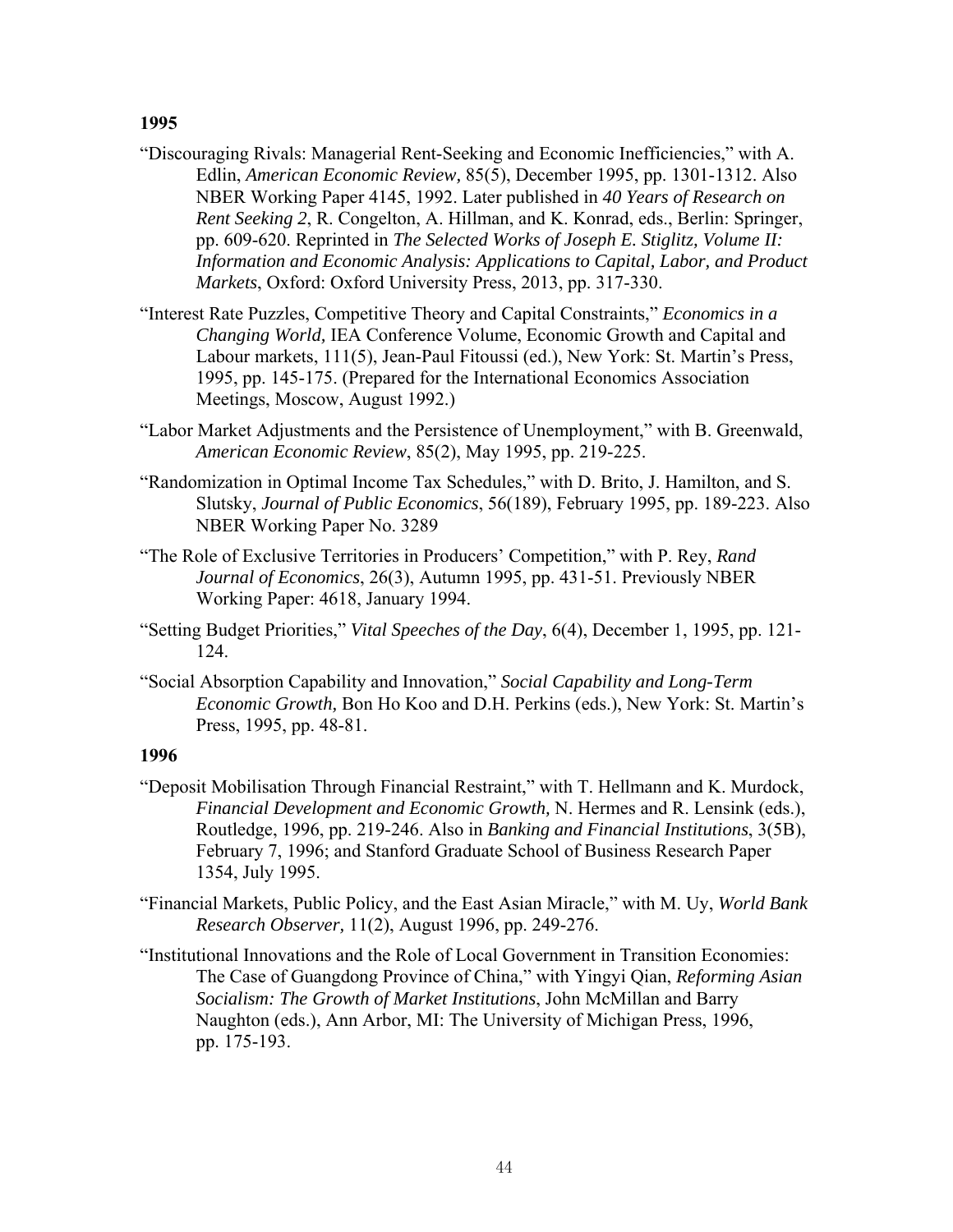- "Discouraging Rivals: Managerial Rent-Seeking and Economic Inefficiencies," with A. Edlin, *American Economic Review,* 85(5), December 1995, pp. 1301-1312. Also NBER Working Paper 4145, 1992. Later published in *40 Years of Research on Rent Seeking 2*, R. Congelton, A. Hillman, and K. Konrad, eds., Berlin: Springer, pp. 609-620. Reprinted in *The Selected Works of Joseph E. Stiglitz, Volume II: Information and Economic Analysis: Applications to Capital, Labor, and Product Markets*, Oxford: Oxford University Press, 2013, pp. 317-330.
- "Interest Rate Puzzles, Competitive Theory and Capital Constraints," *Economics in a Changing World,* IEA Conference Volume, Economic Growth and Capital and Labour markets, 111(5), Jean-Paul Fitoussi (ed.), New York: St. Martin's Press, 1995, pp. 145-175. (Prepared for the International Economics Association Meetings, Moscow, August 1992.)
- "Labor Market Adjustments and the Persistence of Unemployment," with B. Greenwald, *American Economic Review*, 85(2), May 1995, pp. 219-225.
- "Randomization in Optimal Income Tax Schedules," with D. Brito, J. Hamilton, and S. Slutsky, *Journal of Public Economics*, 56(189), February 1995, pp. 189-223. Also NBER Working Paper No. 3289
- "The Role of Exclusive Territories in Producers' Competition," with P. Rey, *Rand Journal of Economics*, 26(3), Autumn 1995, pp. 431-51. Previously NBER Working Paper: 4618, January 1994.
- "Setting Budget Priorities," *Vital Speeches of the Day*, 6(4), December 1, 1995, pp. 121- 124.
- "Social Absorption Capability and Innovation," *Social Capability and Long-Term Economic Growth,* Bon Ho Koo and D.H. Perkins (eds.), New York: St. Martin's Press, 1995, pp. 48-81.

- "Deposit Mobilisation Through Financial Restraint," with T. Hellmann and K. Murdock, *Financial Development and Economic Growth,* N. Hermes and R. Lensink (eds.), Routledge, 1996, pp. 219-246. Also in *Banking and Financial Institutions*, 3(5B), February 7, 1996; and Stanford Graduate School of Business Research Paper 1354, July 1995.
- "Financial Markets, Public Policy, and the East Asian Miracle," with M. Uy, *World Bank Research Observer,* 11(2), August 1996, pp. 249-276.
- "Institutional Innovations and the Role of Local Government in Transition Economies: The Case of Guangdong Province of China," with Yingyi Qian, *Reforming Asian Socialism: The Growth of Market Institutions*, John McMillan and Barry Naughton (eds.), Ann Arbor, MI: The University of Michigan Press, 1996, pp. 175-193.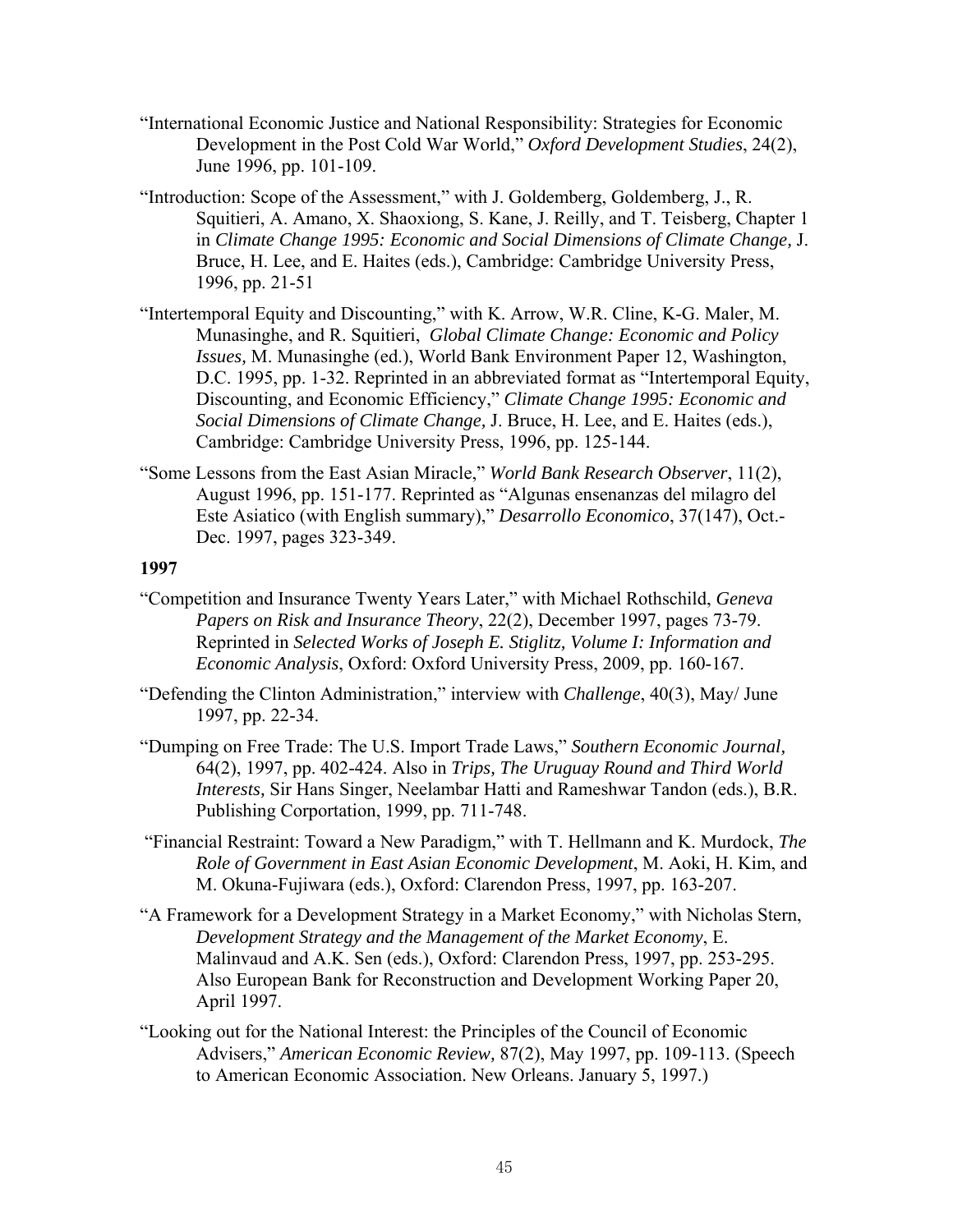- "International Economic Justice and National Responsibility: Strategies for Economic Development in the Post Cold War World," *Oxford Development Studies*, 24(2), June 1996, pp. 101-109.
- "Introduction: Scope of the Assessment," with J. Goldemberg, Goldemberg, J., R. Squitieri, A. Amano, X. Shaoxiong, S. Kane, J. Reilly, and T. Teisberg, Chapter 1 in *Climate Change 1995: Economic and Social Dimensions of Climate Change,* J. Bruce, H. Lee, and E. Haites (eds.), Cambridge: Cambridge University Press, 1996, pp. 21-51
- "Intertemporal Equity and Discounting," with K. Arrow, W.R. Cline, K-G. Maler, M. Munasinghe, and R. Squitieri, *Global Climate Change: Economic and Policy Issues,* M. Munasinghe (ed.), World Bank Environment Paper 12, Washington, D.C. 1995, pp. 1-32. Reprinted in an abbreviated format as "Intertemporal Equity, Discounting, and Economic Efficiency," *Climate Change 1995: Economic and Social Dimensions of Climate Change,* J. Bruce, H. Lee, and E. Haites (eds.), Cambridge: Cambridge University Press, 1996, pp. 125-144.
- "Some Lessons from the East Asian Miracle," *World Bank Research Observer*, 11(2), August 1996, pp. 151-177. Reprinted as "Algunas ensenanzas del milagro del Este Asiatico (with English summary)," *Desarrollo Economico*, 37(147), Oct.- Dec. 1997, pages 323-349.

- "Competition and Insurance Twenty Years Later," with Michael Rothschild, *Geneva Papers on Risk and Insurance Theory*, 22(2), December 1997, pages 73-79. Reprinted in *Selected Works of Joseph E. Stiglitz, Volume I: Information and Economic Analysis*, Oxford: Oxford University Press, 2009, pp. 160-167.
- "Defending the Clinton Administration," interview with *Challenge*, 40(3), May/ June 1997, pp. 22-34.
- "Dumping on Free Trade: The U.S. Import Trade Laws," *Southern Economic Journal,*  64(2), 1997, pp. 402-424. Also in *Trips, The Uruguay Round and Third World Interests,* Sir Hans Singer, Neelambar Hatti and Rameshwar Tandon (eds.), B.R. Publishing Corportation, 1999, pp. 711-748.
- "Financial Restraint: Toward a New Paradigm," with T. Hellmann and K. Murdock, *The Role of Government in East Asian Economic Development*, M. Aoki, H. Kim, and M. Okuna-Fujiwara (eds.), Oxford: Clarendon Press, 1997, pp. 163-207.
- "A Framework for a Development Strategy in a Market Economy," with Nicholas Stern, *Development Strategy and the Management of the Market Economy*, E. Malinvaud and A.K. Sen (eds.), Oxford: Clarendon Press, 1997, pp. 253-295. Also European Bank for Reconstruction and Development Working Paper 20, April 1997.
- "Looking out for the National Interest: the Principles of the Council of Economic Advisers," *American Economic Review,* 87(2), May 1997, pp. 109-113. (Speech to American Economic Association. New Orleans. January 5, 1997.)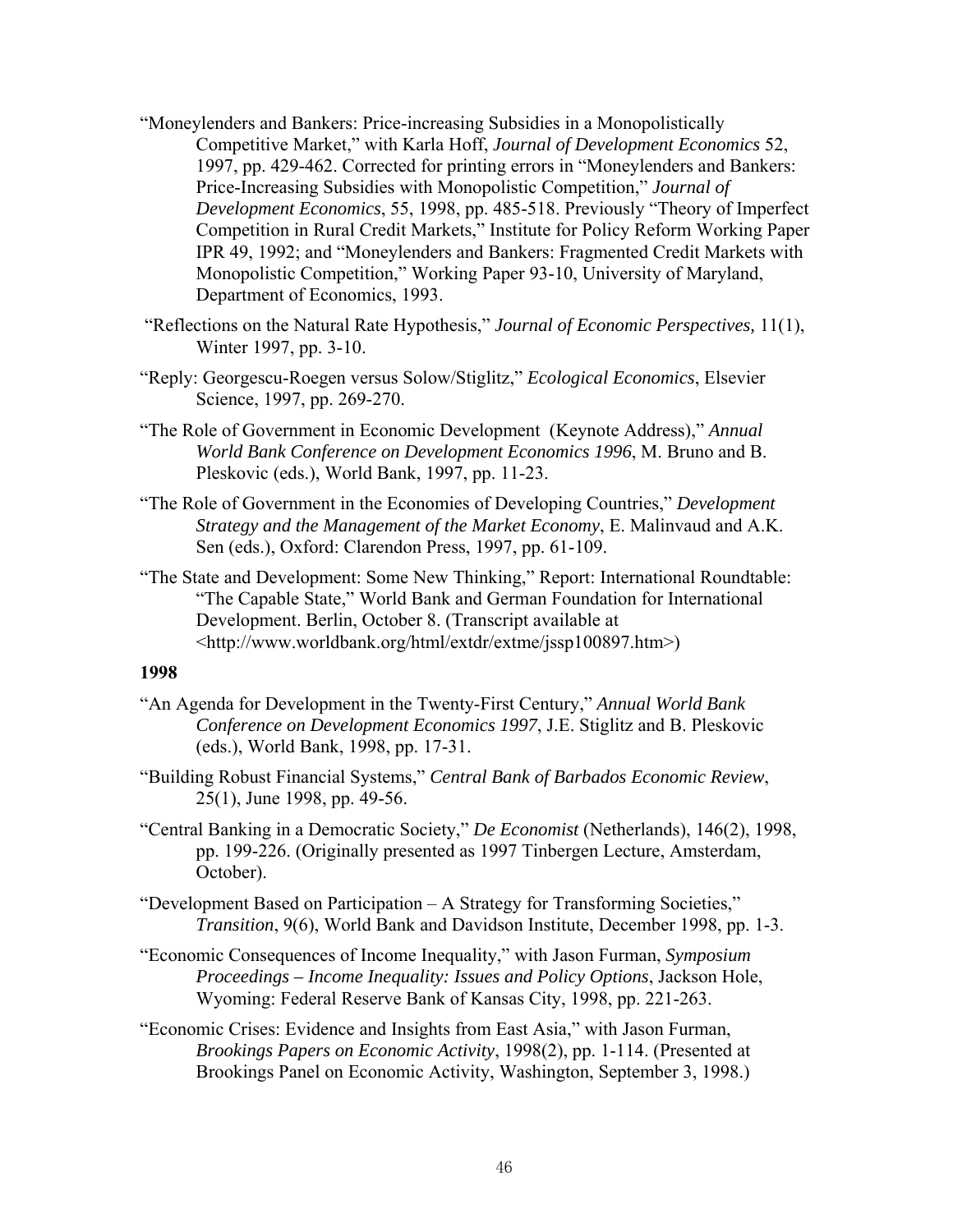- "Moneylenders and Bankers: Price-increasing Subsidies in a Monopolistically Competitive Market," with Karla Hoff, *Journal of Development Economics* 52, 1997, pp. 429-462. Corrected for printing errors in "Moneylenders and Bankers: Price-Increasing Subsidies with Monopolistic Competition," *Journal of Development Economics*, 55, 1998, pp. 485-518. Previously "Theory of Imperfect Competition in Rural Credit Markets," Institute for Policy Reform Working Paper IPR 49, 1992; and "Moneylenders and Bankers: Fragmented Credit Markets with Monopolistic Competition," Working Paper 93-10, University of Maryland, Department of Economics, 1993.
- "Reflections on the Natural Rate Hypothesis," *Journal of Economic Perspectives,* 11(1), Winter 1997, pp. 3-10.
- "Reply: Georgescu-Roegen versus Solow/Stiglitz," *Ecological Economics*, Elsevier Science, 1997, pp. 269-270.
- "The Role of Government in Economic Development (Keynote Address)," *Annual World Bank Conference on Development Economics 1996*, M. Bruno and B. Pleskovic (eds.), World Bank, 1997, pp. 11-23.
- "The Role of Government in the Economies of Developing Countries," *Development Strategy and the Management of the Market Economy*, E. Malinvaud and A.K. Sen (eds.), Oxford: Clarendon Press, 1997, pp. 61-109.
- "The State and Development: Some New Thinking," Report: International Roundtable: "The Capable State," World Bank and German Foundation for International Development. Berlin, October 8. (Transcript available at <http://www.worldbank.org/html/extdr/extme/jssp100897.htm>)

- "An Agenda for Development in the Twenty-First Century," *Annual World Bank Conference on Development Economics 1997*, J.E. Stiglitz and B. Pleskovic (eds.), World Bank, 1998, pp. 17-31.
- "Building Robust Financial Systems," *Central Bank of Barbados Economic Review*, 25(1), June 1998, pp. 49-56.
- "Central Banking in a Democratic Society," *De Economist* (Netherlands), 146(2), 1998, pp. 199-226. (Originally presented as 1997 Tinbergen Lecture, Amsterdam, October).
- "Development Based on Participation A Strategy for Transforming Societies," *Transition*, 9(6), World Bank and Davidson Institute, December 1998, pp. 1-3.
- "Economic Consequences of Income Inequality," with Jason Furman, *Symposium Proceedings – Income Inequality: Issues and Policy Options*, Jackson Hole, Wyoming: Federal Reserve Bank of Kansas City, 1998, pp. 221-263.
- "Economic Crises: Evidence and Insights from East Asia," with Jason Furman, *Brookings Papers on Economic Activity*, 1998(2), pp. 1-114. (Presented at Brookings Panel on Economic Activity, Washington, September 3, 1998.)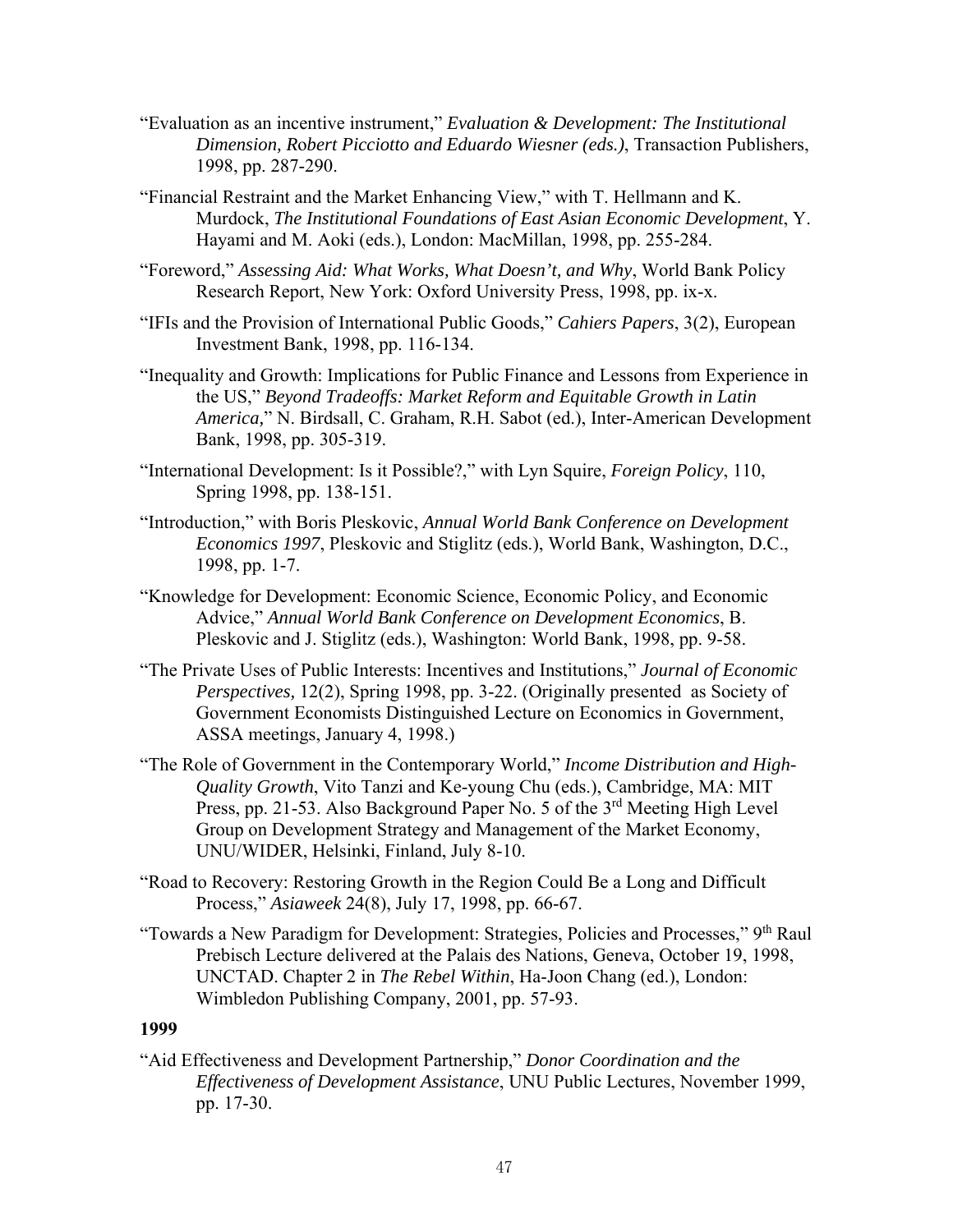- "Evaluation as an incentive instrument," *Evaluation & Development: The Institutional Dimension, R*o*bert Picciotto and Eduardo Wiesner (eds.)*, Transaction Publishers, 1998, pp. 287-290.
- "Financial Restraint and the Market Enhancing View," with T. Hellmann and K. Murdock, *The Institutional Foundations of East Asian Economic Development*, Y. Hayami and M. Aoki (eds.), London: MacMillan, 1998, pp. 255-284.
- "Foreword," *Assessing Aid: What Works, What Doesn't, and Why*, World Bank Policy Research Report, New York: Oxford University Press, 1998, pp. ix-x.
- "IFIs and the Provision of International Public Goods," *Cahiers Papers*, 3(2), European Investment Bank, 1998, pp. 116-134.
- "Inequality and Growth: Implications for Public Finance and Lessons from Experience in the US," *Beyond Tradeoffs: Market Reform and Equitable Growth in Latin America,*" N. Birdsall, C. Graham, R.H. Sabot (ed.), Inter-American Development Bank, 1998, pp. 305-319.
- "International Development: Is it Possible?," with Lyn Squire, *Foreign Policy*, 110, Spring 1998, pp. 138-151.
- "Introduction," with Boris Pleskovic, *Annual World Bank Conference on Development Economics 1997*, Pleskovic and Stiglitz (eds.), World Bank, Washington, D.C., 1998, pp. 1-7.
- "Knowledge for Development: Economic Science, Economic Policy, and Economic Advice," *Annual World Bank Conference on Development Economics*, B. Pleskovic and J. Stiglitz (eds.), Washington: World Bank, 1998, pp. 9-58.
- "The Private Uses of Public Interests: Incentives and Institutions," *Journal of Economic Perspectives,* 12(2), Spring 1998, pp. 3-22. (Originally presented as Society of Government Economists Distinguished Lecture on Economics in Government, ASSA meetings, January 4, 1998.)
- "The Role of Government in the Contemporary World," *Income Distribution and High-Quality Growth*, Vito Tanzi and Ke-young Chu (eds.), Cambridge, MA: MIT Press, pp. 21-53. Also Background Paper No. 5 of the 3<sup>rd</sup> Meeting High Level Group on Development Strategy and Management of the Market Economy, UNU/WIDER, Helsinki, Finland, July 8-10.
- "Road to Recovery: Restoring Growth in the Region Could Be a Long and Difficult Process," *Asiaweek* 24(8), July 17, 1998, pp. 66-67.
- "Towards a New Paradigm for Development: Strategies, Policies and Processes," 9<sup>th</sup> Raul Prebisch Lecture delivered at the Palais des Nations, Geneva, October 19, 1998, UNCTAD. Chapter 2 in *The Rebel Within*, Ha-Joon Chang (ed.), London: Wimbledon Publishing Company, 2001, pp. 57-93.

"Aid Effectiveness and Development Partnership," *Donor Coordination and the Effectiveness of Development Assistance*, UNU Public Lectures, November 1999, pp. 17-30.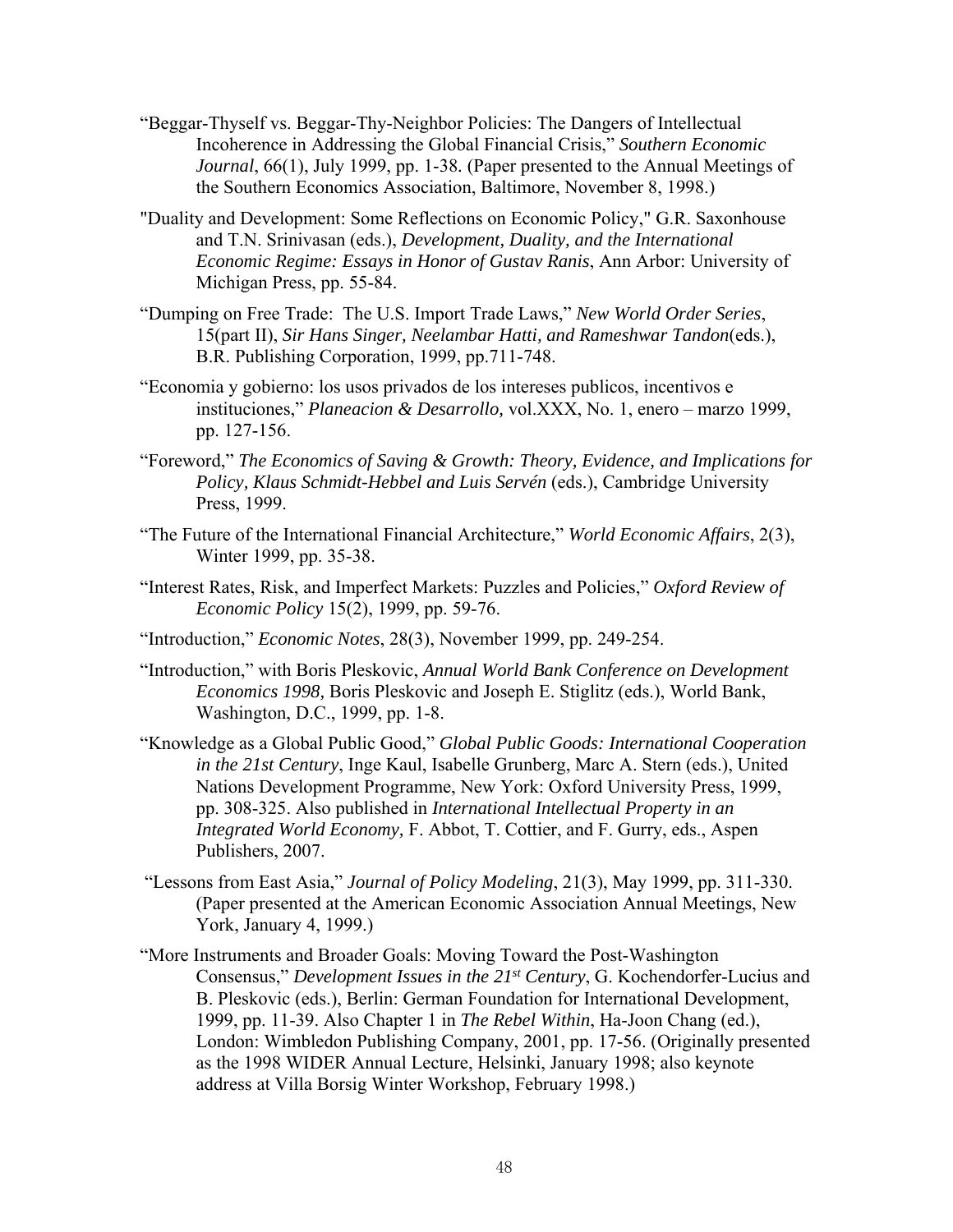- "Beggar-Thyself vs. Beggar-Thy-Neighbor Policies: The Dangers of Intellectual Incoherence in Addressing the Global Financial Crisis," *Southern Economic Journal*, 66(1), July 1999, pp. 1-38*.* (Paper presented to the Annual Meetings of the Southern Economics Association, Baltimore, November 8, 1998.)
- "Duality and Development: Some Reflections on Economic Policy," G.R. Saxonhouse and T.N. Srinivasan (eds.), *Development, Duality, and the International Economic Regime: Essays in Honor of Gustav Ranis*, Ann Arbor: University of Michigan Press, pp. 55-84.
- "Dumping on Free Trade: The U.S. Import Trade Laws," *New World Order Series*, 15(part II), *Sir Hans Singer, Neelambar Hatti, and Rameshwar Tandon*(eds.), B.R. Publishing Corporation, 1999, pp.711-748.
- "Economia y gobierno: los usos privados de los intereses publicos, incentivos e instituciones," *Planeacion & Desarrollo,* vol.XXX, No. 1, enero – marzo 1999, pp. 127-156.
- "Foreword," *The Economics of Saving & Growth: Theory, Evidence, and Implications for*  Policy, Klaus Schmidt-Hebbel and Luis Servén (eds.), Cambridge University Press, 1999.
- "The Future of the International Financial Architecture," *World Economic Affairs*, 2(3), Winter 1999, pp. 35-38.
- "Interest Rates, Risk, and Imperfect Markets: Puzzles and Policies," *Oxford Review of Economic Policy* 15(2), 1999, pp. 59-76.
- "Introduction," *Economic Notes*, 28(3), November 1999, pp. 249-254.
- "Introduction," with Boris Pleskovic, *Annual World Bank Conference on Development Economics 1998,* Boris Pleskovic and Joseph E. Stiglitz (eds.), World Bank, Washington, D.C., 1999, pp. 1-8.
- "Knowledge as a Global Public Good," *Global Public Goods: International Cooperation in the 21st Century*, Inge Kaul, Isabelle Grunberg, Marc A. Stern (eds.), United Nations Development Programme, New York: Oxford University Press, 1999, pp. 308-325. Also published in *International Intellectual Property in an Integrated World Economy,* F. Abbot, T. Cottier, and F. Gurry, eds., Aspen Publishers, 2007.
- "Lessons from East Asia," *Journal of Policy Modeling*, 21(3), May 1999, pp. 311-330. (Paper presented at the American Economic Association Annual Meetings, New York, January 4, 1999.)
- "More Instruments and Broader Goals: Moving Toward the Post-Washington Consensus," *Development Issues in the 21st Century*, G. Kochendorfer-Lucius and B. Pleskovic (eds.), Berlin: German Foundation for International Development, 1999, pp. 11-39. Also Chapter 1 in *The Rebel Within*, Ha-Joon Chang (ed.), London: Wimbledon Publishing Company, 2001, pp. 17-56. (Originally presented as the 1998 WIDER Annual Lecture, Helsinki, January 1998; also keynote address at Villa Borsig Winter Workshop, February 1998.)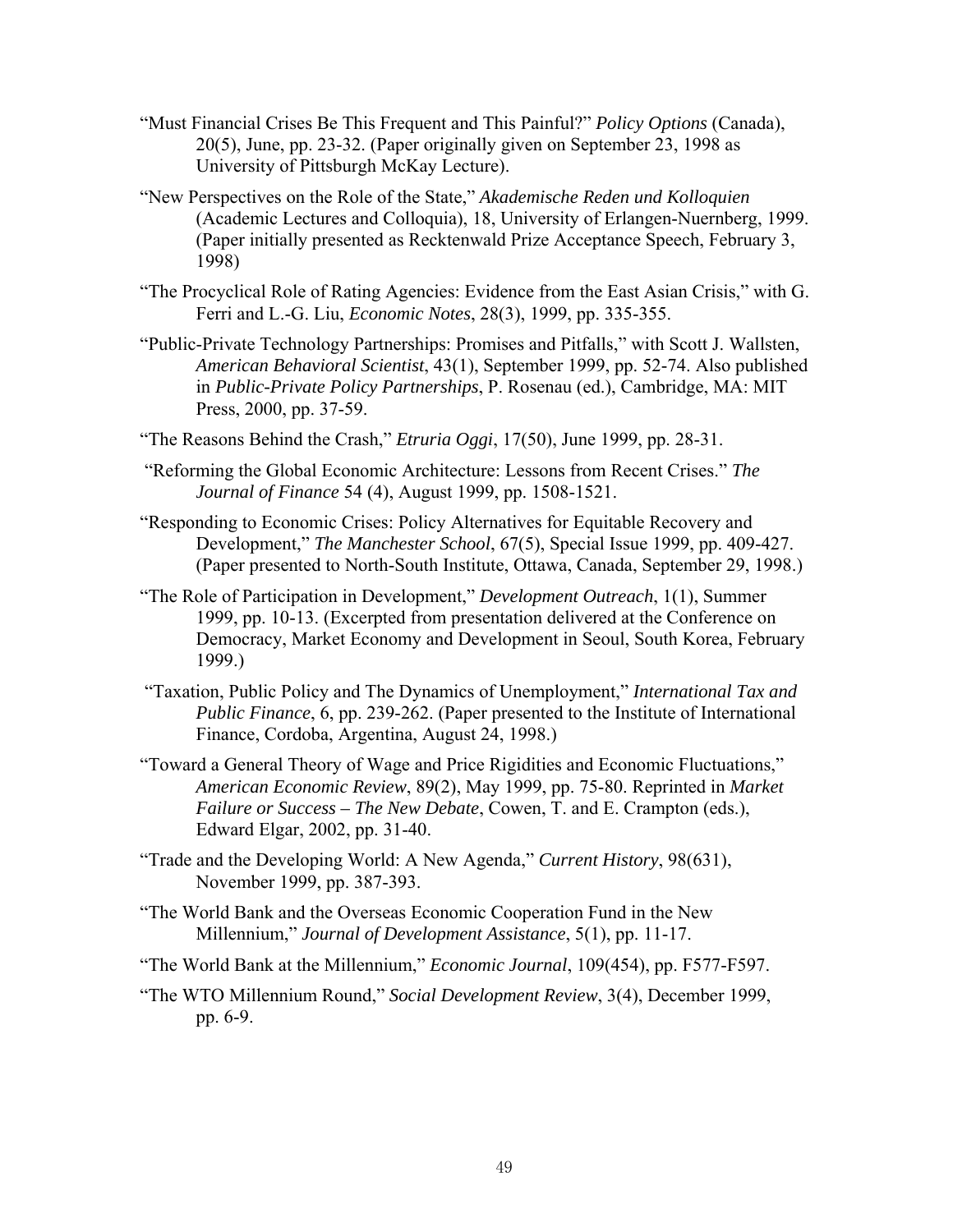- "Must Financial Crises Be This Frequent and This Painful?" *Policy Options* (Canada), 20(5), June, pp. 23-32. (Paper originally given on September 23, 1998 as University of Pittsburgh McKay Lecture).
- "New Perspectives on the Role of the State," *Akademische Reden und Kolloquien*  (Academic Lectures and Colloquia), 18, University of Erlangen-Nuernberg, 1999. (Paper initially presented as Recktenwald Prize Acceptance Speech, February 3, 1998)
- "The Procyclical Role of Rating Agencies: Evidence from the East Asian Crisis," with G. Ferri and L.-G. Liu, *Economic Notes*, 28(3), 1999, pp. 335-355.
- "Public-Private Technology Partnerships: Promises and Pitfalls," with Scott J. Wallsten, *American Behavioral Scientist*, 43(1), September 1999, pp. 52-74. Also published in *Public-Private Policy Partnerships*, P. Rosenau (ed.), Cambridge, MA: MIT Press, 2000, pp. 37-59.
- "The Reasons Behind the Crash," *Etruria Oggi*, 17(50), June 1999, pp. 28-31.
- "Reforming the Global Economic Architecture: Lessons from Recent Crises." *The Journal of Finance* 54 (4), August 1999, pp. 1508-1521.
- "Responding to Economic Crises: Policy Alternatives for Equitable Recovery and Development," *The Manchester School*, 67(5), Special Issue 1999, pp. 409-427. (Paper presented to North-South Institute, Ottawa, Canada, September 29, 1998.)
- "The Role of Participation in Development," *Development Outreach*, 1(1), Summer 1999, pp. 10-13. (Excerpted from presentation delivered at the Conference on Democracy, Market Economy and Development in Seoul, South Korea, February 1999.)
- "Taxation, Public Policy and The Dynamics of Unemployment," *International Tax and Public Finance*, 6, pp. 239-262. (Paper presented to the Institute of International Finance, Cordoba, Argentina, August 24, 1998.)
- "Toward a General Theory of Wage and Price Rigidities and Economic Fluctuations," *American Economic Review*, 89(2), May 1999, pp. 75-80. Reprinted in *Market Failure or Success – The New Debate*, Cowen, T. and E. Crampton (eds.), Edward Elgar, 2002, pp. 31-40.
- "Trade and the Developing World: A New Agenda," *Current History*, 98(631), November 1999, pp. 387-393.
- "The World Bank and the Overseas Economic Cooperation Fund in the New Millennium," *Journal of Development Assistance*, 5(1), pp. 11-17.
- "The World Bank at the Millennium," *Economic Journal*, 109(454), pp. F577-F597.
- "The WTO Millennium Round," *Social Development Review*, 3(4), December 1999, pp. 6-9.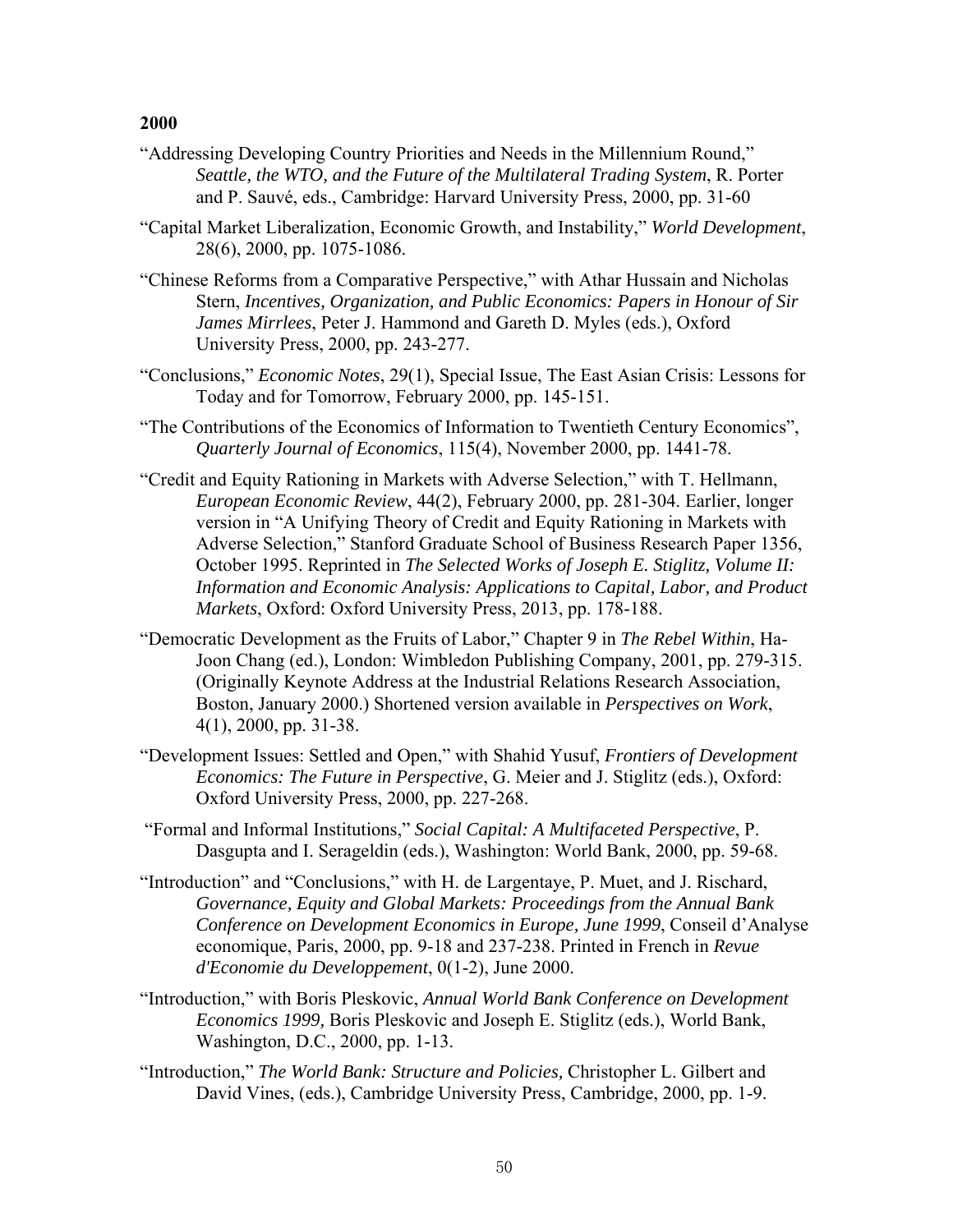- "Addressing Developing Country Priorities and Needs in the Millennium Round," *Seattle, the WTO, and the Future of the Multilateral Trading System*, R. Porter and P. Sauvé, eds., Cambridge: Harvard University Press, 2000, pp. 31-60
- "Capital Market Liberalization, Economic Growth, and Instability," *World Development*, 28(6), 2000, pp. 1075-1086.
- "Chinese Reforms from a Comparative Perspective," with Athar Hussain and Nicholas Stern, *Incentives, Organization, and Public Economics: Papers in Honour of Sir James Mirrlees*, Peter J. Hammond and Gareth D. Myles (eds.), Oxford University Press, 2000, pp. 243-277.
- "Conclusions," *Economic Notes*, 29(1), Special Issue, The East Asian Crisis: Lessons for Today and for Tomorrow, February 2000, pp. 145-151.
- "The Contributions of the Economics of Information to Twentieth Century Economics", *Quarterly Journal of Economics*, 115(4), November 2000, pp. 1441-78.
- "Credit and Equity Rationing in Markets with Adverse Selection," with T. Hellmann, *European Economic Review*, 44(2), February 2000, pp. 281-304. Earlier, longer version in "A Unifying Theory of Credit and Equity Rationing in Markets with Adverse Selection," Stanford Graduate School of Business Research Paper 1356, October 1995. Reprinted in *The Selected Works of Joseph E. Stiglitz, Volume II: Information and Economic Analysis: Applications to Capital, Labor, and Product Markets*, Oxford: Oxford University Press, 2013, pp. 178-188.
- "Democratic Development as the Fruits of Labor," Chapter 9 in *The Rebel Within*, Ha-Joon Chang (ed.), London: Wimbledon Publishing Company, 2001, pp. 279-315. (Originally Keynote Address at the Industrial Relations Research Association, Boston, January 2000.) Shortened version available in *Perspectives on Work*, 4(1), 2000, pp. 31-38.
- "Development Issues: Settled and Open," with Shahid Yusuf, *Frontiers of Development Economics: The Future in Perspective*, G. Meier and J. Stiglitz (eds.), Oxford: Oxford University Press, 2000, pp. 227-268.
- "Formal and Informal Institutions," *Social Capital: A Multifaceted Perspective*, P. Dasgupta and I. Serageldin (eds.), Washington: World Bank, 2000, pp. 59-68.
- "Introduction" and "Conclusions," with H. de Largentaye, P. Muet, and J. Rischard, *Governance, Equity and Global Markets: Proceedings from the Annual Bank Conference on Development Economics in Europe, June 1999*, Conseil d'Analyse economique, Paris, 2000, pp. 9-18 and 237-238. Printed in French in *Revue d'Economie du Developpement*, 0(1-2), June 2000.
- "Introduction," with Boris Pleskovic, *Annual World Bank Conference on Development Economics 1999,* Boris Pleskovic and Joseph E. Stiglitz (eds.), World Bank, Washington, D.C., 2000, pp. 1-13.
- "Introduction," *The World Bank: Structure and Policies,* Christopher L. Gilbert and David Vines, (eds.), Cambridge University Press, Cambridge, 2000, pp. 1-9.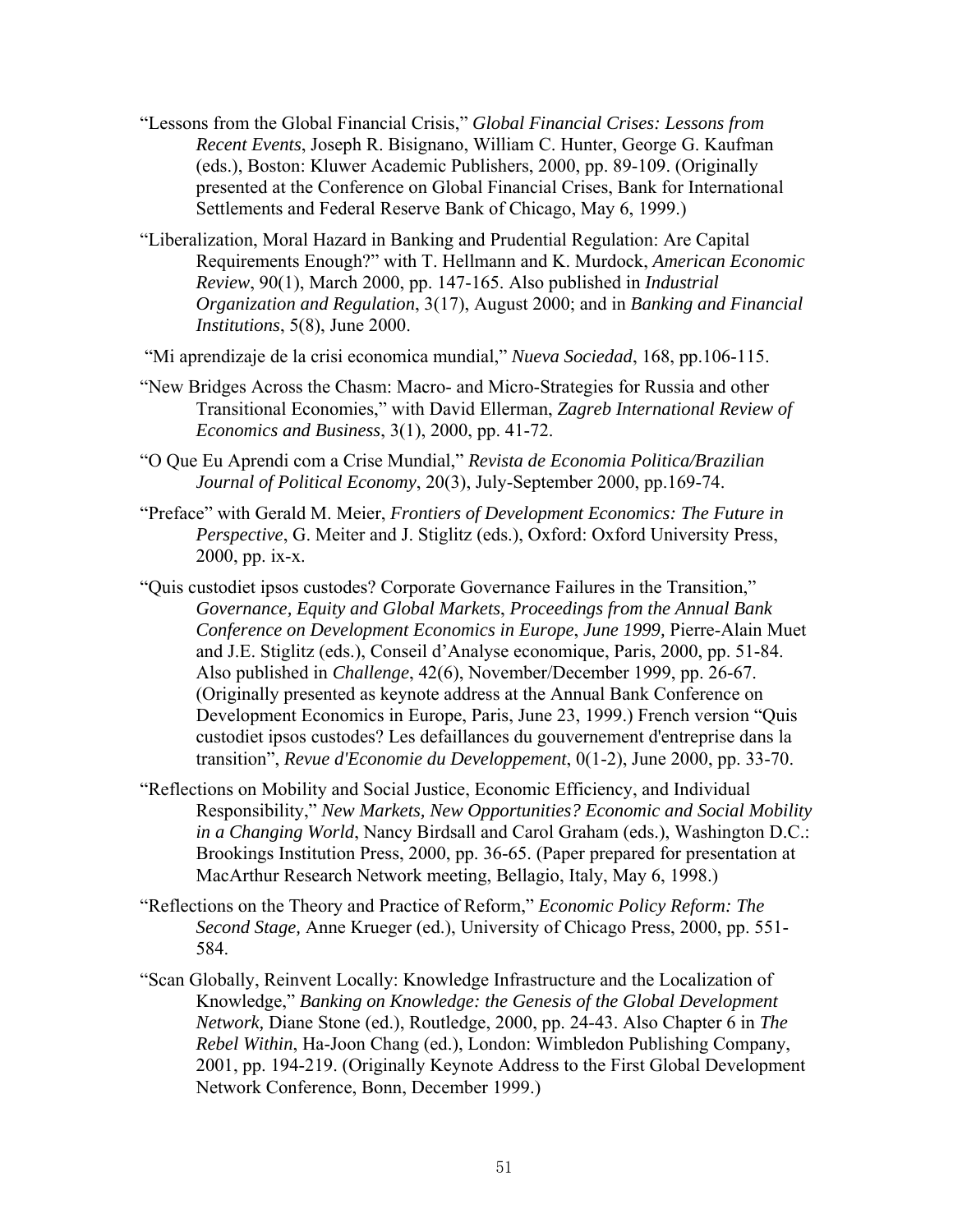- "Lessons from the Global Financial Crisis," *Global Financial Crises: Lessons from Recent Events*, Joseph R. Bisignano, William C. Hunter, George G. Kaufman (eds.), Boston: Kluwer Academic Publishers, 2000, pp. 89-109. (Originally presented at the Conference on Global Financial Crises, Bank for International Settlements and Federal Reserve Bank of Chicago, May 6, 1999.)
- "Liberalization, Moral Hazard in Banking and Prudential Regulation: Are Capital Requirements Enough?" with T. Hellmann and K. Murdock, *American Economic Review*, 90(1), March 2000, pp. 147-165. Also published in *Industrial Organization and Regulation*, 3(17), August 2000; and in *Banking and Financial Institutions*, 5(8), June 2000.
- "Mi aprendizaje de la crisi economica mundial," *Nueva Sociedad*, 168, pp.106-115.
- "New Bridges Across the Chasm: Macro- and Micro-Strategies for Russia and other Transitional Economies," with David Ellerman, *Zagreb International Review of Economics and Business*, 3(1), 2000, pp. 41-72.
- "O Que Eu Aprendi com a Crise Mundial," *Revista de Economia Politica/Brazilian Journal of Political Economy*, 20(3), July-September 2000, pp.169-74.
- "Preface" with Gerald M. Meier, *Frontiers of Development Economics: The Future in Perspective*, G. Meiter and J. Stiglitz (eds.), Oxford: Oxford University Press, 2000, pp. ix-x.
- "Quis custodiet ipsos custodes? Corporate Governance Failures in the Transition," *Governance, Equity and Global Markets*, *Proceedings from the Annual Bank Conference on Development Economics in Europe*, *June 1999,* Pierre-Alain Muet and J.E. Stiglitz (eds.), Conseil d'Analyse economique, Paris, 2000, pp. 51-84. Also published in *Challenge*, 42(6), November/December 1999, pp. 26-67. (Originally presented as keynote address at the Annual Bank Conference on Development Economics in Europe, Paris, June 23, 1999.) French version "Quis custodiet ipsos custodes? Les defaillances du gouvernement d'entreprise dans la transition", *Revue d'Economie du Developpement*, 0(1-2), June 2000, pp. 33-70.
- "Reflections on Mobility and Social Justice, Economic Efficiency, and Individual Responsibility," *New Markets, New Opportunities? Economic and Social Mobility in a Changing World*, Nancy Birdsall and Carol Graham (eds.), Washington D.C.: Brookings Institution Press, 2000, pp. 36-65. (Paper prepared for presentation at MacArthur Research Network meeting, Bellagio, Italy, May 6, 1998.)
- "Reflections on the Theory and Practice of Reform," *Economic Policy Reform: The Second Stage,* Anne Krueger (ed.), University of Chicago Press, 2000, pp. 551- 584.
- "Scan Globally, Reinvent Locally: Knowledge Infrastructure and the Localization of Knowledge," *Banking on Knowledge: the Genesis of the Global Development Network,* Diane Stone (ed.), Routledge, 2000, pp. 24-43. Also Chapter 6 in *The Rebel Within*, Ha-Joon Chang (ed.), London: Wimbledon Publishing Company, 2001, pp. 194-219. (Originally Keynote Address to the First Global Development Network Conference, Bonn, December 1999.)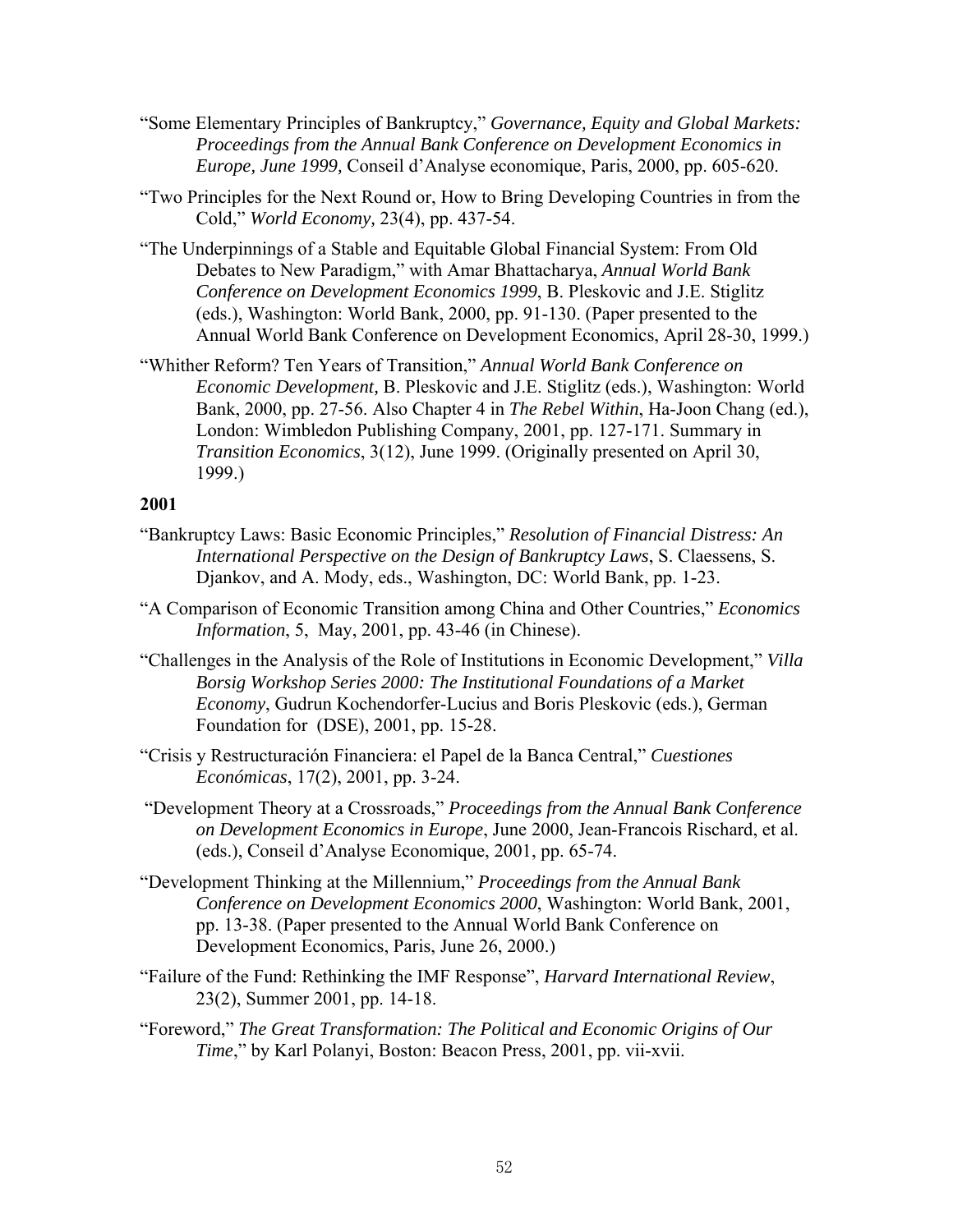- "Some Elementary Principles of Bankruptcy," *Governance, Equity and Global Markets: Proceedings from the Annual Bank Conference on Development Economics in Europe, June 1999,* Conseil d'Analyse economique, Paris, 2000, pp. 605-620.
- "Two Principles for the Next Round or, How to Bring Developing Countries in from the Cold," *World Economy,* 23(4), pp. 437-54.
- "The Underpinnings of a Stable and Equitable Global Financial System: From Old Debates to New Paradigm," with Amar Bhattacharya, *Annual World Bank Conference on Development Economics 1999*, B. Pleskovic and J.E. Stiglitz (eds.), Washington: World Bank, 2000, pp. 91-130. (Paper presented to the Annual World Bank Conference on Development Economics, April 28-30, 1999.)
- "Whither Reform? Ten Years of Transition," *Annual World Bank Conference on Economic Development,* B. Pleskovic and J.E. Stiglitz (eds.), Washington: World Bank, 2000, pp. 27-56. Also Chapter 4 in *The Rebel Within*, Ha-Joon Chang (ed.), London: Wimbledon Publishing Company, 2001, pp. 127-171. Summary in *Transition Economics*, 3(12), June 1999. (Originally presented on April 30, 1999.)

- "Bankruptcy Laws: Basic Economic Principles," *Resolution of Financial Distress: An International Perspective on the Design of Bankruptcy Laws*, S. Claessens, S. Djankov, and A. Mody, eds., Washington, DC: World Bank, pp. 1-23.
- "A Comparison of Economic Transition among China and Other Countries," *Economics Information*, 5, May, 2001, pp. 43-46 (in Chinese).
- "Challenges in the Analysis of the Role of Institutions in Economic Development," *Villa Borsig Workshop Series 2000: The Institutional Foundations of a Market Economy*, Gudrun Kochendorfer-Lucius and Boris Pleskovic (eds.), German Foundation for (DSE), 2001, pp. 15-28.
- "Crisis y Restructuración Financiera: el Papel de la Banca Central," *Cuestiones Económicas*, 17(2), 2001, pp. 3-24.
- "Development Theory at a Crossroads," *Proceedings from the Annual Bank Conference on Development Economics in Europe*, June 2000, Jean-Francois Rischard, et al. (eds.), Conseil d'Analyse Economique, 2001, pp. 65-74.
- "Development Thinking at the Millennium," *Proceedings from the Annual Bank Conference on Development Economics 2000*, Washington: World Bank, 2001, pp. 13-38. (Paper presented to the Annual World Bank Conference on Development Economics, Paris, June 26, 2000.)
- "Failure of the Fund: Rethinking the IMF Response", *Harvard International Review*, 23(2), Summer 2001, pp. 14-18.
- "Foreword," *The Great Transformation: The Political and Economic Origins of Our Time*," by Karl Polanyi, Boston: Beacon Press, 2001, pp. vii-xvii.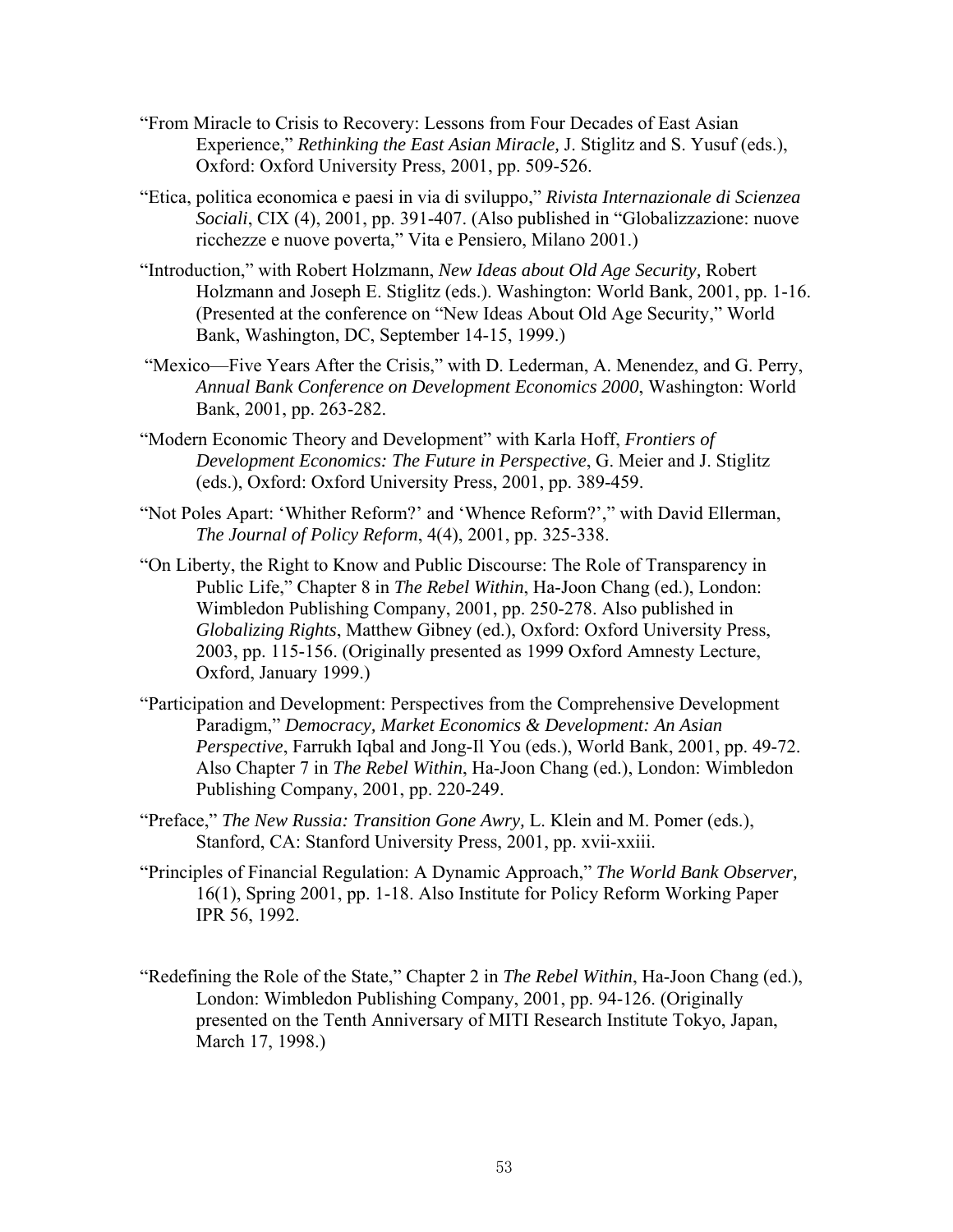- "From Miracle to Crisis to Recovery: Lessons from Four Decades of East Asian Experience," *Rethinking the East Asian Miracle,* J. Stiglitz and S. Yusuf (eds.), Oxford: Oxford University Press, 2001, pp. 509-526.
- "Etica, politica economica e paesi in via di sviluppo," *Rivista Internazionale di Scienzea Sociali*, CIX (4), 2001, pp. 391-407. (Also published in "Globalizzazione: nuove ricchezze e nuove poverta," Vita e Pensiero, Milano 2001.)
- "Introduction," with Robert Holzmann, *New Ideas about Old Age Security,* Robert Holzmann and Joseph E. Stiglitz (eds.). Washington: World Bank, 2001, pp. 1-16. (Presented at the conference on "New Ideas About Old Age Security," World Bank, Washington, DC, September 14-15, 1999.)
- "Mexico—Five Years After the Crisis," with D. Lederman, A. Menendez, and G. Perry, *Annual Bank Conference on Development Economics 2000*, Washington: World Bank, 2001, pp. 263-282.
- "Modern Economic Theory and Development" with Karla Hoff, *Frontiers of Development Economics: The Future in Perspective*, G. Meier and J. Stiglitz (eds.), Oxford: Oxford University Press, 2001, pp. 389-459.
- "Not Poles Apart: 'Whither Reform?' and 'Whence Reform?'," with David Ellerman, *The Journal of Policy Reform*, 4(4), 2001, pp. 325-338.
- "On Liberty, the Right to Know and Public Discourse: The Role of Transparency in Public Life," Chapter 8 in *The Rebel Within*, Ha-Joon Chang (ed.), London: Wimbledon Publishing Company, 2001, pp. 250-278. Also published in *Globalizing Rights*, Matthew Gibney (ed.), Oxford: Oxford University Press, 2003, pp. 115-156. (Originally presented as 1999 Oxford Amnesty Lecture, Oxford, January 1999.)
- "Participation and Development: Perspectives from the Comprehensive Development Paradigm," *Democracy, Market Economics & Development: An Asian Perspective*, Farrukh Iqbal and Jong-Il You (eds.), World Bank, 2001, pp. 49-72. Also Chapter 7 in *The Rebel Within*, Ha-Joon Chang (ed.), London: Wimbledon Publishing Company, 2001, pp. 220-249.
- "Preface," *The New Russia: Transition Gone Awry,* L. Klein and M. Pomer (eds.), Stanford, CA: Stanford University Press, 2001, pp. xvii-xxiii.
- "Principles of Financial Regulation: A Dynamic Approach," *The World Bank Observer,*  16(1), Spring 2001, pp. 1-18. Also Institute for Policy Reform Working Paper IPR 56, 1992.
- "Redefining the Role of the State," Chapter 2 in *The Rebel Within*, Ha-Joon Chang (ed.), London: Wimbledon Publishing Company, 2001, pp. 94-126. (Originally presented on the Tenth Anniversary of MITI Research Institute Tokyo, Japan, March 17, 1998.)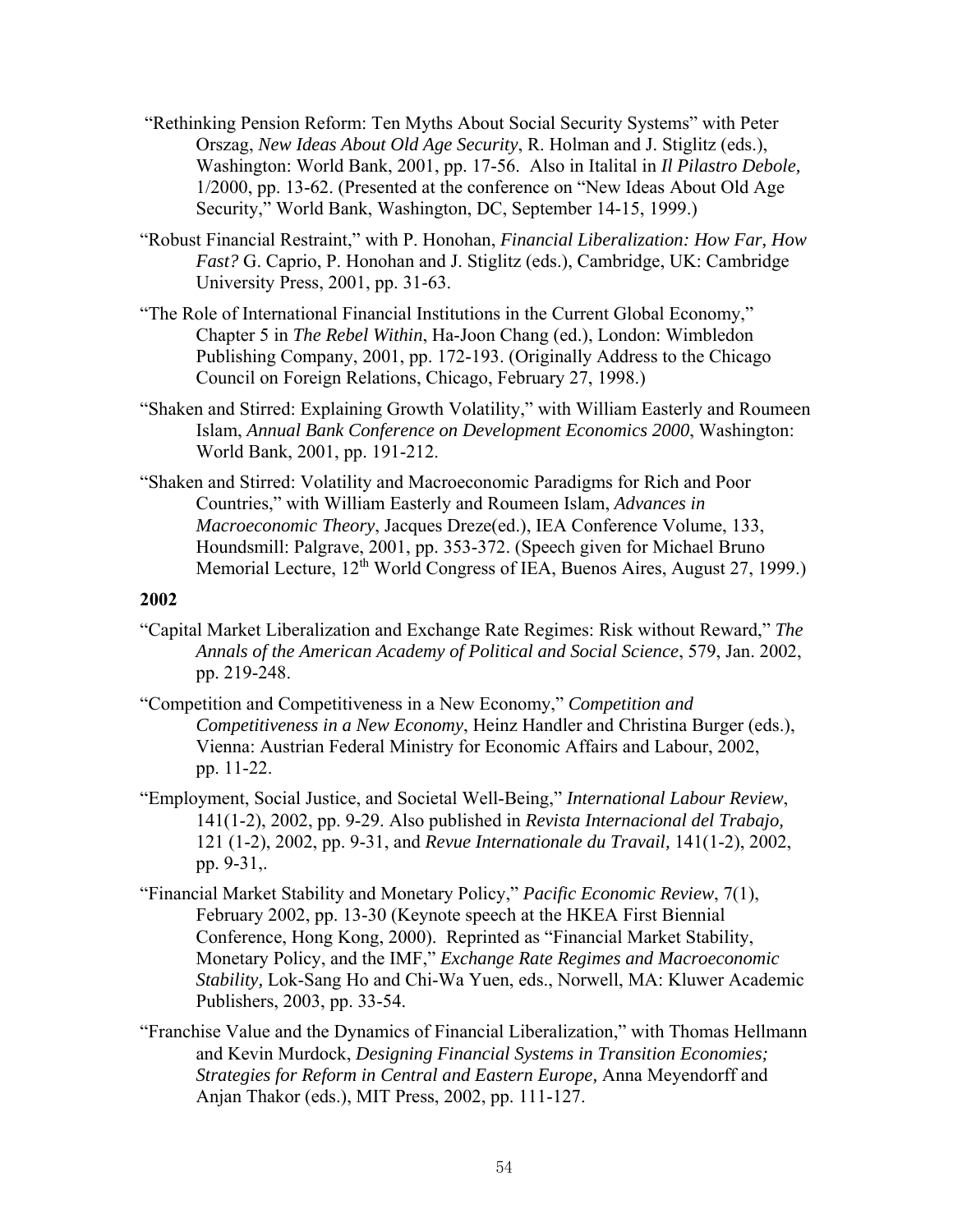- "Rethinking Pension Reform: Ten Myths About Social Security Systems" with Peter Orszag, *New Ideas About Old Age Security*, R. Holman and J. Stiglitz (eds.), Washington: World Bank, 2001, pp. 17-56. Also in Italital in *Il Pilastro Debole,*  1/2000, pp. 13-62. (Presented at the conference on "New Ideas About Old Age Security," World Bank, Washington, DC, September 14-15, 1999.)
- "Robust Financial Restraint," with P. Honohan, *Financial Liberalization: How Far, How Fast?* G. Caprio, P. Honohan and J. Stiglitz (eds.), Cambridge, UK: Cambridge University Press, 2001, pp. 31-63.
- "The Role of International Financial Institutions in the Current Global Economy," Chapter 5 in *The Rebel Within*, Ha-Joon Chang (ed.), London: Wimbledon Publishing Company, 2001, pp. 172-193. (Originally Address to the Chicago Council on Foreign Relations, Chicago, February 27, 1998.)
- "Shaken and Stirred: Explaining Growth Volatility," with William Easterly and Roumeen Islam, *Annual Bank Conference on Development Economics 2000*, Washington: World Bank, 2001, pp. 191-212.
- "Shaken and Stirred: Volatility and Macroeconomic Paradigms for Rich and Poor Countries," with William Easterly and Roumeen Islam, *Advances in Macroeconomic Theory*, Jacques Dreze(ed.), IEA Conference Volume, 133, Houndsmill: Palgrave, 2001, pp. 353-372. (Speech given for Michael Bruno Memorial Lecture, 12<sup>th</sup> World Congress of IEA, Buenos Aires, August 27, 1999.)

- "Capital Market Liberalization and Exchange Rate Regimes: Risk without Reward," *The Annals of the American Academy of Political and Social Science*, 579, Jan. 2002, pp. 219-248.
- "Competition and Competitiveness in a New Economy," *Competition and Competitiveness in a New Economy*, Heinz Handler and Christina Burger (eds.), Vienna: Austrian Federal Ministry for Economic Affairs and Labour, 2002, pp. 11-22.
- "Employment, Social Justice, and Societal Well-Being," *International Labour Review*, 141(1-2), 2002, pp. 9-29. Also published in *Revista Internacional del Trabajo,*  121 (1-2), 2002, pp. 9-31, and *Revue Internationale du Travail,* 141(1-2), 2002, pp. 9-31,.
- "Financial Market Stability and Monetary Policy," *Pacific Economic Review*, 7(1), February 2002, pp. 13-30 (Keynote speech at the HKEA First Biennial Conference, Hong Kong, 2000). Reprinted as "Financial Market Stability, Monetary Policy, and the IMF," *Exchange Rate Regimes and Macroeconomic Stability,* Lok-Sang Ho and Chi-Wa Yuen, eds., Norwell, MA: Kluwer Academic Publishers, 2003, pp. 33-54.
- "Franchise Value and the Dynamics of Financial Liberalization," with Thomas Hellmann and Kevin Murdock, *Designing Financial Systems in Transition Economies; Strategies for Reform in Central and Eastern Europe,* Anna Meyendorff and Anjan Thakor (eds.), MIT Press, 2002, pp. 111-127.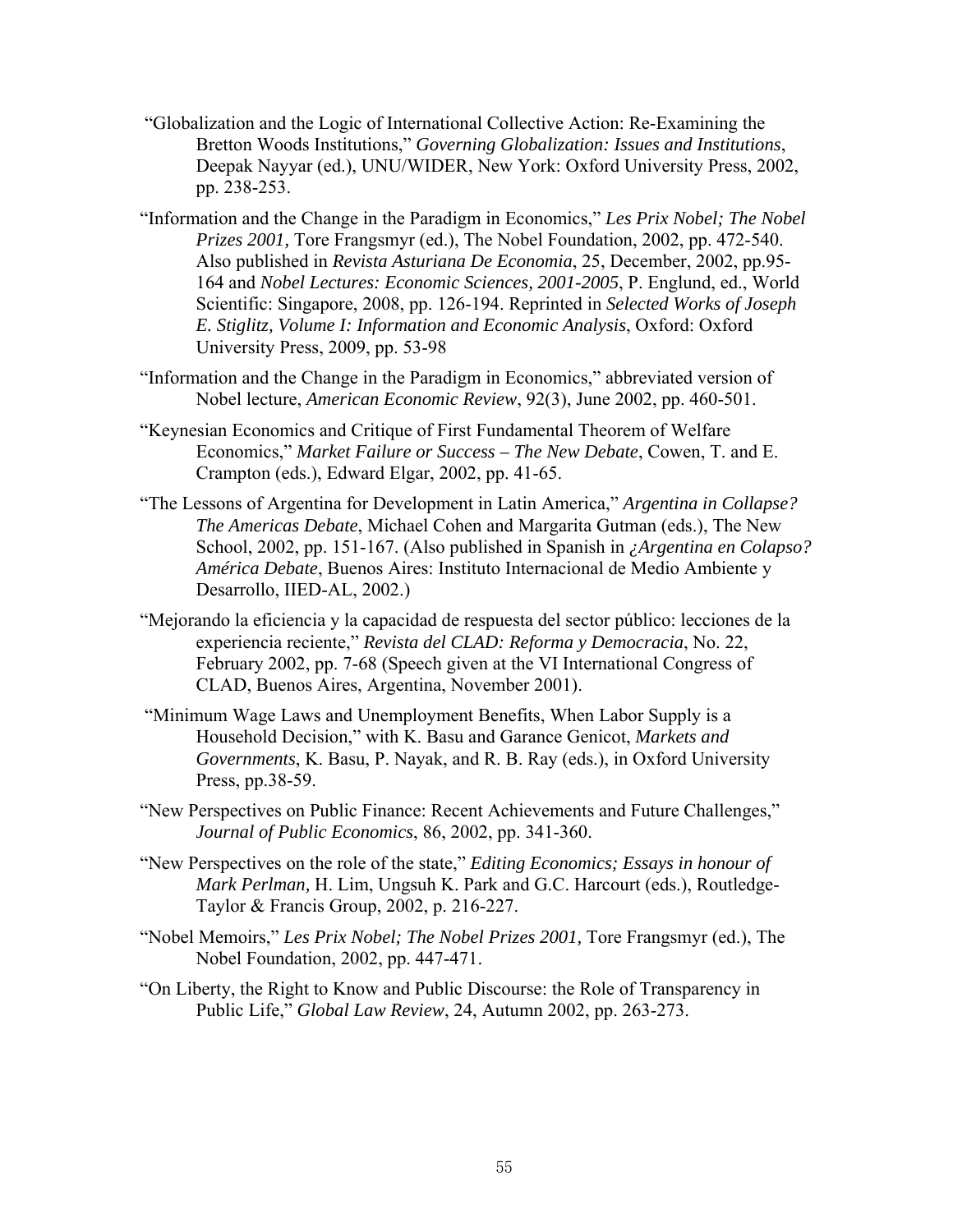- "Globalization and the Logic of International Collective Action: Re-Examining the Bretton Woods Institutions," *Governing Globalization: Issues and Institutions*, Deepak Nayyar (ed.), UNU/WIDER, New York: Oxford University Press, 2002, pp. 238-253.
- "Information and the Change in the Paradigm in Economics," *Les Prix Nobel; The Nobel Prizes 2001,* Tore Frangsmyr (ed.), The Nobel Foundation, 2002, pp. 472-540. Also published in *Revista Asturiana De Economia*, 25, December, 2002, pp.95- 164 and *Nobel Lectures: Economic Sciences, 2001-2005*, P. Englund, ed., World Scientific: Singapore, 2008, pp. 126-194. Reprinted in *Selected Works of Joseph E. Stiglitz, Volume I: Information and Economic Analysis*, Oxford: Oxford University Press, 2009, pp. 53-98
- "Information and the Change in the Paradigm in Economics," abbreviated version of Nobel lecture, *American Economic Review*, 92(3), June 2002, pp. 460-501.
- "Keynesian Economics and Critique of First Fundamental Theorem of Welfare Economics," *Market Failure or Success – The New Debate*, Cowen, T. and E. Crampton (eds.), Edward Elgar, 2002, pp. 41-65.
- "The Lessons of Argentina for Development in Latin America," *Argentina in Collapse? The Americas Debate*, Michael Cohen and Margarita Gutman (eds.), The New School, 2002, pp. 151-167. (Also published in Spanish in *¿Argentina en Colapso? América Debate*, Buenos Aires: Instituto Internacional de Medio Ambiente y Desarrollo, IIED-AL, 2002.)
- "Mejorando la eficiencia y la capacidad de respuesta del sector público: lecciones de la experiencia reciente," *Revista del CLAD: Reforma y Democracia*, No. 22, February 2002, pp. 7-68 (Speech given at the VI International Congress of CLAD, Buenos Aires, Argentina, November 2001).
- "Minimum Wage Laws and Unemployment Benefits, When Labor Supply is a Household Decision," with K. Basu and Garance Genicot, *Markets and Governments*, K. Basu, P. Nayak, and R. B. Ray (eds.), in Oxford University Press, pp.38-59.
- "New Perspectives on Public Finance: Recent Achievements and Future Challenges," *Journal of Public Economics*, 86, 2002, pp. 341-360.
- "New Perspectives on the role of the state," *Editing Economics; Essays in honour of Mark Perlman,* H. Lim, Ungsuh K. Park and G.C. Harcourt (eds.), Routledge-Taylor & Francis Group, 2002, p. 216-227.
- "Nobel Memoirs," *Les Prix Nobel; The Nobel Prizes 2001,* Tore Frangsmyr (ed.), The Nobel Foundation, 2002, pp. 447-471.
- "On Liberty, the Right to Know and Public Discourse: the Role of Transparency in Public Life," *Global Law Review*, 24, Autumn 2002, pp. 263-273.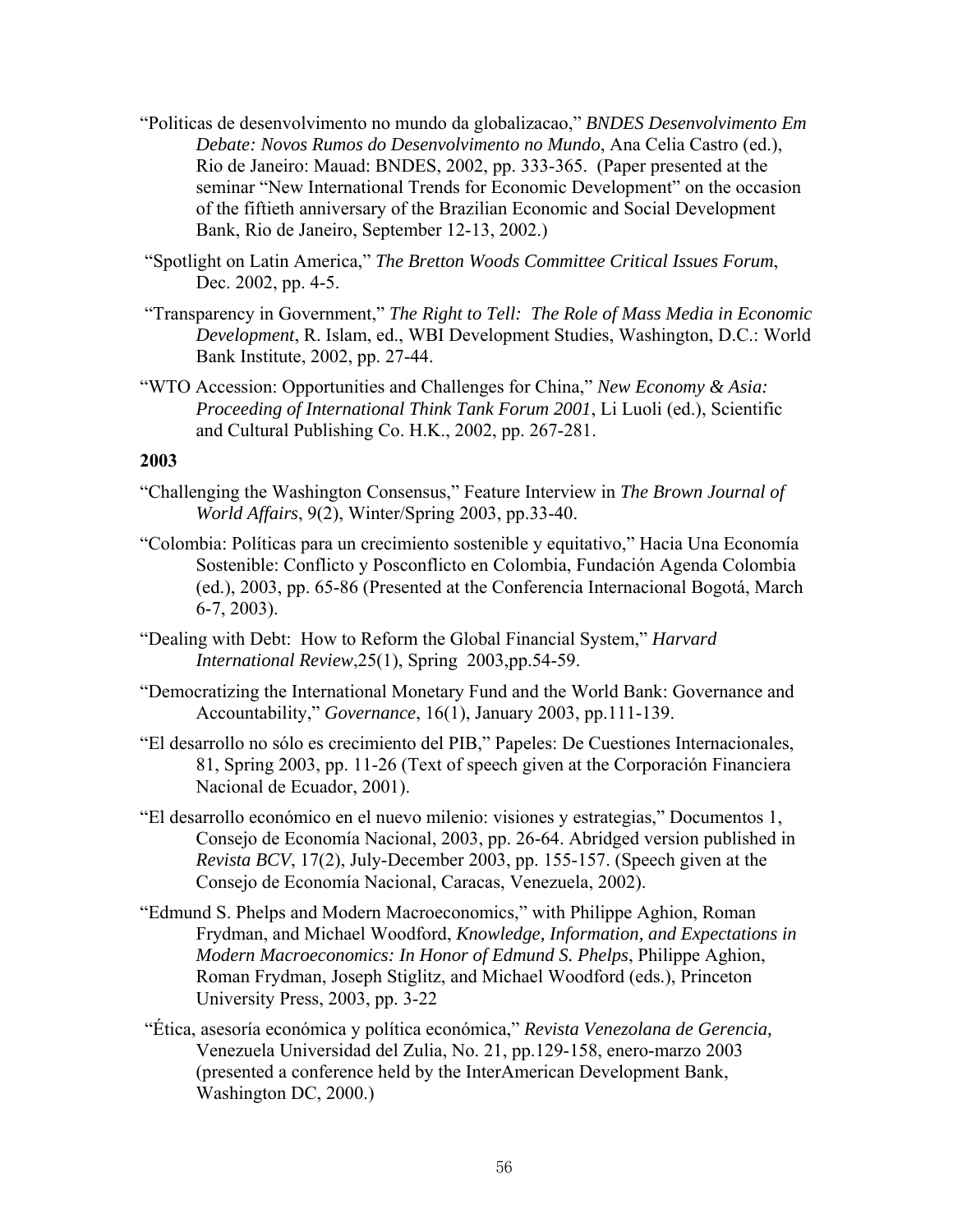- "Politicas de desenvolvimento no mundo da globalizacao," *BNDES Desenvolvimento Em Debate: Novos Rumos do Desenvolvimento no Mundo*, Ana Celia Castro (ed.), Rio de Janeiro: Mauad: BNDES, 2002, pp. 333-365. (Paper presented at the seminar "New International Trends for Economic Development" on the occasion of the fiftieth anniversary of the Brazilian Economic and Social Development Bank, Rio de Janeiro, September 12-13, 2002.)
- "Spotlight on Latin America," *The Bretton Woods Committee Critical Issues Forum*, Dec. 2002, pp. 4-5.
- "Transparency in Government," *The Right to Tell: The Role of Mass Media in Economic Development*, R. Islam, ed., WBI Development Studies, Washington, D.C.: World Bank Institute, 2002, pp. 27-44.
- "WTO Accession: Opportunities and Challenges for China," *New Economy & Asia: Proceeding of International Think Tank Forum 2001*, Li Luoli (ed.), Scientific and Cultural Publishing Co. H.K., 2002, pp. 267-281.

- "Challenging the Washington Consensus," Feature Interview in *The Brown Journal of World Affairs*, 9(2), Winter/Spring 2003, pp.33-40.
- "Colombia: Políticas para un crecimiento sostenible y equitativo," Hacia Una Economía Sostenible: Conflicto y Posconflicto en Colombia, Fundación Agenda Colombia (ed.), 2003, pp. 65-86 (Presented at the Conferencia Internacional Bogotá, March 6-7, 2003).
- "Dealing with Debt: How to Reform the Global Financial System," *Harvard International Review*,25(1), Spring 2003,pp.54-59.
- "Democratizing the International Monetary Fund and the World Bank: Governance and Accountability," *Governance*, 16(1), January 2003, pp.111-139.
- "El desarrollo no sólo es crecimiento del PIB," Papeles: De Cuestiones Internacionales, 81, Spring 2003, pp. 11-26 (Text of speech given at the Corporación Financiera Nacional de Ecuador, 2001).
- "El desarrollo económico en el nuevo milenio: visiones y estrategias," Documentos 1, Consejo de Economía Nacional, 2003, pp. 26-64. Abridged version published in *Revista BCV*, 17(2), July-December 2003, pp. 155-157. (Speech given at the Consejo de Economía Nacional, Caracas, Venezuela, 2002).
- "Edmund S. Phelps and Modern Macroeconomics," with Philippe Aghion, Roman Frydman, and Michael Woodford, *Knowledge, Information, and Expectations in Modern Macroeconomics: In Honor of Edmund S. Phelps*, Philippe Aghion, Roman Frydman, Joseph Stiglitz, and Michael Woodford (eds.), Princeton University Press, 2003, pp. 3-22
- "Ética, asesoría económica y política económica," *Revista Venezolana de Gerencia,*  Venezuela Universidad del Zulia, No. 21, pp.129-158, enero-marzo 2003 (presented a conference held by the InterAmerican Development Bank, Washington DC, 2000.)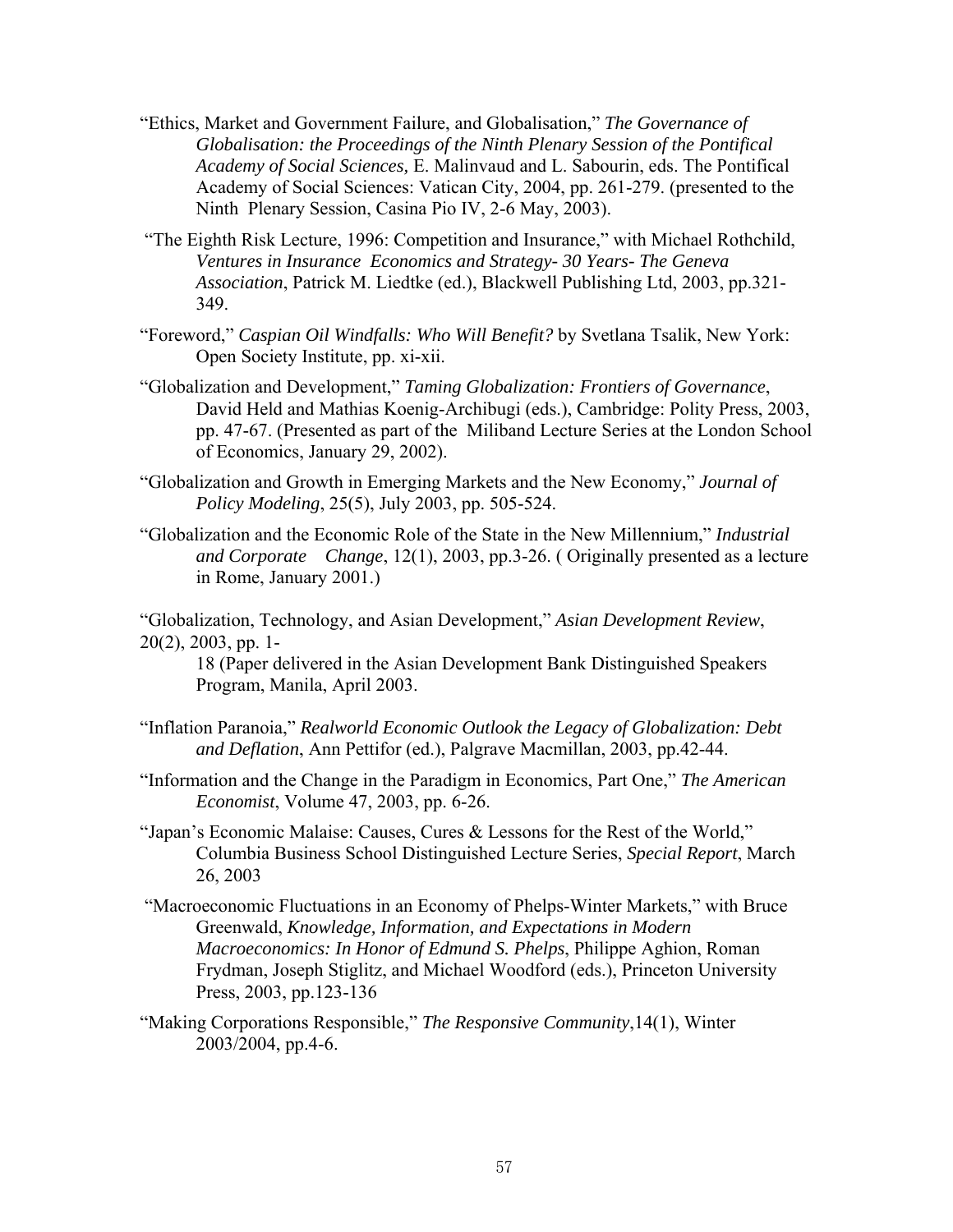- "Ethics, Market and Government Failure, and Globalisation," *The Governance of Globalisation: the Proceedings of the Ninth Plenary Session of the Pontifical Academy of Social Sciences,* E. Malinvaud and L. Sabourin, eds. The Pontifical Academy of Social Sciences: Vatican City, 2004, pp. 261-279. (presented to the Ninth Plenary Session, Casina Pio IV, 2-6 May, 2003).
- "The Eighth Risk Lecture, 1996: Competition and Insurance," with Michael Rothchild, *Ventures in Insurance Economics and Strategy- 30 Years- The Geneva Association*, Patrick M. Liedtke (ed.), Blackwell Publishing Ltd, 2003, pp.321- 349.
- "Foreword," *Caspian Oil Windfalls: Who Will Benefit?* by Svetlana Tsalik, New York: Open Society Institute, pp. xi-xii.
- "Globalization and Development," *Taming Globalization: Frontiers of Governance*, David Held and Mathias Koenig-Archibugi (eds.), Cambridge: Polity Press, 2003, pp. 47-67. (Presented as part of the Miliband Lecture Series at the London School of Economics, January 29, 2002).
- "Globalization and Growth in Emerging Markets and the New Economy," *Journal of Policy Modeling*, 25(5), July 2003, pp. 505-524.
- "Globalization and the Economic Role of the State in the New Millennium," *Industrial and Corporate Change*, 12(1), 2003, pp.3-26. ( Originally presented as a lecture in Rome, January 2001.)

"Globalization, Technology, and Asian Development," *Asian Development Review*, 20(2), 2003, pp. 1-

18 (Paper delivered in the Asian Development Bank Distinguished Speakers Program, Manila, April 2003.

- "Inflation Paranoia," *Realworld Economic Outlook the Legacy of Globalization: Debt and Deflation*, Ann Pettifor (ed.), Palgrave Macmillan, 2003, pp.42-44.
- "Information and the Change in the Paradigm in Economics, Part One," *The American Economist*, Volume 47, 2003, pp. 6-26.
- "Japan's Economic Malaise: Causes, Cures & Lessons for the Rest of the World," Columbia Business School Distinguished Lecture Series, *Special Report*, March 26, 2003
- "Macroeconomic Fluctuations in an Economy of Phelps-Winter Markets," with Bruce Greenwald, *Knowledge, Information, and Expectations in Modern Macroeconomics: In Honor of Edmund S. Phelps*, Philippe Aghion, Roman Frydman, Joseph Stiglitz, and Michael Woodford (eds.), Princeton University Press, 2003, pp.123-136
- "Making Corporations Responsible," *The Responsive Community*,14(1), Winter 2003/2004, pp.4-6.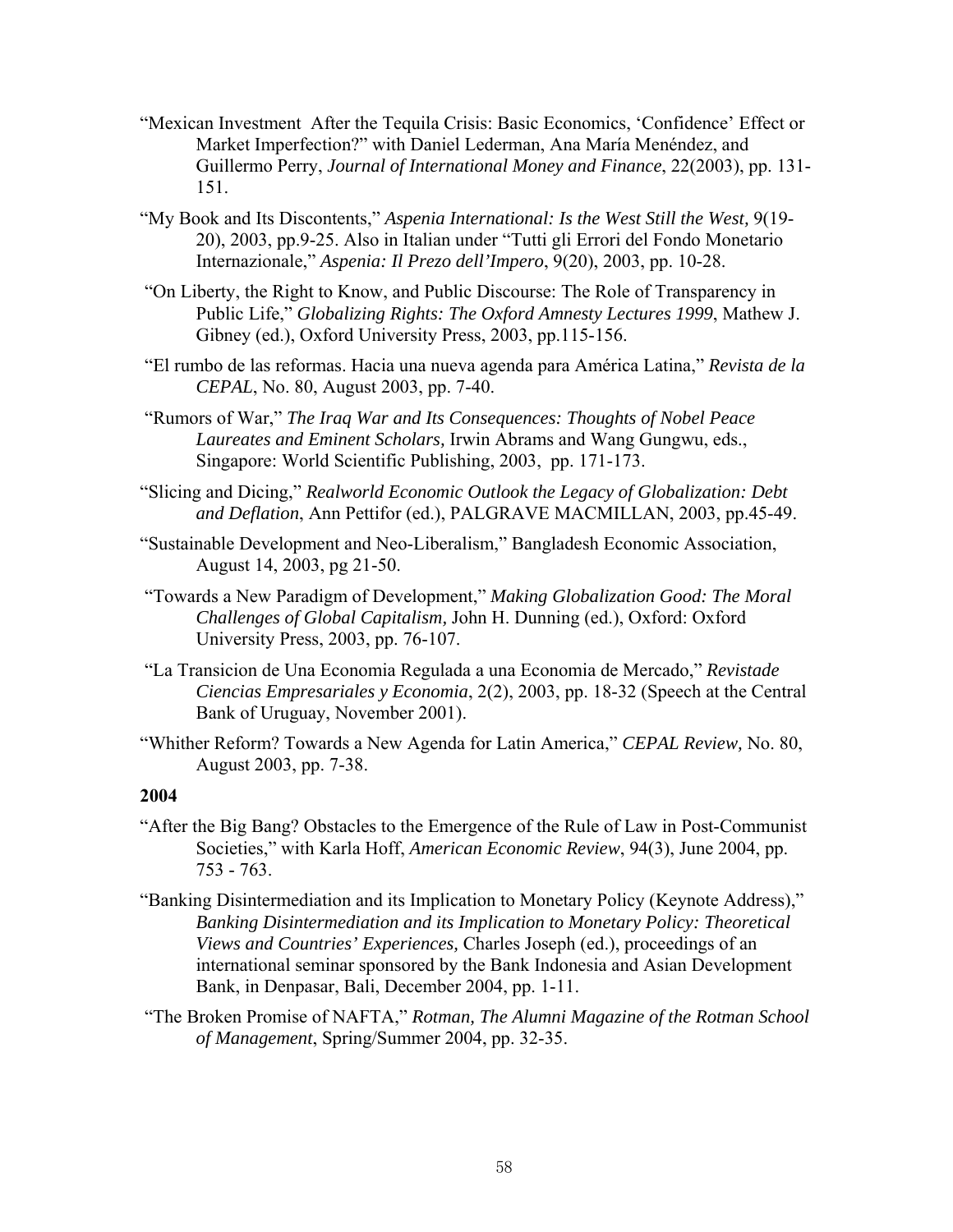- "Mexican Investment After the Tequila Crisis: Basic Economics, 'Confidence' Effect or Market Imperfection?" with Daniel Lederman, Ana María Menéndez, and Guillermo Perry, *Journal of International Money and Finance*, 22(2003), pp. 131- 151.
- "My Book and Its Discontents," *Aspenia International: Is the West Still the West,* 9(19- 20), 2003, pp.9-25. Also in Italian under "Tutti gli Errori del Fondo Monetario Internazionale," *Aspenia: Il Prezo dell'Impero*, 9(20), 2003, pp. 10-28.
- "On Liberty, the Right to Know, and Public Discourse: The Role of Transparency in Public Life," *Globalizing Rights: The Oxford Amnesty Lectures 1999*, Mathew J. Gibney (ed.), Oxford University Press, 2003, pp.115-156.
- "El rumbo de las reformas. Hacia una nueva agenda para América Latina," *Revista de la CEPAL*, No. 80, August 2003, pp. 7-40.
- "Rumors of War," *The Iraq War and Its Consequences: Thoughts of Nobel Peace Laureates and Eminent Scholars,* Irwin Abrams and Wang Gungwu, eds., Singapore: World Scientific Publishing, 2003, pp. 171-173.
- "Slicing and Dicing," *Realworld Economic Outlook the Legacy of Globalization: Debt and Deflation*, Ann Pettifor (ed.), PALGRAVE MACMILLAN, 2003, pp.45-49.
- "Sustainable Development and Neo-Liberalism," Bangladesh Economic Association, August 14, 2003, pg 21-50.
- "Towards a New Paradigm of Development," *Making Globalization Good: The Moral Challenges of Global Capitalism,* John H. Dunning (ed.), Oxford: Oxford University Press, 2003, pp. 76-107.
- "La Transicion de Una Economia Regulada a una Economia de Mercado," *Revistade Ciencias Empresariales y Economia*, 2(2), 2003, pp. 18-32 (Speech at the Central Bank of Uruguay, November 2001).
- "Whither Reform? Towards a New Agenda for Latin America," *CEPAL Review,* No. 80, August 2003, pp. 7-38.

- "After the Big Bang? Obstacles to the Emergence of the Rule of Law in Post-Communist Societies," with Karla Hoff, *American Economic Review*, 94(3), June 2004, pp. 753 - 763.
- "Banking Disintermediation and its Implication to Monetary Policy (Keynote Address)," *Banking Disintermediation and its Implication to Monetary Policy: Theoretical Views and Countries' Experiences,* Charles Joseph (ed.), proceedings of an international seminar sponsored by the Bank Indonesia and Asian Development Bank, in Denpasar, Bali, December 2004, pp. 1-11.
- "The Broken Promise of NAFTA," *Rotman, The Alumni Magazine of the Rotman School of Management*, Spring/Summer 2004, pp. 32-35.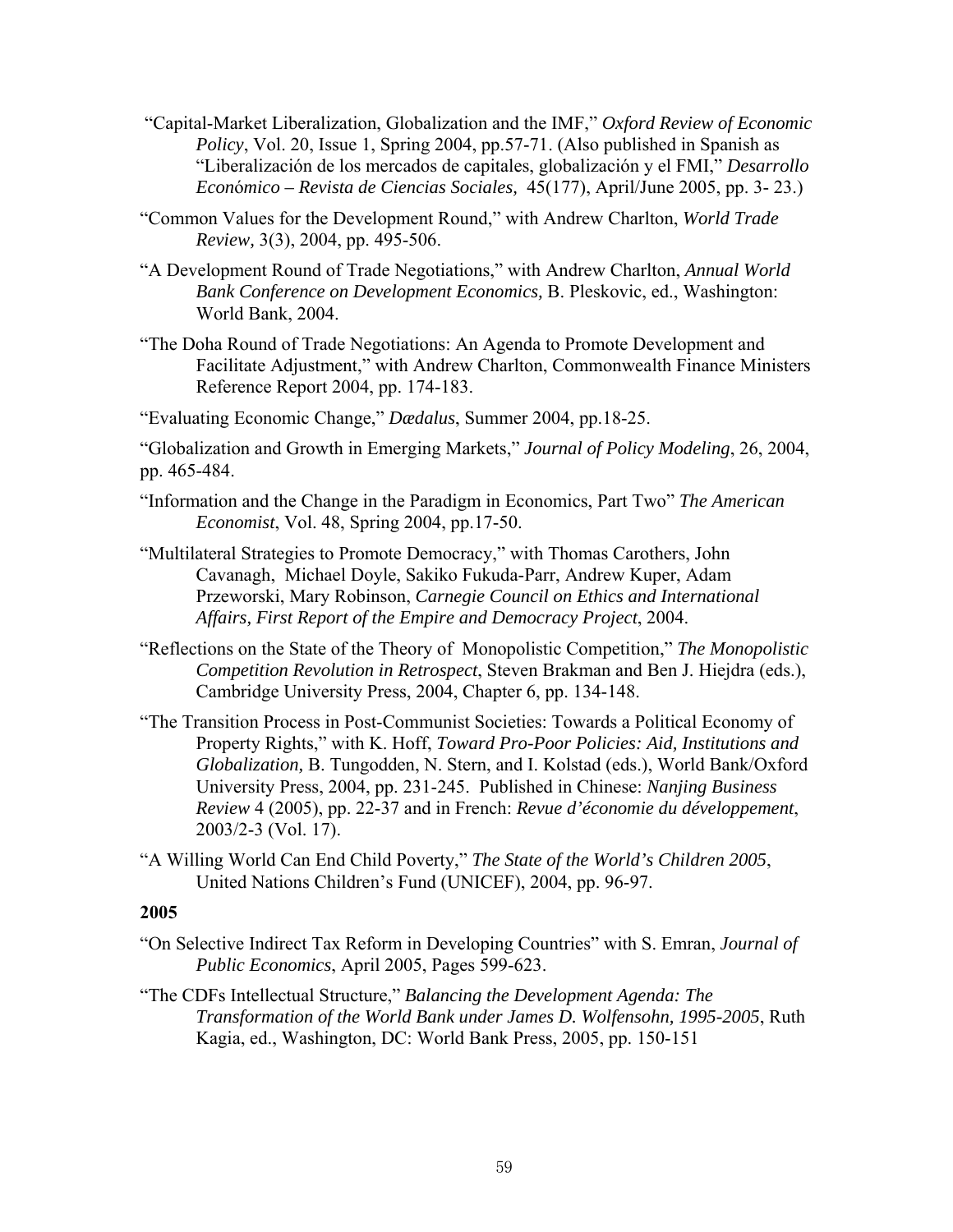- "Capital-Market Liberalization, Globalization and the IMF," *Oxford Review of Economic Policy*, Vol. 20, Issue 1, Spring 2004, pp.57-71. (Also published in Spanish as "Liberalización de los mercados de capitales, globalización y el FMI," *Desarrollo Econ*ó*mico – Revista de Ciencias Sociales,* 45(177), April/June 2005, pp. 3- 23.)
- "Common Values for the Development Round," with Andrew Charlton, *World Trade Review,* 3(3), 2004, pp. 495-506.
- "A Development Round of Trade Negotiations," with Andrew Charlton, *Annual World Bank Conference on Development Economics,* B. Pleskovic, ed., Washington: World Bank, 2004.
- "The Doha Round of Trade Negotiations: An Agenda to Promote Development and Facilitate Adjustment," with Andrew Charlton, Commonwealth Finance Ministers Reference Report 2004, pp. 174-183.

"Evaluating Economic Change," *Dædalus*, Summer 2004, pp.18-25.

"Globalization and Growth in Emerging Markets," *Journal of Policy Modeling*, 26, 2004, pp. 465-484.

- "Information and the Change in the Paradigm in Economics, Part Two" *The American Economist*, Vol. 48, Spring 2004, pp.17-50.
- "Multilateral Strategies to Promote Democracy," with Thomas Carothers, John Cavanagh, Michael Doyle, Sakiko Fukuda-Parr, Andrew Kuper, Adam Przeworski, Mary Robinson, *Carnegie Council on Ethics and International Affairs, First Report of the Empire and Democracy Project*, 2004.
- "Reflections on the State of the Theory of Monopolistic Competition," *The Monopolistic Competition Revolution in Retrospect*, Steven Brakman and Ben J. Hiejdra (eds.), Cambridge University Press, 2004, Chapter 6, pp. 134-148.
- "The Transition Process in Post-Communist Societies: Towards a Political Economy of Property Rights," with K. Hoff, *Toward Pro-Poor Policies: Aid, Institutions and Globalization,* B. Tungodden, N. Stern, and I. Kolstad (eds.), World Bank/Oxford University Press, 2004, pp. 231-245. Published in Chinese: *Nanjing Business Review* 4 (2005), pp. 22-37 and in French: *Revue d'économie du développement*, 2003/2-3 (Vol. 17).
- "A Willing World Can End Child Poverty," *The State of the World's Children 2005*, United Nations Children's Fund (UNICEF), 2004, pp. 96-97.

- "On Selective Indirect Tax Reform in Developing Countries" with S. Emran, *Journal of Public Economics*, April 2005, Pages 599-623.
- "The CDFs Intellectual Structure," *Balancing the Development Agenda: The Transformation of the World Bank under James D. Wolfensohn, 1995-2005*, Ruth Kagia, ed., Washington, DC: World Bank Press, 2005, pp. 150-151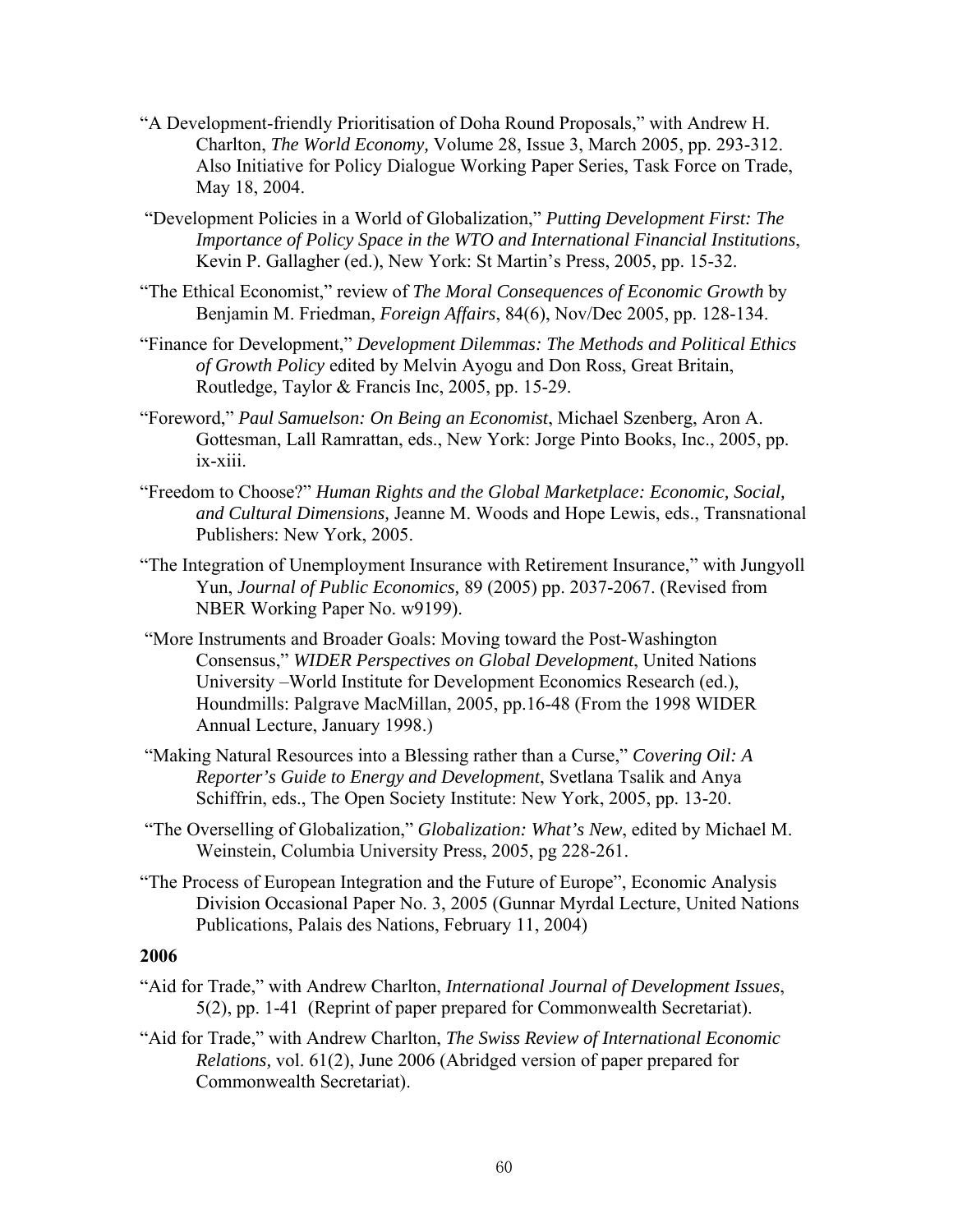- "A Development-friendly Prioritisation of Doha Round Proposals," with Andrew H. Charlton, *The World Economy,* Volume 28, Issue 3, March 2005, pp. 293-312. Also Initiative for Policy Dialogue Working Paper Series, Task Force on Trade, May 18, 2004.
- "Development Policies in a World of Globalization," *Putting Development First: The Importance of Policy Space in the WTO and International Financial Institutions*, Kevin P. Gallagher (ed.), New York: St Martin's Press, 2005, pp. 15-32.
- "The Ethical Economist," review of *The Moral Consequences of Economic Growth* by Benjamin M. Friedman, *Foreign Affairs*, 84(6), Nov/Dec 2005, pp. 128-134.
- "Finance for Development," *Development Dilemmas: The Methods and Political Ethics of Growth Policy* edited by Melvin Ayogu and Don Ross, Great Britain, Routledge, Taylor & Francis Inc, 2005, pp. 15-29.
- "Foreword," *Paul Samuelson: On Being an Economist*, Michael Szenberg, Aron A. Gottesman, Lall Ramrattan, eds., New York: Jorge Pinto Books, Inc., 2005, pp. ix-xiii.
- "Freedom to Choose?" *Human Rights and the Global Marketplace: Economic, Social, and Cultural Dimensions,* Jeanne M. Woods and Hope Lewis, eds., Transnational Publishers: New York, 2005.
- "The Integration of Unemployment Insurance with Retirement Insurance," with Jungyoll Yun, *Journal of Public Economics,* 89 (2005) pp. 2037-2067. (Revised from NBER Working Paper No. w9199).
- "More Instruments and Broader Goals: Moving toward the Post-Washington Consensus," *WIDER Perspectives on Global Development*, United Nations University –World Institute for Development Economics Research (ed.), Houndmills: Palgrave MacMillan, 2005, pp.16-48 (From the 1998 WIDER Annual Lecture, January 1998.)
- "Making Natural Resources into a Blessing rather than a Curse," *Covering Oil: A Reporter's Guide to Energy and Development*, Svetlana Tsalik and Anya Schiffrin, eds., The Open Society Institute: New York, 2005, pp. 13-20.
- "The Overselling of Globalization," *Globalization: What's New*, edited by Michael M. Weinstein, Columbia University Press, 2005, pg 228-261.
- "The Process of European Integration and the Future of Europe", Economic Analysis Division Occasional Paper No. 3, 2005 (Gunnar Myrdal Lecture, United Nations Publications, Palais des Nations, February 11, 2004)

- "Aid for Trade," with Andrew Charlton, *International Journal of Development Issues*, 5(2), pp. 1-41 (Reprint of paper prepared for Commonwealth Secretariat).
- "Aid for Trade," with Andrew Charlton, *The Swiss Review of International Economic Relations,* vol. 61(2), June 2006 (Abridged version of paper prepared for Commonwealth Secretariat).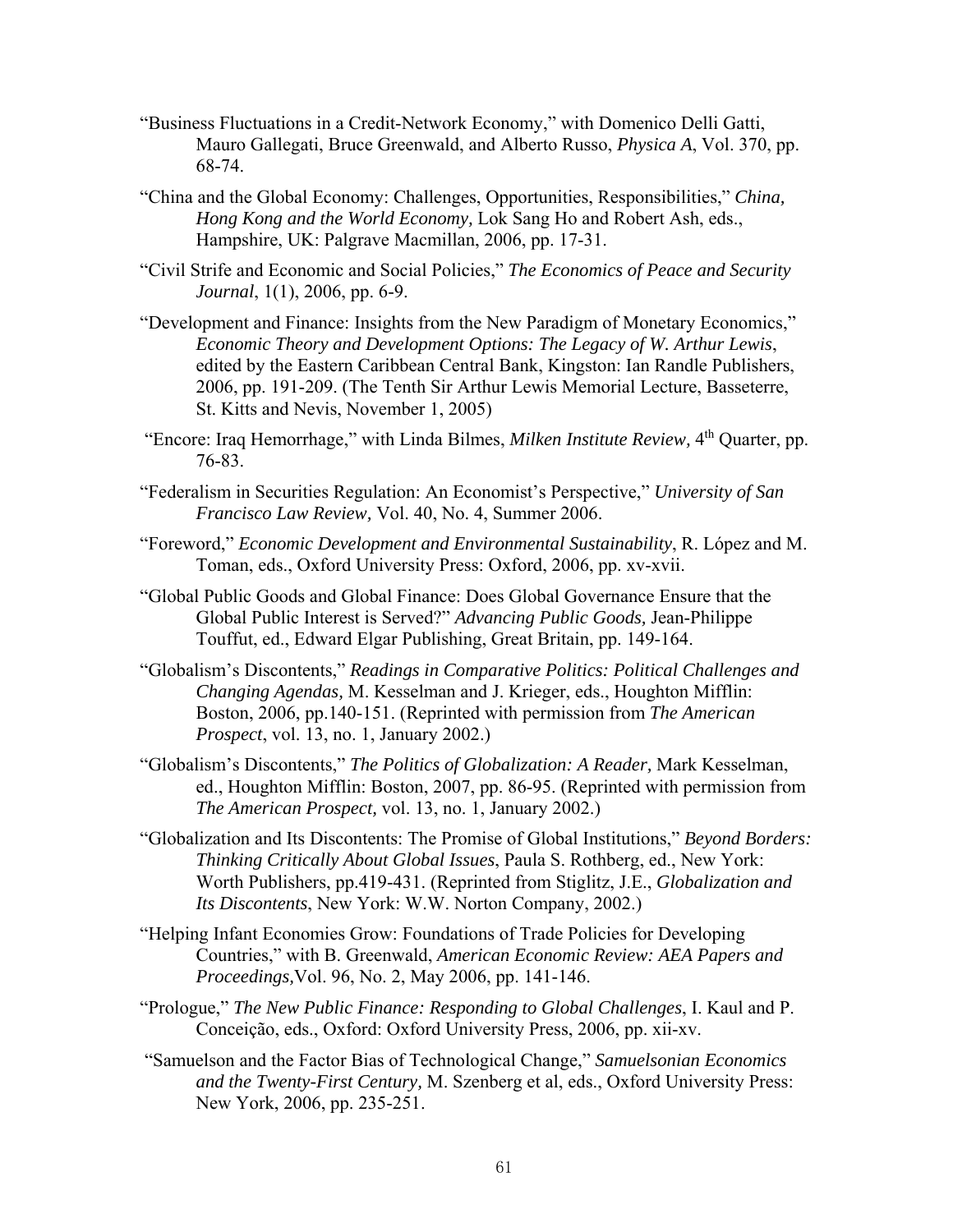- "Business Fluctuations in a Credit-Network Economy," with Domenico Delli Gatti, Mauro Gallegati, Bruce Greenwald, and Alberto Russo, *Physica A*, Vol. 370, pp. 68-74.
- "China and the Global Economy: Challenges, Opportunities, Responsibilities," *China, Hong Kong and the World Economy,* Lok Sang Ho and Robert Ash, eds., Hampshire, UK: Palgrave Macmillan, 2006, pp. 17-31.
- "Civil Strife and Economic and Social Policies," *The Economics of Peace and Security Journal*, 1(1), 2006, pp. 6-9.
- "Development and Finance: Insights from the New Paradigm of Monetary Economics," *Economic Theory and Development Options: The Legacy of W. Arthur Lewis*, edited by the Eastern Caribbean Central Bank, Kingston: Ian Randle Publishers, 2006, pp. 191-209. (The Tenth Sir Arthur Lewis Memorial Lecture, Basseterre, St. Kitts and Nevis, November 1, 2005)
- "Encore: Iraq Hemorrhage," with Linda Bilmes, *Milken Institute Review,* 4th Quarter, pp. 76-83.
- "Federalism in Securities Regulation: An Economist's Perspective," *University of San Francisco Law Review,* Vol. 40, No. 4, Summer 2006.
- "Foreword," *Economic Development and Environmental Sustainability*, R. López and M. Toman, eds., Oxford University Press: Oxford, 2006, pp. xv-xvii.
- "Global Public Goods and Global Finance: Does Global Governance Ensure that the Global Public Interest is Served?" *Advancing Public Goods,* Jean-Philippe Touffut, ed., Edward Elgar Publishing, Great Britain, pp. 149-164.
- "Globalism's Discontents," *Readings in Comparative Politics: Political Challenges and Changing Agendas,* M. Kesselman and J. Krieger, eds., Houghton Mifflin: Boston, 2006, pp.140-151. (Reprinted with permission from *The American Prospect*, vol. 13, no. 1, January 2002.)
- "Globalism's Discontents," *The Politics of Globalization: A Reader,* Mark Kesselman, ed., Houghton Mifflin: Boston, 2007, pp. 86-95. (Reprinted with permission from *The American Prospect,* vol. 13, no. 1, January 2002.)
- "Globalization and Its Discontents: The Promise of Global Institutions," *Beyond Borders: Thinking Critically About Global Issues*, Paula S. Rothberg, ed., New York: Worth Publishers, pp.419-431. (Reprinted from Stiglitz, J.E., *Globalization and Its Discontents*, New York: W.W. Norton Company, 2002.)
- "Helping Infant Economies Grow: Foundations of Trade Policies for Developing Countries," with B. Greenwald, *American Economic Review: AEA Papers and Proceedings,*Vol. 96, No. 2, May 2006, pp. 141-146.
- "Prologue," *The New Public Finance: Responding to Global Challenges*, I. Kaul and P. Conceição, eds., Oxford: Oxford University Press, 2006, pp. xii-xv.
- "Samuelson and the Factor Bias of Technological Change," *Samuelsonian Economics and the Twenty-First Century,* M. Szenberg et al, eds., Oxford University Press: New York, 2006, pp. 235-251.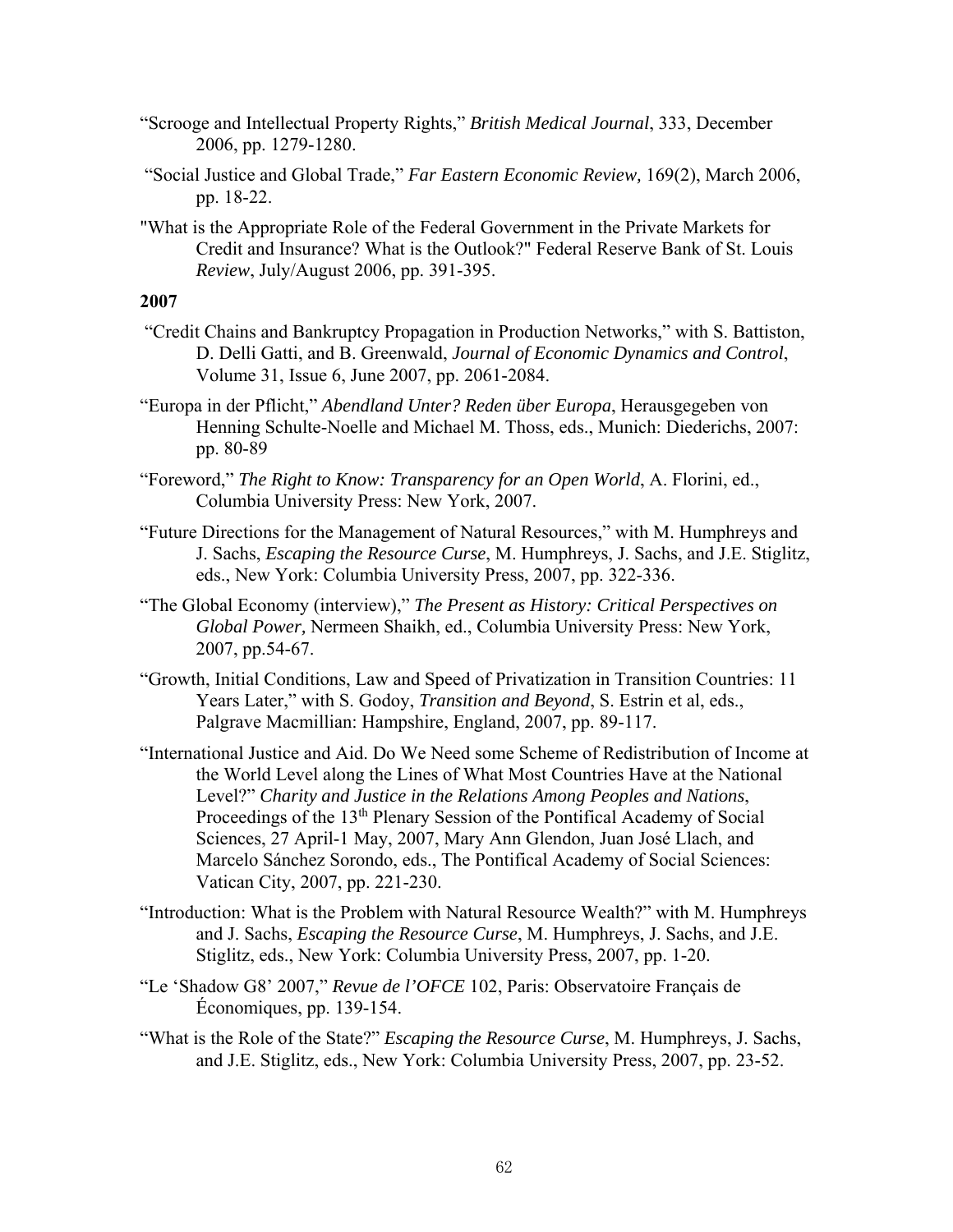- "Scrooge and Intellectual Property Rights," *British Medical Journal*, 333, December 2006, pp. 1279-1280.
- "Social Justice and Global Trade," *Far Eastern Economic Review,* 169(2), March 2006, pp. 18-22.
- "What is the Appropriate Role of the Federal Government in the Private Markets for Credit and Insurance? What is the Outlook?" Federal Reserve Bank of St. Louis *Review*, July/August 2006, pp. 391-395.

- "Credit Chains and Bankruptcy Propagation in Production Networks," with S. Battiston, D. Delli Gatti, and B. Greenwald, *Journal of Economic Dynamics and Control*, Volume 31, Issue 6, June 2007, pp. 2061-2084.
- "Europa in der Pflicht," *Abendland Unter? Reden über Europa*, Herausgegeben von Henning Schulte-Noelle and Michael M. Thoss, eds., Munich: Diederichs, 2007: pp. 80-89
- "Foreword," *The Right to Know: Transparency for an Open World*, A. Florini, ed., Columbia University Press: New York, 2007.
- "Future Directions for the Management of Natural Resources," with M. Humphreys and J. Sachs, *Escaping the Resource Curse*, M. Humphreys, J. Sachs, and J.E. Stiglitz, eds., New York: Columbia University Press, 2007, pp. 322-336.
- "The Global Economy (interview)," *The Present as History: Critical Perspectives on Global Power,* Nermeen Shaikh, ed., Columbia University Press: New York, 2007, pp.54-67.
- "Growth, Initial Conditions, Law and Speed of Privatization in Transition Countries: 11 Years Later," with S. Godoy, *Transition and Beyond*, S. Estrin et al, eds., Palgrave Macmillian: Hampshire, England, 2007, pp. 89-117.
- "International Justice and Aid. Do We Need some Scheme of Redistribution of Income at the World Level along the Lines of What Most Countries Have at the National Level?" *Charity and Justice in the Relations Among Peoples and Nations*, Proceedings of the 13<sup>th</sup> Plenary Session of the Pontifical Academy of Social Sciences, 27 April-1 May, 2007, Mary Ann Glendon, Juan José Llach, and Marcelo Sánchez Sorondo, eds., The Pontifical Academy of Social Sciences: Vatican City, 2007, pp. 221-230.
- "Introduction: What is the Problem with Natural Resource Wealth?" with M. Humphreys and J. Sachs, *Escaping the Resource Curse*, M. Humphreys, J. Sachs, and J.E. Stiglitz, eds., New York: Columbia University Press, 2007, pp. 1-20.
- "Le 'Shadow G8' 2007," *Revue de l'OFCE* 102, Paris: Observatoire Français de Économiques, pp. 139-154.
- "What is the Role of the State?" *Escaping the Resource Curse*, M. Humphreys, J. Sachs, and J.E. Stiglitz, eds., New York: Columbia University Press, 2007, pp. 23-52.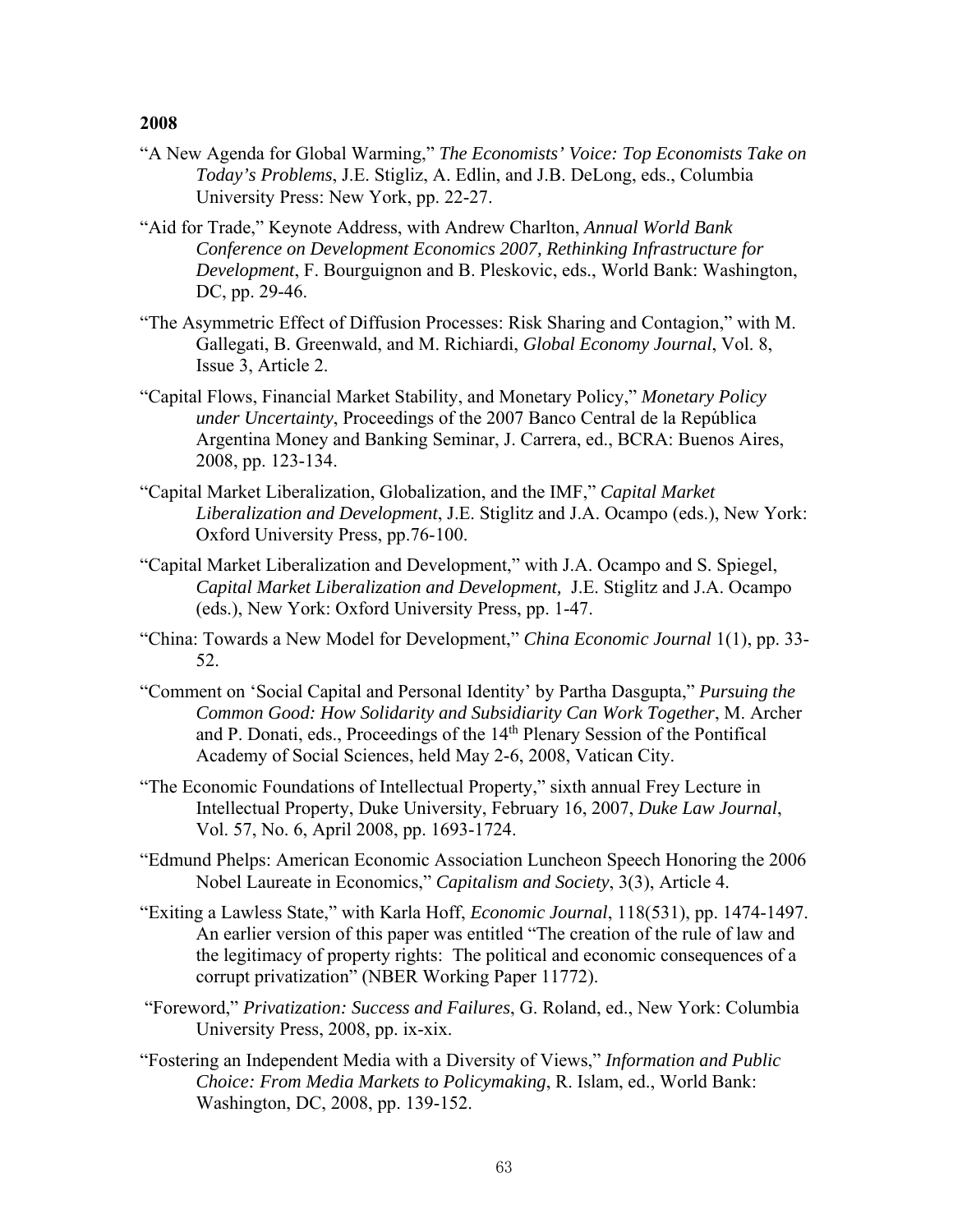- "A New Agenda for Global Warming," *The Economists' Voice: Top Economists Take on Today's Problems*, J.E. Stigliz, A. Edlin, and J.B. DeLong, eds., Columbia University Press: New York, pp. 22-27.
- "Aid for Trade," Keynote Address, with Andrew Charlton, *Annual World Bank Conference on Development Economics 2007, Rethinking Infrastructure for Development*, F. Bourguignon and B. Pleskovic, eds., World Bank: Washington, DC, pp. 29-46.
- "The Asymmetric Effect of Diffusion Processes: Risk Sharing and Contagion," with M. Gallegati, B. Greenwald, and M. Richiardi, *Global Economy Journal*, Vol. 8, Issue 3, Article 2.
- "Capital Flows, Financial Market Stability, and Monetary Policy," *Monetary Policy under Uncertainty*, Proceedings of the 2007 Banco Central de la República Argentina Money and Banking Seminar, J. Carrera, ed., BCRA: Buenos Aires, 2008, pp. 123-134.
- "Capital Market Liberalization, Globalization, and the IMF," *Capital Market Liberalization and Development*, J.E. Stiglitz and J.A. Ocampo (eds.), New York: Oxford University Press, pp.76-100.
- "Capital Market Liberalization and Development," with J.A. Ocampo and S. Spiegel, *Capital Market Liberalization and Development,* J.E. Stiglitz and J.A. Ocampo (eds.), New York: Oxford University Press, pp. 1-47.
- "China: Towards a New Model for Development," *China Economic Journal* 1(1), pp. 33- 52.
- "Comment on 'Social Capital and Personal Identity' by Partha Dasgupta," *Pursuing the Common Good: How Solidarity and Subsidiarity Can Work Together*, M. Archer and P. Donati, eds., Proceedings of the 14th Plenary Session of the Pontifical Academy of Social Sciences, held May 2-6, 2008, Vatican City.
- "The Economic Foundations of Intellectual Property," sixth annual Frey Lecture in Intellectual Property, Duke University, February 16, 2007, *Duke Law Journal*, Vol. 57, No. 6, April 2008, pp. 1693-1724.
- "Edmund Phelps: American Economic Association Luncheon Speech Honoring the 2006 Nobel Laureate in Economics," *Capitalism and Society*, 3(3), Article 4.
- "Exiting a Lawless State," with Karla Hoff, *Economic Journal*, 118(531), pp. 1474-1497. An earlier version of this paper was entitled "The creation of the rule of law and the legitimacy of property rights: The political and economic consequences of a corrupt privatization" (NBER Working Paper 11772).
- "Foreword," *Privatization: Success and Failures*, G. Roland, ed., New York: Columbia University Press, 2008, pp. ix-xix.
- "Fostering an Independent Media with a Diversity of Views," *Information and Public Choice: From Media Markets to Policymaking*, R. Islam, ed., World Bank: Washington, DC, 2008, pp. 139-152.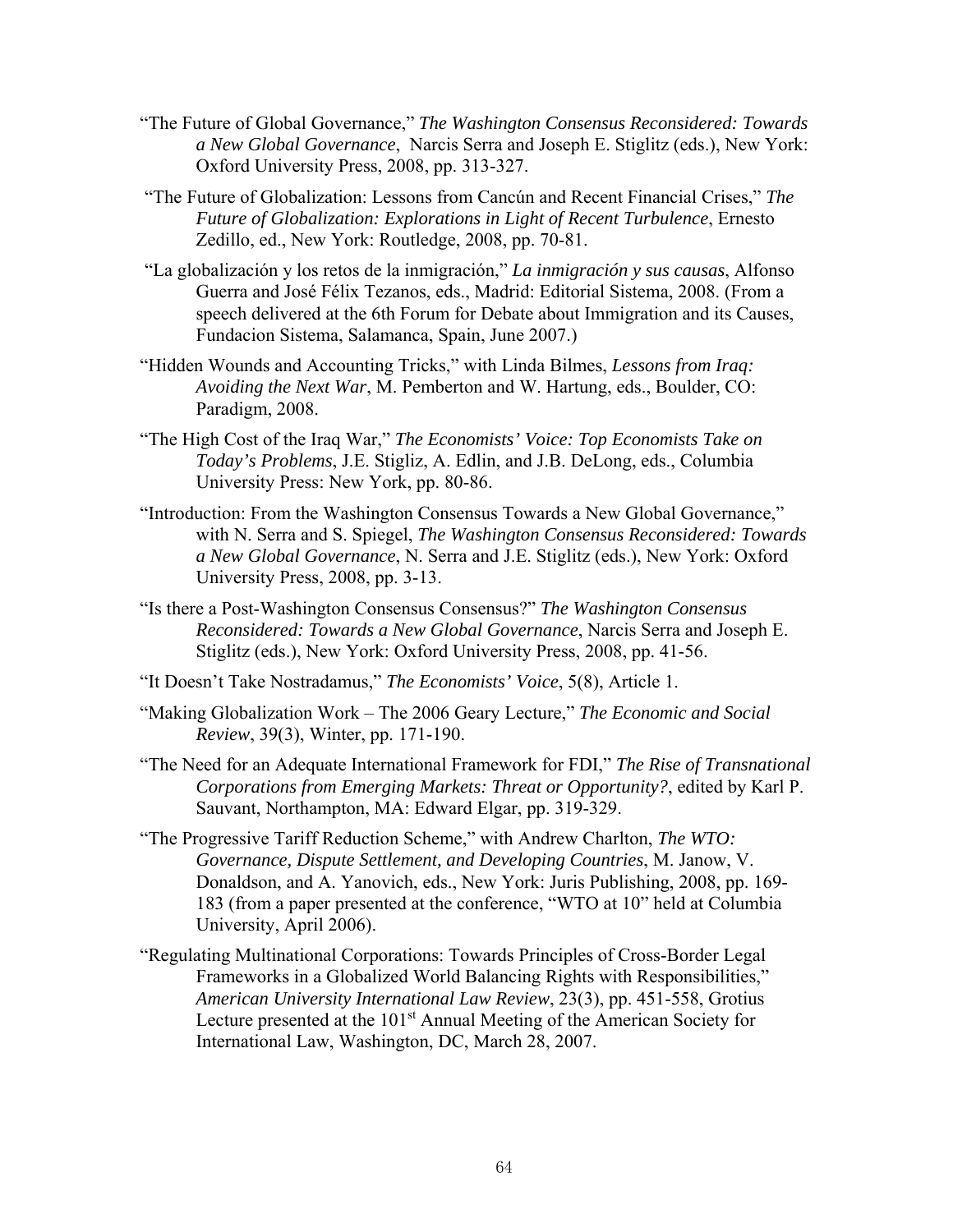- "The Future of Global Governance," *The Washington Consensus Reconsidered: Towards a New Global Governance*, Narcis Serra and Joseph E. Stiglitz (eds.), New York: Oxford University Press, 2008, pp. 313-327.
- "The Future of Globalization: Lessons from Cancún and Recent Financial Crises," *The Future of Globalization: Explorations in Light of Recent Turbulence*, Ernesto Zedillo, ed., New York: Routledge, 2008, pp. 70-81.
- "La globalización y los retos de la inmigración," *La inmigración y sus causas*, Alfonso Guerra and José Félix Tezanos, eds., Madrid: Editorial Sistema, 2008. (From a speech delivered at the 6th Forum for Debate about Immigration and its Causes, Fundacion Sistema, Salamanca, Spain, June 2007.)
- "Hidden Wounds and Accounting Tricks," with Linda Bilmes, *Lessons from Iraq: Avoiding the Next War*, M. Pemberton and W. Hartung, eds., Boulder, CO: Paradigm, 2008.
- "The High Cost of the Iraq War," *The Economists' Voice: Top Economists Take on Today's Problems*, J.E. Stigliz, A. Edlin, and J.B. DeLong, eds., Columbia University Press: New York, pp. 80-86.
- "Introduction: From the Washington Consensus Towards a New Global Governance," with N. Serra and S. Spiegel, *The Washington Consensus Reconsidered: Towards a New Global Governance*, N. Serra and J.E. Stiglitz (eds.), New York: Oxford University Press, 2008, pp. 3-13.
- "Is there a Post-Washington Consensus Consensus?" *The Washington Consensus Reconsidered: Towards a New Global Governance*, Narcis Serra and Joseph E. Stiglitz (eds.), New York: Oxford University Press, 2008, pp. 41-56.
- "It Doesn't Take Nostradamus," *The Economists' Voice*, 5(8), Article 1.
- "Making Globalization Work The 2006 Geary Lecture," *The Economic and Social Review*, 39(3), Winter, pp. 171-190.
- "The Need for an Adequate International Framework for FDI," *The Rise of Transnational Corporations from Emerging Markets: Threat or Opportunity?*, edited by Karl P. Sauvant, Northampton, MA: Edward Elgar, pp. 319-329.
- "The Progressive Tariff Reduction Scheme," with Andrew Charlton, *The WTO: Governance, Dispute Settlement, and Developing Countries*, M. Janow, V. Donaldson, and A. Yanovich, eds., New York: Juris Publishing, 2008, pp. 169- 183 (from a paper presented at the conference, "WTO at 10" held at Columbia University, April 2006).
- "Regulating Multinational Corporations: Towards Principles of Cross-Border Legal Frameworks in a Globalized World Balancing Rights with Responsibilities," *American University International Law Review*, 23(3), pp. 451-558, Grotius Lecture presented at the 101<sup>st</sup> Annual Meeting of the American Society for International Law, Washington, DC, March 28, 2007.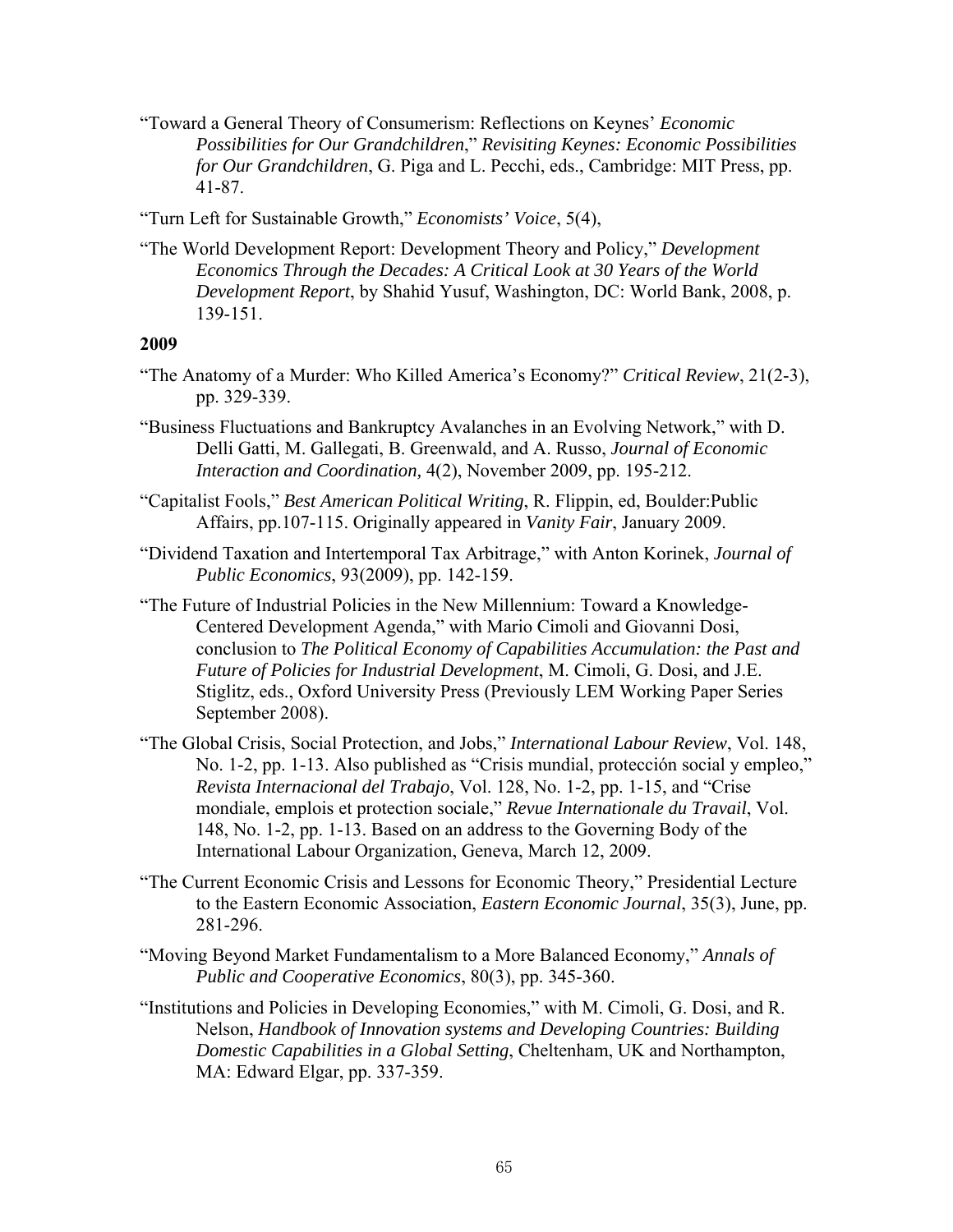"Toward a General Theory of Consumerism: Reflections on Keynes' *Economic Possibilities for Our Grandchildren*," *Revisiting Keynes: Economic Possibilities for Our Grandchildren*, G. Piga and L. Pecchi, eds., Cambridge: MIT Press, pp. 41-87.

"Turn Left for Sustainable Growth," *Economists' Voice*, 5(4),

"The World Development Report: Development Theory and Policy," *Development Economics Through the Decades: A Critical Look at 30 Years of the World Development Report*, by Shahid Yusuf, Washington, DC: World Bank, 2008, p. 139-151.

- "The Anatomy of a Murder: Who Killed America's Economy?" *Critical Review*, 21(2-3), pp. 329-339.
- "Business Fluctuations and Bankruptcy Avalanches in an Evolving Network," with D. Delli Gatti, M. Gallegati, B. Greenwald, and A. Russo, *Journal of Economic Interaction and Coordination,* 4(2), November 2009, pp. 195-212.
- "Capitalist Fools," *Best American Political Writing*, R. Flippin, ed, Boulder:Public Affairs, pp.107-115. Originally appeared in *Vanity Fair*, January 2009.
- "Dividend Taxation and Intertemporal Tax Arbitrage," with Anton Korinek, *Journal of Public Economics*, 93(2009), pp. 142-159.
- "The Future of Industrial Policies in the New Millennium: Toward a Knowledge-Centered Development Agenda," with Mario Cimoli and Giovanni Dosi, conclusion to *The Political Economy of Capabilities Accumulation: the Past and Future of Policies for Industrial Development*, M. Cimoli, G. Dosi, and J.E. Stiglitz, eds., Oxford University Press (Previously LEM Working Paper Series September 2008).
- "The Global Crisis, Social Protection, and Jobs," *International Labour Review*, Vol. 148, No. 1-2, pp. 1-13. Also published as "Crisis mundial, protección social y empleo," *Revista Internacional del Trabajo*, Vol. 128, No. 1-2, pp. 1-15, and "Crise mondiale, emplois et protection sociale," *Revue Internationale du Travail*, Vol. 148, No. 1-2, pp. 1-13. Based on an address to the Governing Body of the International Labour Organization, Geneva, March 12, 2009.
- "The Current Economic Crisis and Lessons for Economic Theory," Presidential Lecture to the Eastern Economic Association, *Eastern Economic Journal*, 35(3), June, pp. 281-296.
- "Moving Beyond Market Fundamentalism to a More Balanced Economy," *Annals of Public and Cooperative Economics*, 80(3), pp. 345-360.
- "Institutions and Policies in Developing Economies," with M. Cimoli, G. Dosi, and R. Nelson, *Handbook of Innovation systems and Developing Countries: Building Domestic Capabilities in a Global Setting*, Cheltenham, UK and Northampton, MA: Edward Elgar, pp. 337-359.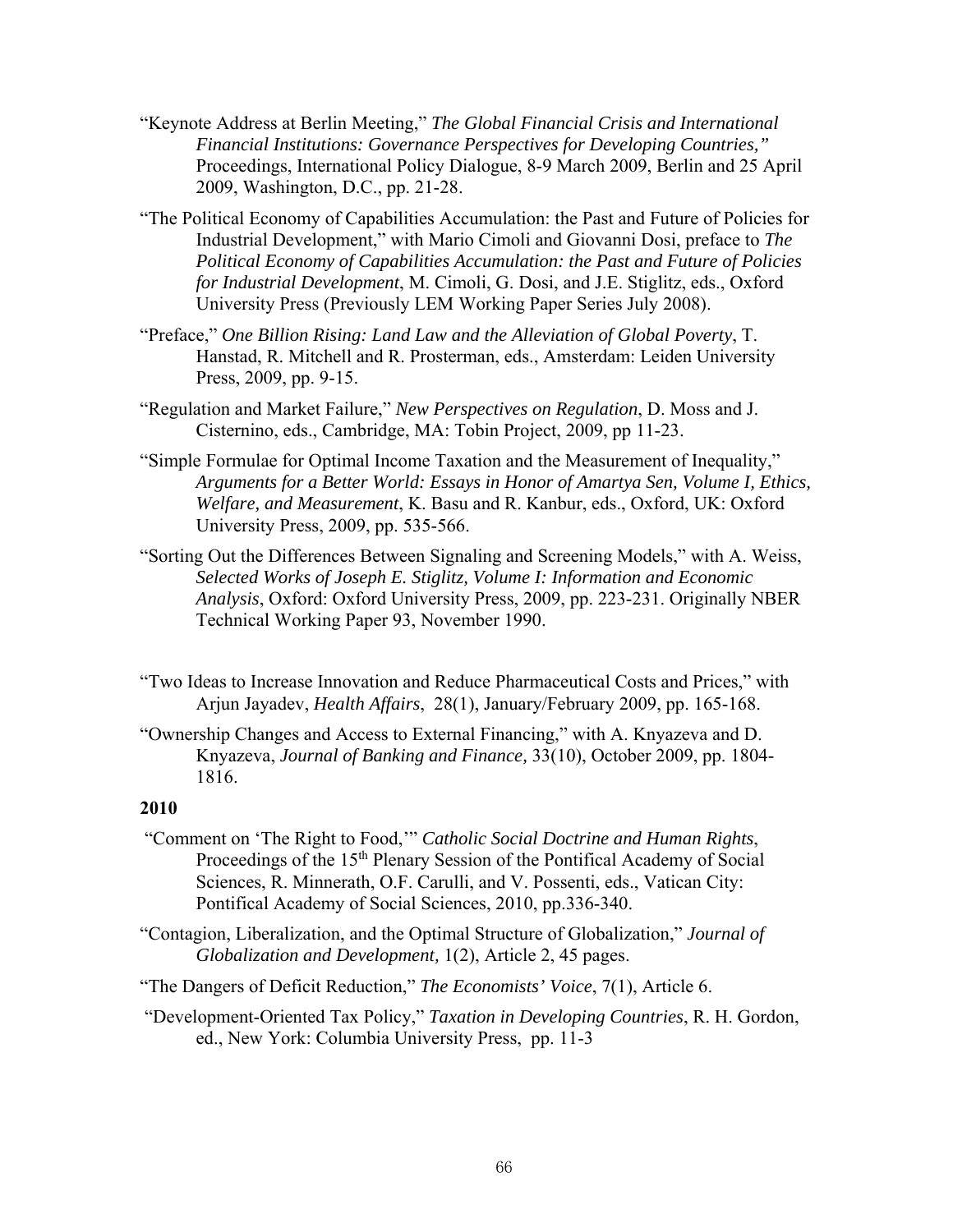- "Keynote Address at Berlin Meeting," *The Global Financial Crisis and International Financial Institutions: Governance Perspectives for Developing Countries,"* Proceedings, International Policy Dialogue, 8-9 March 2009, Berlin and 25 April 2009, Washington, D.C., pp. 21-28.
- "The Political Economy of Capabilities Accumulation: the Past and Future of Policies for Industrial Development," with Mario Cimoli and Giovanni Dosi, preface to *The Political Economy of Capabilities Accumulation: the Past and Future of Policies for Industrial Development*, M. Cimoli, G. Dosi, and J.E. Stiglitz, eds., Oxford University Press (Previously LEM Working Paper Series July 2008).
- "Preface," *One Billion Rising: Land Law and the Alleviation of Global Poverty*, T. Hanstad, R. Mitchell and R. Prosterman, eds., Amsterdam: Leiden University Press, 2009, pp. 9-15.
- "Regulation and Market Failure," *New Perspectives on Regulation*, D. Moss and J. Cisternino, eds., Cambridge, MA: Tobin Project, 2009, pp 11-23.
- "Simple Formulae for Optimal Income Taxation and the Measurement of Inequality," *Arguments for a Better World: Essays in Honor of Amartya Sen, Volume I, Ethics, Welfare, and Measurement*, K. Basu and R. Kanbur, eds., Oxford, UK: Oxford University Press, 2009, pp. 535-566.
- "Sorting Out the Differences Between Signaling and Screening Models," with A. Weiss, *Selected Works of Joseph E. Stiglitz, Volume I: Information and Economic Analysis*, Oxford: Oxford University Press, 2009, pp. 223-231. Originally NBER Technical Working Paper 93, November 1990.
- "Two Ideas to Increase Innovation and Reduce Pharmaceutical Costs and Prices," with Arjun Jayadev, *Health Affairs*, 28(1), January/February 2009, pp. 165-168.
- "Ownership Changes and Access to External Financing," with A. Knyazeva and D. Knyazeva, *Journal of Banking and Finance,* 33(10), October 2009, pp. 1804- 1816.

- "Comment on 'The Right to Food,'" *Catholic Social Doctrine and Human Rights*, Proceedings of the 15<sup>th</sup> Plenary Session of the Pontifical Academy of Social Sciences, R. Minnerath, O.F. Carulli, and V. Possenti, eds., Vatican City: Pontifical Academy of Social Sciences, 2010, pp.336-340.
- "Contagion, Liberalization, and the Optimal Structure of Globalization," *Journal of Globalization and Development,* 1(2), Article 2, 45 pages.
- "The Dangers of Deficit Reduction," *The Economists' Voice*, 7(1), Article 6.
- "Development-Oriented Tax Policy," *Taxation in Developing Countries*, R. H. Gordon, ed., New York: Columbia University Press, pp. 11-3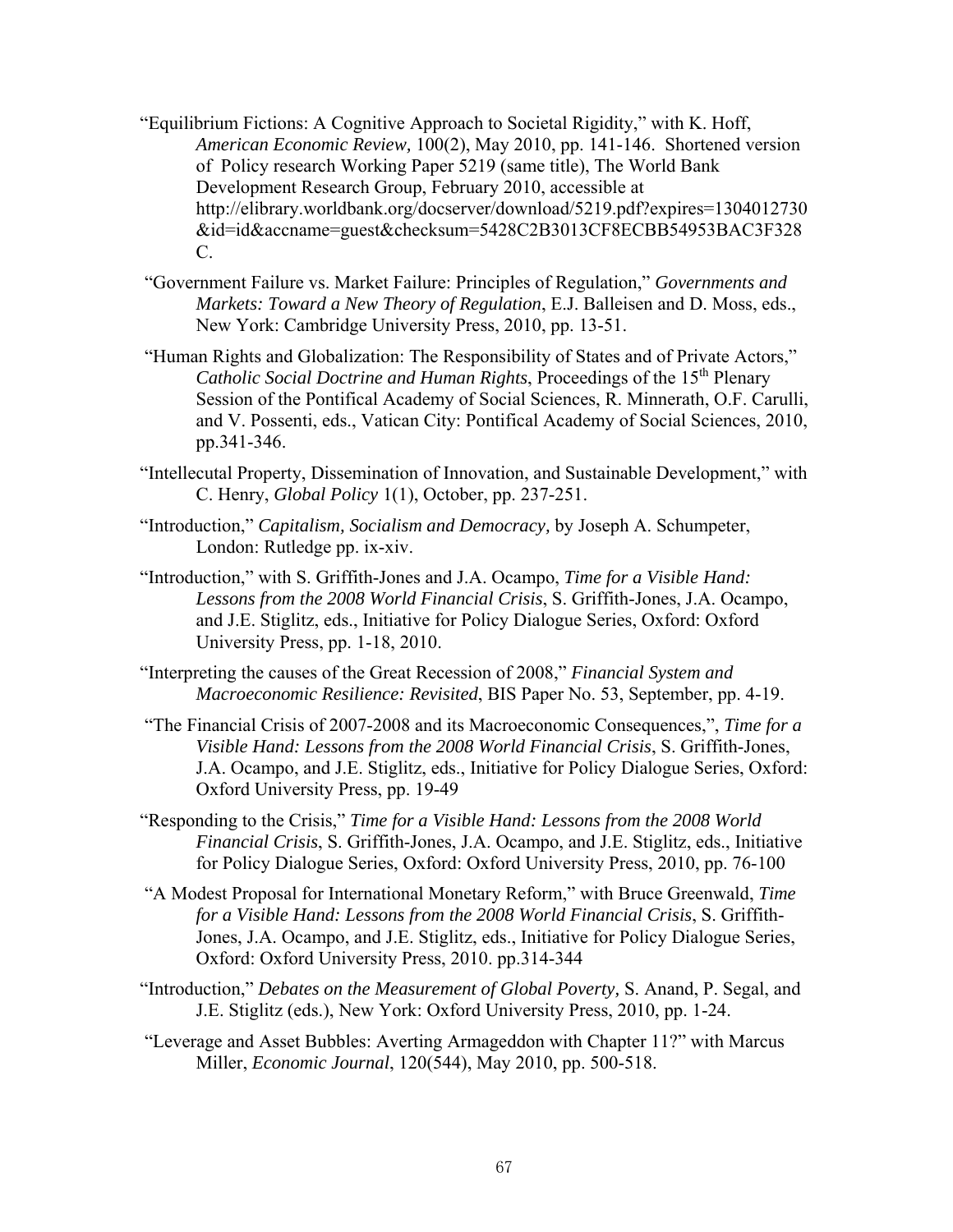- "Equilibrium Fictions: A Cognitive Approach to Societal Rigidity," with K. Hoff, *American Economic Review,* 100(2), May 2010, pp. 141-146. Shortened version of Policy research Working Paper 5219 (same title), The World Bank Development Research Group, February 2010, accessible at http://elibrary.worldbank.org/docserver/download/5219.pdf?expires=1304012730 &id=id&accname=guest&checksum=5428C2B3013CF8ECBB54953BAC3F328 C.
- "Government Failure vs. Market Failure: Principles of Regulation," *Governments and Markets: Toward a New Theory of Regulation*, E.J. Balleisen and D. Moss, eds., New York: Cambridge University Press, 2010, pp. 13-51.
- "Human Rights and Globalization: The Responsibility of States and of Private Actors," *Catholic Social Doctrine and Human Rights*, Proceedings of the 15<sup>th</sup> Plenary Session of the Pontifical Academy of Social Sciences, R. Minnerath, O.F. Carulli, and V. Possenti, eds., Vatican City: Pontifical Academy of Social Sciences, 2010, pp.341-346.
- "Intellecutal Property, Dissemination of Innovation, and Sustainable Development," with C. Henry, *Global Policy* 1(1), October, pp. 237-251.
- "Introduction," *Capitalism, Socialism and Democracy,* by Joseph A. Schumpeter, London: Rutledge pp. ix-xiv.
- "Introduction," with S. Griffith-Jones and J.A. Ocampo, *Time for a Visible Hand: Lessons from the 2008 World Financial Crisis*, S. Griffith-Jones, J.A. Ocampo, and J.E. Stiglitz, eds., Initiative for Policy Dialogue Series, Oxford: Oxford University Press, pp. 1-18, 2010.
- "Interpreting the causes of the Great Recession of 2008," *Financial System and Macroeconomic Resilience: Revisited*, BIS Paper No. 53, September, pp. 4-19.
- "The Financial Crisis of 2007-2008 and its Macroeconomic Consequences,", *Time for a Visible Hand: Lessons from the 2008 World Financial Crisis*, S. Griffith-Jones, J.A. Ocampo, and J.E. Stiglitz, eds., Initiative for Policy Dialogue Series, Oxford: Oxford University Press, pp. 19-49
- "Responding to the Crisis," *Time for a Visible Hand: Lessons from the 2008 World Financial Crisis*, S. Griffith-Jones, J.A. Ocampo, and J.E. Stiglitz, eds., Initiative for Policy Dialogue Series, Oxford: Oxford University Press, 2010, pp. 76-100
- "A Modest Proposal for International Monetary Reform," with Bruce Greenwald, *Time for a Visible Hand: Lessons from the 2008 World Financial Crisis*, S. Griffith-Jones, J.A. Ocampo, and J.E. Stiglitz, eds., Initiative for Policy Dialogue Series, Oxford: Oxford University Press, 2010. pp.314-344
- "Introduction," *Debates on the Measurement of Global Poverty,* S. Anand, P. Segal, and J.E. Stiglitz (eds.), New York: Oxford University Press, 2010, pp. 1-24.
- "Leverage and Asset Bubbles: Averting Armageddon with Chapter 11?" with Marcus Miller, *Economic Journal*, 120(544), May 2010, pp. 500-518.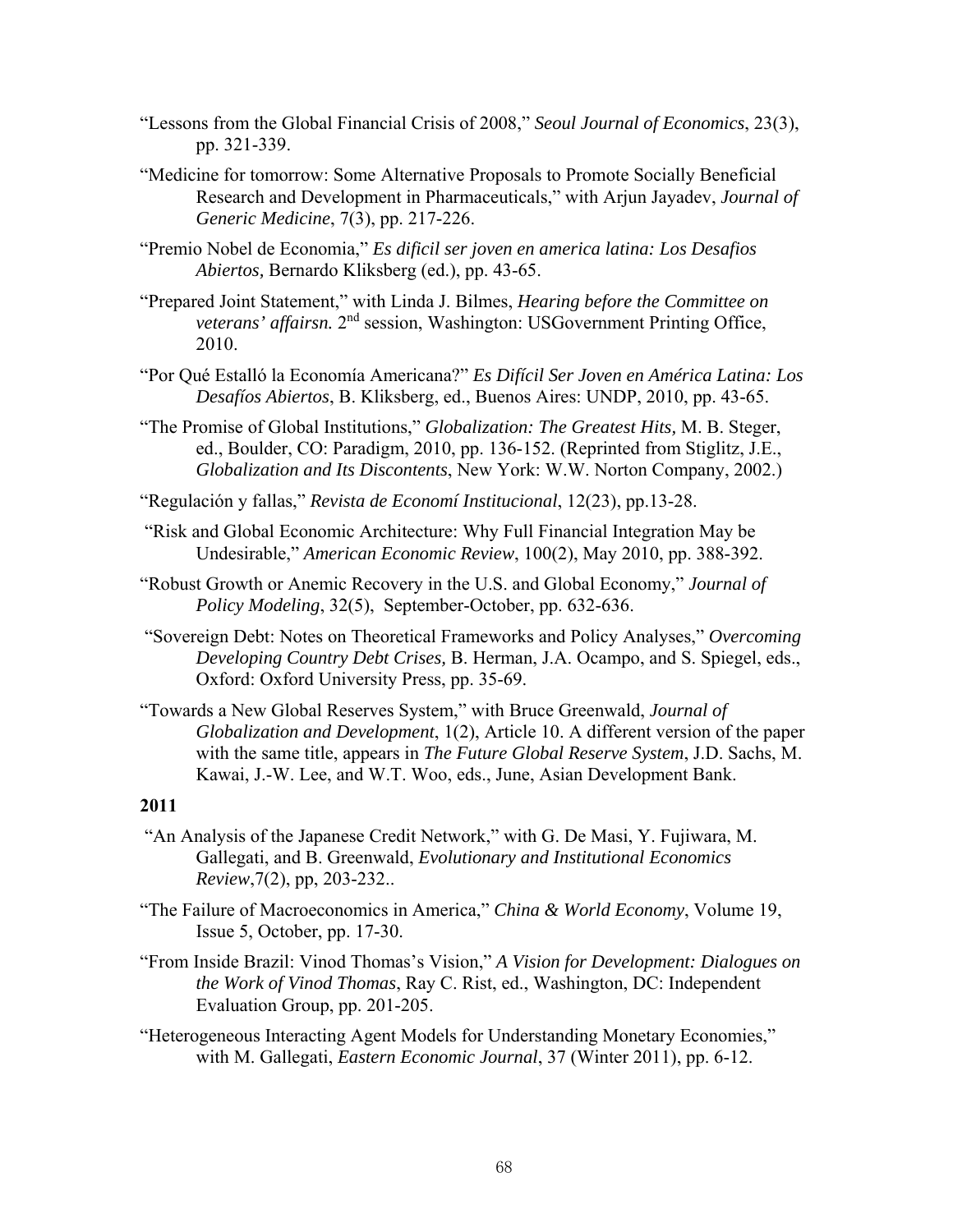- "Lessons from the Global Financial Crisis of 2008," *Seoul Journal of Economics*, 23(3), pp. 321-339.
- "Medicine for tomorrow: Some Alternative Proposals to Promote Socially Beneficial Research and Development in Pharmaceuticals," with Arjun Jayadev, *Journal of Generic Medicine*, 7(3), pp. 217-226.
- "Premio Nobel de Economia," *Es dificil ser joven en america latina: Los Desafios Abiertos,* Bernardo Kliksberg (ed.), pp. 43-65.
- "Prepared Joint Statement," with Linda J. Bilmes, *Hearing before the Committee on veterans' affairsn.* 2nd session, Washington: USGovernment Printing Office, 2010.
- "Por Qué Estalló la Economía Americana?" *Es Difícil Ser Joven en América Latina: Los Desafíos Abiertos*, B. Kliksberg, ed., Buenos Aires: UNDP, 2010, pp. 43-65.
- "The Promise of Global Institutions," *Globalization: The Greatest Hits,* M. B. Steger, ed., Boulder, CO: Paradigm, 2010, pp. 136-152. (Reprinted from Stiglitz, J.E., *Globalization and Its Discontents*, New York: W.W. Norton Company, 2002.)
- "Regulación y fallas," *Revista de Economí Institucional*, 12(23), pp.13-28.
- "Risk and Global Economic Architecture: Why Full Financial Integration May be Undesirable," *American Economic Review*, 100(2), May 2010, pp. 388-392.
- "Robust Growth or Anemic Recovery in the U.S. and Global Economy," *Journal of Policy Modeling*, 32(5), September-October, pp. 632-636.
- "Sovereign Debt: Notes on Theoretical Frameworks and Policy Analyses," *Overcoming Developing Country Debt Crises,* B. Herman, J.A. Ocampo, and S. Spiegel, eds., Oxford: Oxford University Press, pp. 35-69.
- "Towards a New Global Reserves System," with Bruce Greenwald, *Journal of Globalization and Development*, 1(2), Article 10. A different version of the paper with the same title, appears in *The Future Global Reserve System*, J.D. Sachs, M. Kawai, J.-W. Lee, and W.T. Woo, eds., June, Asian Development Bank.

- "An Analysis of the Japanese Credit Network," with G. De Masi, Y. Fujiwara, M. Gallegati, and B. Greenwald, *Evolutionary and Institutional Economics Review*,7(2), pp, 203-232..
- "The Failure of Macroeconomics in America," *China & World Economy*, Volume 19, Issue 5, October, pp. 17-30.
- "From Inside Brazil: Vinod Thomas's Vision," *A Vision for Development: Dialogues on the Work of Vinod Thomas*, Ray C. Rist, ed., Washington, DC: Independent Evaluation Group, pp. 201-205.
- "Heterogeneous Interacting Agent Models for Understanding Monetary Economies," with M. Gallegati, *Eastern Economic Journal*, 37 (Winter 2011), pp. 6-12.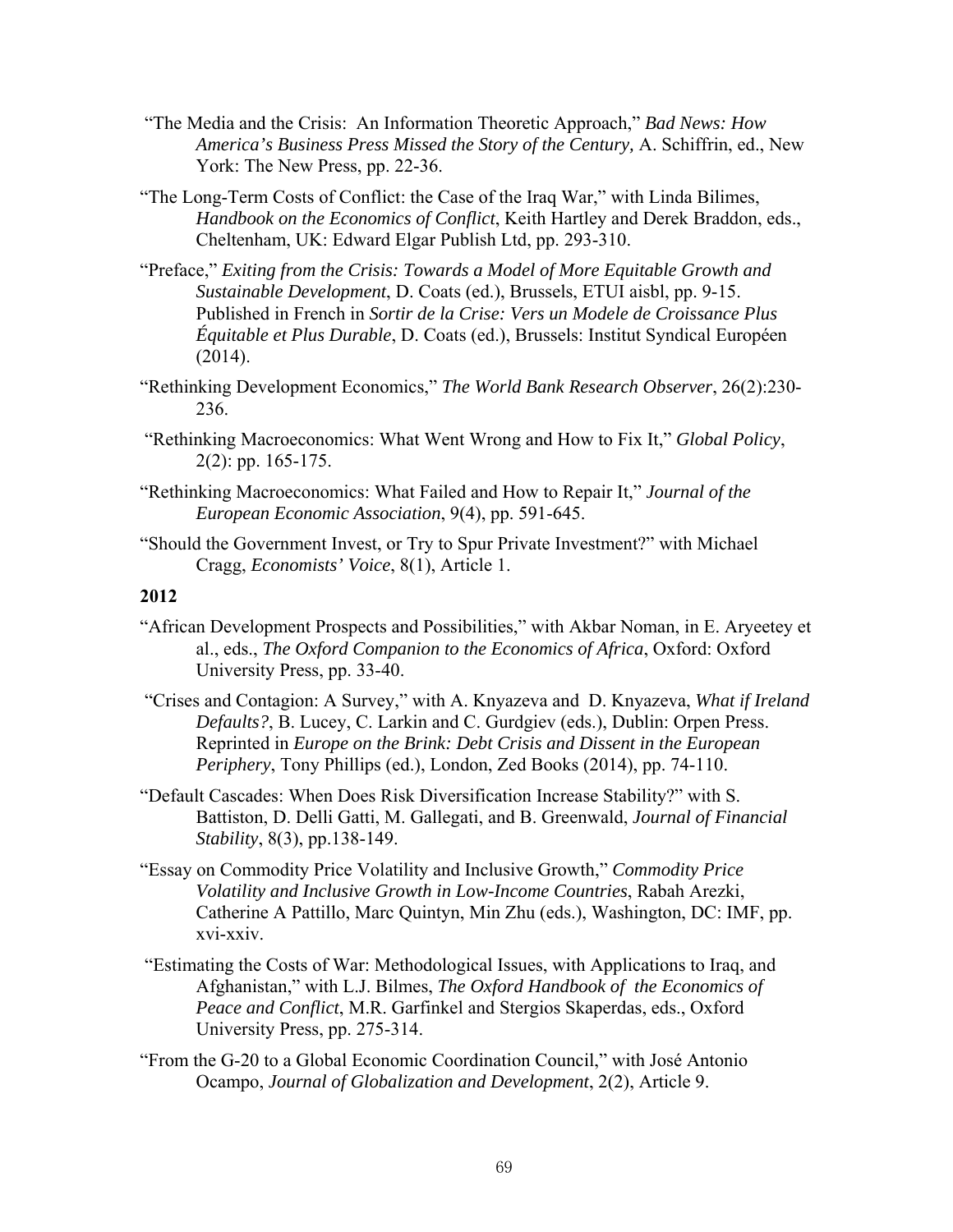- "The Media and the Crisis: An Information Theoretic Approach," *Bad News: How America's Business Press Missed the Story of the Century,* A. Schiffrin, ed., New York: The New Press, pp. 22-36.
- "The Long-Term Costs of Conflict: the Case of the Iraq War," with Linda Bilimes, *Handbook on the Economics of Conflict*, Keith Hartley and Derek Braddon, eds., Cheltenham, UK: Edward Elgar Publish Ltd, pp. 293-310.
- "Preface," *Exiting from the Crisis: Towards a Model of More Equitable Growth and Sustainable Development*, D. Coats (ed.), Brussels, ETUI aisbl, pp. 9-15. Published in French in *Sortir de la Crise: Vers un Modele de Croissance Plus Équitable et Plus Durable*, D. Coats (ed.), Brussels: Institut Syndical Européen (2014).
- "Rethinking Development Economics," *The World Bank Research Observer*, 26(2):230- 236.
- "Rethinking Macroeconomics: What Went Wrong and How to Fix It," *Global Policy*, 2(2): pp. 165-175.
- "Rethinking Macroeconomics: What Failed and How to Repair It," *Journal of the European Economic Association*, 9(4), pp. 591-645.
- "Should the Government Invest, or Try to Spur Private Investment?" with Michael Cragg, *Economists' Voice*, 8(1), Article 1.

- "African Development Prospects and Possibilities," with Akbar Noman, in E. Aryeetey et al., eds., *The Oxford Companion to the Economics of Africa*, Oxford: Oxford University Press, pp. 33-40.
- "Crises and Contagion: A Survey," with A. Knyazeva and D. Knyazeva, *What if Ireland Defaults?*, B. Lucey, C. Larkin and C. Gurdgiev (eds.), Dublin: Orpen Press. Reprinted in *Europe on the Brink: Debt Crisis and Dissent in the European Periphery*, Tony Phillips (ed.), London, Zed Books (2014), pp. 74-110.
- "Default Cascades: When Does Risk Diversification Increase Stability?" with S. Battiston, D. Delli Gatti, M. Gallegati, and B. Greenwald, *Journal of Financial Stability*, 8(3), pp.138-149.
- "Essay on Commodity Price Volatility and Inclusive Growth," *Commodity Price Volatility and Inclusive Growth in Low-Income Countries*, Rabah Arezki, Catherine A Pattillo, Marc Quintyn, Min Zhu (eds.), Washington, DC: IMF, pp. xvi-xxiv.
- "Estimating the Costs of War: Methodological Issues, with Applications to Iraq, and Afghanistan," with L.J. Bilmes, *The Oxford Handbook of the Economics of Peace and Conflict*, M.R. Garfinkel and Stergios Skaperdas, eds., Oxford University Press, pp. 275-314.
- "From the G-20 to a Global Economic Coordination Council," with José Antonio Ocampo, *Journal of Globalization and Development*, 2(2), Article 9.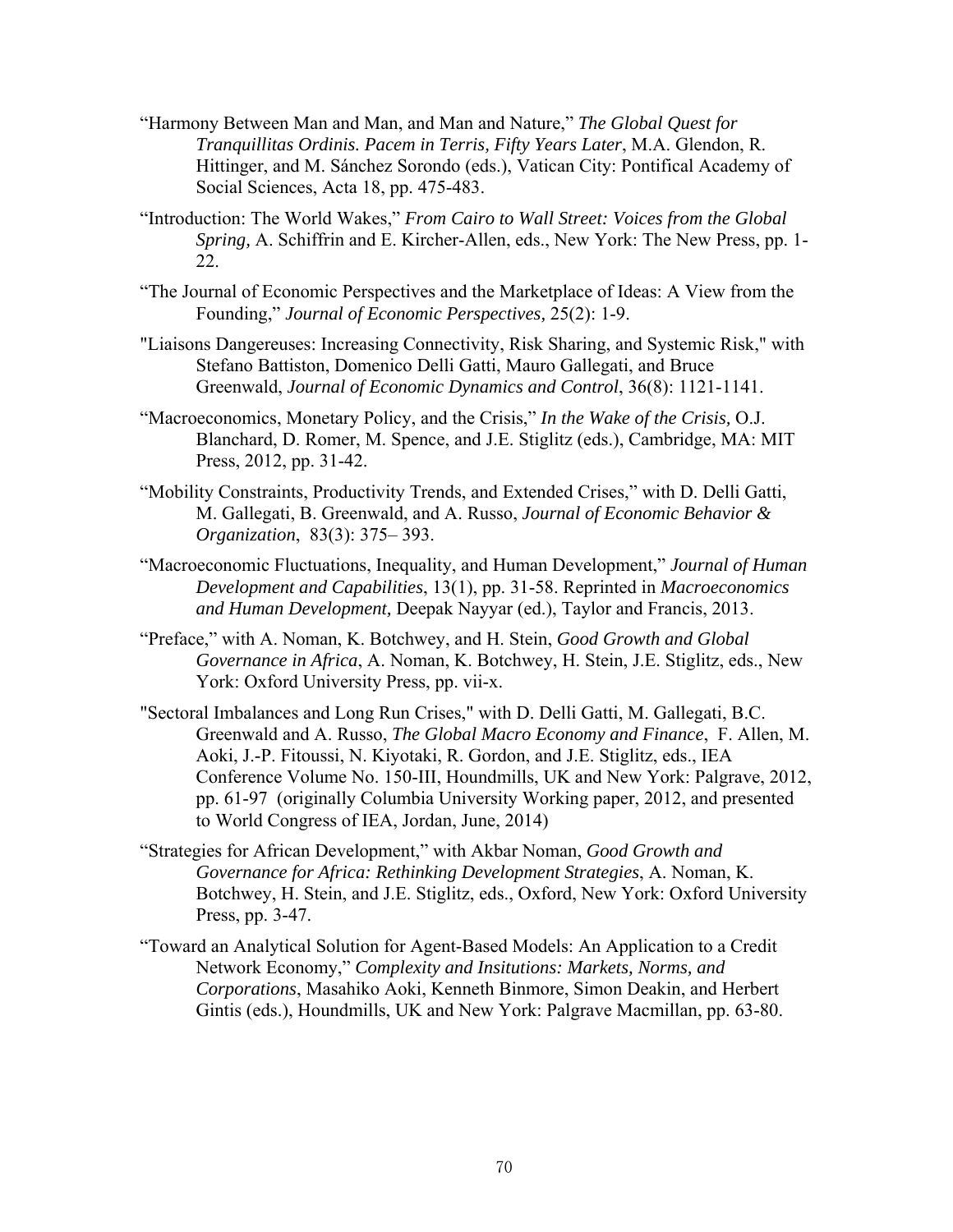- "Harmony Between Man and Man, and Man and Nature," *The Global Quest for Tranquillitas Ordinis. Pacem in Terris, Fifty Years Later*, M.A. Glendon, R. Hittinger, and M. Sánchez Sorondo (eds.), Vatican City: Pontifical Academy of Social Sciences, Acta 18, pp. 475-483.
- "Introduction: The World Wakes," *From Cairo to Wall Street: Voices from the Global Spring,* A. Schiffrin and E. Kircher-Allen, eds., New York: The New Press, pp. 1- 22.
- "The Journal of Economic Perspectives and the Marketplace of Ideas: A View from the Founding," *Journal of Economic Perspectives,* 25(2): 1-9.
- "Liaisons Dangereuses: Increasing Connectivity, Risk Sharing, and Systemic Risk," with Stefano Battiston, Domenico Delli Gatti, Mauro Gallegati, and Bruce Greenwald, *Journal of Economic Dynamics and Control*, 36(8): 1121-1141.
- "Macroeconomics, Monetary Policy, and the Crisis," *In the Wake of the Crisis,* O.J. Blanchard, D. Romer, M. Spence, and J.E. Stiglitz (eds.), Cambridge, MA: MIT Press, 2012, pp. 31-42.
- "Mobility Constraints, Productivity Trends, and Extended Crises," with D. Delli Gatti, M. Gallegati, B. Greenwald, and A. Russo, *Journal of Economic Behavior & Organization*, 83(3): 375– 393.
- "Macroeconomic Fluctuations, Inequality, and Human Development," *Journal of Human Development and Capabilities*, 13(1), pp. 31-58. Reprinted in *Macroeconomics and Human Development,* Deepak Nayyar (ed.), Taylor and Francis, 2013.
- "Preface," with A. Noman, K. Botchwey, and H. Stein, *Good Growth and Global Governance in Africa*, A. Noman, K. Botchwey, H. Stein, J.E. Stiglitz, eds., New York: Oxford University Press, pp. vii-x.
- "Sectoral Imbalances and Long Run Crises," with D. Delli Gatti, M. Gallegati, B.C. Greenwald and A. Russo, *The Global Macro Economy and Finance*, F. Allen, M. Aoki, J.-P. Fitoussi, N. Kiyotaki, R. Gordon, and J.E. Stiglitz, eds., IEA Conference Volume No. 150-III, Houndmills, UK and New York: Palgrave, 2012, pp. 61-97 (originally Columbia University Working paper, 2012, and presented to World Congress of IEA, Jordan, June, 2014)
- "Strategies for African Development," with Akbar Noman, *Good Growth and Governance for Africa: Rethinking Development Strategies*, A. Noman, K. Botchwey, H. Stein, and J.E. Stiglitz, eds., Oxford, New York: Oxford University Press, pp. 3-47.
- "Toward an Analytical Solution for Agent-Based Models: An Application to a Credit Network Economy," *Complexity and Insitutions: Markets, Norms, and Corporations*, Masahiko Aoki, Kenneth Binmore, Simon Deakin, and Herbert Gintis (eds.), Houndmills, UK and New York: Palgrave Macmillan, pp. 63-80.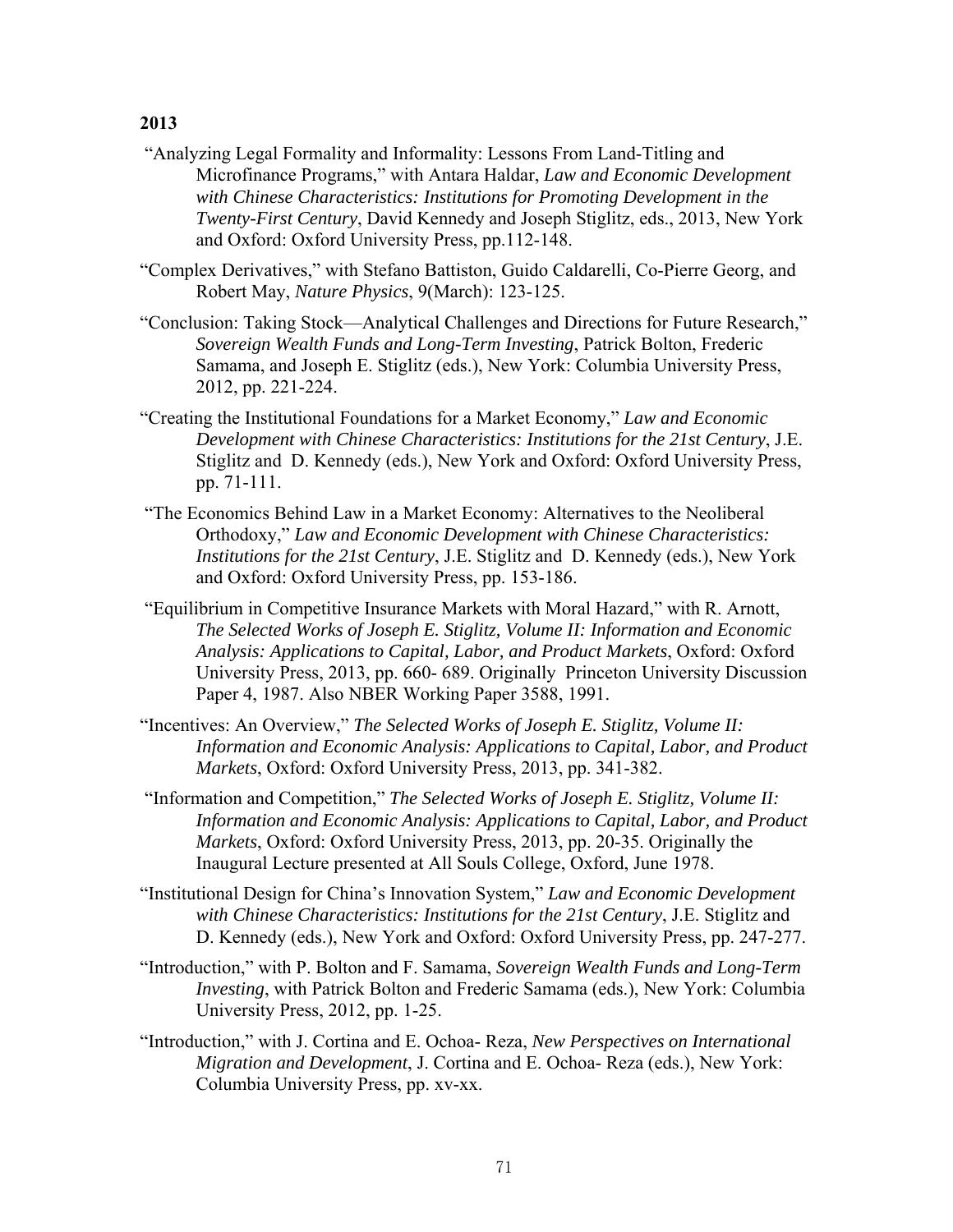- "Analyzing Legal Formality and Informality: Lessons From Land-Titling and Microfinance Programs," with Antara Haldar, *Law and Economic Development with Chinese Characteristics: Institutions for Promoting Development in the Twenty-First Century*, David Kennedy and Joseph Stiglitz, eds., 2013, New York and Oxford: Oxford University Press, pp.112-148.
- "Complex Derivatives," with Stefano Battiston, Guido Caldarelli, Co-Pierre Georg, and Robert May, *Nature Physics*, 9(March): 123-125.
- "Conclusion: Taking Stock—Analytical Challenges and Directions for Future Research," *Sovereign Wealth Funds and Long-Term Investing*, Patrick Bolton, Frederic Samama, and Joseph E. Stiglitz (eds.), New York: Columbia University Press, 2012, pp. 221-224.
- "Creating the Institutional Foundations for a Market Economy," *Law and Economic Development with Chinese Characteristics: Institutions for the 21st Century*, J.E. Stiglitz and D. Kennedy (eds.), New York and Oxford: Oxford University Press, pp. 71-111.
- "The Economics Behind Law in a Market Economy: Alternatives to the Neoliberal Orthodoxy," *Law and Economic Development with Chinese Characteristics: Institutions for the 21st Century*, J.E. Stiglitz and D. Kennedy (eds.), New York and Oxford: Oxford University Press, pp. 153-186.
- "Equilibrium in Competitive Insurance Markets with Moral Hazard," with R. Arnott, *The Selected Works of Joseph E. Stiglitz, Volume II: Information and Economic Analysis: Applications to Capital, Labor, and Product Markets*, Oxford: Oxford University Press, 2013, pp. 660- 689. Originally Princeton University Discussion Paper 4, 1987. Also NBER Working Paper 3588, 1991.
- "Incentives: An Overview," *The Selected Works of Joseph E. Stiglitz, Volume II: Information and Economic Analysis: Applications to Capital, Labor, and Product Markets*, Oxford: Oxford University Press, 2013, pp. 341-382.
- "Information and Competition," *The Selected Works of Joseph E. Stiglitz, Volume II: Information and Economic Analysis: Applications to Capital, Labor, and Product Markets*, Oxford: Oxford University Press, 2013, pp. 20-35. Originally the Inaugural Lecture presented at All Souls College, Oxford, June 1978.
- "Institutional Design for China's Innovation System," *Law and Economic Development with Chinese Characteristics: Institutions for the 21st Century*, J.E. Stiglitz and D. Kennedy (eds.), New York and Oxford: Oxford University Press, pp. 247-277.
- "Introduction," with P. Bolton and F. Samama, *Sovereign Wealth Funds and Long-Term Investing*, with Patrick Bolton and Frederic Samama (eds.), New York: Columbia University Press, 2012, pp. 1-25.
- "Introduction," with J. Cortina and E. Ochoa- Reza, *New Perspectives on International Migration and Development*, J. Cortina and E. Ochoa- Reza (eds.), New York: Columbia University Press, pp. xv-xx.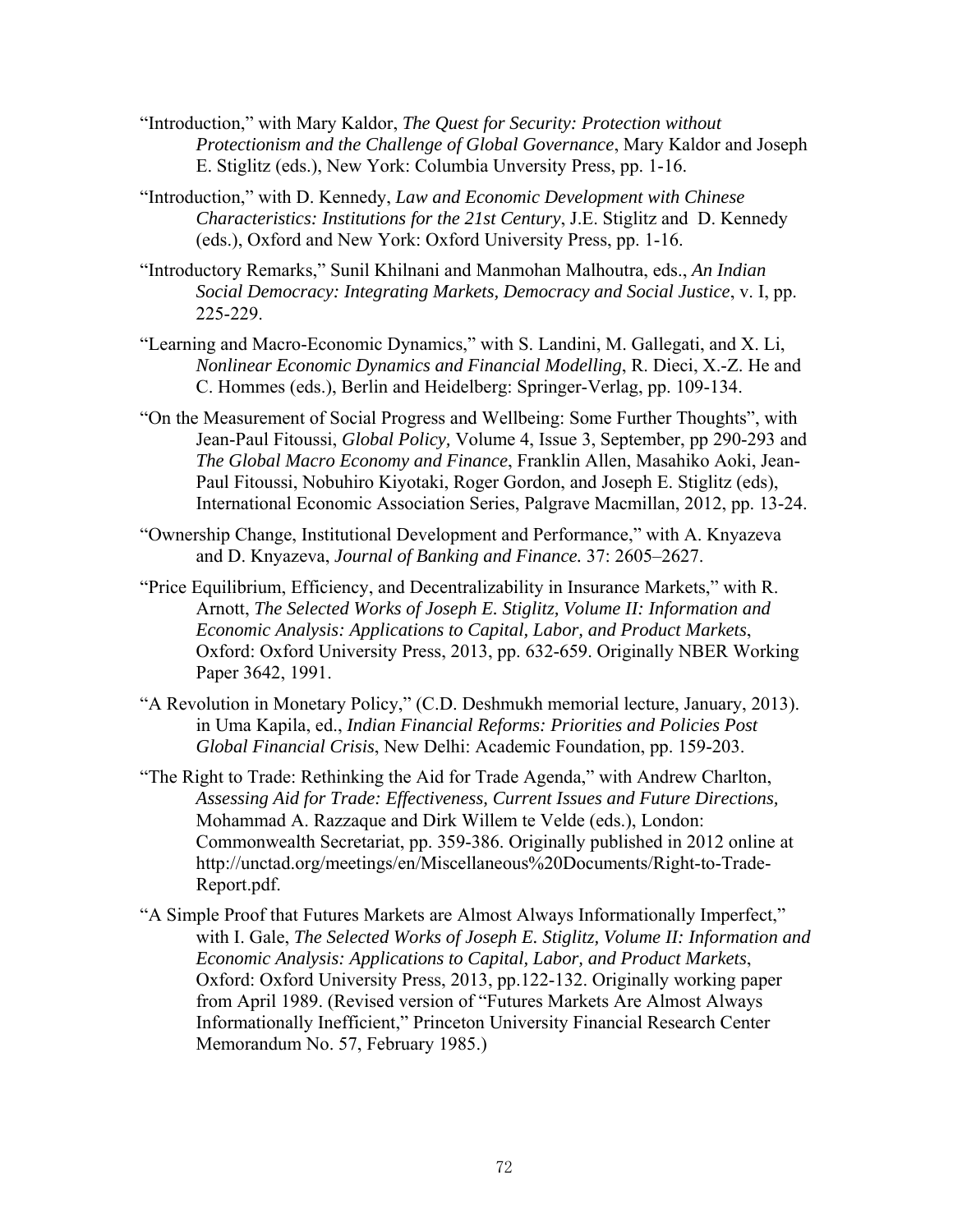- "Introduction," with Mary Kaldor, *The Quest for Security: Protection without Protectionism and the Challenge of Global Governance*, Mary Kaldor and Joseph E. Stiglitz (eds.), New York: Columbia Unversity Press, pp. 1-16.
- "Introduction," with D. Kennedy, *Law and Economic Development with Chinese Characteristics: Institutions for the 21st Century*, J.E. Stiglitz and D. Kennedy (eds.), Oxford and New York: Oxford University Press, pp. 1-16.
- "Introductory Remarks," Sunil Khilnani and Manmohan Malhoutra, eds., *An Indian Social Democracy: Integrating Markets, Democracy and Social Justice*, v. I, pp. 225-229.
- "Learning and Macro-Economic Dynamics," with S. Landini, M. Gallegati, and X. Li, *Nonlinear Economic Dynamics and Financial Modelling*, R. Dieci, X.-Z. He and C. Hommes (eds.), Berlin and Heidelberg: Springer-Verlag, pp. 109-134.
- "On the Measurement of Social Progress and Wellbeing: Some Further Thoughts", with Jean-Paul Fitoussi, *Global Policy,* Volume 4, Issue 3, September, pp 290-293 and *The Global Macro Economy and Finance*, Franklin Allen, Masahiko Aoki, Jean-Paul Fitoussi, Nobuhiro Kiyotaki, Roger Gordon, and Joseph E. Stiglitz (eds), International Economic Association Series, Palgrave Macmillan, 2012, pp. 13-24.
- "Ownership Change, Institutional Development and Performance," with A. Knyazeva and D. Knyazeva, *Journal of Banking and Finance.* 37: 2605–2627.
- "Price Equilibrium, Efficiency, and Decentralizability in Insurance Markets," with R. Arnott, *The Selected Works of Joseph E. Stiglitz, Volume II: Information and Economic Analysis: Applications to Capital, Labor, and Product Markets*, Oxford: Oxford University Press, 2013, pp. 632-659. Originally NBER Working Paper 3642, 1991.
- "A Revolution in Monetary Policy," (C.D. Deshmukh memorial lecture, January, 2013). in Uma Kapila, ed., *Indian Financial Reforms: Priorities and Policies Post Global Financial Crisis*, New Delhi: Academic Foundation, pp. 159-203.
- "The Right to Trade: Rethinking the Aid for Trade Agenda," with Andrew Charlton, *Assessing Aid for Trade: Effectiveness, Current Issues and Future Directions,*  Mohammad A. Razzaque and Dirk Willem te Velde (eds.), London: Commonwealth Secretariat, pp. 359-386. Originally published in 2012 online at http://unctad.org/meetings/en/Miscellaneous%20Documents/Right-to-Trade-Report.pdf.
- "A Simple Proof that Futures Markets are Almost Always Informationally Imperfect," with I. Gale, *The Selected Works of Joseph E. Stiglitz, Volume II: Information and Economic Analysis: Applications to Capital, Labor, and Product Markets*, Oxford: Oxford University Press, 2013, pp.122-132. Originally working paper from April 1989. (Revised version of "Futures Markets Are Almost Always Informationally Inefficient," Princeton University Financial Research Center Memorandum No. 57, February 1985.)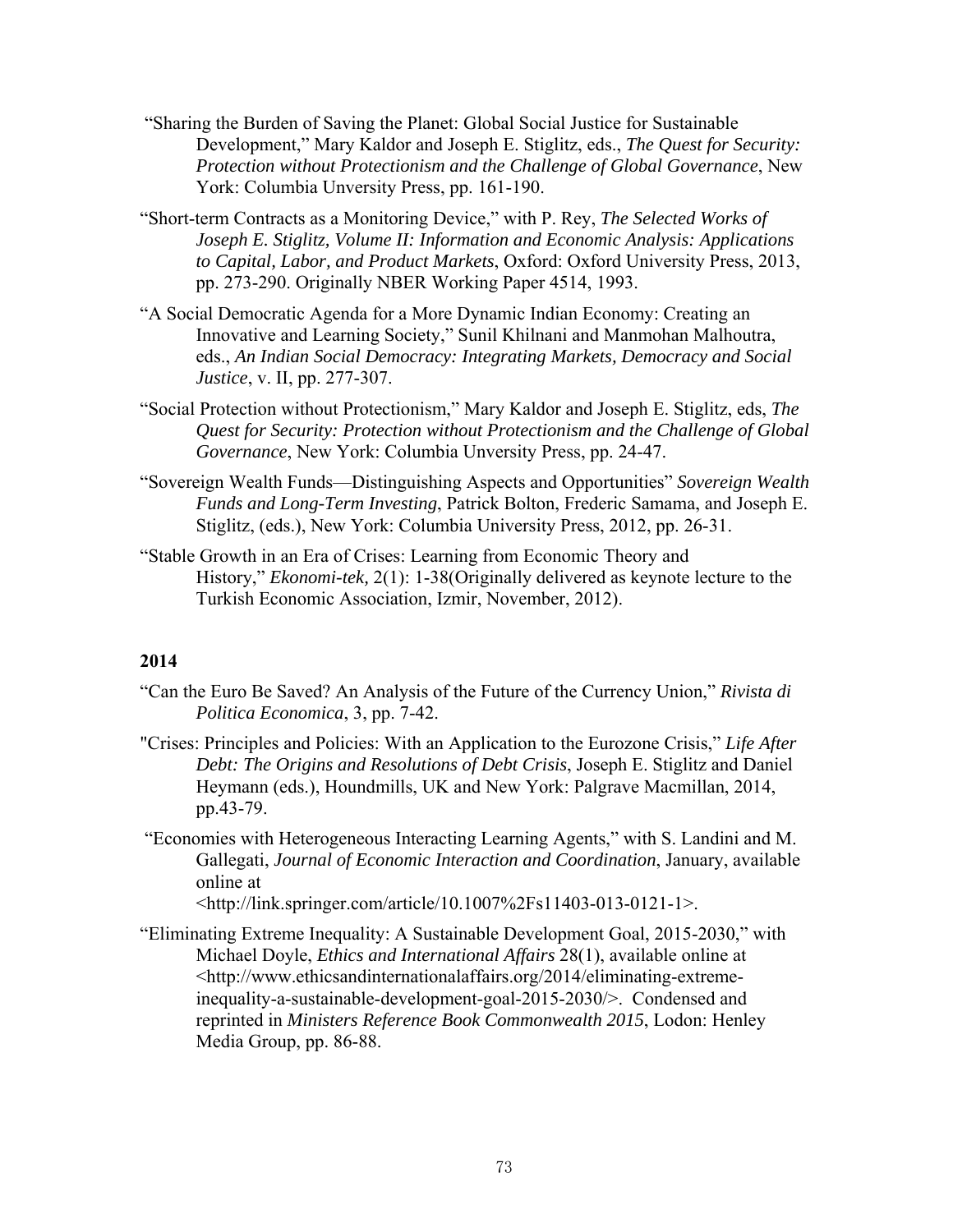- "Sharing the Burden of Saving the Planet: Global Social Justice for Sustainable Development," Mary Kaldor and Joseph E. Stiglitz, eds., *The Quest for Security: Protection without Protectionism and the Challenge of Global Governance*, New York: Columbia Unversity Press, pp. 161-190.
- "Short-term Contracts as a Monitoring Device," with P. Rey, *The Selected Works of Joseph E. Stiglitz, Volume II: Information and Economic Analysis: Applications to Capital, Labor, and Product Markets*, Oxford: Oxford University Press, 2013, pp. 273-290. Originally NBER Working Paper 4514, 1993.
- "A Social Democratic Agenda for a More Dynamic Indian Economy: Creating an Innovative and Learning Society," Sunil Khilnani and Manmohan Malhoutra, eds., *An Indian Social Democracy: Integrating Markets, Democracy and Social Justice*, v. II, pp. 277-307.
- "Social Protection without Protectionism," Mary Kaldor and Joseph E. Stiglitz, eds, *The Quest for Security: Protection without Protectionism and the Challenge of Global Governance*, New York: Columbia Unversity Press, pp. 24-47.
- "Sovereign Wealth Funds—Distinguishing Aspects and Opportunities" *Sovereign Wealth Funds and Long-Term Investing*, Patrick Bolton, Frederic Samama, and Joseph E. Stiglitz, (eds.), New York: Columbia University Press, 2012, pp. 26-31.
- "Stable Growth in an Era of Crises: Learning from Economic Theory and History," *Ekonomi-tek,* 2(1): 1-38(Originally delivered as keynote lecture to the Turkish Economic Association, Izmir, November, 2012).

- "Can the Euro Be Saved? An Analysis of the Future of the Currency Union," *Rivista di Politica Economica*, 3, pp. 7-42.
- "Crises: Principles and Policies: With an Application to the Eurozone Crisis," *Life After Debt: The Origins and Resolutions of Debt Crisis*, Joseph E. Stiglitz and Daniel Heymann (eds.), Houndmills, UK and New York: Palgrave Macmillan, 2014, pp.43-79.
- "Economies with Heterogeneous Interacting Learning Agents," with S. Landini and M. Gallegati, *Journal of Economic Interaction and Coordination*, January, available online at

<http://link.springer.com/article/10.1007%2Fs11403-013-0121-1>.

"Eliminating Extreme Inequality: A Sustainable Development Goal, 2015-2030," with Michael Doyle, *Ethics and International Affairs* 28(1), available online at <http://www.ethicsandinternationalaffairs.org/2014/eliminating-extremeinequality-a-sustainable-development-goal-2015-2030/>. Condensed and reprinted in *Ministers Reference Book Commonwealth 2015*, Lodon: Henley Media Group, pp. 86-88.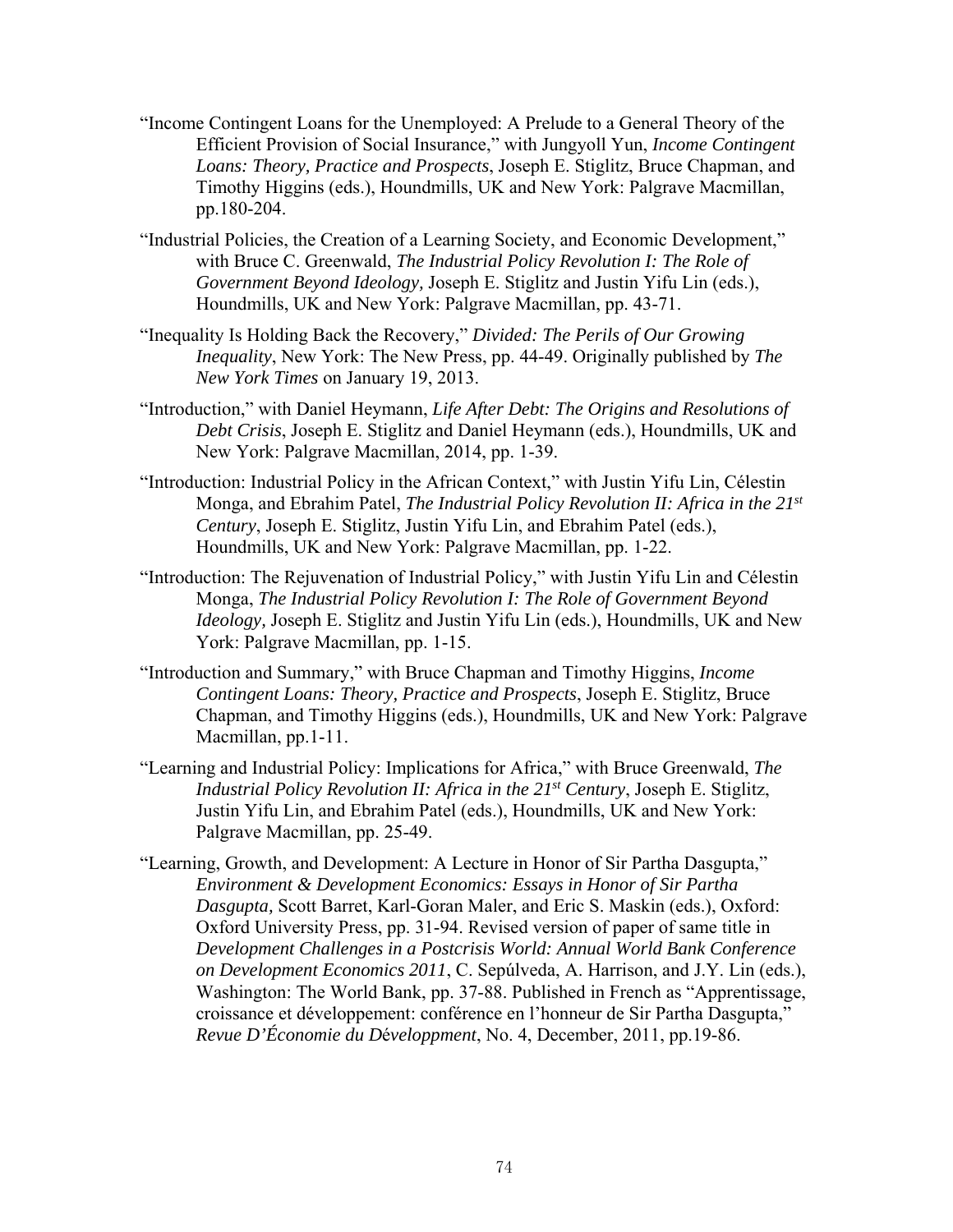- "Income Contingent Loans for the Unemployed: A Prelude to a General Theory of the Efficient Provision of Social Insurance," with Jungyoll Yun, *Income Contingent Loans: Theory, Practice and Prospects*, Joseph E. Stiglitz, Bruce Chapman, and Timothy Higgins (eds.), Houndmills, UK and New York: Palgrave Macmillan, pp.180-204.
- "Industrial Policies, the Creation of a Learning Society, and Economic Development," with Bruce C. Greenwald, *The Industrial Policy Revolution I: The Role of Government Beyond Ideology,* Joseph E. Stiglitz and Justin Yifu Lin (eds.), Houndmills, UK and New York: Palgrave Macmillan, pp. 43-71.
- "Inequality Is Holding Back the Recovery," *Divided: The Perils of Our Growing Inequality*, New York: The New Press, pp. 44-49. Originally published by *The New York Times* on January 19, 2013.
- "Introduction," with Daniel Heymann, *Life After Debt: The Origins and Resolutions of Debt Crisis*, Joseph E. Stiglitz and Daniel Heymann (eds.), Houndmills, UK and New York: Palgrave Macmillan, 2014, pp. 1-39.
- "Introduction: Industrial Policy in the African Context," with Justin Yifu Lin, Célestin Monga, and Ebrahim Patel, *The Industrial Policy Revolution II: Africa in the 21st Century*, Joseph E. Stiglitz, Justin Yifu Lin, and Ebrahim Patel (eds.), Houndmills, UK and New York: Palgrave Macmillan, pp. 1-22.
- "Introduction: The Rejuvenation of Industrial Policy," with Justin Yifu Lin and Célestin Monga, *The Industrial Policy Revolution I: The Role of Government Beyond Ideology,* Joseph E. Stiglitz and Justin Yifu Lin (eds.), Houndmills, UK and New York: Palgrave Macmillan, pp. 1-15.
- "Introduction and Summary," with Bruce Chapman and Timothy Higgins, *Income Contingent Loans: Theory, Practice and Prospects*, Joseph E. Stiglitz, Bruce Chapman, and Timothy Higgins (eds.), Houndmills, UK and New York: Palgrave Macmillan, pp.1-11.
- "Learning and Industrial Policy: Implications for Africa," with Bruce Greenwald, *The Industrial Policy Revolution II: Africa in the 21st Century*, Joseph E. Stiglitz, Justin Yifu Lin, and Ebrahim Patel (eds.), Houndmills, UK and New York: Palgrave Macmillan, pp. 25-49.
- "Learning, Growth, and Development: A Lecture in Honor of Sir Partha Dasgupta," *Environment & Development Economics: Essays in Honor of Sir Partha Dasgupta,* Scott Barret, Karl-Goran Maler, and Eric S. Maskin (eds.), Oxford: Oxford University Press, pp. 31-94. Revised version of paper of same title in *Development Challenges in a Postcrisis World: Annual World Bank Conference on Development Economics 2011*, C. Sepúlveda, A. Harrison, and J.Y. Lin (eds.), Washington: The World Bank, pp. 37-88. Published in French as "Apprentissage, croissance et développement: conférence en l'honneur de Sir Partha Dasgupta," *Revue D'Économie du D*é*veloppment*, No. 4, December, 2011, pp.19-86.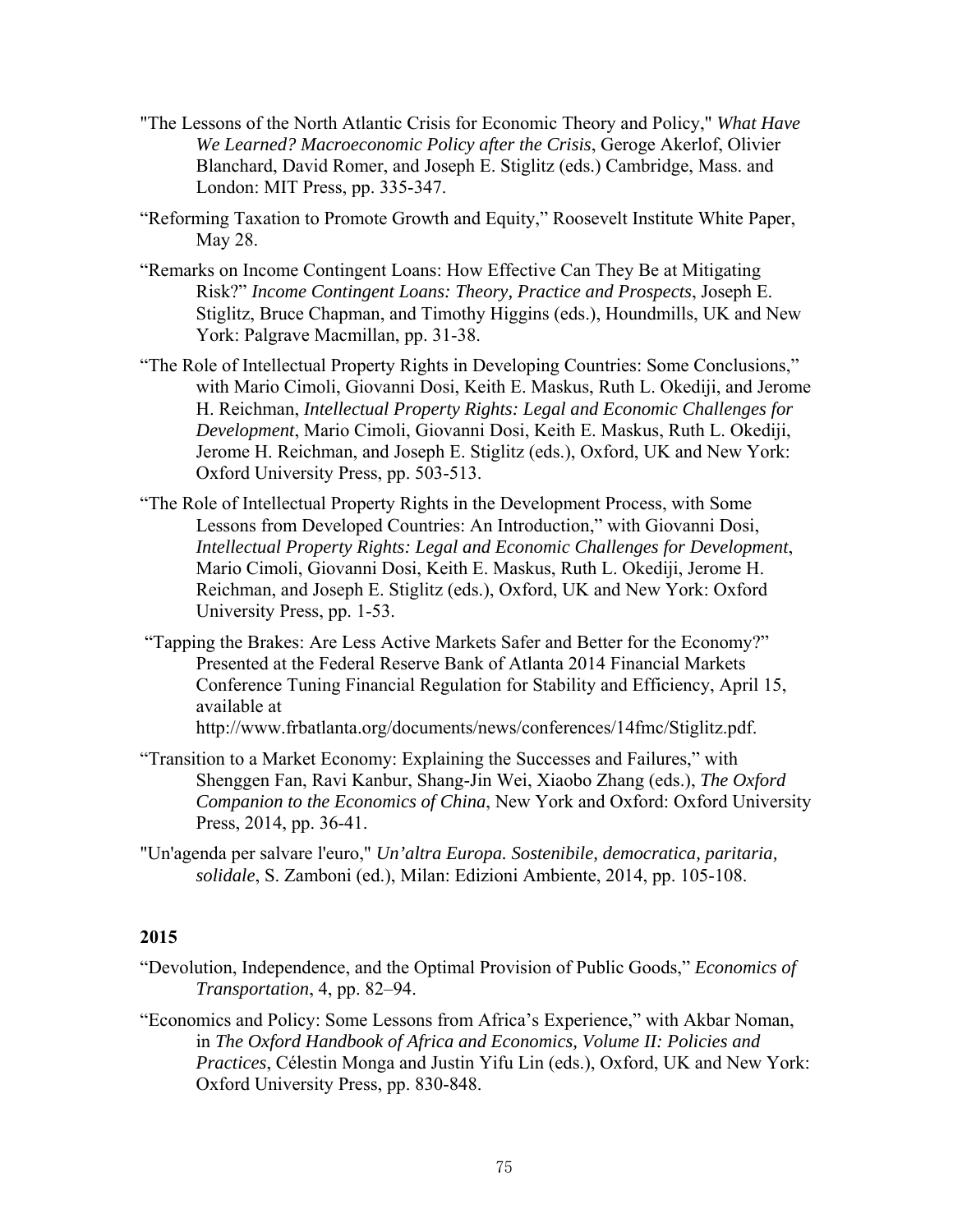- "The Lessons of the North Atlantic Crisis for Economic Theory and Policy," *What Have We Learned? Macroeconomic Policy after the Crisis*, Geroge Akerlof, Olivier Blanchard, David Romer, and Joseph E. Stiglitz (eds.) Cambridge, Mass. and London: MIT Press, pp. 335-347.
- "Reforming Taxation to Promote Growth and Equity," Roosevelt Institute White Paper, May 28.
- "Remarks on Income Contingent Loans: How Effective Can They Be at Mitigating Risk?" *Income Contingent Loans: Theory, Practice and Prospects*, Joseph E. Stiglitz, Bruce Chapman, and Timothy Higgins (eds.), Houndmills, UK and New York: Palgrave Macmillan, pp. 31-38.
- "The Role of Intellectual Property Rights in Developing Countries: Some Conclusions," with Mario Cimoli, Giovanni Dosi, Keith E. Maskus, Ruth L. Okediji, and Jerome H. Reichman, *Intellectual Property Rights: Legal and Economic Challenges for Development*, Mario Cimoli, Giovanni Dosi, Keith E. Maskus, Ruth L. Okediji, Jerome H. Reichman, and Joseph E. Stiglitz (eds.), Oxford, UK and New York: Oxford University Press, pp. 503-513.
- "The Role of Intellectual Property Rights in the Development Process, with Some Lessons from Developed Countries: An Introduction," with Giovanni Dosi, *Intellectual Property Rights: Legal and Economic Challenges for Development*, Mario Cimoli, Giovanni Dosi, Keith E. Maskus, Ruth L. Okediji, Jerome H. Reichman, and Joseph E. Stiglitz (eds.), Oxford, UK and New York: Oxford University Press, pp. 1-53.
- "Tapping the Brakes: Are Less Active Markets Safer and Better for the Economy?" Presented at the Federal Reserve Bank of Atlanta 2014 Financial Markets Conference Tuning Financial Regulation for Stability and Efficiency, April 15, available at

http://www.frbatlanta.org/documents/news/conferences/14fmc/Stiglitz.pdf.

- "Transition to a Market Economy: Explaining the Successes and Failures," with Shenggen Fan, Ravi Kanbur, Shang-Jin Wei, Xiaobo Zhang (eds.), *The Oxford Companion to the Economics of China*, New York and Oxford: Oxford University Press, 2014, pp. 36-41.
- "Un'agenda per salvare l'euro," *Un'altra Europa. Sostenibile, democratica, paritaria, solidale*, S. Zamboni (ed.), Milan: Edizioni Ambiente, 2014, pp. 105-108.

#### **2015**

- "Devolution, Independence, and the Optimal Provision of Public Goods," *Economics of Transportation*, 4, pp. 82–94.
- "Economics and Policy: Some Lessons from Africa's Experience," with Akbar Noman, in *The Oxford Handbook of Africa and Economics, Volume II: Policies and Practices*, Célestin Monga and Justin Yifu Lin (eds.), Oxford, UK and New York: Oxford University Press, pp. 830-848.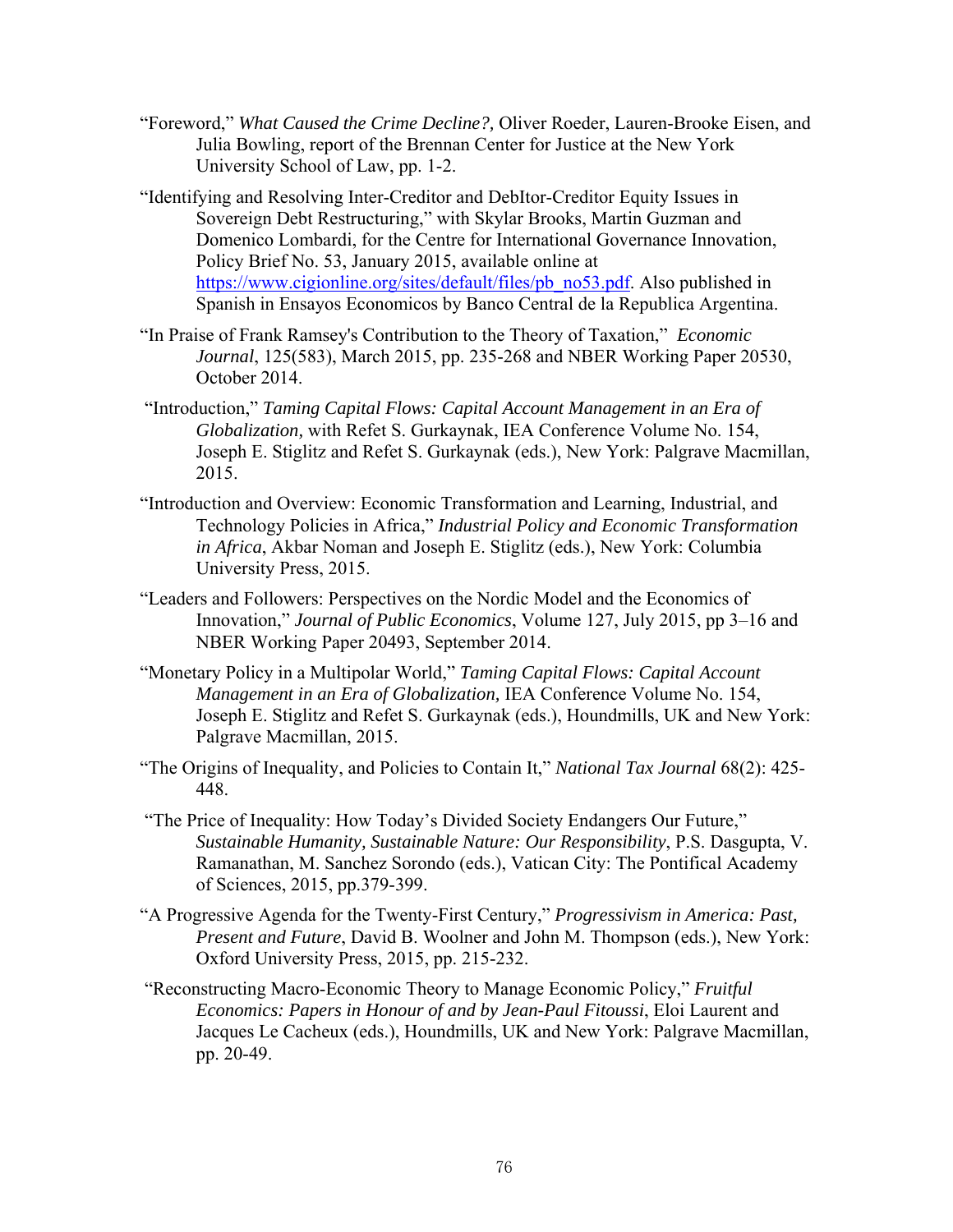- "Foreword," *What Caused the Crime Decline?,* Oliver Roeder, Lauren-Brooke Eisen, and Julia Bowling, report of the Brennan Center for Justice at the New York University School of Law, pp. 1-2.
- "Identifying and Resolving Inter-Creditor and DebItor-Creditor Equity Issues in Sovereign Debt Restructuring," with Skylar Brooks, Martin Guzman and Domenico Lombardi, for the Centre for International Governance Innovation, Policy Brief No. 53, January 2015, available online at https://www.cigionline.org/sites/default/files/pb\_no53.pdf. Also published in Spanish in Ensayos Economicos by Banco Central de la Republica Argentina.
- "In Praise of Frank Ramsey's Contribution to the Theory of Taxation," *Economic Journal*, 125(583), March 2015, pp. 235-268 and NBER Working Paper 20530, October 2014.
- "Introduction," *Taming Capital Flows: Capital Account Management in an Era of Globalization,* with Refet S. Gurkaynak, IEA Conference Volume No. 154, Joseph E. Stiglitz and Refet S. Gurkaynak (eds.), New York: Palgrave Macmillan, 2015.
- "Introduction and Overview: Economic Transformation and Learning, Industrial, and Technology Policies in Africa," *Industrial Policy and Economic Transformation in Africa*, Akbar Noman and Joseph E. Stiglitz (eds.), New York: Columbia University Press, 2015.
- "Leaders and Followers: Perspectives on the Nordic Model and the Economics of Innovation," *Journal of Public Economics*, Volume 127, July 2015, pp 3–16 and NBER Working Paper 20493, September 2014.
- "Monetary Policy in a Multipolar World," *Taming Capital Flows: Capital Account Management in an Era of Globalization,* IEA Conference Volume No. 154, Joseph E. Stiglitz and Refet S. Gurkaynak (eds.), Houndmills, UK and New York: Palgrave Macmillan, 2015.
- "The Origins of Inequality, and Policies to Contain It," *National Tax Journal* 68(2): 425- 448.
- "The Price of Inequality: How Today's Divided Society Endangers Our Future," *Sustainable Humanity, Sustainable Nature: Our Responsibility*, P.S. Dasgupta, V. Ramanathan, M. Sanchez Sorondo (eds.), Vatican City: The Pontifical Academy of Sciences, 2015, pp.379-399.
- "A Progressive Agenda for the Twenty-First Century," *Progressivism in America: Past, Present and Future*, David B. Woolner and John M. Thompson (eds.), New York: Oxford University Press, 2015, pp. 215-232.
- "Reconstructing Macro-Economic Theory to Manage Economic Policy," *Fruitful Economics: Papers in Honour of and by Jean-Paul Fitoussi*, Eloi Laurent and Jacques Le Cacheux (eds.), Houndmills, UK and New York: Palgrave Macmillan, pp. 20-49.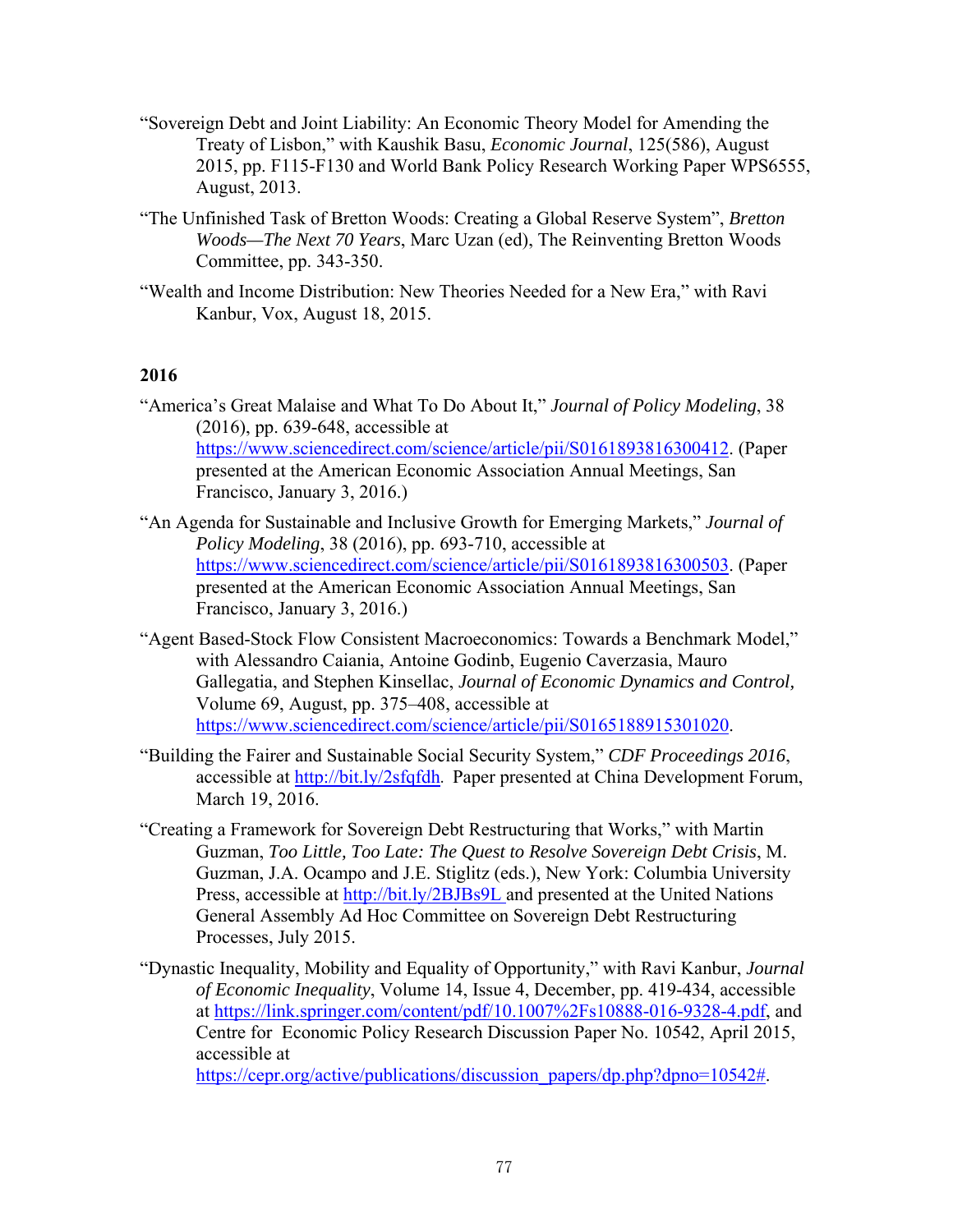- "Sovereign Debt and Joint Liability: An Economic Theory Model for Amending the Treaty of Lisbon," with Kaushik Basu, *Economic Journal*, 125(586), August 2015, pp. F115-F130 and World Bank Policy Research Working Paper WPS6555, August, 2013.
- "The Unfinished Task of Bretton Woods: Creating a Global Reserve System", *Bretton Woods—The Next 70 Years*, Marc Uzan (ed), The Reinventing Bretton Woods Committee, pp. 343-350.
- "Wealth and Income Distribution: New Theories Needed for a New Era," with Ravi Kanbur, Vox, August 18, 2015.

- "America's Great Malaise and What To Do About It," *Journal of Policy Modeling*, 38 (2016), pp. 639-648, accessible at https://www.sciencedirect.com/science/article/pii/S0161893816300412. (Paper presented at the American Economic Association Annual Meetings, San Francisco, January 3, 2016.)
- "An Agenda for Sustainable and Inclusive Growth for Emerging Markets," *Journal of Policy Modeling*, 38 (2016), pp. 693-710, accessible at https://www.sciencedirect.com/science/article/pii/S0161893816300503. (Paper presented at the American Economic Association Annual Meetings, San Francisco, January 3, 2016.)
- "Agent Based-Stock Flow Consistent Macroeconomics: Towards a Benchmark Model," with Alessandro Caiania, Antoine Godinb, Eugenio Caverzasia, Mauro Gallegatia, and Stephen Kinsellac, *Journal of Economic Dynamics and Control,*  Volume 69, August, pp. 375–408, accessible at https://www.sciencedirect.com/science/article/pii/S0165188915301020.
- "Building the Fairer and Sustainable Social Security System," *CDF Proceedings 2016*, accessible at http://bit.ly/2sfqfdh. Paper presented at China Development Forum, March 19, 2016.
- "Creating a Framework for Sovereign Debt Restructuring that Works," with Martin Guzman, *Too Little, Too Late: The Quest to Resolve Sovereign Debt Crisis*, M. Guzman, J.A. Ocampo and J.E. Stiglitz (eds.), New York: Columbia University Press, accessible at http://bit.ly/2BJBs9L and presented at the United Nations General Assembly Ad Hoc Committee on Sovereign Debt Restructuring Processes, July 2015.
- "Dynastic Inequality, Mobility and Equality of Opportunity," with Ravi Kanbur, *Journal of Economic Inequality*, Volume 14, Issue 4, December, pp. 419-434, accessible at https://link.springer.com/content/pdf/10.1007%2Fs10888-016-9328-4.pdf, and Centre for Economic Policy Research Discussion Paper No. 10542, April 2015, accessible at

https://cepr.org/active/publications/discussion\_papers/dp.php?dpno=10542#.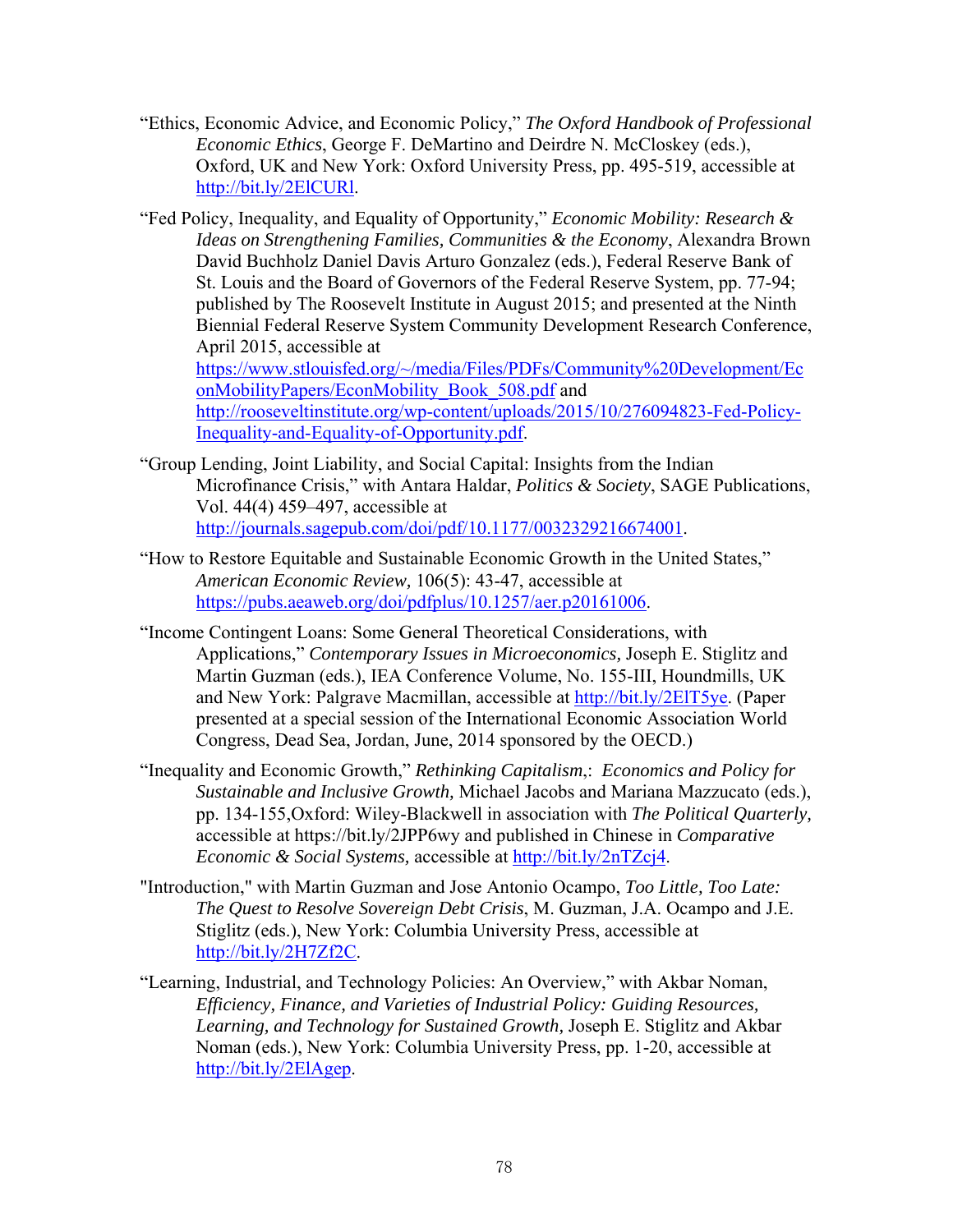- "Ethics, Economic Advice, and Economic Policy," *The Oxford Handbook of Professional Economic Ethics*, George F. DeMartino and Deirdre N. McCloskey (eds.), Oxford, UK and New York: Oxford University Press, pp. 495-519, accessible at http://bit.ly/2ElCURl.
- "Fed Policy, Inequality, and Equality of Opportunity," *Economic Mobility: Research & Ideas on Strengthening Families, Communities & the Economy*, Alexandra Brown David Buchholz Daniel Davis Arturo Gonzalez (eds.), Federal Reserve Bank of St. Louis and the Board of Governors of the Federal Reserve System, pp. 77-94; published by The Roosevelt Institute in August 2015; and presented at the Ninth Biennial Federal Reserve System Community Development Research Conference, April 2015, accessible at https://www.stlouisfed.org/~/media/Files/PDFs/Community%20Development/Ec onMobilityPapers/EconMobility\_Book\_508.pdf and http://rooseveltinstitute.org/wp-content/uploads/2015/10/276094823-Fed-Policy-Inequality-and-Equality-of-Opportunity.pdf.
- "Group Lending, Joint Liability, and Social Capital: Insights from the Indian Microfinance Crisis," with Antara Haldar, *Politics & Society*, SAGE Publications, Vol. 44(4) 459–497, accessible at http://journals.sagepub.com/doi/pdf/10.1177/0032329216674001.
- "How to Restore Equitable and Sustainable Economic Growth in the United States," *American Economic Review,* 106(5): 43-47, accessible at https://pubs.aeaweb.org/doi/pdfplus/10.1257/aer.p20161006.
- "Income Contingent Loans: Some General Theoretical Considerations, with Applications," *Contemporary Issues in Microeconomics,* Joseph E. Stiglitz and Martin Guzman (eds.), IEA Conference Volume, No. 155-III, Houndmills, UK and New York: Palgrave Macmillan, accessible at http://bit.ly/2ElT5ye. (Paper presented at a special session of the International Economic Association World Congress, Dead Sea, Jordan, June, 2014 sponsored by the OECD.)
- "Inequality and Economic Growth," *Rethinking Capitalism*,: *Economics and Policy for Sustainable and Inclusive Growth,* Michael Jacobs and Mariana Mazzucato (eds.), pp. 134-155,Oxford: Wiley-Blackwell in association with *The Political Quarterly,*  accessible at https://bit.ly/2JPP6wy and published in Chinese in *Comparative Economic & Social Systems,* accessible at http://bit.ly/2nTZcj4.
- "Introduction," with Martin Guzman and Jose Antonio Ocampo, *Too Little, Too Late: The Quest to Resolve Sovereign Debt Crisis*, M. Guzman, J.A. Ocampo and J.E. Stiglitz (eds.), New York: Columbia University Press, accessible at http://bit.ly/2H7Zf2C.
- "Learning, Industrial, and Technology Policies: An Overview," with Akbar Noman, *Efficiency, Finance, and Varieties of Industrial Policy: Guiding Resources, Learning, and Technology for Sustained Growth,* Joseph E. Stiglitz and Akbar Noman (eds.), New York: Columbia University Press, pp. 1-20, accessible at http://bit.ly/2ElAgep.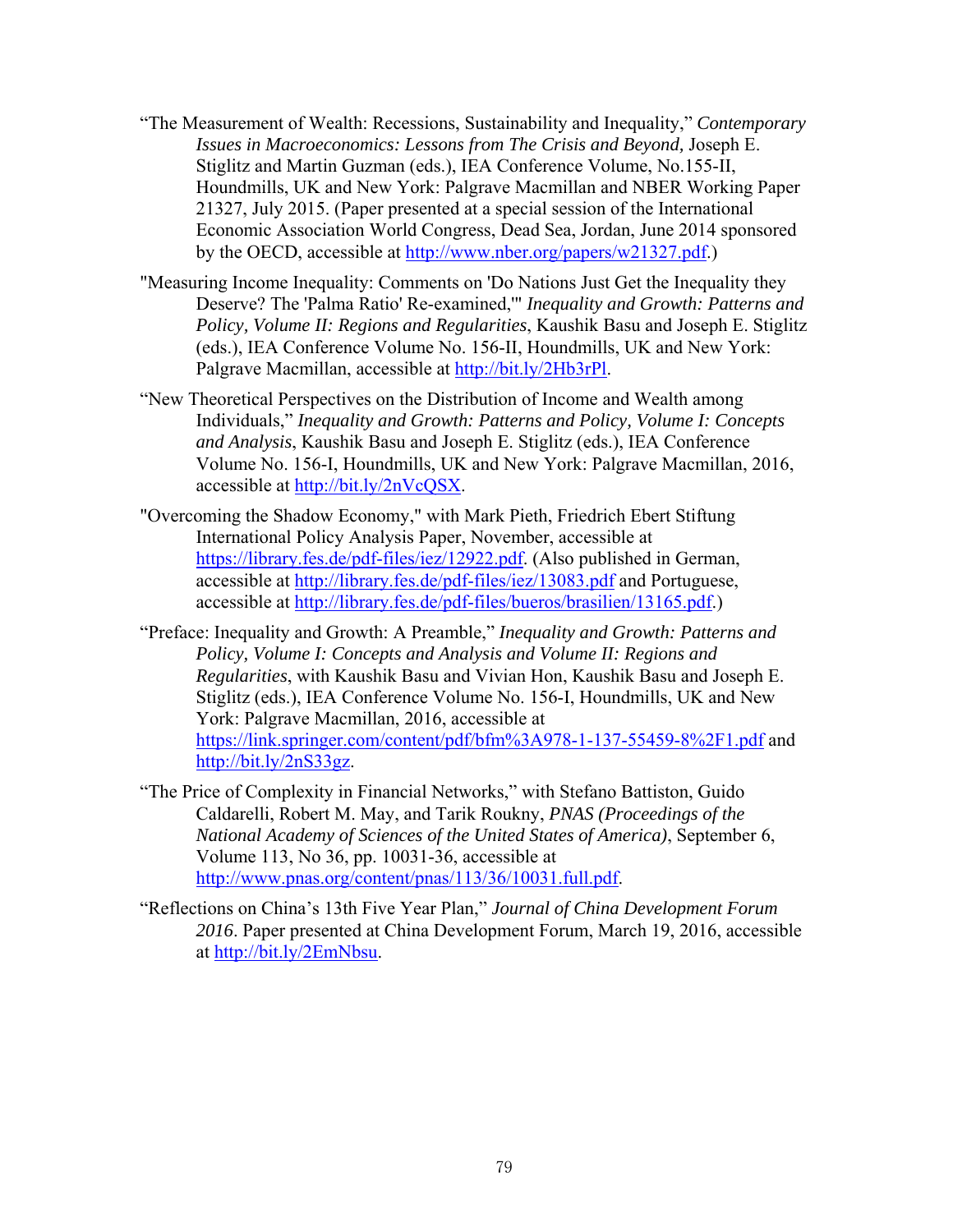- "The Measurement of Wealth: Recessions, Sustainability and Inequality," *Contemporary Issues in Macroeconomics: Lessons from The Crisis and Beyond,* Joseph E. Stiglitz and Martin Guzman (eds.), IEA Conference Volume, No.155-II, Houndmills, UK and New York: Palgrave Macmillan and NBER Working Paper 21327, July 2015. (Paper presented at a special session of the International Economic Association World Congress, Dead Sea, Jordan, June 2014 sponsored by the OECD, accessible at http://www.nber.org/papers/w21327.pdf.)
- "Measuring Income Inequality: Comments on 'Do Nations Just Get the Inequality they Deserve? The 'Palma Ratio' Re-examined,'" *Inequality and Growth: Patterns and Policy, Volume II: Regions and Regularities*, Kaushik Basu and Joseph E. Stiglitz (eds.), IEA Conference Volume No. 156-II, Houndmills, UK and New York: Palgrave Macmillan, accessible at http://bit.ly/2Hb3rPl.
- "New Theoretical Perspectives on the Distribution of Income and Wealth among Individuals," *Inequality and Growth: Patterns and Policy, Volume I: Concepts and Analysis*, Kaushik Basu and Joseph E. Stiglitz (eds.), IEA Conference Volume No. 156-I, Houndmills, UK and New York: Palgrave Macmillan, 2016, accessible at http://bit.ly/2nVcQSX.
- "Overcoming the Shadow Economy," with Mark Pieth, Friedrich Ebert Stiftung International Policy Analysis Paper, November, accessible at https://library.fes.de/pdf-files/iez/12922.pdf. (Also published in German, accessible at http://library.fes.de/pdf-files/iez/13083.pdf and Portuguese, accessible at http://library.fes.de/pdf-files/bueros/brasilien/13165.pdf.)
- "Preface: Inequality and Growth: A Preamble," *Inequality and Growth: Patterns and Policy, Volume I: Concepts and Analysis and Volume II: Regions and Regularities*, with Kaushik Basu and Vivian Hon, Kaushik Basu and Joseph E. Stiglitz (eds.), IEA Conference Volume No. 156-I, Houndmills, UK and New York: Palgrave Macmillan, 2016, accessible at https://link.springer.com/content/pdf/bfm%3A978-1-137-55459-8%2F1.pdf and http://bit.ly/2nS33gz.
- "The Price of Complexity in Financial Networks," with Stefano Battiston, Guido Caldarelli, Robert M. May, and Tarik Roukny, *PNAS (Proceedings of the National Academy of Sciences of the United States of America)*, September 6, Volume 113, No 36, pp. 10031-36, accessible at http://www.pnas.org/content/pnas/113/36/10031.full.pdf.
- "Reflections on China's 13th Five Year Plan," *Journal of China Development Forum 2016*. Paper presented at China Development Forum, March 19, 2016, accessible at http://bit.ly/2EmNbsu.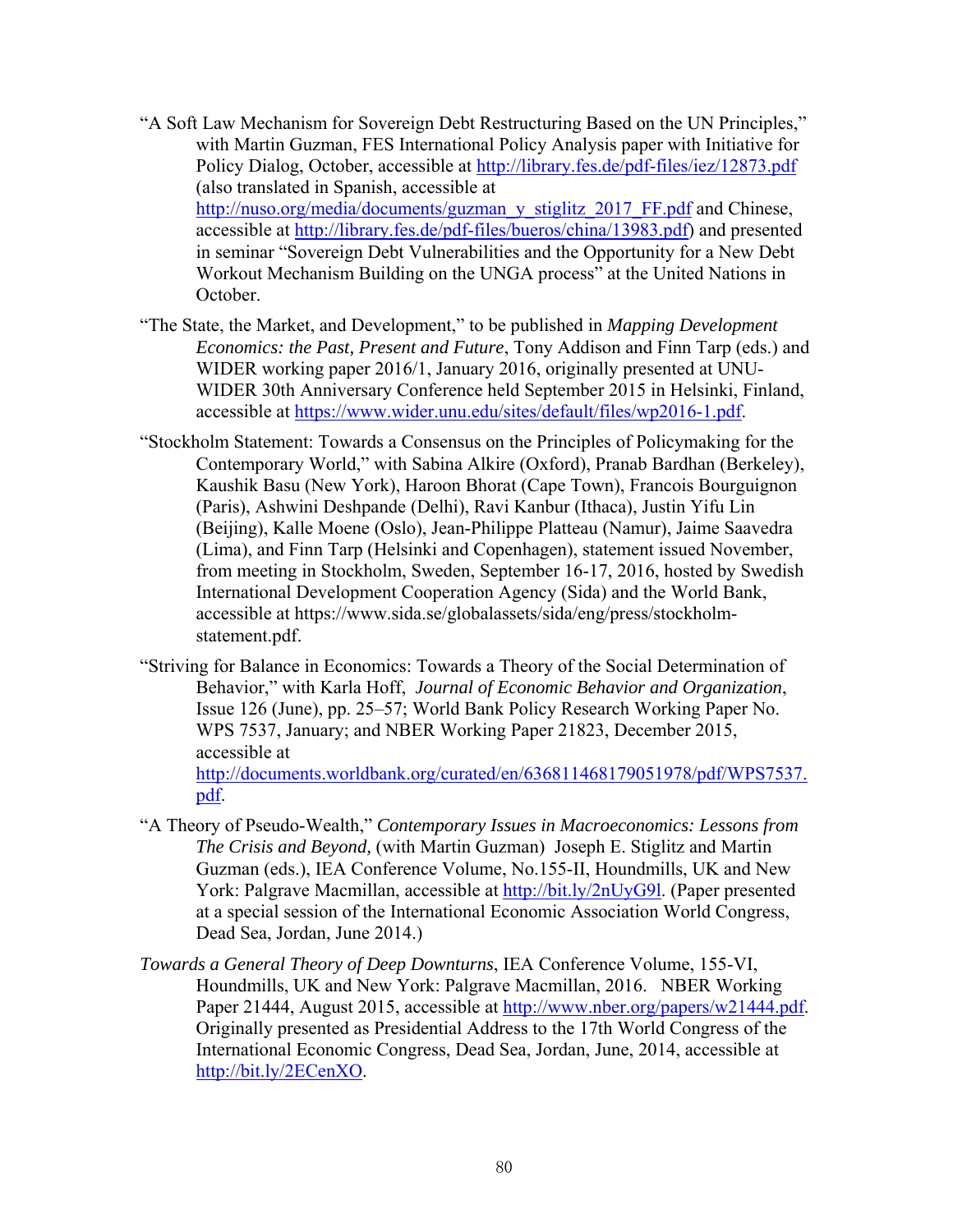- "A Soft Law Mechanism for Sovereign Debt Restructuring Based on the UN Principles," with Martin Guzman, FES International Policy Analysis paper with Initiative for Policy Dialog, October, accessible at http://library.fes.de/pdf-files/iez/12873.pdf (also translated in Spanish, accessible at http://nuso.org/media/documents/guzman\_y\_stiglitz\_2017\_FF.pdf and Chinese, accessible at http://library.fes.de/pdf-files/bueros/china/13983.pdf) and presented in seminar "Sovereign Debt Vulnerabilities and the Opportunity for a New Debt Workout Mechanism Building on the UNGA process" at the United Nations in October.
- "The State, the Market, and Development," to be published in *Mapping Development Economics: the Past, Present and Future*, Tony Addison and Finn Tarp (eds.) and WIDER working paper 2016/1, January 2016, originally presented at UNU-WIDER 30th Anniversary Conference held September 2015 in Helsinki, Finland, accessible at https://www.wider.unu.edu/sites/default/files/wp2016-1.pdf.
- "Stockholm Statement: Towards a Consensus on the Principles of Policymaking for the Contemporary World," with Sabina Alkire (Oxford), Pranab Bardhan (Berkeley), Kaushik Basu (New York), Haroon Bhorat (Cape Town), Francois Bourguignon (Paris), Ashwini Deshpande (Delhi), Ravi Kanbur (Ithaca), Justin Yifu Lin (Beijing), Kalle Moene (Oslo), Jean-Philippe Platteau (Namur), Jaime Saavedra (Lima), and Finn Tarp (Helsinki and Copenhagen), statement issued November, from meeting in Stockholm, Sweden, September 16-17, 2016, hosted by Swedish International Development Cooperation Agency (Sida) and the World Bank, accessible at https://www.sida.se/globalassets/sida/eng/press/stockholmstatement.pdf.
- "Striving for Balance in Economics: Towards a Theory of the Social Determination of Behavior," with Karla Hoff, *Journal of Economic Behavior and Organization*, Issue 126 (June), pp. 25–57; World Bank Policy Research Working Paper No. WPS 7537, January; and NBER Working Paper 21823, December 2015, accessible at

http://documents.worldbank.org/curated/en/636811468179051978/pdf/WPS7537. pdf.

- "A Theory of Pseudo-Wealth," *Contemporary Issues in Macroeconomics: Lessons from The Crisis and Beyond,* (with Martin Guzman) Joseph E. Stiglitz and Martin Guzman (eds.), IEA Conference Volume, No.155-II, Houndmills, UK and New York: Palgrave Macmillan, accessible at http://bit.ly/2nUyG9l. (Paper presented at a special session of the International Economic Association World Congress, Dead Sea, Jordan, June 2014.)
- *Towards a General Theory of Deep Downturns*, IEA Conference Volume, 155-VI, Houndmills, UK and New York: Palgrave Macmillan, 2016. NBER Working Paper 21444, August 2015, accessible at http://www.nber.org/papers/w21444.pdf. Originally presented as Presidential Address to the 17th World Congress of the International Economic Congress, Dead Sea, Jordan, June, 2014, accessible at http://bit.ly/2ECenXO.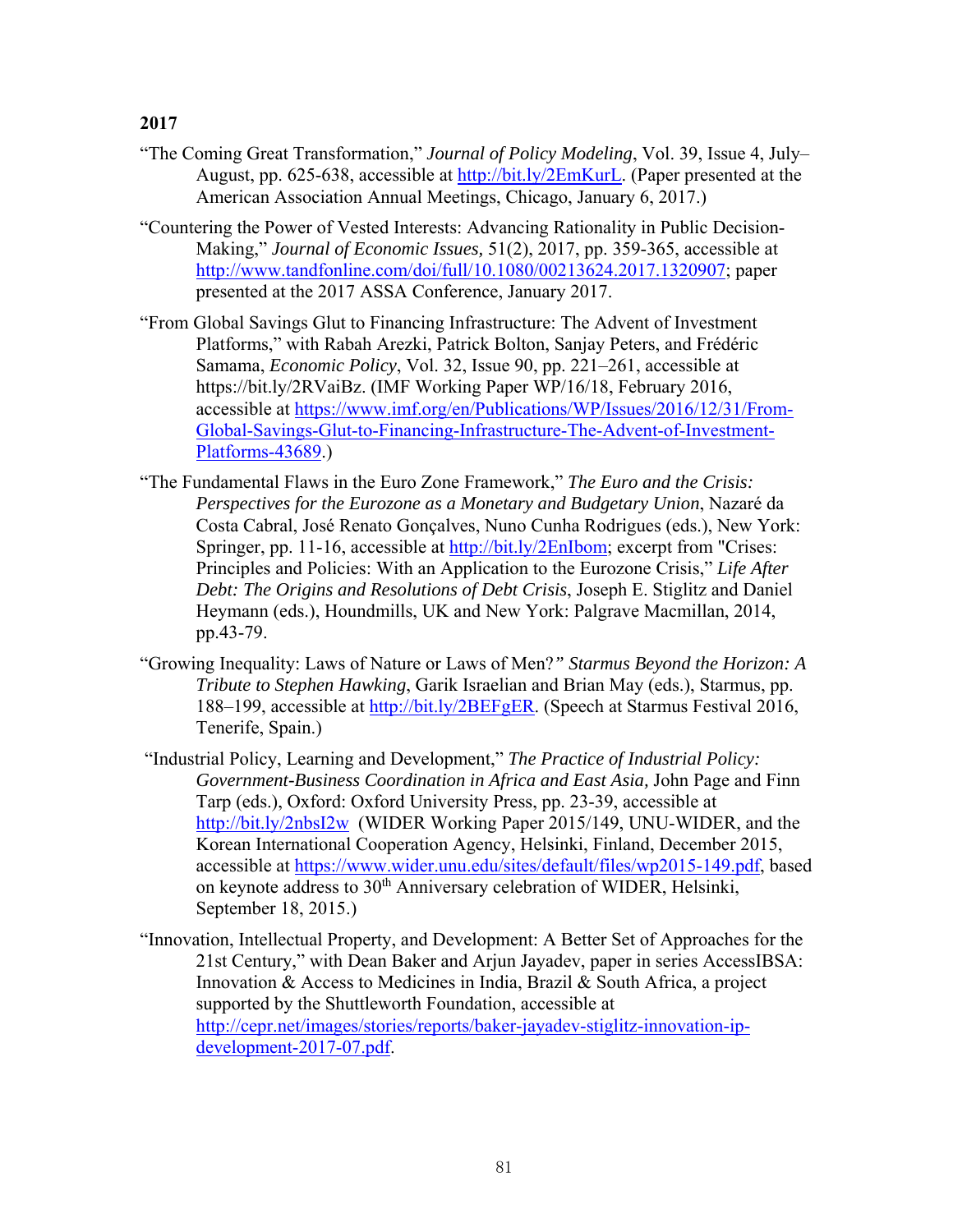- "The Coming Great Transformation," *Journal of Policy Modeling*, Vol. 39, Issue 4, July– August, pp. 625-638, accessible at http://bit.ly/2EmKurL. (Paper presented at the American Association Annual Meetings, Chicago, January 6, 2017.)
- "Countering the Power of Vested Interests: Advancing Rationality in Public Decision-Making," *Journal of Economic Issues,* 51(2), 2017, pp. 359-365, accessible at http://www.tandfonline.com/doi/full/10.1080/00213624.2017.1320907; paper presented at the 2017 ASSA Conference, January 2017.
- "From Global Savings Glut to Financing Infrastructure: The Advent of Investment Platforms," with Rabah Arezki, Patrick Bolton, Sanjay Peters, and Frédéric Samama, *Economic Policy*, Vol. 32, Issue 90, pp. 221–261, accessible at https://bit.ly/2RVaiBz. (IMF Working Paper WP/16/18, February 2016, accessible at https://www.imf.org/en/Publications/WP/Issues/2016/12/31/From-Global-Savings-Glut-to-Financing-Infrastructure-The-Advent-of-Investment-Platforms-43689.)
- "The Fundamental Flaws in the Euro Zone Framework," *The Euro and the Crisis: Perspectives for the Eurozone as a Monetary and Budgetary Union*, Nazaré da Costa Cabral, José Renato Gonçalves, Nuno Cunha Rodrigues (eds.), New York: Springer, pp. 11-16, accessible at http://bit.ly/2EnIbom; excerpt from "Crises: Principles and Policies: With an Application to the Eurozone Crisis," *Life After Debt: The Origins and Resolutions of Debt Crisis*, Joseph E. Stiglitz and Daniel Heymann (eds.), Houndmills, UK and New York: Palgrave Macmillan, 2014, pp.43-79.
- "Growing Inequality: Laws of Nature or Laws of Men?*" Starmus Beyond the Horizon: A Tribute to Stephen Hawking*, Garik Israelian and Brian May (eds.), Starmus, pp. 188–199, accessible at http://bit.ly/2BEFgER. (Speech at Starmus Festival 2016, Tenerife, Spain.)
- "Industrial Policy, Learning and Development," *The Practice of Industrial Policy: Government-Business Coordination in Africa and East Asia,* John Page and Finn Tarp (eds.), Oxford: Oxford University Press, pp. 23-39, accessible at http://bit.ly/2nbsI2w (WIDER Working Paper 2015/149, UNU-WIDER, and the Korean International Cooperation Agency, Helsinki, Finland, December 2015, accessible at https://www.wider.unu.edu/sites/default/files/wp2015-149.pdf, based on keynote address to 30<sup>th</sup> Anniversary celebration of WIDER, Helsinki, September 18, 2015.)
- "Innovation, Intellectual Property, and Development: A Better Set of Approaches for the 21st Century," with Dean Baker and Arjun Jayadev, paper in series AccessIBSA: Innovation & Access to Medicines in India, Brazil & South Africa, a project supported by the Shuttleworth Foundation, accessible at http://cepr.net/images/stories/reports/baker-jayadev-stiglitz-innovation-ipdevelopment-2017-07.pdf.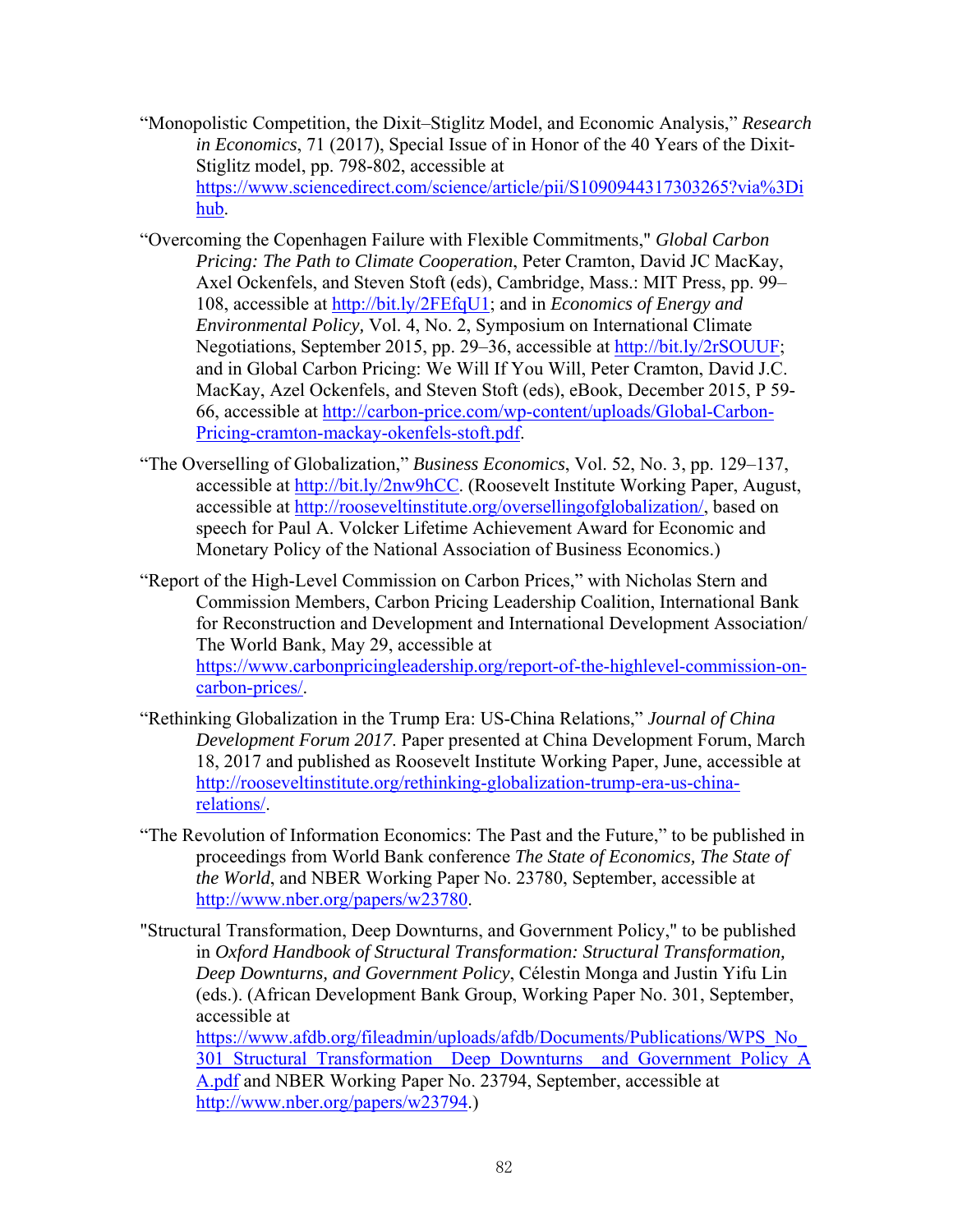- "Monopolistic Competition, the Dixit–Stiglitz Model, and Economic Analysis," *Research in Economics*, 71 (2017), Special Issue of in Honor of the 40 Years of the Dixit-Stiglitz model, pp. 798-802, accessible at https://www.sciencedirect.com/science/article/pii/S1090944317303265?via%3Di hub.
- "Overcoming the Copenhagen Failure with Flexible Commitments," *Global Carbon Pricing: The Path to Climate Cooperation*, Peter Cramton, David JC MacKay, Axel Ockenfels, and Steven Stoft (eds), Cambridge, Mass.: MIT Press, pp. 99– 108, accessible at http://bit.ly/2FEfqU1; and in *Economics of Energy and Environmental Policy,* Vol. 4, No. 2, Symposium on International Climate Negotiations, September 2015, pp. 29–36, accessible at http://bit.ly/2rSOUUF; and in Global Carbon Pricing: We Will If You Will, Peter Cramton, David J.C. MacKay, Azel Ockenfels, and Steven Stoft (eds), eBook, December 2015, P 59- 66, accessible at http://carbon-price.com/wp-content/uploads/Global-Carbon-Pricing-cramton-mackay-okenfels-stoft.pdf.
- "The Overselling of Globalization," *Business Economics*, Vol. 52, No. 3, pp. 129–137, accessible at http://bit.ly/2nw9hCC. (Roosevelt Institute Working Paper, August, accessible at http://rooseveltinstitute.org/oversellingofglobalization/, based on speech for Paul A. Volcker Lifetime Achievement Award for Economic and Monetary Policy of the National Association of Business Economics.)
- "Report of the High-Level Commission on Carbon Prices," with Nicholas Stern and Commission Members, Carbon Pricing Leadership Coalition, International Bank for Reconstruction and Development and International Development Association/ The World Bank, May 29, accessible at https://www.carbonpricingleadership.org/report-of-the-highlevel-commission-oncarbon-prices/.
- "Rethinking Globalization in the Trump Era: US-China Relations," *Journal of China Development Forum 2017*. Paper presented at China Development Forum, March 18, 2017 and published as Roosevelt Institute Working Paper, June, accessible at http://rooseveltinstitute.org/rethinking-globalization-trump-era-us-chinarelations/.
- "The Revolution of Information Economics: The Past and the Future," to be published in proceedings from World Bank conference *The State of Economics, The State of the World*, and NBER Working Paper No. 23780, September, accessible at http://www.nber.org/papers/w23780.
- "Structural Transformation, Deep Downturns, and Government Policy," to be published in *Oxford Handbook of Structural Transformation: Structural Transformation, Deep Downturns, and Government Policy*, Célestin Monga and Justin Yifu Lin (eds.). (African Development Bank Group, Working Paper No. 301, September, accessible at https://www.afdb.org/fileadmin/uploads/afdb/Documents/Publications/WPS\_No\_ 301\_Structural\_Transformation\_Deep\_Downturns\_and\_Government\_Policy\_A A.pdf and NBER Working Paper No. 23794, September, accessible at http://www.nber.org/papers/w23794.)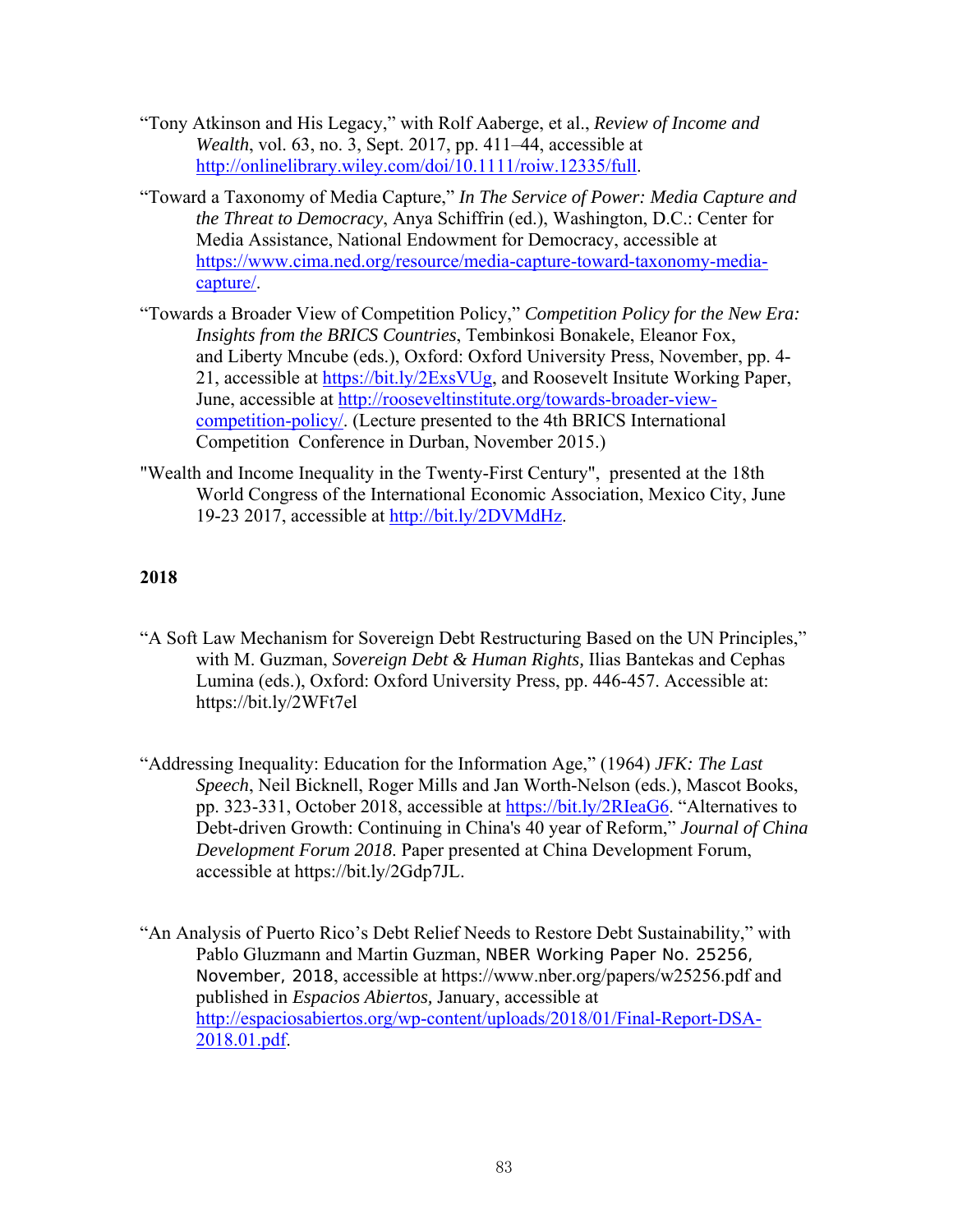- "Tony Atkinson and His Legacy," with Rolf Aaberge, et al., *Review of Income and Wealth*, vol. 63, no. 3, Sept. 2017, pp. 411–44, accessible at http://onlinelibrary.wiley.com/doi/10.1111/roiw.12335/full.
- "Toward a Taxonomy of Media Capture," *In The Service of Power: Media Capture and the Threat to Democracy*, Anya Schiffrin (ed.), Washington, D.C.: Center for Media Assistance, National Endowment for Democracy, accessible at https://www.cima.ned.org/resource/media-capture-toward-taxonomy-mediacapture/.
- "Towards a Broader View of Competition Policy," *Competition Policy for the New Era: Insights from the BRICS Countries*, Tembinkosi Bonakele, Eleanor Fox, and Liberty Mncube (eds.), Oxford: Oxford University Press, November, pp. 4- 21, accessible at https://bit.ly/2ExsVUg, and Roosevelt Insitute Working Paper, June, accessible at http://rooseveltinstitute.org/towards-broader-viewcompetition-policy/. (Lecture presented to the 4th BRICS International Competition Conference in Durban, November 2015.)
- "Wealth and Income Inequality in the Twenty-First Century", presented at the 18th World Congress of the International Economic Association, Mexico City, June 19-23 2017, accessible at http://bit.ly/2DVMdHz.

- "A Soft Law Mechanism for Sovereign Debt Restructuring Based on the UN Principles," with M. Guzman, *Sovereign Debt & Human Rights,* Ilias Bantekas and Cephas Lumina (eds.), Oxford: Oxford University Press, pp. 446-457. Accessible at: https://bit.ly/2WFt7el
- "Addressing Inequality: Education for the Information Age," (1964) *JFK: The Last Speech*, Neil Bicknell, Roger Mills and Jan Worth-Nelson (eds.), Mascot Books, pp. 323-331, October 2018, accessible at https://bit.ly/2RIeaG6. "Alternatives to Debt-driven Growth: Continuing in China's 40 year of Reform," *Journal of China Development Forum 2018*. Paper presented at China Development Forum, accessible at https://bit.ly/2Gdp7JL.
- "An Analysis of Puerto Rico's Debt Relief Needs to Restore Debt Sustainability," with Pablo Gluzmann and Martin Guzman, NBER Working Paper No. 25256, November, 2018, accessible at https://www.nber.org/papers/w25256.pdf and published in *Espacios Abiertos,* January, accessible at http://espaciosabiertos.org/wp-content/uploads/2018/01/Final-Report-DSA-2018.01.pdf.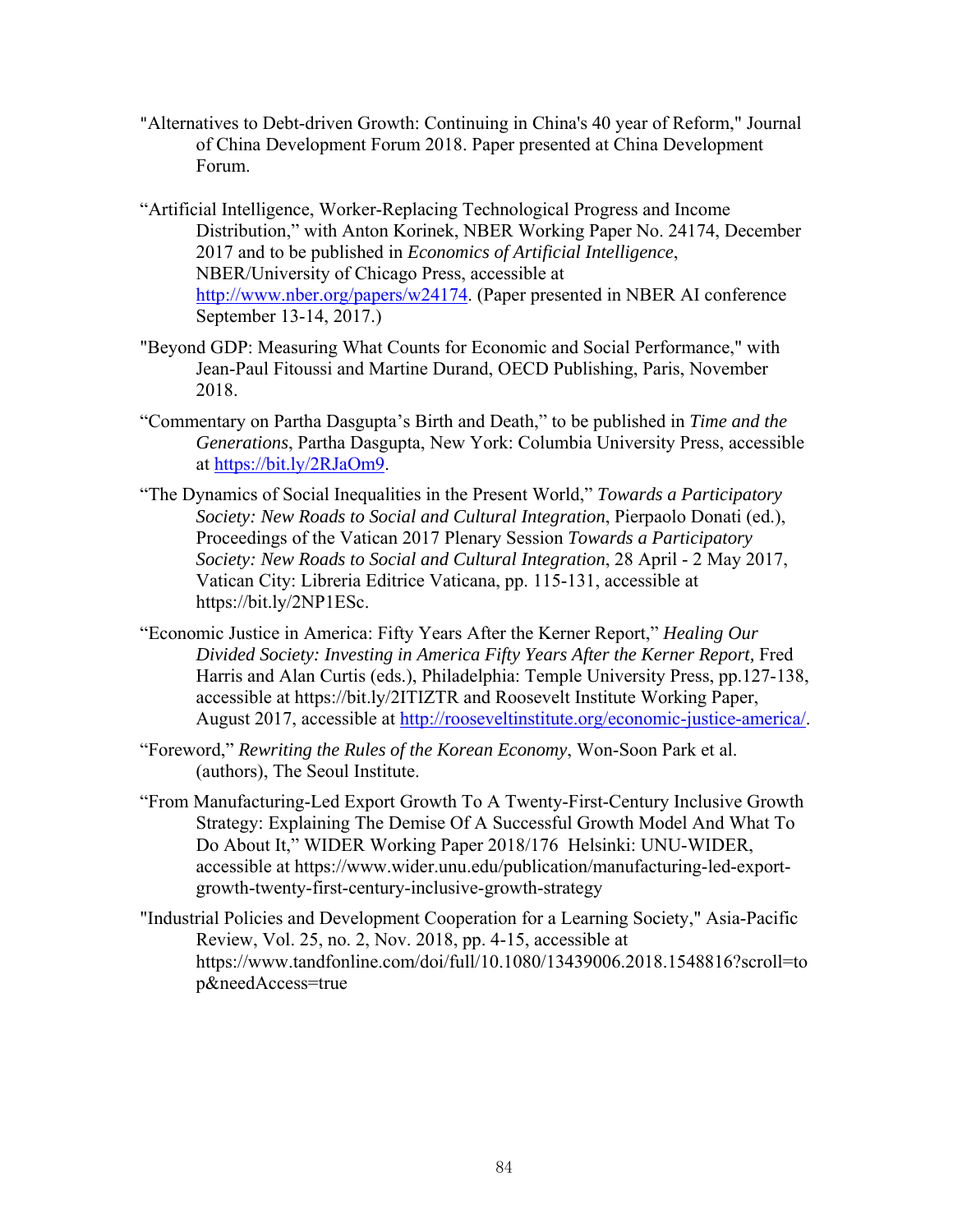- "Alternatives to Debt-driven Growth: Continuing in China's 40 year of Reform," Journal of China Development Forum 2018. Paper presented at China Development Forum.
- "Artificial Intelligence, Worker-Replacing Technological Progress and Income Distribution," with Anton Korinek, NBER Working Paper No. 24174, December 2017 and to be published in *Economics of Artificial Intelligence*, NBER/University of Chicago Press, accessible at http://www.nber.org/papers/w24174. (Paper presented in NBER AI conference September 13-14, 2017.)
- "Beyond GDP: Measuring What Counts for Economic and Social Performance," with Jean-Paul Fitoussi and Martine Durand, OECD Publishing, Paris, November 2018.
- "Commentary on Partha Dasgupta's Birth and Death," to be published in *Time and the Generations*, Partha Dasgupta, New York: Columbia University Press, accessible at https://bit.ly/2RJaOm9.
- "The Dynamics of Social Inequalities in the Present World," *Towards a Participatory Society: New Roads to Social and Cultural Integration*, Pierpaolo Donati (ed.), Proceedings of the Vatican 2017 Plenary Session *Towards a Participatory Society: New Roads to Social and Cultural Integration*, 28 April - 2 May 2017, Vatican City: Libreria Editrice Vaticana, pp. 115-131, accessible at https://bit.ly/2NP1ESc.
- "Economic Justice in America: Fifty Years After the Kerner Report," *Healing Our Divided Society: Investing in America Fifty Years After the Kerner Report, Fred* Harris and Alan Curtis (eds.), Philadelphia: Temple University Press, pp.127-138, accessible at https://bit.ly/2ITIZTR and Roosevelt Institute Working Paper, August 2017, accessible at http://rooseveltinstitute.org/economic-justice-america/.
- "Foreword," *Rewriting the Rules of the Korean Economy*, Won-Soon Park et al. (authors), The Seoul Institute.
- "From Manufacturing-Led Export Growth To A Twenty-First-Century Inclusive Growth Strategy: Explaining The Demise Of A Successful Growth Model And What To Do About It," WIDER Working Paper 2018/176 Helsinki: UNU-WIDER, accessible at https://www.wider.unu.edu/publication/manufacturing-led-exportgrowth-twenty-first-century-inclusive-growth-strategy
- "Industrial Policies and Development Cooperation for a Learning Society," Asia-Pacific Review, Vol. 25, no. 2, Nov. 2018, pp. 4-15, accessible at https://www.tandfonline.com/doi/full/10.1080/13439006.2018.1548816?scroll=to p&needAccess=true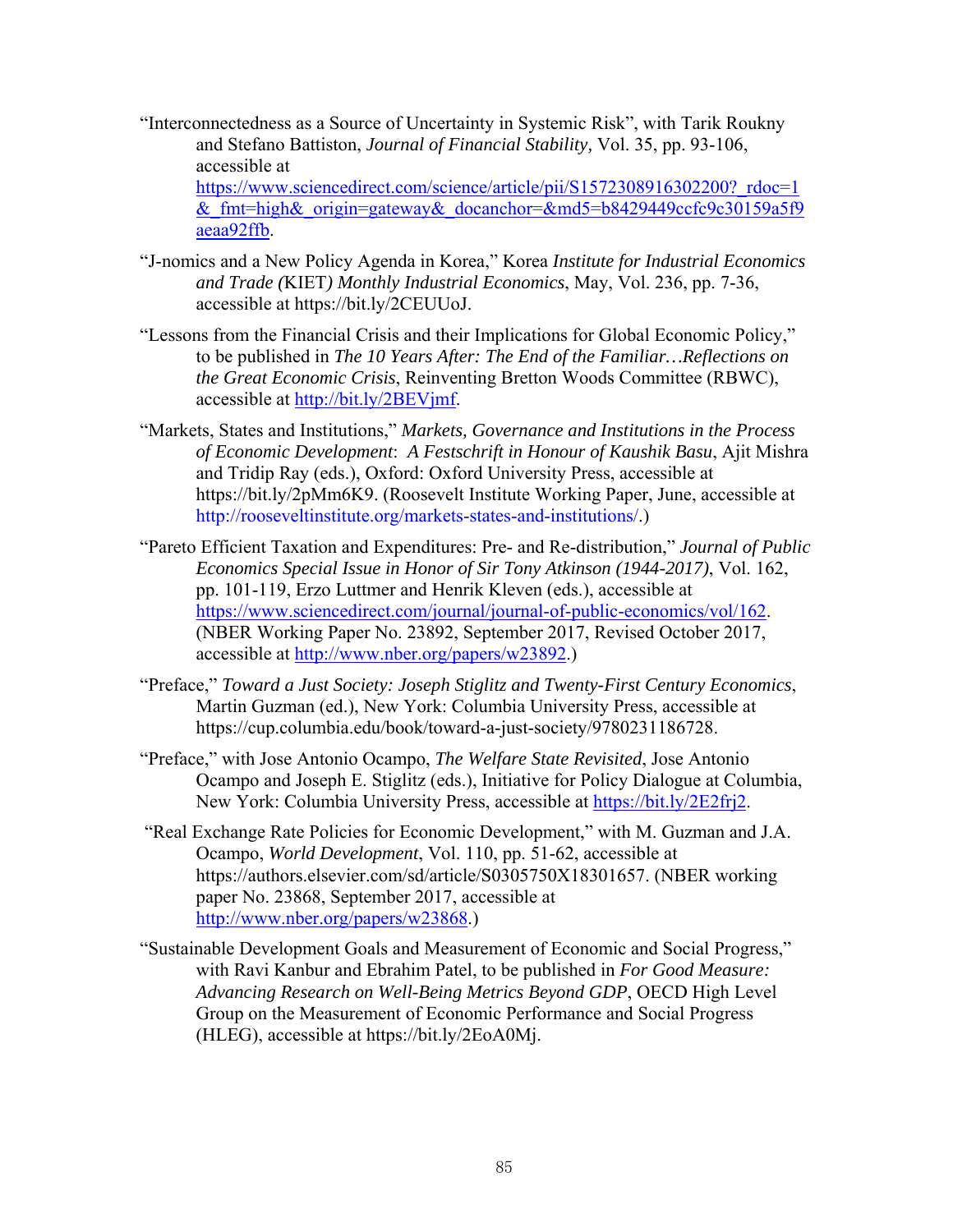- "Interconnectedness as a Source of Uncertainty in Systemic Risk", with Tarik Roukny and Stefano Battiston, *Journal of Financial Stability,* Vol. 35, pp. 93-106, accessible at https://www.sciencedirect.com/science/article/pii/S1572308916302200?\_rdoc=1 & fmt=high& origin=gateway& docanchor=&md5=b8429449ccfc9c30159a5f9 aeaa92ffb.
- "J-nomics and a New Policy Agenda in Korea," Korea *Institute for Industrial Economics and Trade (*KIET*) Monthly Industrial Economics*, May, Vol. 236, pp. 7-36, accessible at https://bit.ly/2CEUUoJ.
- "Lessons from the Financial Crisis and their Implications for Global Economic Policy," to be published in *The 10 Years After: The End of the Familiar…Reflections on the Great Economic Crisis*, Reinventing Bretton Woods Committee (RBWC), accessible at http://bit.ly/2BEVjmf.
- "Markets, States and Institutions," *Markets, Governance and Institutions in the Process of Economic Development*: *A Festschrift in Honour of Kaushik Basu*, Ajit Mishra and Tridip Ray (eds.), Oxford: Oxford University Press, accessible at https://bit.ly/2pMm6K9. (Roosevelt Institute Working Paper, June, accessible at http://rooseveltinstitute.org/markets-states-and-institutions/.)
- "Pareto Efficient Taxation and Expenditures: Pre- and Re-distribution," *Journal of Public Economics Special Issue in Honor of Sir Tony Atkinson (1944-2017)*, Vol. 162, pp. 101-119, Erzo Luttmer and Henrik Kleven (eds.), accessible at https://www.sciencedirect.com/journal/journal-of-public-economics/vol/162. (NBER Working Paper No. 23892, September 2017, Revised October 2017, accessible at http://www.nber.org/papers/w23892.)
- "Preface," *Toward a Just Society: Joseph Stiglitz and Twenty-First Century Economics*, Martin Guzman (ed.), New York: Columbia University Press, accessible at https://cup.columbia.edu/book/toward-a-just-society/9780231186728.
- "Preface," with Jose Antonio Ocampo, *The Welfare State Revisited*, Jose Antonio Ocampo and Joseph E. Stiglitz (eds.), Initiative for Policy Dialogue at Columbia, New York: Columbia University Press, accessible at https://bit.ly/2E2frj2.
- "Real Exchange Rate Policies for Economic Development," with M. Guzman and J.A. Ocampo, *World Development*, Vol. 110, pp. 51-62, accessible at https://authors.elsevier.com/sd/article/S0305750X18301657. (NBER working paper No. 23868, September 2017, accessible at http://www.nber.org/papers/w23868.)
- "Sustainable Development Goals and Measurement of Economic and Social Progress," with Ravi Kanbur and Ebrahim Patel, to be published in *For Good Measure: Advancing Research on Well-Being Metrics Beyond GDP*, OECD High Level Group on the Measurement of Economic Performance and Social Progress (HLEG), accessible at https://bit.ly/2EoA0Mj.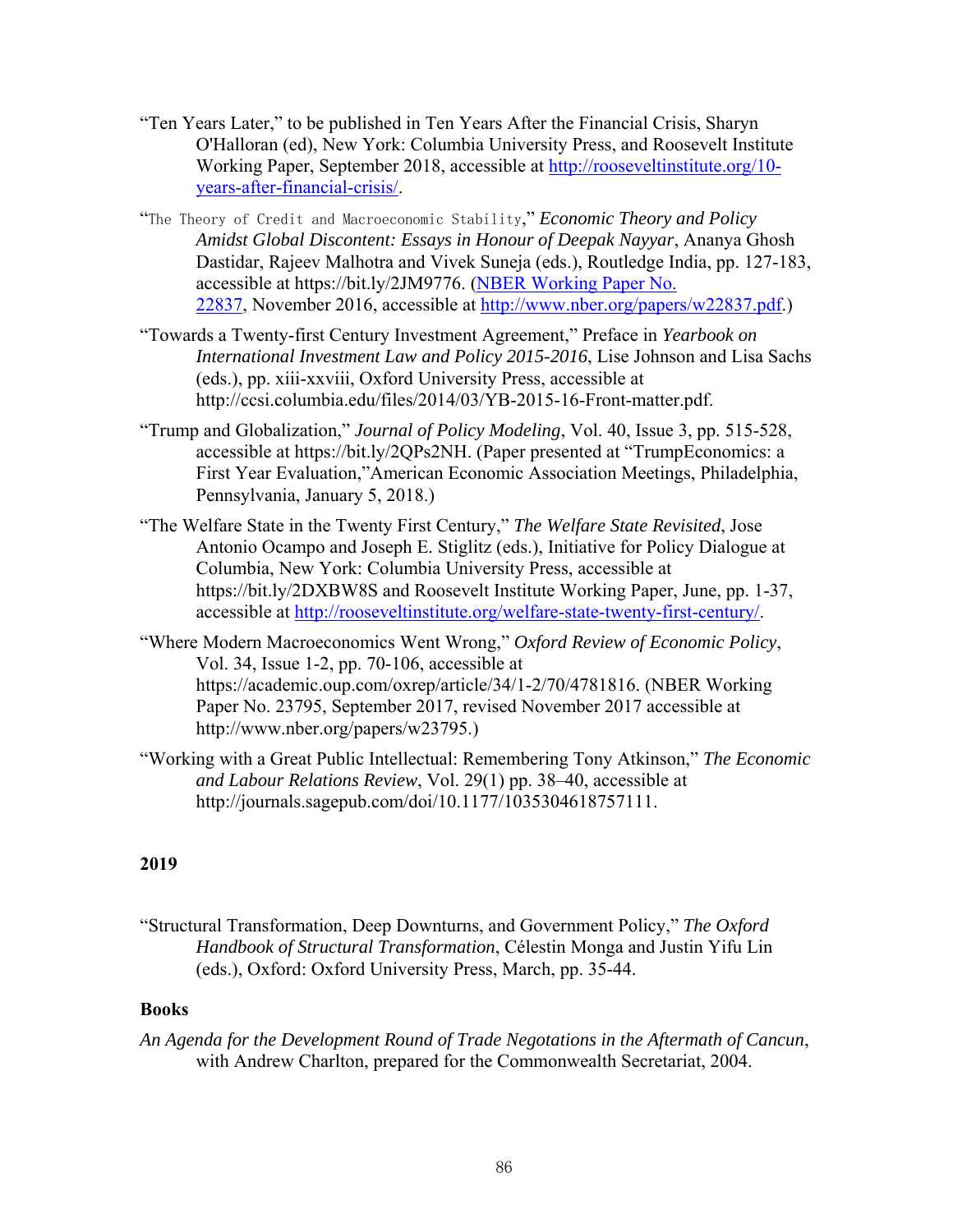- "Ten Years Later," to be published in Ten Years After the Financial Crisis, Sharyn O'Halloran (ed), New York: Columbia University Press, and Roosevelt Institute Working Paper, September 2018, accessible at http://rooseveltinstitute.org/10 years-after-financial-crisis/.
- "The Theory of Credit and Macroeconomic Stability," *Economic Theory and Policy Amidst Global Discontent: Essays in Honour of Deepak Nayyar*, Ananya Ghosh Dastidar, Rajeev Malhotra and Vivek Suneja (eds.), Routledge India, pp. 127-183, accessible at https://bit.ly/2JM9776. (NBER Working Paper No. 22837, November 2016, accessible at http://www.nber.org/papers/w22837.pdf.)
- "Towards a Twenty-first Century Investment Agreement," Preface in *Yearbook on International Investment Law and Policy 2015-2016*, Lise Johnson and Lisa Sachs (eds.), pp. xiii-xxviii, Oxford University Press, accessible at http://ccsi.columbia.edu/files/2014/03/YB-2015-16-Front-matter.pdf.
- "Trump and Globalization," *Journal of Policy Modeling*, Vol. 40, Issue 3, pp. 515-528, accessible at https://bit.ly/2QPs2NH. (Paper presented at "TrumpEconomics: a First Year Evaluation,"American Economic Association Meetings, Philadelphia, Pennsylvania, January 5, 2018.)
- "The Welfare State in the Twenty First Century," *The Welfare State Revisited*, Jose Antonio Ocampo and Joseph E. Stiglitz (eds.), Initiative for Policy Dialogue at Columbia, New York: Columbia University Press, accessible at https://bit.ly/2DXBW8S and Roosevelt Institute Working Paper, June, pp. 1-37, accessible at http://rooseveltinstitute.org/welfare-state-twenty-first-century/.
- "Where Modern Macroeconomics Went Wrong," *Oxford Review of Economic Policy*, Vol. 34, Issue 1-2, pp. 70-106, accessible at https://academic.oup.com/oxrep/article/34/1-2/70/4781816. (NBER Working Paper No. 23795, September 2017, revised November 2017 accessible at http://www.nber.org/papers/w23795.)
- "Working with a Great Public Intellectual: Remembering Tony Atkinson," *The Economic and Labour Relations Review*, Vol. 29(1) pp. 38–40, accessible at http://journals.sagepub.com/doi/10.1177/1035304618757111.

"Structural Transformation, Deep Downturns, and Government Policy," *The Oxford Handbook of Structural Transformation*, Célestin Monga and Justin Yifu Lin (eds.), Oxford: Oxford University Press, March, pp. 35-44.

#### **Books**

*An Agenda for the Development Round of Trade Negotations in the Aftermath of Cancun*, with Andrew Charlton, prepared for the Commonwealth Secretariat, 2004.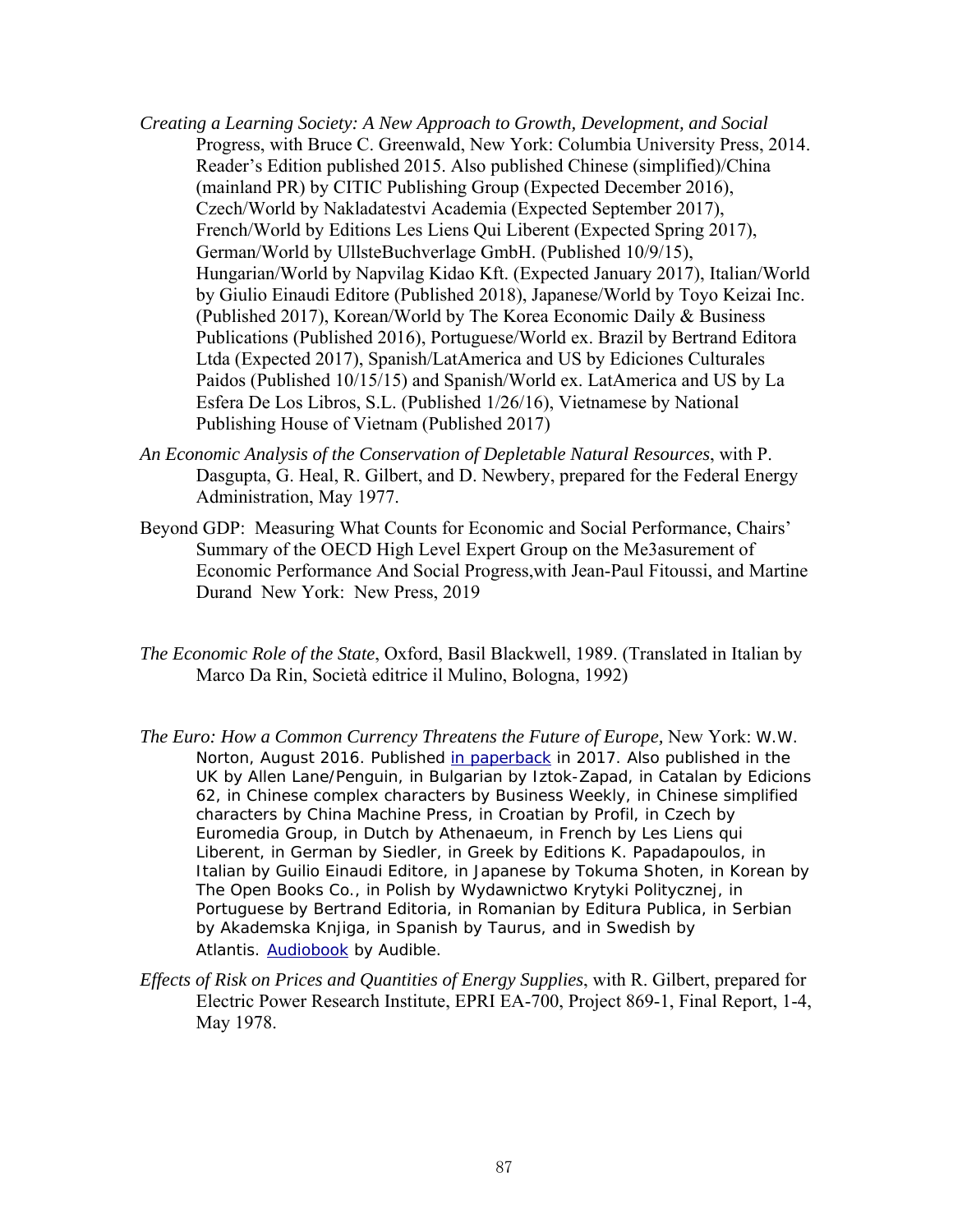- *Creating a Learning Society: A New Approach to Growth, Development, and Social*  Progress, with Bruce C. Greenwald, New York: Columbia University Press, 2014. Reader's Edition published 2015. Also published Chinese (simplified)/China (mainland PR) by CITIC Publishing Group (Expected December 2016), Czech/World by Nakladatestvi Academia (Expected September 2017), French/World by Editions Les Liens Qui Liberent (Expected Spring 2017), German/World by UllsteBuchverlage GmbH. (Published 10/9/15), Hungarian/World by Napvilag Kidao Kft. (Expected January 2017), Italian/World by Giulio Einaudi Editore (Published 2018), Japanese/World by Toyo Keizai Inc. (Published 2017), Korean/World by The Korea Economic Daily & Business Publications (Published 2016), Portuguese/World ex. Brazil by Bertrand Editora Ltda (Expected 2017), Spanish/LatAmerica and US by Ediciones Culturales Paidos (Published 10/15/15) and Spanish/World ex. LatAmerica and US by La Esfera De Los Libros, S.L. (Published 1/26/16), Vietnamese by National Publishing House of Vietnam (Published 2017)
- *An Economic Analysis of the Conservation of Depletable Natural Resources*, with P. Dasgupta, G. Heal, R. Gilbert, and D. Newbery, prepared for the Federal Energy Administration, May 1977.
- Beyond GDP: Measuring What Counts for Economic and Social Performance, Chairs' Summary of the OECD High Level Expert Group on the Me3asurement of Economic Performance And Social Progress,with Jean-Paul Fitoussi, and Martine Durand New York: New Press, 2019
- *The Economic Role of the State*, Oxford, Basil Blackwell, 1989. (Translated in Italian by Marco Da Rin, Società editrice il Mulino, Bologna, 1992)
- *The Euro: How a Common Currency Threatens the Future of Europe, New York: W.W. Norton,* August 2016. Published in paperback in 2017. Also published in the UK by Allen Lane/Penguin, in Bulgarian by Iztok-Zapad, in Catalan by Edicions 62, in Chinese complex characters by Business Weekly, in Chinese simplified characters by China Machine Press, in Croatian by Profil, in Czech by Euromedia Group, in Dutch by Athenaeum, in French by Les Liens qui Liberent, in German by Siedler, in Greek by Editions K. Papadapoulos, in Italian by Guilio Einaudi Editore, in Japanese by Tokuma Shoten, in Korean by The Open Books Co., in Polish by Wydawnictwo Krytyki Politycznej, in Portuguese by Bertrand Editoria, in Romanian by Editura Publica, in Serbian by Akademska Knjiga, in Spanish by Taurus, and in Swedish by Atlantis. Audiobook by Audible.
- *Effects of Risk on Prices and Quantities of Energy Supplies*, with R. Gilbert, prepared for Electric Power Research Institute, EPRI EA-700, Project 869-1, Final Report, 1-4, May 1978.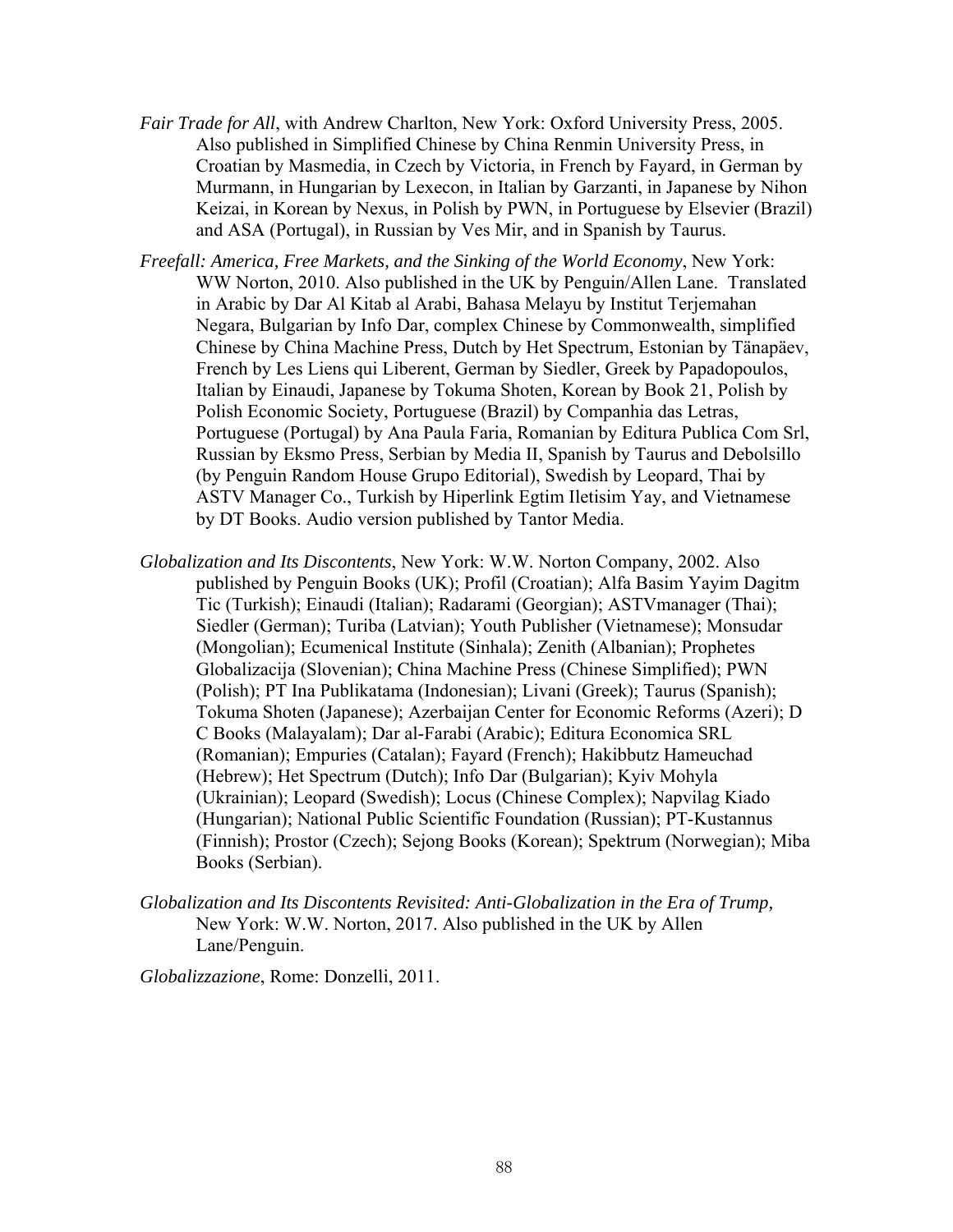- *Fair Trade for All*, with Andrew Charlton, New York: Oxford University Press, 2005. Also published in Simplified Chinese by China Renmin University Press, in Croatian by Masmedia, in Czech by Victoria, in French by Fayard, in German by Murmann, in Hungarian by Lexecon, in Italian by Garzanti, in Japanese by Nihon Keizai, in Korean by Nexus, in Polish by PWN, in Portuguese by Elsevier (Brazil) and ASA (Portugal), in Russian by Ves Mir, and in Spanish by Taurus.
- *Freefall: America, Free Markets, and the Sinking of the World Economy*, New York: WW Norton, 2010. Also published in the UK by Penguin/Allen Lane. Translated in Arabic by Dar Al Kitab al Arabi, Bahasa Melayu by Institut Terjemahan Negara, Bulgarian by Info Dar, complex Chinese by Commonwealth, simplified Chinese by China Machine Press, Dutch by Het Spectrum, Estonian by Tänapäev, French by Les Liens qui Liberent, German by Siedler, Greek by Papadopoulos, Italian by Einaudi, Japanese by Tokuma Shoten, Korean by Book 21, Polish by Polish Economic Society, Portuguese (Brazil) by Companhia das Letras, Portuguese (Portugal) by Ana Paula Faria, Romanian by Editura Publica Com Srl, Russian by Eksmo Press, Serbian by Media II, Spanish by Taurus and Debolsillo (by Penguin Random House Grupo Editorial), Swedish by Leopard, Thai by ASTV Manager Co., Turkish by Hiperlink Egtim Iletisim Yay, and Vietnamese by DT Books. Audio version published by Tantor Media.
- *Globalization and Its Discontents*, New York: W.W. Norton Company, 2002. Also published by Penguin Books (UK); Profil (Croatian); Alfa Basim Yayim Dagitm Tic (Turkish); Einaudi (Italian); Radarami (Georgian); ASTVmanager (Thai); Siedler (German); Turiba (Latvian); Youth Publisher (Vietnamese); Monsudar (Mongolian); Ecumenical Institute (Sinhala); Zenith (Albanian); Prophetes Globalizacija (Slovenian); China Machine Press (Chinese Simplified); PWN (Polish); PT Ina Publikatama (Indonesian); Livani (Greek); Taurus (Spanish); Tokuma Shoten (Japanese); Azerbaijan Center for Economic Reforms (Azeri); D C Books (Malayalam); Dar al-Farabi (Arabic); Editura Economica SRL (Romanian); Empuries (Catalan); Fayard (French); Hakibbutz Hameuchad (Hebrew); Het Spectrum (Dutch); Info Dar (Bulgarian); Kyiv Mohyla (Ukrainian); Leopard (Swedish); Locus (Chinese Complex); Napvilag Kiado (Hungarian); National Public Scientific Foundation (Russian); PT-Kustannus (Finnish); Prostor (Czech); Sejong Books (Korean); Spektrum (Norwegian); Miba Books (Serbian).
- *Globalization and Its Discontents Revisited: Anti-Globalization in the Era of Trump,*  New York: W.W. Norton, 2017. Also published in the UK by Allen Lane/Penguin.

*Globalizzazione*, Rome: Donzelli, 2011.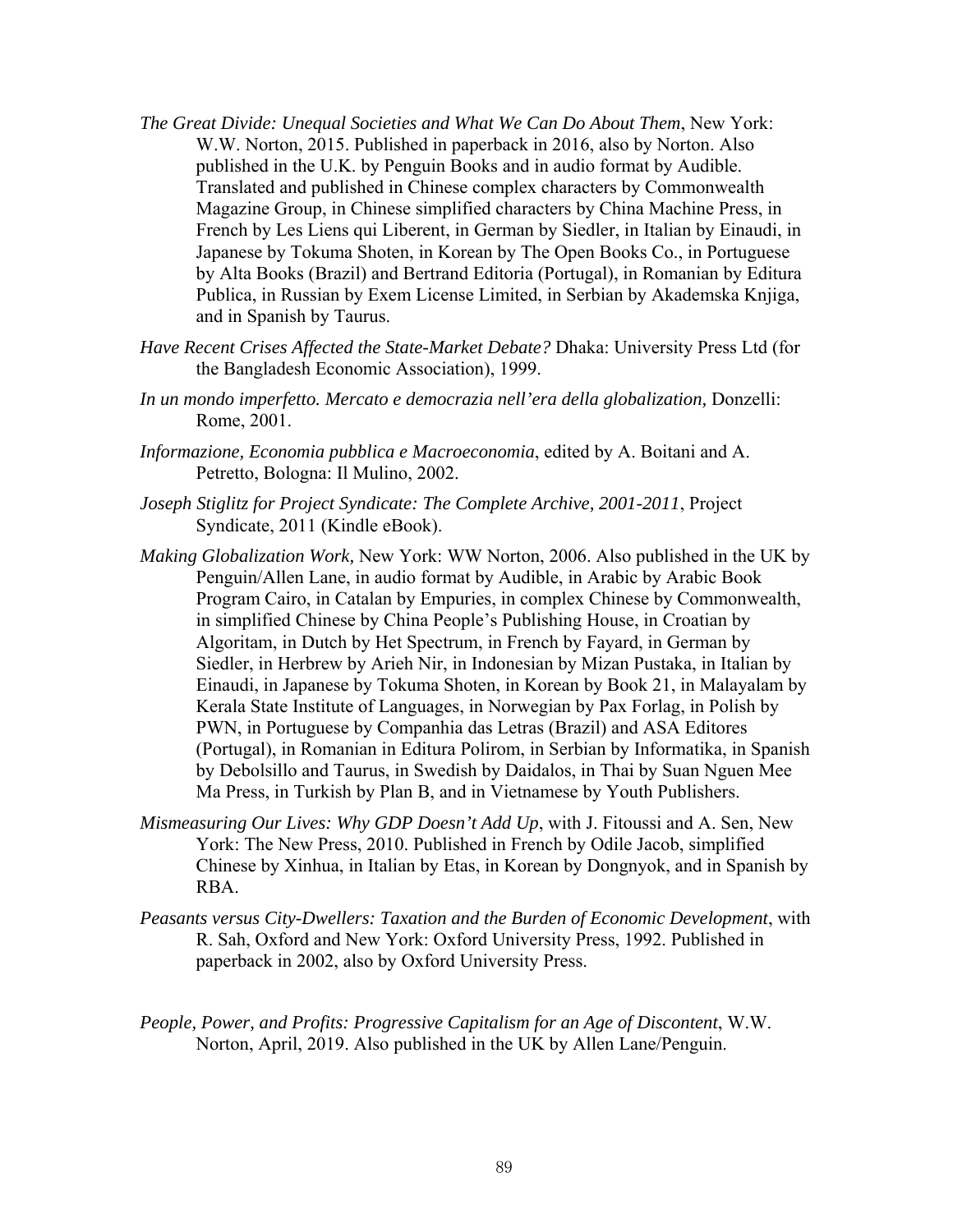- *The Great Divide: Unequal Societies and What We Can Do About Them*, New York: W.W. Norton, 2015. Published in paperback in 2016, also by Norton. Also published in the U.K. by Penguin Books and in audio format by Audible. Translated and published in Chinese complex characters by Commonwealth Magazine Group, in Chinese simplified characters by China Machine Press, in French by Les Liens qui Liberent, in German by Siedler, in Italian by Einaudi, in Japanese by Tokuma Shoten, in Korean by The Open Books Co., in Portuguese by Alta Books (Brazil) and Bertrand Editoria (Portugal), in Romanian by Editura Publica, in Russian by Exem License Limited, in Serbian by Akademska Knjiga, and in Spanish by Taurus.
- *Have Recent Crises Affected the State-Market Debate?* Dhaka: University Press Ltd (for the Bangladesh Economic Association), 1999.
- *In un mondo imperfetto. Mercato e democrazia nell'era della globalization,* Donzelli: Rome, 2001.
- *Informazione, Economia pubblica e Macroeconomia*, edited by A. Boitani and A. Petretto, Bologna: Il Mulino, 2002.
- *Joseph Stiglitz for Project Syndicate: The Complete Archive, 2001-2011*, Project Syndicate, 2011 (Kindle eBook).
- *Making Globalization Work,* New York: WW Norton, 2006. Also published in the UK by Penguin/Allen Lane, in audio format by Audible, in Arabic by Arabic Book Program Cairo, in Catalan by Empuries, in complex Chinese by Commonwealth, in simplified Chinese by China People's Publishing House, in Croatian by Algoritam, in Dutch by Het Spectrum, in French by Fayard, in German by Siedler, in Herbrew by Arieh Nir, in Indonesian by Mizan Pustaka, in Italian by Einaudi, in Japanese by Tokuma Shoten, in Korean by Book 21, in Malayalam by Kerala State Institute of Languages, in Norwegian by Pax Forlag, in Polish by PWN, in Portuguese by Companhia das Letras (Brazil) and ASA Editores (Portugal), in Romanian in Editura Polirom, in Serbian by Informatika, in Spanish by Debolsillo and Taurus, in Swedish by Daidalos, in Thai by Suan Nguen Mee Ma Press, in Turkish by Plan B, and in Vietnamese by Youth Publishers.
- *Mismeasuring Our Lives: Why GDP Doesn't Add Up*, with J. Fitoussi and A. Sen, New York: The New Press, 2010. Published in French by Odile Jacob, simplified Chinese by Xinhua, in Italian by Etas, in Korean by Dongnyok, and in Spanish by RBA.
- *Peasants versus City-Dwellers: Taxation and the Burden of Economic Development*, with R. Sah, Oxford and New York: Oxford University Press, 1992. Published in paperback in 2002, also by Oxford University Press.
- *People, Power, and Profits: Progressive Capitalism for an Age of Discontent*, W.W. Norton, April, 2019. Also published in the UK by Allen Lane/Penguin.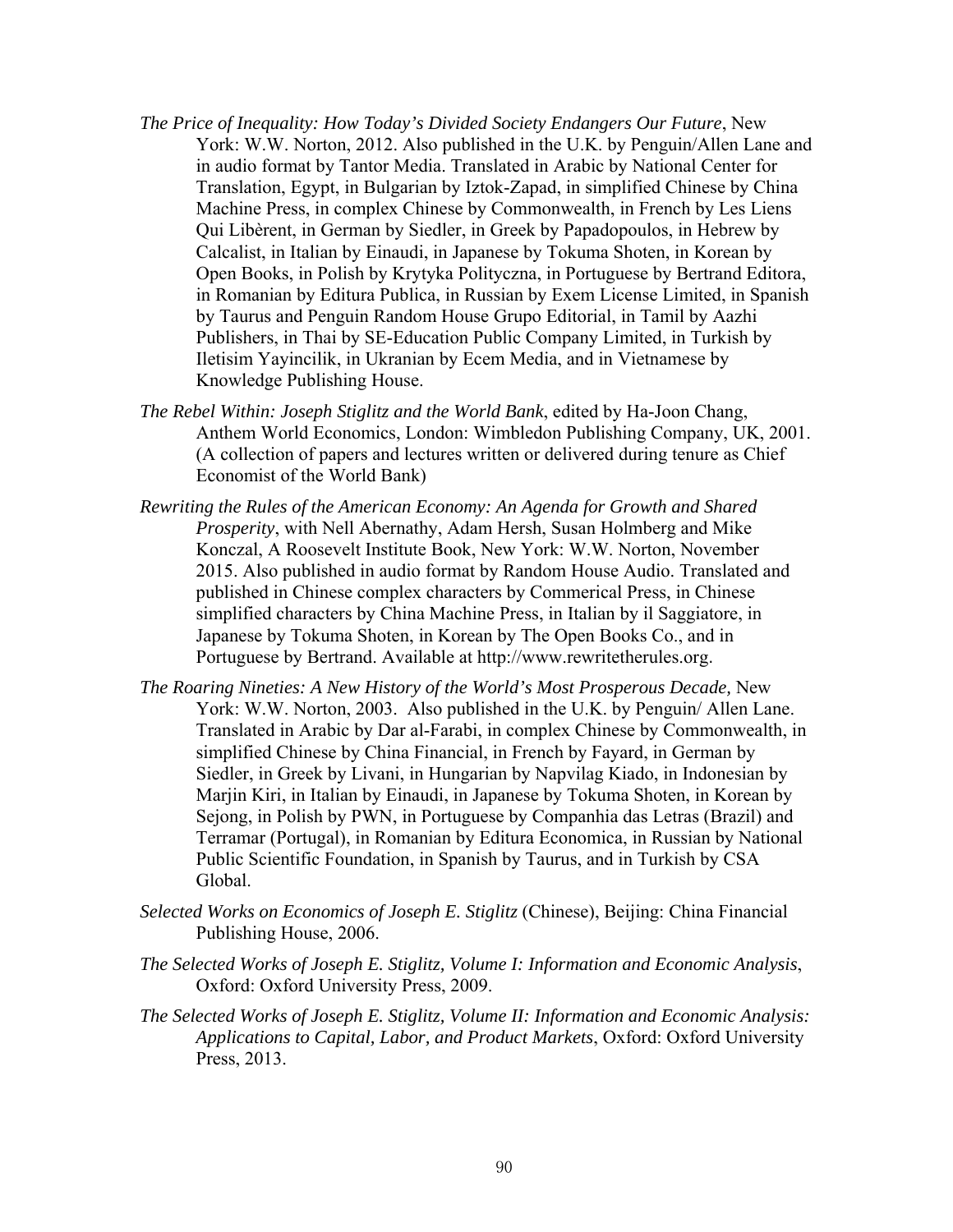- *The Price of Inequality: How Today's Divided Society Endangers Our Future*, New York: W.W. Norton, 2012. Also published in the U.K. by Penguin/Allen Lane and in audio format by Tantor Media. Translated in Arabic by National Center for Translation, Egypt, in Bulgarian by Iztok-Zapad, in simplified Chinese by China Machine Press, in complex Chinese by Commonwealth, in French by Les Liens Qui Libèrent, in German by Siedler, in Greek by Papadopoulos, in Hebrew by Calcalist, in Italian by Einaudi, in Japanese by Tokuma Shoten, in Korean by Open Books, in Polish by Krytyka Polityczna, in Portuguese by Bertrand Editora, in Romanian by Editura Publica, in Russian by Exem License Limited, in Spanish by Taurus and Penguin Random House Grupo Editorial, in Tamil by Aazhi Publishers, in Thai by SE-Education Public Company Limited, in Turkish by Iletisim Yayincilik, in Ukranian by Ecem Media, and in Vietnamese by Knowledge Publishing House.
- *The Rebel Within: Joseph Stiglitz and the World Bank*, edited by Ha-Joon Chang, Anthem World Economics, London: Wimbledon Publishing Company, UK, 2001. (A collection of papers and lectures written or delivered during tenure as Chief Economist of the World Bank)
- *Rewriting the Rules of the American Economy: An Agenda for Growth and Shared Prosperity*, with Nell Abernathy, Adam Hersh, Susan Holmberg and Mike Konczal, A Roosevelt Institute Book, New York: W.W. Norton, November 2015. Also published in audio format by Random House Audio. Translated and published in Chinese complex characters by Commerical Press, in Chinese simplified characters by China Machine Press, in Italian by il Saggiatore, in Japanese by Tokuma Shoten, in Korean by The Open Books Co., and in Portuguese by Bertrand. Available at http://www.rewritetherules.org.
- *The Roaring Nineties: A New History of the World's Most Prosperous Decade,* New York: W.W. Norton, 2003. Also published in the U.K. by Penguin/ Allen Lane. Translated in Arabic by Dar al-Farabi, in complex Chinese by Commonwealth, in simplified Chinese by China Financial, in French by Fayard, in German by Siedler, in Greek by Livani, in Hungarian by Napvilag Kiado, in Indonesian by Marjin Kiri, in Italian by Einaudi, in Japanese by Tokuma Shoten, in Korean by Sejong, in Polish by PWN, in Portuguese by Companhia das Letras (Brazil) and Terramar (Portugal), in Romanian by Editura Economica, in Russian by National Public Scientific Foundation, in Spanish by Taurus, and in Turkish by CSA Global.
- *Selected Works on Economics of Joseph E. Stiglitz* (Chinese), Beijing: China Financial Publishing House, 2006.
- *The Selected Works of Joseph E. Stiglitz, Volume I: Information and Economic Analysis*, Oxford: Oxford University Press, 2009.
- *The Selected Works of Joseph E. Stiglitz, Volume II: Information and Economic Analysis: Applications to Capital, Labor, and Product Markets*, Oxford: Oxford University Press, 2013.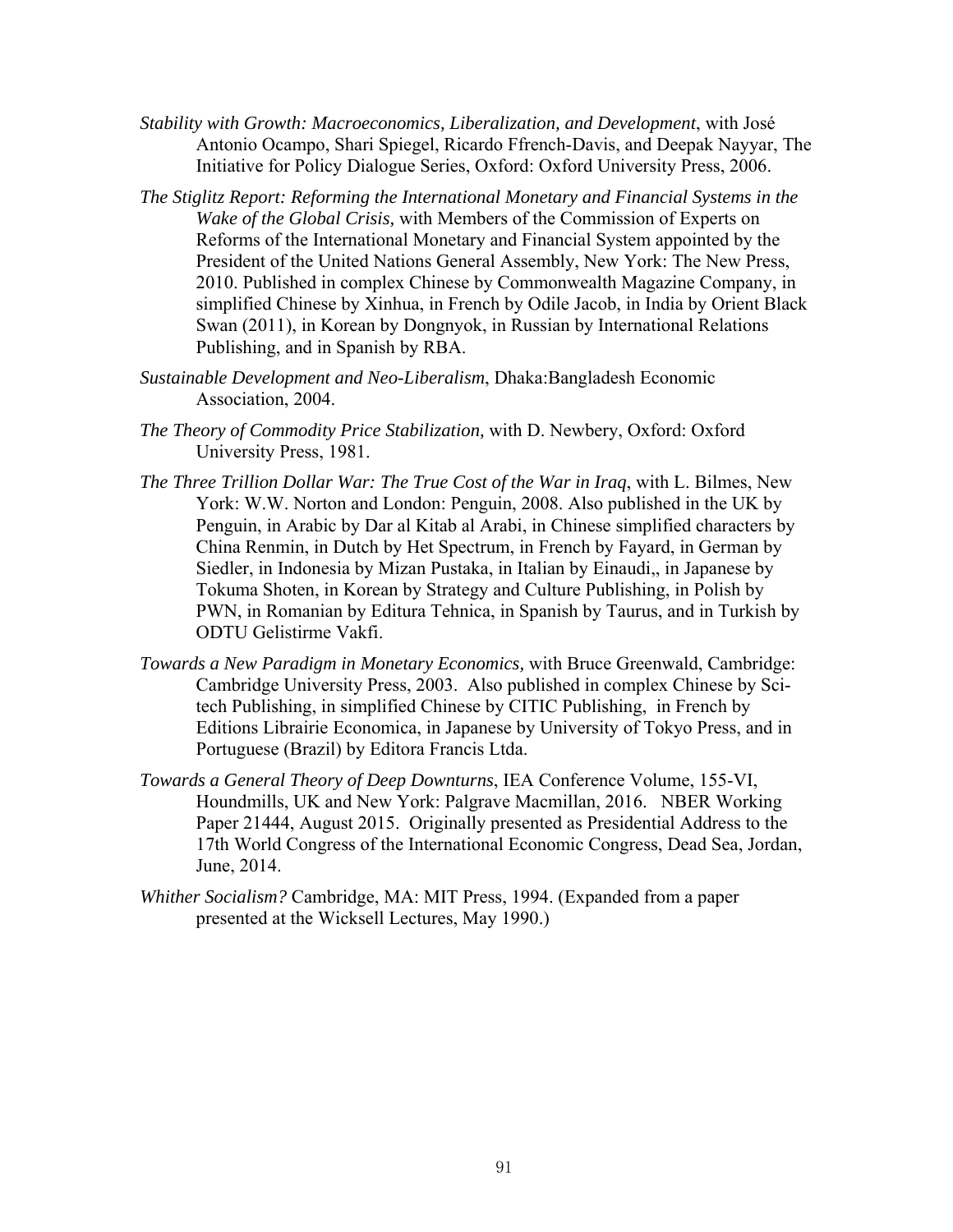- *Stability with Growth: Macroeconomics, Liberalization, and Development*, with José Antonio Ocampo, Shari Spiegel, Ricardo Ffrench-Davis, and Deepak Nayyar, The Initiative for Policy Dialogue Series, Oxford: Oxford University Press, 2006.
- *The Stiglitz Report: Reforming the International Monetary and Financial Systems in the Wake of the Global Crisis,* with Members of the Commission of Experts on Reforms of the International Monetary and Financial System appointed by the President of the United Nations General Assembly, New York: The New Press, 2010. Published in complex Chinese by Commonwealth Magazine Company, in simplified Chinese by Xinhua, in French by Odile Jacob, in India by Orient Black Swan (2011), in Korean by Dongnyok, in Russian by International Relations Publishing, and in Spanish by RBA.
- *Sustainable Development and Neo-Liberalism*, Dhaka:Bangladesh Economic Association, 2004.
- *The Theory of Commodity Price Stabilization,* with D. Newbery, Oxford: Oxford University Press, 1981.
- *The Three Trillion Dollar War: The True Cost of the War in Iraq*, with L. Bilmes, New York: W.W. Norton and London: Penguin, 2008. Also published in the UK by Penguin, in Arabic by Dar al Kitab al Arabi, in Chinese simplified characters by China Renmin, in Dutch by Het Spectrum, in French by Fayard, in German by Siedler, in Indonesia by Mizan Pustaka, in Italian by Einaudi,, in Japanese by Tokuma Shoten, in Korean by Strategy and Culture Publishing, in Polish by PWN, in Romanian by Editura Tehnica, in Spanish by Taurus, and in Turkish by ODTU Gelistirme Vakfi.
- *Towards a New Paradigm in Monetary Economics,* with Bruce Greenwald, Cambridge: Cambridge University Press, 2003. Also published in complex Chinese by Scitech Publishing, in simplified Chinese by CITIC Publishing, in French by Editions Librairie Economica, in Japanese by University of Tokyo Press, and in Portuguese (Brazil) by Editora Francis Ltda.
- *Towards a General Theory of Deep Downturns*, IEA Conference Volume, 155-VI, Houndmills, UK and New York: Palgrave Macmillan, 2016. NBER Working Paper 21444, August 2015. Originally presented as Presidential Address to the 17th World Congress of the International Economic Congress, Dead Sea, Jordan, June, 2014.
- *Whither Socialism?* Cambridge, MA: MIT Press, 1994. (Expanded from a paper presented at the Wicksell Lectures, May 1990.)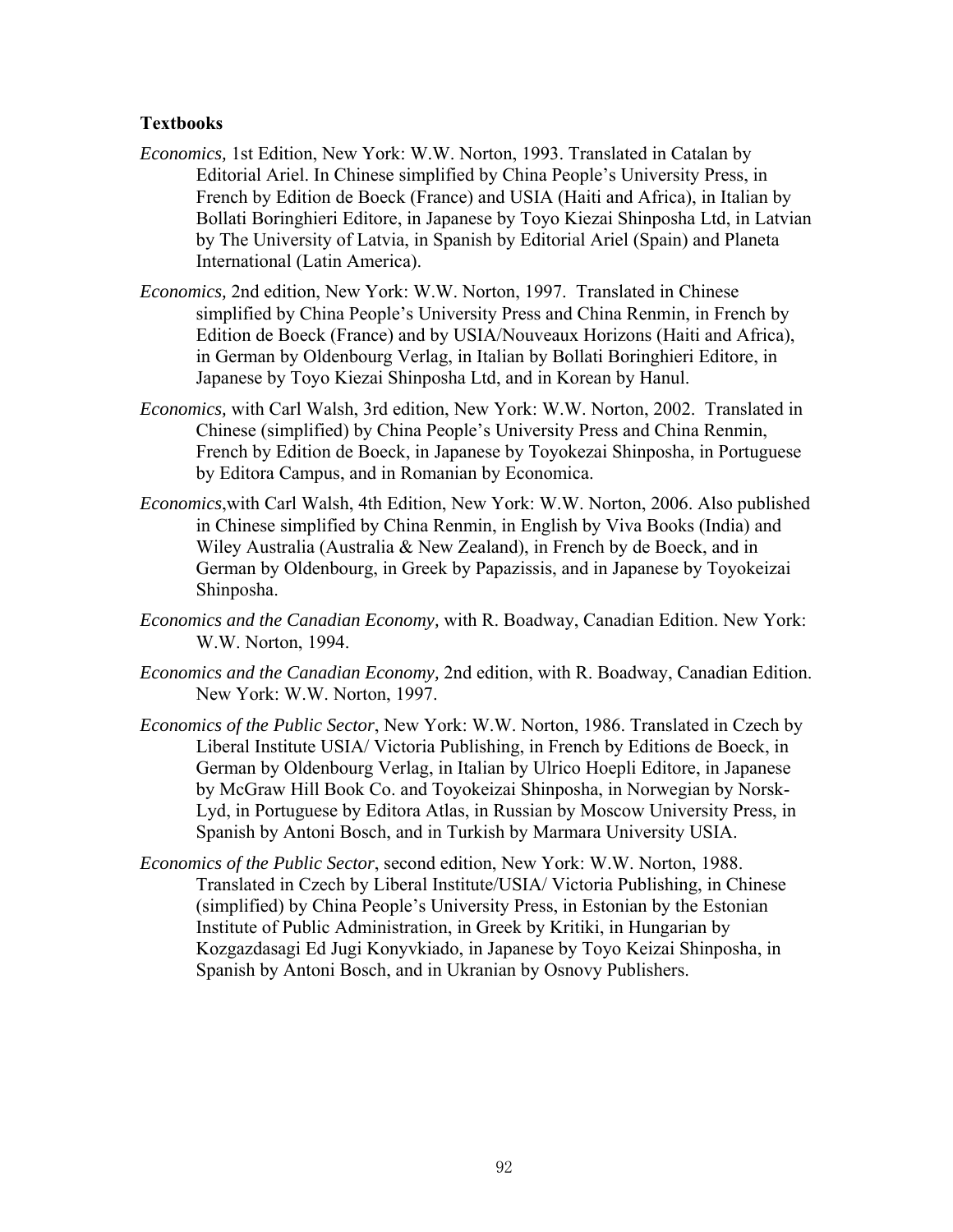#### **Textbooks**

- *Economics,* 1st Edition, New York: W.W. Norton, 1993. Translated in Catalan by Editorial Ariel. In Chinese simplified by China People's University Press, in French by Edition de Boeck (France) and USIA (Haiti and Africa), in Italian by Bollati Boringhieri Editore, in Japanese by Toyo Kiezai Shinposha Ltd, in Latvian by The University of Latvia, in Spanish by Editorial Ariel (Spain) and Planeta International (Latin America).
- *Economics,* 2nd edition, New York: W.W. Norton, 1997. Translated in Chinese simplified by China People's University Press and China Renmin, in French by Edition de Boeck (France) and by USIA/Nouveaux Horizons (Haiti and Africa), in German by Oldenbourg Verlag, in Italian by Bollati Boringhieri Editore, in Japanese by Toyo Kiezai Shinposha Ltd, and in Korean by Hanul.
- *Economics,* with Carl Walsh, 3rd edition, New York: W.W. Norton, 2002. Translated in Chinese (simplified) by China People's University Press and China Renmin, French by Edition de Boeck, in Japanese by Toyokezai Shinposha, in Portuguese by Editora Campus, and in Romanian by Economica.
- *Economics*,with Carl Walsh, 4th Edition, New York: W.W. Norton, 2006. Also published in Chinese simplified by China Renmin, in English by Viva Books (India) and Wiley Australia (Australia & New Zealand), in French by de Boeck, and in German by Oldenbourg, in Greek by Papazissis, and in Japanese by Toyokeizai Shinposha.
- *Economics and the Canadian Economy,* with R. Boadway, Canadian Edition. New York: W.W. Norton, 1994.
- *Economics and the Canadian Economy,* 2nd edition, with R. Boadway, Canadian Edition. New York: W.W. Norton, 1997.
- *Economics of the Public Sector*, New York: W.W. Norton, 1986. Translated in Czech by Liberal Institute USIA/ Victoria Publishing, in French by Editions de Boeck, in German by Oldenbourg Verlag, in Italian by Ulrico Hoepli Editore, in Japanese by McGraw Hill Book Co. and Toyokeizai Shinposha, in Norwegian by Norsk-Lyd, in Portuguese by Editora Atlas, in Russian by Moscow University Press, in Spanish by Antoni Bosch, and in Turkish by Marmara University USIA.
- *Economics of the Public Sector*, second edition, New York: W.W. Norton, 1988. Translated in Czech by Liberal Institute/USIA/ Victoria Publishing, in Chinese (simplified) by China People's University Press, in Estonian by the Estonian Institute of Public Administration, in Greek by Kritiki, in Hungarian by Kozgazdasagi Ed Jugi Konyvkiado, in Japanese by Toyo Keizai Shinposha, in Spanish by Antoni Bosch, and in Ukranian by Osnovy Publishers.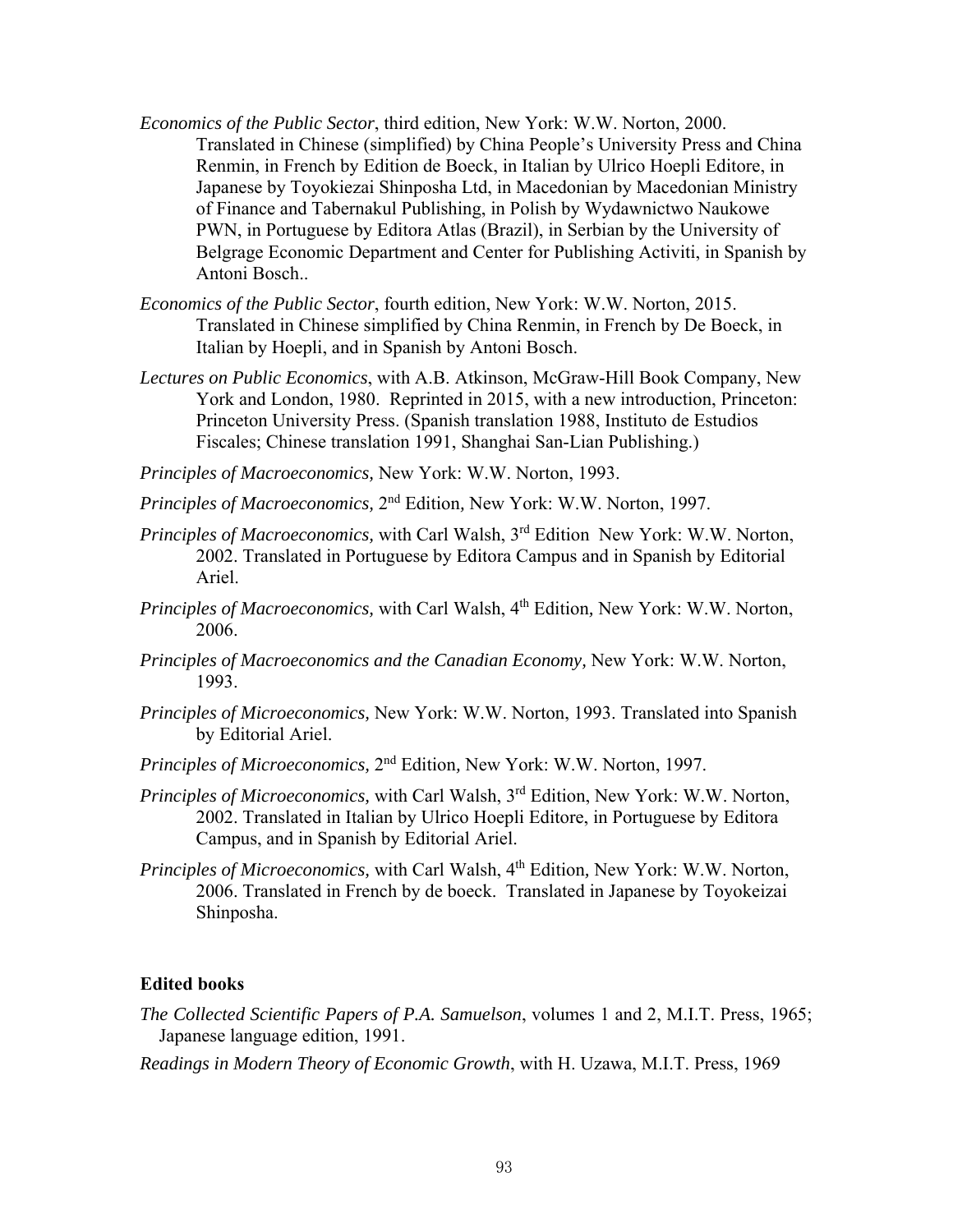- *Economics of the Public Sector*, third edition, New York: W.W. Norton, 2000. Translated in Chinese (simplified) by China People's University Press and China Renmin, in French by Edition de Boeck, in Italian by Ulrico Hoepli Editore, in Japanese by Toyokiezai Shinposha Ltd, in Macedonian by Macedonian Ministry of Finance and Tabernakul Publishing, in Polish by Wydawnictwo Naukowe PWN, in Portuguese by Editora Atlas (Brazil), in Serbian by the University of Belgrage Economic Department and Center for Publishing Activiti, in Spanish by Antoni Bosch..
- *Economics of the Public Sector*, fourth edition, New York: W.W. Norton, 2015. Translated in Chinese simplified by China Renmin, in French by De Boeck, in Italian by Hoepli, and in Spanish by Antoni Bosch.
- *Lectures on Public Economics*, with A.B. Atkinson, McGraw-Hill Book Company, New York and London, 1980. Reprinted in 2015, with a new introduction, Princeton: Princeton University Press. (Spanish translation 1988, Instituto de Estudios Fiscales; Chinese translation 1991, Shanghai San-Lian Publishing.)

*Principles of Macroeconomics,* New York: W.W. Norton, 1993.

*Principles of Macroeconomics,* 2nd Edition*,* New York: W.W. Norton, 1997.

- *Principles of Macroeconomics,* with Carl Walsh, 3rd Edition New York: W.W. Norton, 2002. Translated in Portuguese by Editora Campus and in Spanish by Editorial Ariel.
- *Principles of Macroeconomics, with Carl Walsh, 4<sup>th</sup> Edition, New York: W.W. Norton,* 2006.
- *Principles of Macroeconomics and the Canadian Economy,* New York: W.W. Norton, 1993.
- *Principles of Microeconomics,* New York: W.W. Norton, 1993. Translated into Spanish by Editorial Ariel.
- *Principles of Microeconomics,* 2nd Edition*,* New York: W.W. Norton, 1997.
- *Principles of Microeconomics,* with Carl Walsh, 3rd Edition, New York: W.W. Norton, 2002. Translated in Italian by Ulrico Hoepli Editore, in Portuguese by Editora Campus, and in Spanish by Editorial Ariel.
- *Principles of Microeconomics,* with Carl Walsh, 4th Edition*,* New York: W.W. Norton, 2006. Translated in French by de boeck. Translated in Japanese by Toyokeizai Shinposha.

#### **Edited books**

- *The Collected Scientific Papers of P.A. Samuelson*, volumes 1 and 2, M.I.T. Press, 1965; Japanese language edition, 1991.
- *Readings in Modern Theory of Economic Growth*, with H. Uzawa, M.I.T. Press, 1969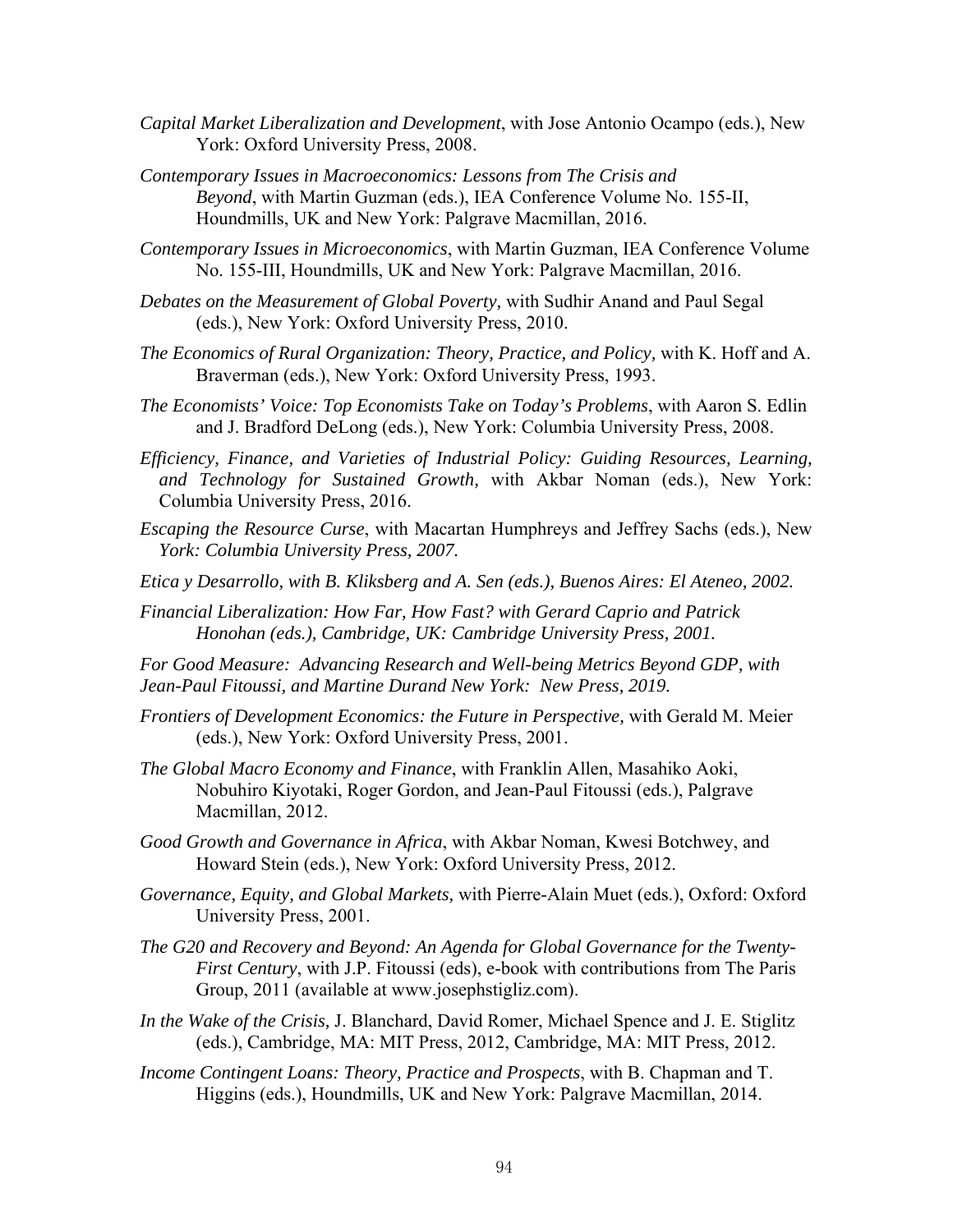- *Capital Market Liberalization and Development*, with Jose Antonio Ocampo (eds.), New York: Oxford University Press, 2008.
- *Contemporary Issues in Macroeconomics: Lessons from The Crisis and Beyond*, with Martin Guzman (eds.), IEA Conference Volume No. 155-II, Houndmills, UK and New York: Palgrave Macmillan, 2016.
- *Contemporary Issues in Microeconomics*, with Martin Guzman, IEA Conference Volume No. 155-III, Houndmills, UK and New York: Palgrave Macmillan, 2016.
- *Debates on the Measurement of Global Poverty,* with Sudhir Anand and Paul Segal (eds.), New York: Oxford University Press, 2010.
- *The Economics of Rural Organization: Theory, Practice, and Policy,* with K. Hoff and A. Braverman (eds.), New York: Oxford University Press, 1993.
- *The Economists' Voice: Top Economists Take on Today's Problems*, with Aaron S. Edlin and J. Bradford DeLong (eds.), New York: Columbia University Press, 2008.
- *Efficiency, Finance, and Varieties of Industrial Policy: Guiding Resources, Learning, and Technology for Sustained Growth,* with Akbar Noman (eds.), New York: Columbia University Press, 2016.
- *Escaping the Resource Curse*, with Macartan Humphreys and Jeffrey Sachs (eds.), New *York: Columbia University Press, 2007.*
- *Etica y Desarrollo, with B. Kliksberg and A. Sen (eds.), Buenos Aires: El Ateneo, 2002.*
- *Financial Liberalization: How Far, How Fast? with Gerard Caprio and Patrick Honohan (eds.), Cambridge, UK: Cambridge University Press, 2001.*
- *For Good Measure: Advancing Research and Well-being Metrics Beyond GDP, with Jean-Paul Fitoussi, and Martine Durand New York: New Press, 2019.*
- *Frontiers of Development Economics: the Future in Perspective,* with Gerald M. Meier (eds.), New York: Oxford University Press, 2001.
- *The Global Macro Economy and Finance*, with Franklin Allen, Masahiko Aoki, Nobuhiro Kiyotaki, Roger Gordon, and Jean-Paul Fitoussi (eds.), Palgrave Macmillan, 2012.
- *Good Growth and Governance in Africa*, with Akbar Noman, Kwesi Botchwey, and Howard Stein (eds.), New York: Oxford University Press, 2012.
- *Governance, Equity, and Global Markets,* with Pierre-Alain Muet (eds.), Oxford: Oxford University Press, 2001.
- *The G20 and Recovery and Beyond: An Agenda for Global Governance for the Twenty-First Century*, with J.P. Fitoussi (eds), e-book with contributions from The Paris Group, 2011 (available at www.josephstigliz.com).
- *In the Wake of the Crisis,* J. Blanchard, David Romer, Michael Spence and J. E. Stiglitz (eds.), Cambridge, MA: MIT Press, 2012, Cambridge, MA: MIT Press, 2012.
- *Income Contingent Loans: Theory, Practice and Prospects*, with B. Chapman and T. Higgins (eds.), Houndmills, UK and New York: Palgrave Macmillan, 2014.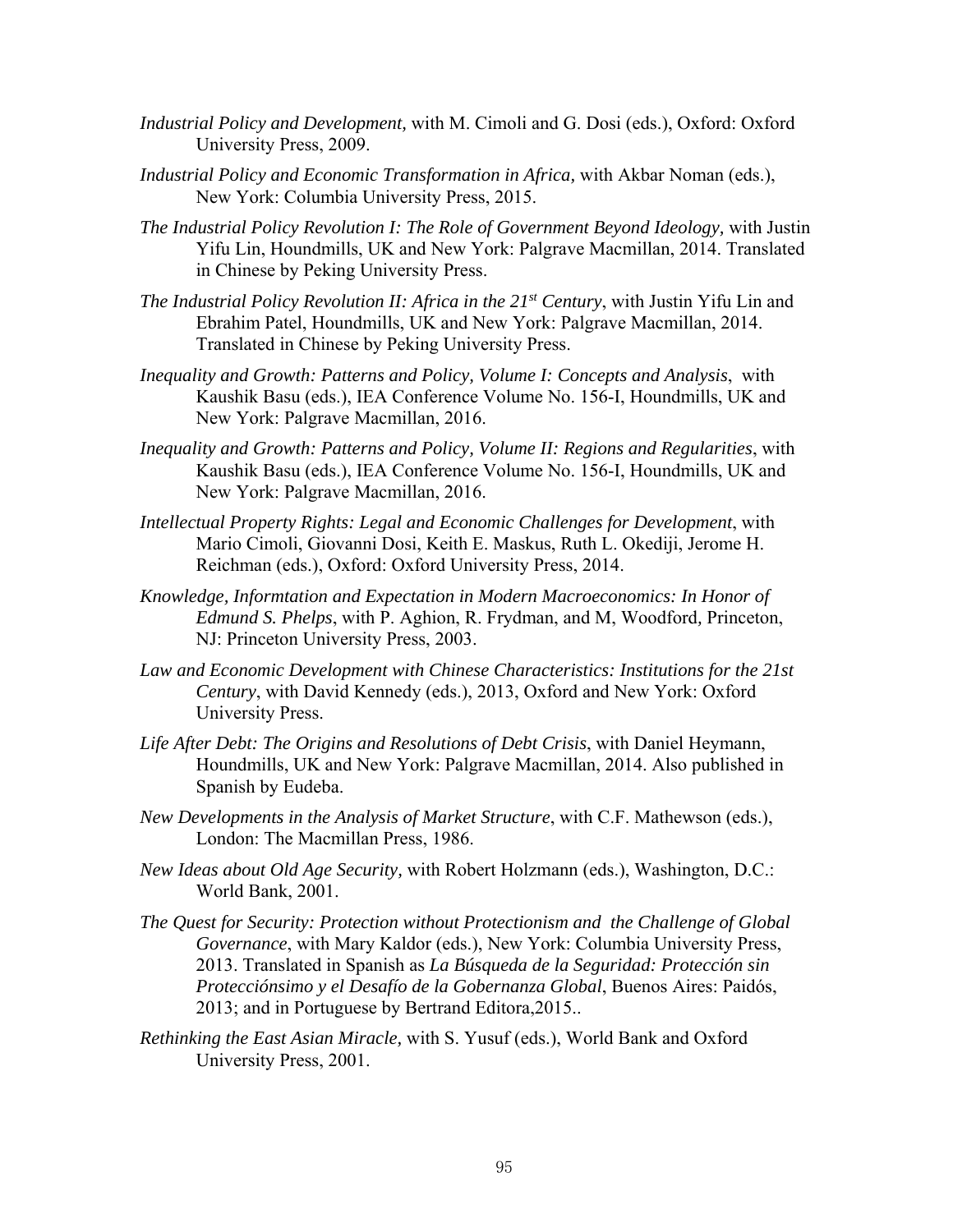- *Industrial Policy and Development,* with M. Cimoli and G. Dosi (eds.), Oxford: Oxford University Press, 2009.
- *Industrial Policy and Economic Transformation in Africa,* with Akbar Noman (eds.), New York: Columbia University Press, 2015.
- *The Industrial Policy Revolution I: The Role of Government Beyond Ideology,* with Justin Yifu Lin, Houndmills, UK and New York: Palgrave Macmillan, 2014. Translated in Chinese by Peking University Press.
- *The Industrial Policy Revolution II: Africa in the 21st Century*, with Justin Yifu Lin and Ebrahim Patel, Houndmills, UK and New York: Palgrave Macmillan, 2014. Translated in Chinese by Peking University Press.
- *Inequality and Growth: Patterns and Policy, Volume I: Concepts and Analysis*, with Kaushik Basu (eds.), IEA Conference Volume No. 156-I, Houndmills, UK and New York: Palgrave Macmillan, 2016.
- *Inequality and Growth: Patterns and Policy, Volume II: Regions and Regularities*, with Kaushik Basu (eds.), IEA Conference Volume No. 156-I, Houndmills, UK and New York: Palgrave Macmillan, 2016.
- *Intellectual Property Rights: Legal and Economic Challenges for Development*, with Mario Cimoli, Giovanni Dosi, Keith E. Maskus, Ruth L. Okediji, Jerome H. Reichman (eds.), Oxford: Oxford University Press, 2014.
- *Knowledge, Informtation and Expectation in Modern Macroeconomics: In Honor of Edmund S. Phelps*, with P. Aghion, R. Frydman, and M, Woodford*,* Princeton, NJ: Princeton University Press, 2003.
- *Law and Economic Development with Chinese Characteristics: Institutions for the 21st Century*, with David Kennedy (eds.), 2013, Oxford and New York: Oxford University Press.
- *Life After Debt: The Origins and Resolutions of Debt Crisis*, with Daniel Heymann, Houndmills, UK and New York: Palgrave Macmillan, 2014. Also published in Spanish by Eudeba.
- *New Developments in the Analysis of Market Structure*, with C.F. Mathewson (eds.), London: The Macmillan Press, 1986.
- *New Ideas about Old Age Security,* with Robert Holzmann (eds.), Washington, D.C.: World Bank, 2001.
- *The Quest for Security: Protection without Protectionism and the Challenge of Global Governance*, with Mary Kaldor (eds.), New York: Columbia University Press, 2013. Translated in Spanish as *La Búsqueda de la Seguridad: Protección sin Protecciónsimo y el Desafío de la Gobernanza Global*, Buenos Aires: Paidós, 2013; and in Portuguese by Bertrand Editora,2015..
- *Rethinking the East Asian Miracle,* with S. Yusuf (eds.), World Bank and Oxford University Press, 2001.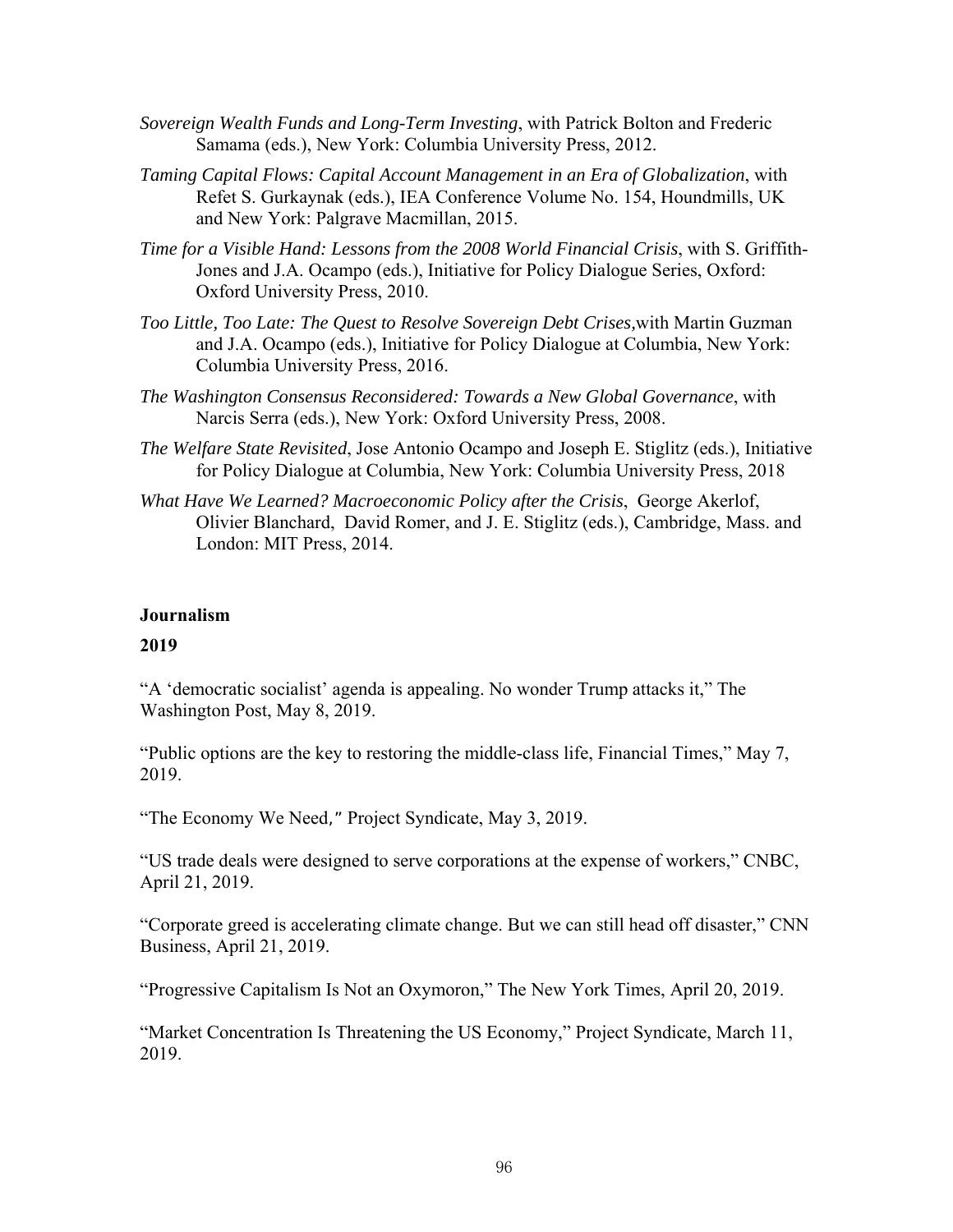- *Sovereign Wealth Funds and Long-Term Investing*, with Patrick Bolton and Frederic Samama (eds.), New York: Columbia University Press, 2012.
- *Taming Capital Flows: Capital Account Management in an Era of Globalization*, with Refet S. Gurkaynak (eds.), IEA Conference Volume No. 154, Houndmills, UK and New York: Palgrave Macmillan, 2015.
- *Time for a Visible Hand: Lessons from the 2008 World Financial Crisis*, with S. Griffith-Jones and J.A. Ocampo (eds.), Initiative for Policy Dialogue Series, Oxford: Oxford University Press, 2010.
- *Too Little, Too Late: The Quest to Resolve Sovereign Debt Crises,*with Martin Guzman and J.A. Ocampo (eds.), Initiative for Policy Dialogue at Columbia, New York: Columbia University Press, 2016.
- *The Washington Consensus Reconsidered: Towards a New Global Governance*, with Narcis Serra (eds.), New York: Oxford University Press, 2008.
- *The Welfare State Revisited*, Jose Antonio Ocampo and Joseph E. Stiglitz (eds.), Initiative for Policy Dialogue at Columbia, New York: Columbia University Press, 2018
- *What Have We Learned? Macroeconomic Policy after the Crisis*, George Akerlof, Olivier Blanchard, David Romer, and J. E. Stiglitz (eds.), Cambridge, Mass. and London: MIT Press, 2014.

#### **Journalism**

#### **2019**

"A 'democratic socialist' agenda is appealing. No wonder Trump attacks it," The Washington Post, May 8, 2019.

"Public options are the key to restoring the middle-class life, Financial Times," May 7, 2019.

"The Economy We Need," Project Syndicate, May 3, 2019.

"US trade deals were designed to serve corporations at the expense of workers," CNBC, April 21, 2019.

"Corporate greed is accelerating climate change. But we can still head off disaster," CNN Business, April 21, 2019.

"Progressive Capitalism Is Not an Oxymoron," The New York Times, April 20, 2019.

"Market Concentration Is Threatening the US Economy," Project Syndicate, March 11, 2019.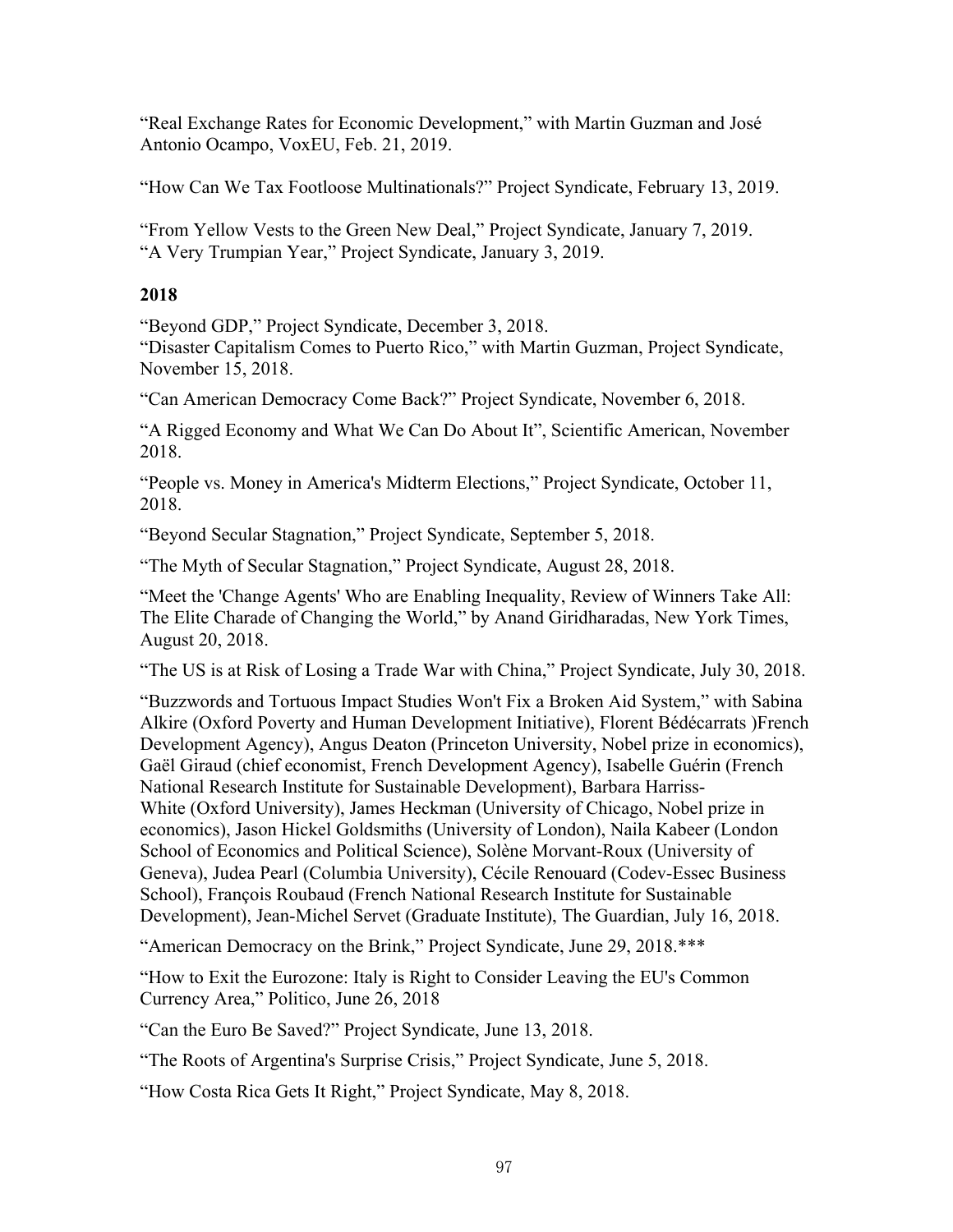"Real Exchange Rates for Economic Development," with Martin Guzman and José Antonio Ocampo, VoxEU, Feb. 21, 2019.

"How Can We Tax Footloose Multinationals?" Project Syndicate, February 13, 2019.

"From Yellow Vests to the Green New Deal," Project Syndicate, January 7, 2019. "A Very Trumpian Year," Project Syndicate, January 3, 2019.

#### **2018**

"Beyond GDP," Project Syndicate, December 3, 2018.

"Disaster Capitalism Comes to Puerto Rico," with Martin Guzman, Project Syndicate, November 15, 2018.

"Can American Democracy Come Back?" Project Syndicate, November 6, 2018.

"A Rigged Economy and What We Can Do About It", Scientific American, November 2018.

"People vs. Money in America's Midterm Elections," Project Syndicate, October 11, 2018.

"Beyond Secular Stagnation," Project Syndicate, September 5, 2018.

"The Myth of Secular Stagnation," Project Syndicate, August 28, 2018.

"Meet the 'Change Agents' Who are Enabling Inequality, Review of Winners Take All: The Elite Charade of Changing the World," by Anand Giridharadas, New York Times, August 20, 2018.

"The US is at Risk of Losing a Trade War with China," Project Syndicate, July 30, 2018.

"Buzzwords and Tortuous Impact Studies Won't Fix a Broken Aid System," with Sabina Alkire (Oxford Poverty and Human Development Initiative), Florent Bédécarrats )French Development Agency), Angus Deaton (Princeton University, Nobel prize in economics), Gaël Giraud (chief economist, French Development Agency), Isabelle Guérin (French National Research Institute for Sustainable Development), Barbara Harriss-White (Oxford University), James Heckman (University of Chicago, Nobel prize in economics), Jason Hickel Goldsmiths (University of London), Naila Kabeer (London School of Economics and Political Science), Solène Morvant-Roux (University of Geneva), Judea Pearl (Columbia University), Cécile Renouard (Codev-Essec Business School), François Roubaud (French National Research Institute for Sustainable Development), Jean-Michel Servet (Graduate Institute), The Guardian, July 16, 2018.

"American Democracy on the Brink," Project Syndicate, June 29, 2018.\*\*\*

"How to Exit the Eurozone: Italy is Right to Consider Leaving the EU's Common Currency Area," Politico, June 26, 2018

"Can the Euro Be Saved?" Project Syndicate, June 13, 2018.

"The Roots of Argentina's Surprise Crisis," Project Syndicate, June 5, 2018.

"How Costa Rica Gets It Right," Project Syndicate, May 8, 2018.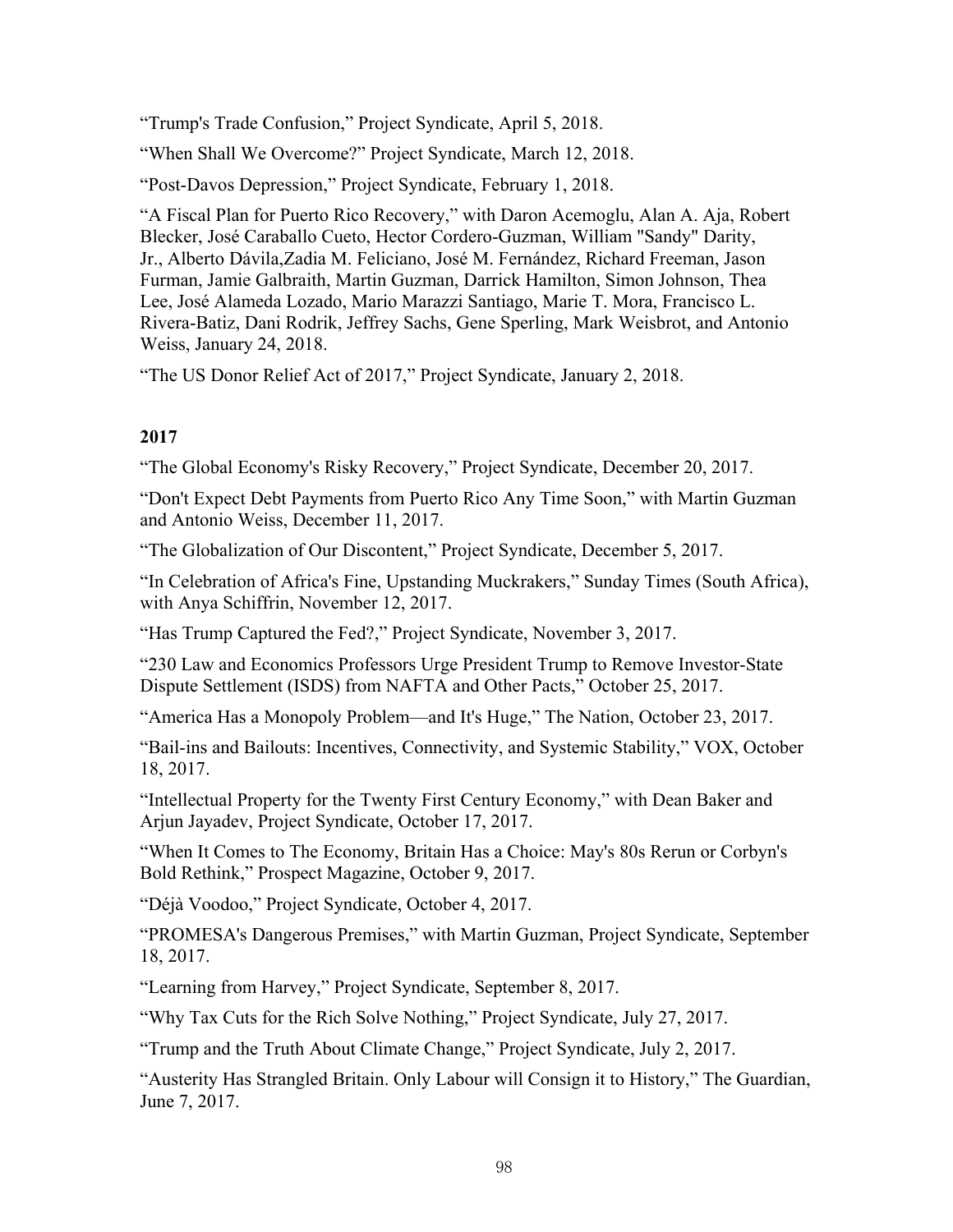"Trump's Trade Confusion," Project Syndicate, April 5, 2018.

"When Shall We Overcome?" Project Syndicate, March 12, 2018.

"Post-Davos Depression," Project Syndicate, February 1, 2018.

"A Fiscal Plan for Puerto Rico Recovery," with Daron Acemoglu, Alan A. Aja, Robert Blecker, José Caraballo Cueto, Hector Cordero-Guzman, William "Sandy" Darity, Jr., Alberto Dávila,Zadia M. Feliciano, José M. Fernández, Richard Freeman, Jason Furman, Jamie Galbraith, Martin Guzman, Darrick Hamilton, Simon Johnson, Thea Lee, José Alameda Lozado, Mario Marazzi Santiago, Marie T. Mora, Francisco L. Rivera-Batiz, Dani Rodrik, Jeffrey Sachs, Gene Sperling, Mark Weisbrot, and Antonio Weiss, January 24, 2018.

"The US Donor Relief Act of 2017," Project Syndicate, January 2, 2018.

## **2017**

"The Global Economy's Risky Recovery," Project Syndicate, December 20, 2017.

"Don't Expect Debt Payments from Puerto Rico Any Time Soon," with Martin Guzman and Antonio Weiss, December 11, 2017.

"The Globalization of Our Discontent," Project Syndicate, December 5, 2017.

"In Celebration of Africa's Fine, Upstanding Muckrakers," Sunday Times (South Africa), with Anya Schiffrin, November 12, 2017.

"Has Trump Captured the Fed?," Project Syndicate, November 3, 2017.

"230 Law and Economics Professors Urge President Trump to Remove Investor-State Dispute Settlement (ISDS) from NAFTA and Other Pacts," October 25, 2017.

"America Has a Monopoly Problem—and It's Huge," The Nation, October 23, 2017.

"Bail-ins and Bailouts: Incentives, Connectivity, and Systemic Stability," VOX, October 18, 2017.

"Intellectual Property for the Twenty First Century Economy," with Dean Baker and Arjun Jayadev, Project Syndicate, October 17, 2017.

"When It Comes to The Economy, Britain Has a Choice: May's 80s Rerun or Corbyn's Bold Rethink," Prospect Magazine, October 9, 2017.

"Déjà Voodoo," Project Syndicate, October 4, 2017.

"PROMESA's Dangerous Premises," with Martin Guzman, Project Syndicate, September 18, 2017.

"Learning from Harvey," Project Syndicate, September 8, 2017.

"Why Tax Cuts for the Rich Solve Nothing," Project Syndicate, July 27, 2017.

"Trump and the Truth About Climate Change," Project Syndicate, July 2, 2017.

"Austerity Has Strangled Britain. Only Labour will Consign it to History," The Guardian, June 7, 2017.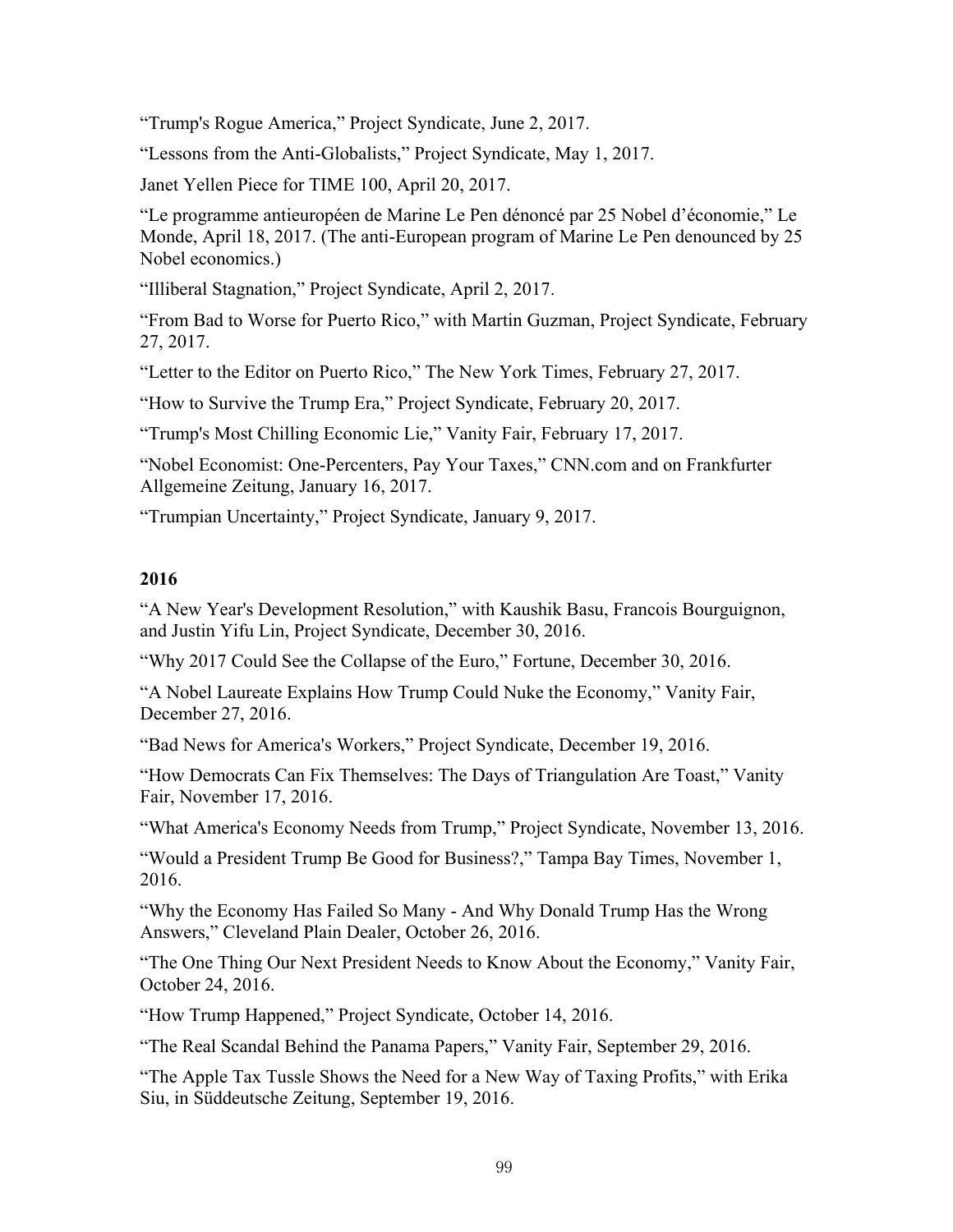"Trump's Rogue America," Project Syndicate, June 2, 2017.

"Lessons from the Anti-Globalists," Project Syndicate, May 1, 2017.

Janet Yellen Piece for TIME 100, April 20, 2017.

"Le programme antieuropéen de Marine Le Pen dénoncé par 25 Nobel d'économie," Le Monde, April 18, 2017. (The anti-European program of Marine Le Pen denounced by 25 Nobel economics.)

"Illiberal Stagnation," Project Syndicate, April 2, 2017.

"From Bad to Worse for Puerto Rico," with Martin Guzman, Project Syndicate, February 27, 2017.

"Letter to the Editor on Puerto Rico," The New York Times, February 27, 2017.

"How to Survive the Trump Era," Project Syndicate, February 20, 2017.

"Trump's Most Chilling Economic Lie," Vanity Fair, February 17, 2017.

"Nobel Economist: One-Percenters, Pay Your Taxes," CNN.com and on Frankfurter Allgemeine Zeitung, January 16, 2017.

"Trumpian Uncertainty," Project Syndicate, January 9, 2017.

#### **2016**

"A New Year's Development Resolution," with Kaushik Basu, Francois Bourguignon, and Justin Yifu Lin, Project Syndicate, December 30, 2016.

"Why 2017 Could See the Collapse of the Euro," Fortune, December 30, 2016.

"A Nobel Laureate Explains How Trump Could Nuke the Economy," Vanity Fair, December 27, 2016.

"Bad News for America's Workers," Project Syndicate, December 19, 2016.

"How Democrats Can Fix Themselves: The Days of Triangulation Are Toast," Vanity Fair, November 17, 2016.

"What America's Economy Needs from Trump," Project Syndicate, November 13, 2016.

"Would a President Trump Be Good for Business?," Tampa Bay Times, November 1, 2016.

"Why the Economy Has Failed So Many - And Why Donald Trump Has the Wrong Answers," Cleveland Plain Dealer, October 26, 2016.

"The One Thing Our Next President Needs to Know About the Economy," Vanity Fair, October 24, 2016.

"How Trump Happened," Project Syndicate, October 14, 2016.

"The Real Scandal Behind the Panama Papers," Vanity Fair, September 29, 2016.

"The Apple Tax Tussle Shows the Need for a New Way of Taxing Profits," with Erika Siu, in Süddeutsche Zeitung, September 19, 2016.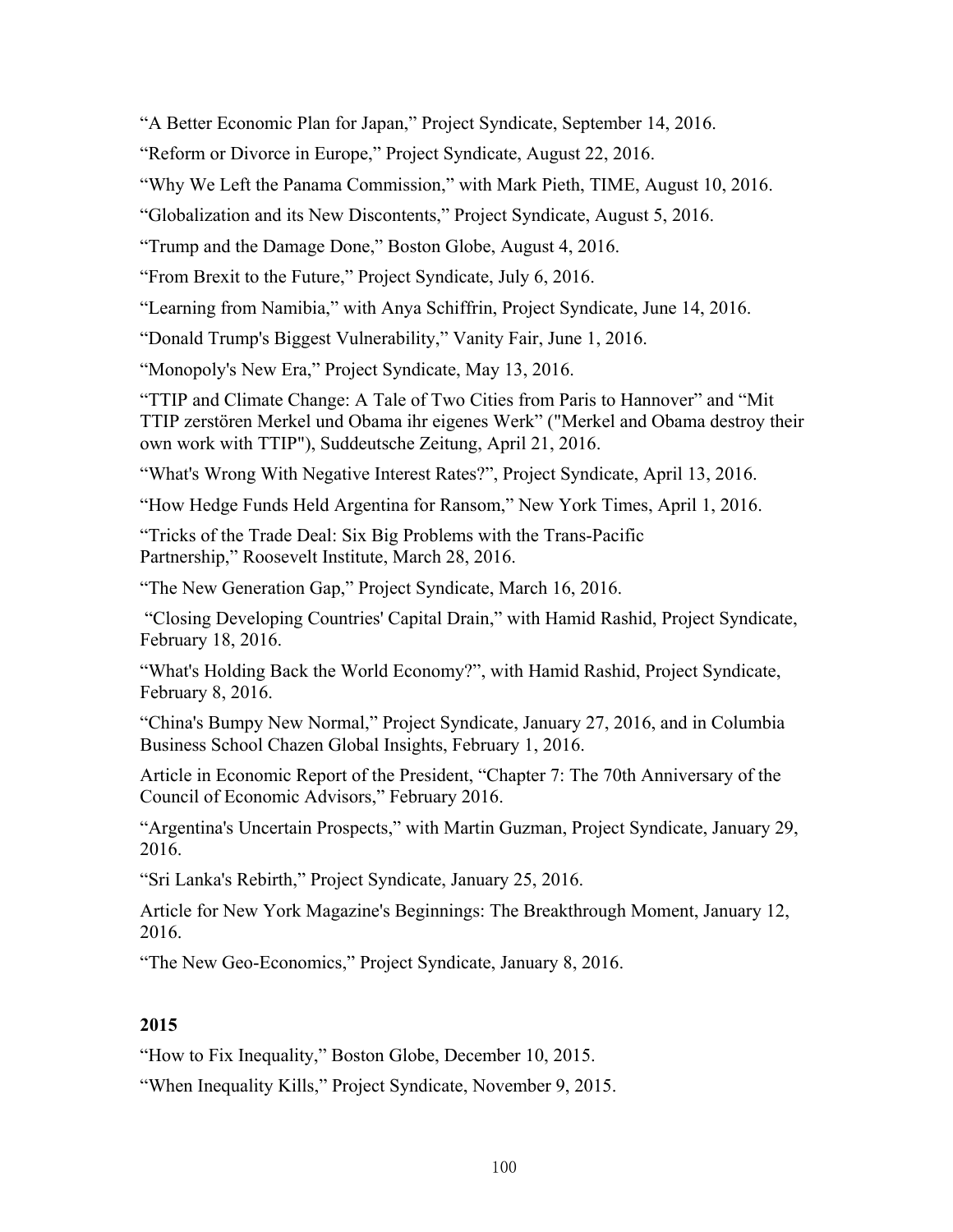"A Better Economic Plan for Japan," Project Syndicate, September 14, 2016.

"Reform or Divorce in Europe," Project Syndicate, August 22, 2016.

"Why We Left the Panama Commission," with Mark Pieth, TIME, August 10, 2016.

"Globalization and its New Discontents," Project Syndicate, August 5, 2016.

"Trump and the Damage Done," Boston Globe, August 4, 2016.

"From Brexit to the Future," Project Syndicate, July 6, 2016.

"Learning from Namibia," with Anya Schiffrin, Project Syndicate, June 14, 2016.

"Donald Trump's Biggest Vulnerability," Vanity Fair, June 1, 2016.

"Monopoly's New Era," Project Syndicate, May 13, 2016.

"TTIP and Climate Change: A Tale of Two Cities from Paris to Hannover" and "Mit TTIP zerstören Merkel und Obama ihr eigenes Werk" ("Merkel and Obama destroy their own work with TTIP"), Suddeutsche Zeitung, April 21, 2016.

"What's Wrong With Negative Interest Rates?", Project Syndicate, April 13, 2016.

"How Hedge Funds Held Argentina for Ransom," New York Times, April 1, 2016.

"Tricks of the Trade Deal: Six Big Problems with the Trans-Pacific Partnership," Roosevelt Institute, March 28, 2016.

"The New Generation Gap," Project Syndicate, March 16, 2016.

 "Closing Developing Countries' Capital Drain," with Hamid Rashid, Project Syndicate, February 18, 2016.

"What's Holding Back the World Economy?", with Hamid Rashid, Project Syndicate, February 8, 2016.

"China's Bumpy New Normal," Project Syndicate, January 27, 2016, and in Columbia Business School Chazen Global Insights, February 1, 2016.

Article in Economic Report of the President, "Chapter 7: The 70th Anniversary of the Council of Economic Advisors," February 2016.

"Argentina's Uncertain Prospects," with Martin Guzman, Project Syndicate, January 29, 2016.

"Sri Lanka's Rebirth," Project Syndicate, January 25, 2016.

Article for New York Magazine's Beginnings: The Breakthrough Moment, January 12, 2016.

"The New Geo-Economics," Project Syndicate, January 8, 2016.

## **2015**

"How to Fix Inequality," Boston Globe, December 10, 2015.

"When Inequality Kills," Project Syndicate, November 9, 2015.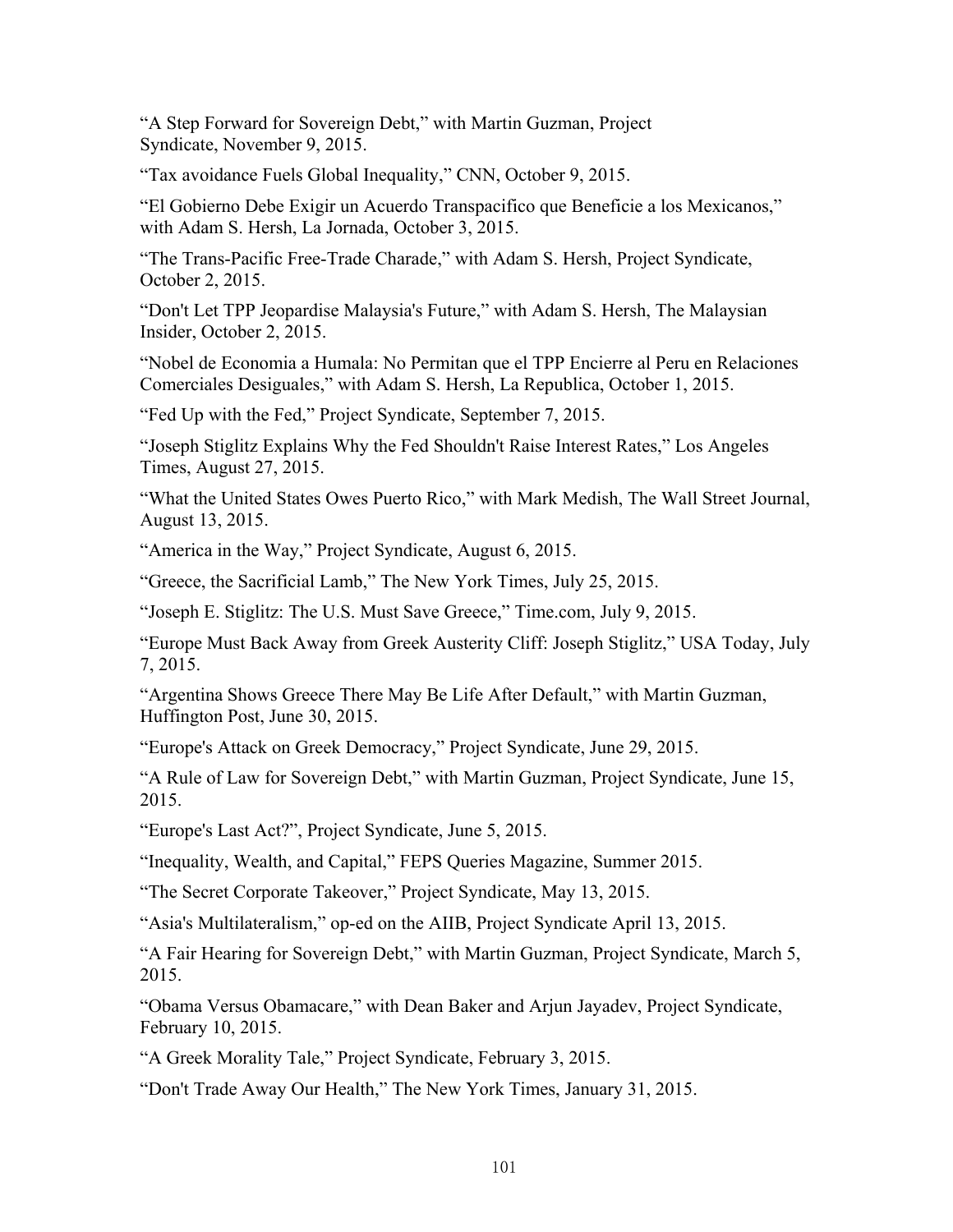"A Step Forward for Sovereign Debt," with Martin Guzman, Project Syndicate, November 9, 2015.

"Tax avoidance Fuels Global Inequality," CNN, October 9, 2015.

"El Gobierno Debe Exigir un Acuerdo Transpacifico que Beneficie a los Mexicanos," with Adam S. Hersh, La Jornada, October 3, 2015.

"The Trans-Pacific Free-Trade Charade," with Adam S. Hersh, Project Syndicate, October 2, 2015.

"Don't Let TPP Jeopardise Malaysia's Future," with Adam S. Hersh, The Malaysian Insider, October 2, 2015.

"Nobel de Economia a Humala: No Permitan que el TPP Encierre al Peru en Relaciones Comerciales Desiguales," with Adam S. Hersh, La Republica, October 1, 2015.

"Fed Up with the Fed," Project Syndicate, September 7, 2015.

"Joseph Stiglitz Explains Why the Fed Shouldn't Raise Interest Rates," Los Angeles Times, August 27, 2015.

"What the United States Owes Puerto Rico," with Mark Medish, The Wall Street Journal, August 13, 2015.

"America in the Way," Project Syndicate, August 6, 2015.

"Greece, the Sacrificial Lamb," The New York Times, July 25, 2015.

"Joseph E. Stiglitz: The U.S. Must Save Greece," Time.com, July 9, 2015.

"Europe Must Back Away from Greek Austerity Cliff: Joseph Stiglitz," USA Today, July 7, 2015.

"Argentina Shows Greece There May Be Life After Default," with Martin Guzman, Huffington Post, June 30, 2015.

"Europe's Attack on Greek Democracy," Project Syndicate, June 29, 2015.

"A Rule of Law for Sovereign Debt," with Martin Guzman, Project Syndicate, June 15, 2015.

"Europe's Last Act?", Project Syndicate, June 5, 2015.

"Inequality, Wealth, and Capital," FEPS Queries Magazine, Summer 2015.

"The Secret Corporate Takeover," Project Syndicate, May 13, 2015.

"Asia's Multilateralism," op-ed on the AIIB, Project Syndicate April 13, 2015.

"A Fair Hearing for Sovereign Debt," with Martin Guzman, Project Syndicate, March 5, 2015.

"Obama Versus Obamacare," with Dean Baker and Arjun Jayadev, Project Syndicate, February 10, 2015.

"A Greek Morality Tale," Project Syndicate, February 3, 2015.

"Don't Trade Away Our Health," The New York Times, January 31, 2015.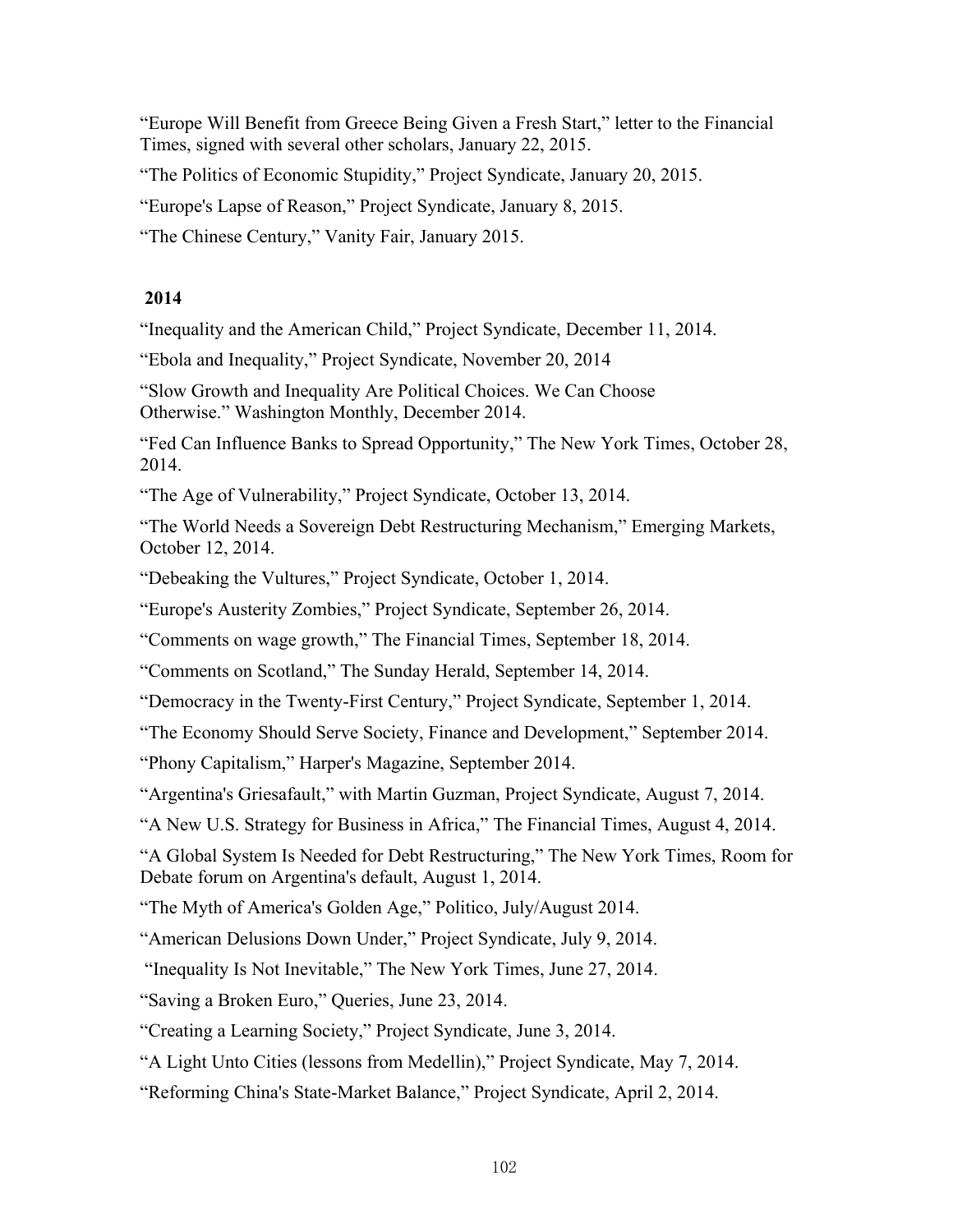"Europe Will Benefit from Greece Being Given a Fresh Start," letter to the Financial Times, signed with several other scholars, January 22, 2015.

"The Politics of Economic Stupidity," Project Syndicate, January 20, 2015.

"Europe's Lapse of Reason," Project Syndicate, January 8, 2015.

"The Chinese Century," Vanity Fair, January 2015.

## **2014**

"Inequality and the American Child," Project Syndicate, December 11, 2014.

"Ebola and Inequality," Project Syndicate, November 20, 2014

"Slow Growth and Inequality Are Political Choices. We Can Choose Otherwise." Washington Monthly, December 2014.

"Fed Can Influence Banks to Spread Opportunity," The New York Times, October 28, 2014.

"The Age of Vulnerability," Project Syndicate, October 13, 2014.

"The World Needs a Sovereign Debt Restructuring Mechanism," Emerging Markets, October 12, 2014.

"Debeaking the Vultures," Project Syndicate, October 1, 2014.

"Europe's Austerity Zombies," Project Syndicate, September 26, 2014.

"Comments on wage growth," The Financial Times, September 18, 2014.

"Comments on Scotland," The Sunday Herald, September 14, 2014.

"Democracy in the Twenty-First Century," Project Syndicate, September 1, 2014.

"The Economy Should Serve Society, Finance and Development," September 2014.

"Phony Capitalism," Harper's Magazine, September 2014.

"Argentina's Griesafault," with Martin Guzman, Project Syndicate, August 7, 2014.

"A New U.S. Strategy for Business in Africa," The Financial Times, August 4, 2014.

"A Global System Is Needed for Debt Restructuring," The New York Times, Room for Debate forum on Argentina's default, August 1, 2014.

"The Myth of America's Golden Age," Politico, July/August 2014.

"American Delusions Down Under," Project Syndicate, July 9, 2014.

"Inequality Is Not Inevitable," The New York Times, June 27, 2014.

"Saving a Broken Euro," Queries, June 23, 2014.

"Creating a Learning Society," Project Syndicate, June 3, 2014.

"A Light Unto Cities (lessons from Medellin)," Project Syndicate, May 7, 2014.

"Reforming China's State-Market Balance," Project Syndicate, April 2, 2014.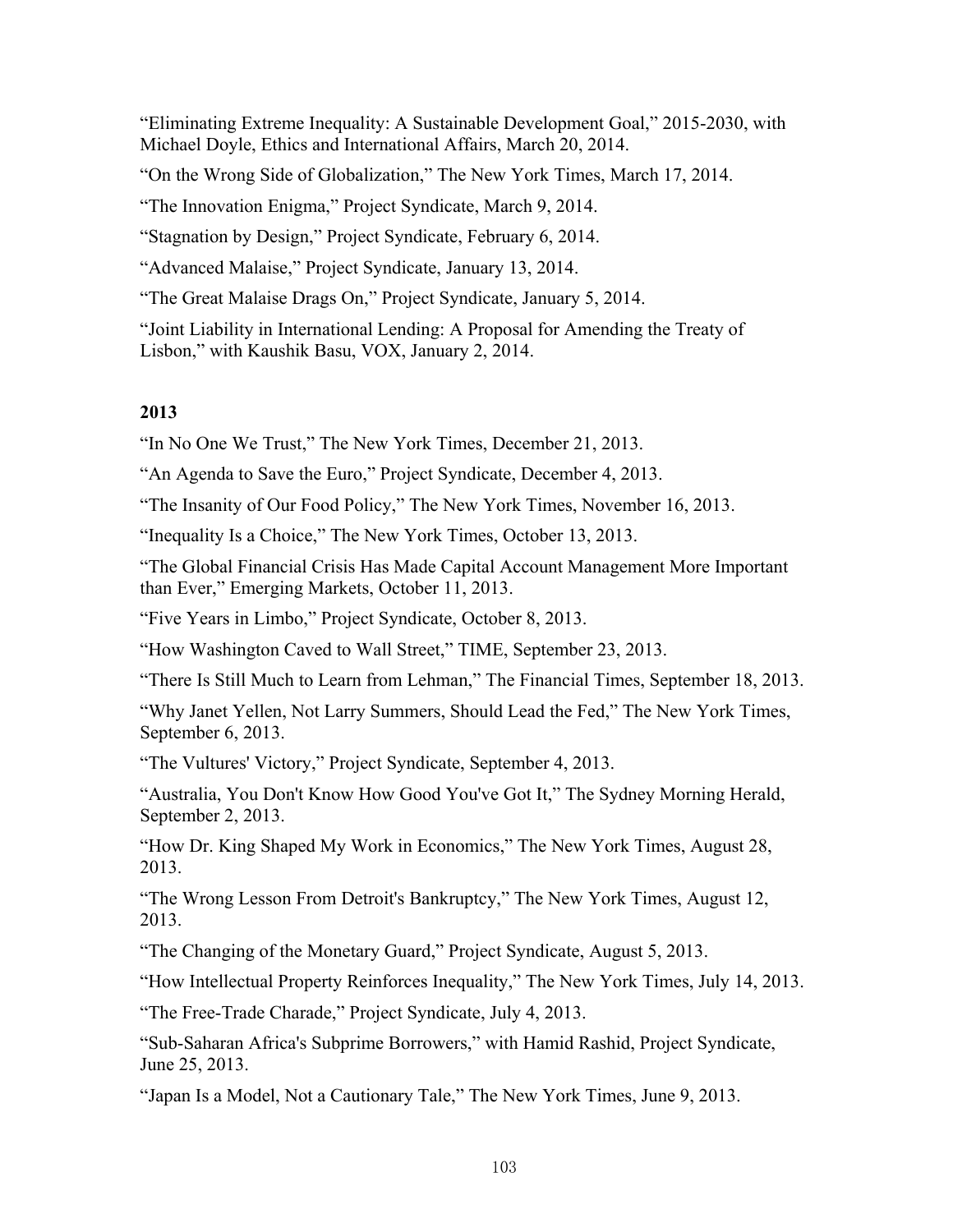"Eliminating Extreme Inequality: A Sustainable Development Goal," 2015-2030, with Michael Doyle, Ethics and International Affairs, March 20, 2014.

"On the Wrong Side of Globalization," The New York Times, March 17, 2014.

"The Innovation Enigma," Project Syndicate, March 9, 2014.

"Stagnation by Design," Project Syndicate, February 6, 2014.

"Advanced Malaise," Project Syndicate, January 13, 2014.

"The Great Malaise Drags On," Project Syndicate, January 5, 2014.

"Joint Liability in International Lending: A Proposal for Amending the Treaty of Lisbon," with Kaushik Basu, VOX, January 2, 2014.

## **2013**

"In No One We Trust," The New York Times, December 21, 2013.

"An Agenda to Save the Euro," Project Syndicate, December 4, 2013.

"The Insanity of Our Food Policy," The New York Times, November 16, 2013.

"Inequality Is a Choice," The New York Times, October 13, 2013.

"The Global Financial Crisis Has Made Capital Account Management More Important than Ever," Emerging Markets, October 11, 2013.

"Five Years in Limbo," Project Syndicate, October 8, 2013.

"How Washington Caved to Wall Street," TIME, September 23, 2013.

"There Is Still Much to Learn from Lehman," The Financial Times, September 18, 2013.

"Why Janet Yellen, Not Larry Summers, Should Lead the Fed," The New York Times, September 6, 2013.

"The Vultures' Victory," Project Syndicate, September 4, 2013.

"Australia, You Don't Know How Good You've Got It," The Sydney Morning Herald, September 2, 2013.

"How Dr. King Shaped My Work in Economics," The New York Times, August 28, 2013.

"The Wrong Lesson From Detroit's Bankruptcy," The New York Times, August 12, 2013.

"The Changing of the Monetary Guard," Project Syndicate, August 5, 2013.

"How Intellectual Property Reinforces Inequality," The New York Times, July 14, 2013.

"The Free-Trade Charade," Project Syndicate, July 4, 2013.

"Sub-Saharan Africa's Subprime Borrowers," with Hamid Rashid, Project Syndicate, June 25, 2013.

"Japan Is a Model, Not a Cautionary Tale," The New York Times, June 9, 2013.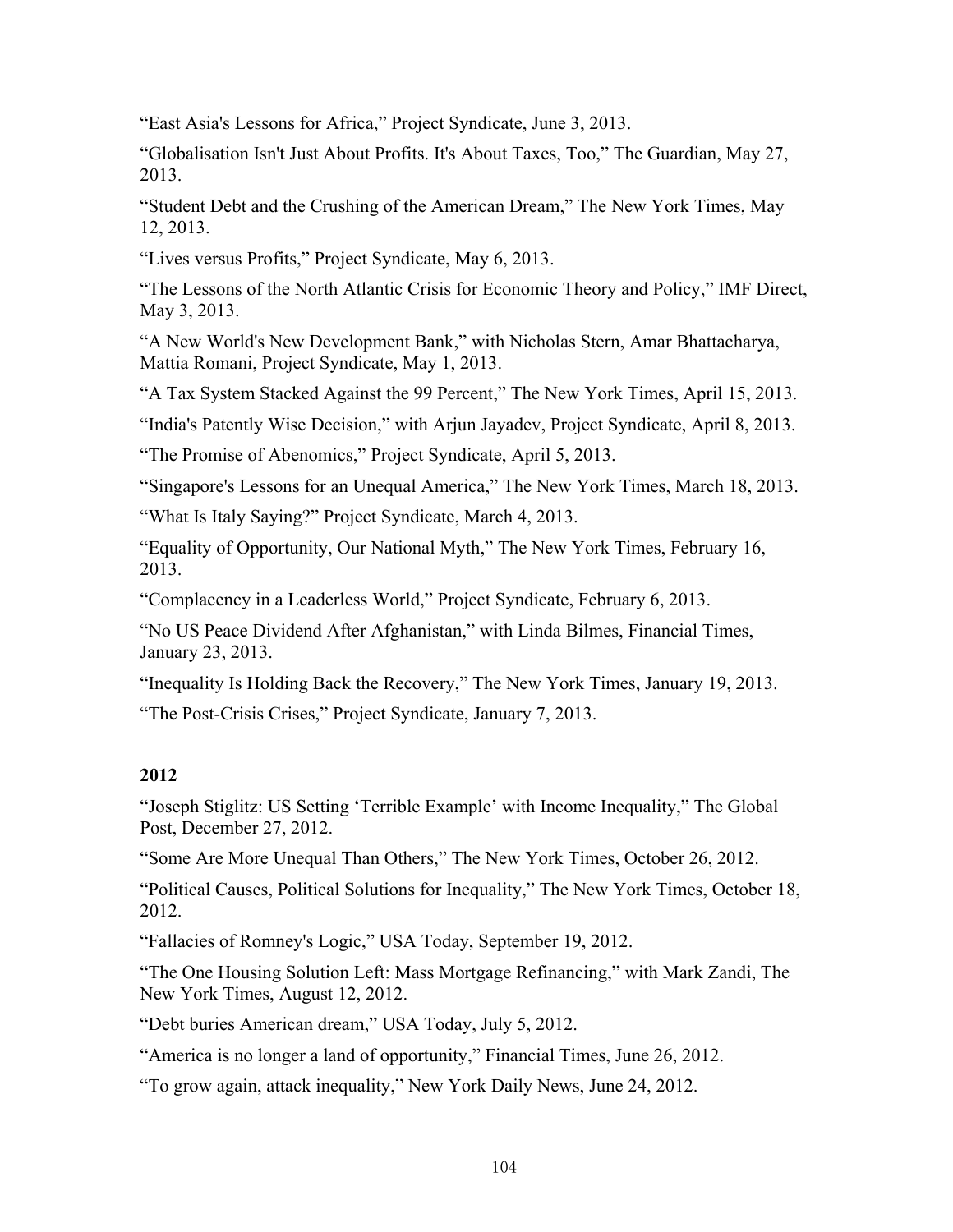"East Asia's Lessons for Africa," Project Syndicate, June 3, 2013.

"Globalisation Isn't Just About Profits. It's About Taxes, Too," The Guardian, May 27, 2013.

"Student Debt and the Crushing of the American Dream," The New York Times, May 12, 2013.

"Lives versus Profits," Project Syndicate, May 6, 2013.

"The Lessons of the North Atlantic Crisis for Economic Theory and Policy," IMF Direct, May 3, 2013.

"A New World's New Development Bank," with Nicholas Stern, Amar Bhattacharya, Mattia Romani, Project Syndicate, May 1, 2013.

"A Tax System Stacked Against the 99 Percent," The New York Times, April 15, 2013.

"India's Patently Wise Decision," with Arjun Jayadev, Project Syndicate, April 8, 2013.

"The Promise of Abenomics," Project Syndicate, April 5, 2013.

"Singapore's Lessons for an Unequal America," The New York Times, March 18, 2013.

"What Is Italy Saying?" Project Syndicate, March 4, 2013.

"Equality of Opportunity, Our National Myth," The New York Times, February 16, 2013.

"Complacency in a Leaderless World," Project Syndicate, February 6, 2013.

"No US Peace Dividend After Afghanistan," with Linda Bilmes, Financial Times, January 23, 2013.

"Inequality Is Holding Back the Recovery," The New York Times, January 19, 2013.

"The Post-Crisis Crises," Project Syndicate, January 7, 2013.

## **2012**

"Joseph Stiglitz: US Setting 'Terrible Example' with Income Inequality," The Global Post, December 27, 2012.

"Some Are More Unequal Than Others," The New York Times, October 26, 2012.

"Political Causes, Political Solutions for Inequality," The New York Times, October 18, 2012.

"Fallacies of Romney's Logic," USA Today, September 19, 2012.

"The One Housing Solution Left: Mass Mortgage Refinancing," with Mark Zandi, The New York Times, August 12, 2012.

"Debt buries American dream," USA Today, July 5, 2012.

"America is no longer a land of opportunity," Financial Times, June 26, 2012.

"To grow again, attack inequality," New York Daily News, June 24, 2012.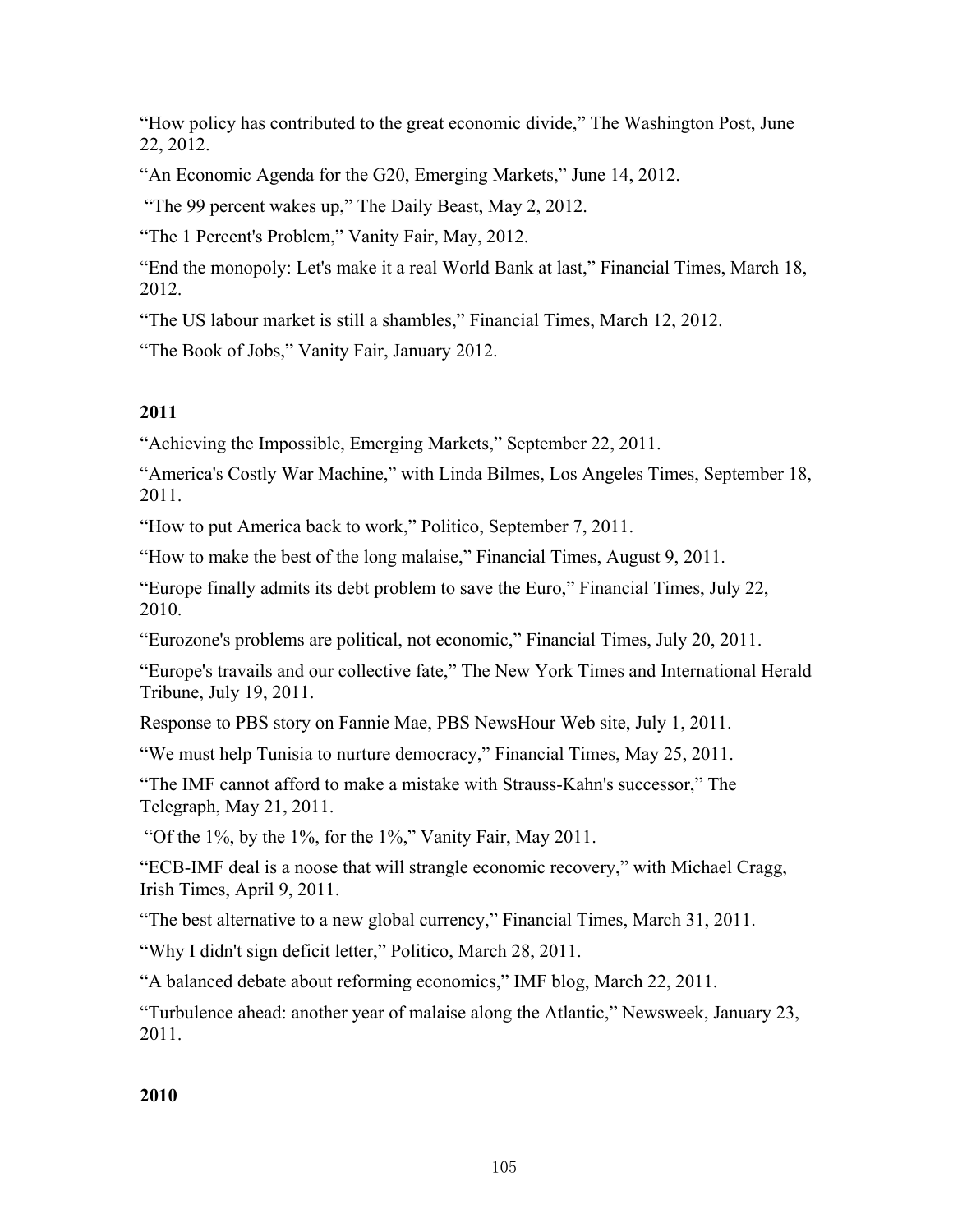"How policy has contributed to the great economic divide," The Washington Post, June 22, 2012.

"An Economic Agenda for the G20, Emerging Markets," June 14, 2012.

"The 99 percent wakes up," The Daily Beast, May 2, 2012.

"The 1 Percent's Problem," Vanity Fair, May, 2012.

"End the monopoly: Let's make it a real World Bank at last," Financial Times, March 18, 2012.

"The US labour market is still a shambles," Financial Times, March 12, 2012.

"The Book of Jobs," Vanity Fair, January 2012.

# **2011**

"Achieving the Impossible, Emerging Markets," September 22, 2011.

"America's Costly War Machine," with Linda Bilmes, Los Angeles Times, September 18, 2011.

"How to put America back to work," Politico, September 7, 2011.

"How to make the best of the long malaise," Financial Times, August 9, 2011.

"Europe finally admits its debt problem to save the Euro," Financial Times, July 22, 2010.

"Eurozone's problems are political, not economic," Financial Times, July 20, 2011.

"Europe's travails and our collective fate," The New York Times and International Herald Tribune, July 19, 2011.

Response to PBS story on Fannie Mae, PBS NewsHour Web site, July 1, 2011.

"We must help Tunisia to nurture democracy," Financial Times, May 25, 2011.

"The IMF cannot afford to make a mistake with Strauss-Kahn's successor," The Telegraph, May 21, 2011.

"Of the 1%, by the 1%, for the 1%," Vanity Fair, May 2011.

"ECB-IMF deal is a noose that will strangle economic recovery," with Michael Cragg, Irish Times, April 9, 2011.

"The best alternative to a new global currency," Financial Times, March 31, 2011.

"Why I didn't sign deficit letter," Politico, March 28, 2011.

"A balanced debate about reforming economics," IMF blog, March 22, 2011.

"Turbulence ahead: another year of malaise along the Atlantic," Newsweek, January 23, 2011.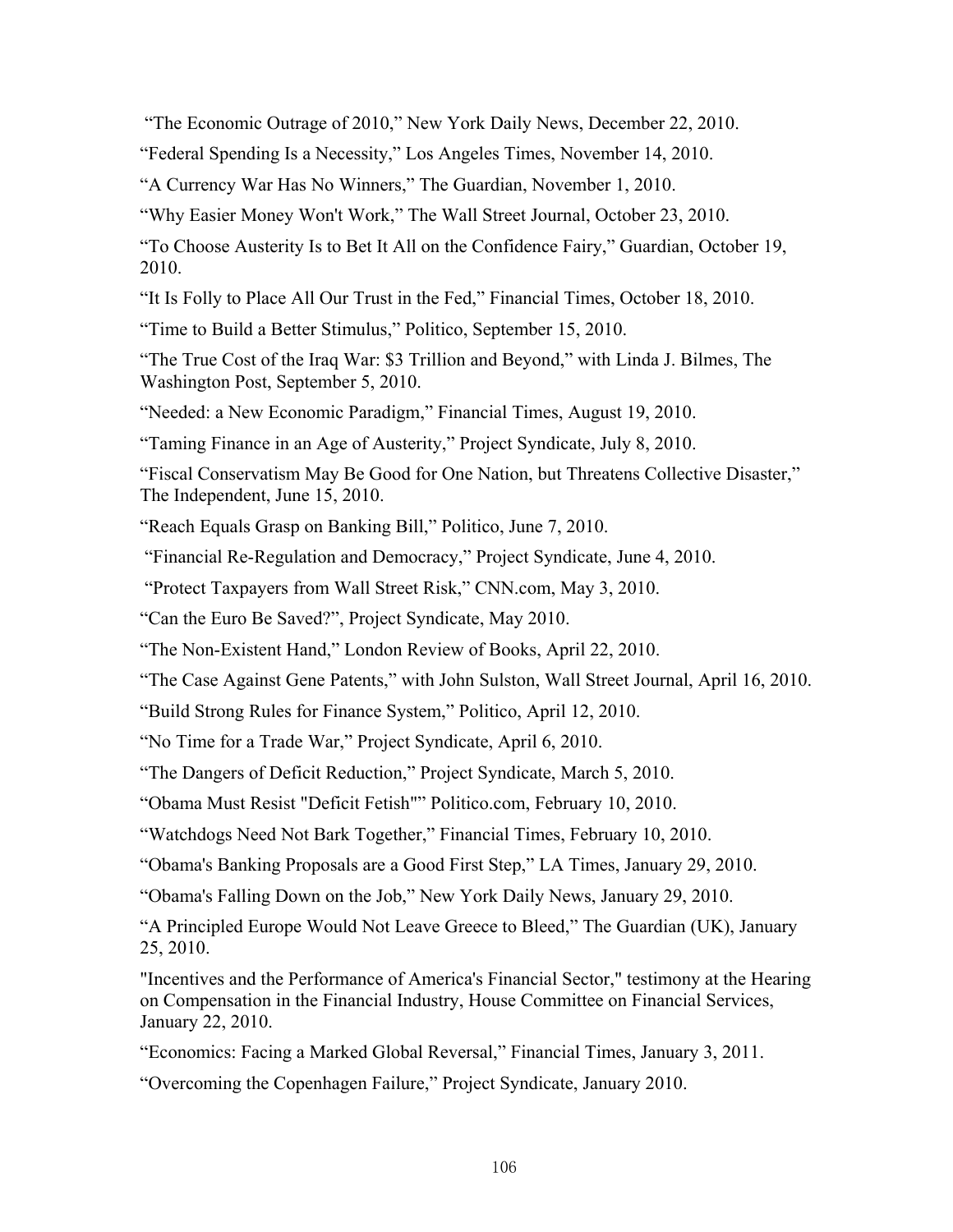"The Economic Outrage of 2010," New York Daily News, December 22, 2010.

"Federal Spending Is a Necessity," Los Angeles Times, November 14, 2010.

"A Currency War Has No Winners," The Guardian, November 1, 2010.

"Why Easier Money Won't Work," The Wall Street Journal, October 23, 2010.

"To Choose Austerity Is to Bet It All on the Confidence Fairy," Guardian, October 19, 2010.

"It Is Folly to Place All Our Trust in the Fed," Financial Times, October 18, 2010.

"Time to Build a Better Stimulus," Politico, September 15, 2010.

"The True Cost of the Iraq War: \$3 Trillion and Beyond," with Linda J. Bilmes, The Washington Post, September 5, 2010.

"Needed: a New Economic Paradigm," Financial Times, August 19, 2010.

"Taming Finance in an Age of Austerity," Project Syndicate, July 8, 2010.

"Fiscal Conservatism May Be Good for One Nation, but Threatens Collective Disaster," The Independent, June 15, 2010.

"Reach Equals Grasp on Banking Bill," Politico, June 7, 2010.

"Financial Re-Regulation and Democracy," Project Syndicate, June 4, 2010.

"Protect Taxpayers from Wall Street Risk," CNN.com, May 3, 2010.

"Can the Euro Be Saved?", Project Syndicate, May 2010.

"The Non-Existent Hand," London Review of Books, April 22, 2010.

"The Case Against Gene Patents," with John Sulston, Wall Street Journal, April 16, 2010.

"Build Strong Rules for Finance System," Politico, April 12, 2010.

"No Time for a Trade War," Project Syndicate, April 6, 2010.

"The Dangers of Deficit Reduction," Project Syndicate, March 5, 2010.

"Obama Must Resist "Deficit Fetish"" Politico.com, February 10, 2010.

"Watchdogs Need Not Bark Together," Financial Times, February 10, 2010.

"Obama's Banking Proposals are a Good First Step," LA Times, January 29, 2010.

"Obama's Falling Down on the Job," New York Daily News, January 29, 2010.

"A Principled Europe Would Not Leave Greece to Bleed," The Guardian (UK), January 25, 2010.

"Incentives and the Performance of America's Financial Sector," testimony at the Hearing on Compensation in the Financial Industry, House Committee on Financial Services, January 22, 2010.

"Economics: Facing a Marked Global Reversal," Financial Times, January 3, 2011.

"Overcoming the Copenhagen Failure," Project Syndicate, January 2010.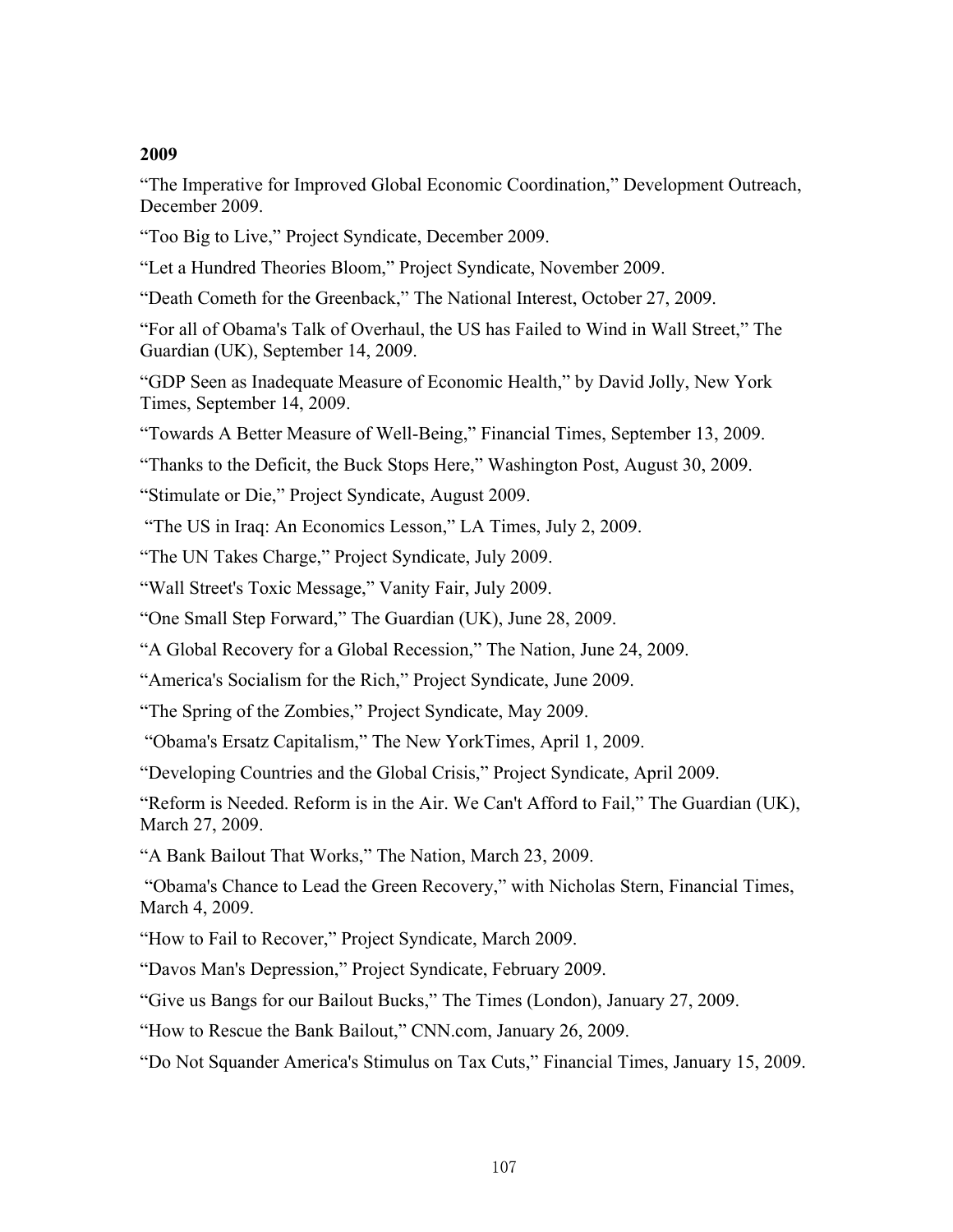"The Imperative for Improved Global Economic Coordination," Development Outreach, December 2009.

"Too Big to Live," Project Syndicate, December 2009.

"Let a Hundred Theories Bloom," Project Syndicate, November 2009.

"Death Cometh for the Greenback," The National Interest, October 27, 2009.

"For all of Obama's Talk of Overhaul, the US has Failed to Wind in Wall Street," The Guardian (UK), September 14, 2009.

"GDP Seen as Inadequate Measure of Economic Health," by David Jolly, New York Times, September 14, 2009.

"Towards A Better Measure of Well-Being," Financial Times, September 13, 2009.

"Thanks to the Deficit, the Buck Stops Here," Washington Post, August 30, 2009.

"Stimulate or Die," Project Syndicate, August 2009.

"The US in Iraq: An Economics Lesson," LA Times, July 2, 2009.

"The UN Takes Charge," Project Syndicate, July 2009.

"Wall Street's Toxic Message," Vanity Fair, July 2009.

"One Small Step Forward," The Guardian (UK), June 28, 2009.

"A Global Recovery for a Global Recession," The Nation, June 24, 2009.

"America's Socialism for the Rich," Project Syndicate, June 2009.

"The Spring of the Zombies," Project Syndicate, May 2009.

"Obama's Ersatz Capitalism," The New YorkTimes, April 1, 2009.

"Developing Countries and the Global Crisis," Project Syndicate, April 2009.

"Reform is Needed. Reform is in the Air. We Can't Afford to Fail," The Guardian (UK), March 27, 2009.

"A Bank Bailout That Works," The Nation, March 23, 2009.

 "Obama's Chance to Lead the Green Recovery," with Nicholas Stern, Financial Times, March 4, 2009.

"How to Fail to Recover," Project Syndicate, March 2009.

"Davos Man's Depression," Project Syndicate, February 2009.

"Give us Bangs for our Bailout Bucks," The Times (London), January 27, 2009.

"How to Rescue the Bank Bailout," CNN.com, January 26, 2009.

"Do Not Squander America's Stimulus on Tax Cuts," Financial Times, January 15, 2009.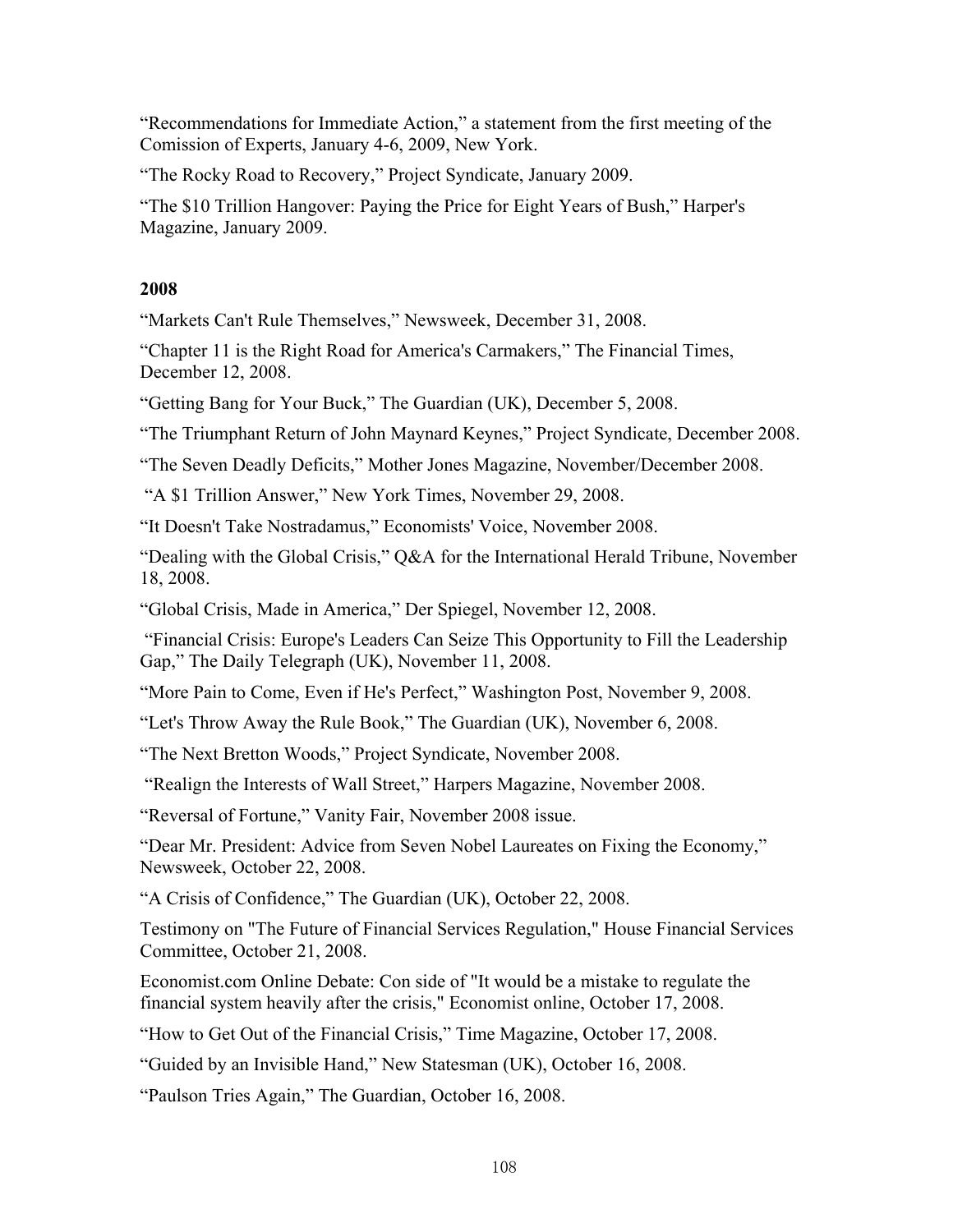"Recommendations for Immediate Action," a statement from the first meeting of the Comission of Experts, January 4-6, 2009, New York.

"The Rocky Road to Recovery," Project Syndicate, January 2009.

"The \$10 Trillion Hangover: Paying the Price for Eight Years of Bush," Harper's Magazine, January 2009.

#### **2008**

"Markets Can't Rule Themselves," Newsweek, December 31, 2008.

"Chapter 11 is the Right Road for America's Carmakers," The Financial Times, December 12, 2008.

"Getting Bang for Your Buck," The Guardian (UK), December 5, 2008.

"The Triumphant Return of John Maynard Keynes," Project Syndicate, December 2008.

"The Seven Deadly Deficits," Mother Jones Magazine, November/December 2008.

"A \$1 Trillion Answer," New York Times, November 29, 2008.

"It Doesn't Take Nostradamus," Economists' Voice, November 2008.

"Dealing with the Global Crisis," Q&A for the International Herald Tribune, November 18, 2008.

"Global Crisis, Made in America," Der Spiegel, November 12, 2008.

 "Financial Crisis: Europe's Leaders Can Seize This Opportunity to Fill the Leadership Gap," The Daily Telegraph (UK), November 11, 2008.

"More Pain to Come, Even if He's Perfect," Washington Post, November 9, 2008.

"Let's Throw Away the Rule Book," The Guardian (UK), November 6, 2008.

"The Next Bretton Woods," Project Syndicate, November 2008.

"Realign the Interests of Wall Street," Harpers Magazine, November 2008.

"Reversal of Fortune," Vanity Fair, November 2008 issue.

"Dear Mr. President: Advice from Seven Nobel Laureates on Fixing the Economy," Newsweek, October 22, 2008.

"A Crisis of Confidence," The Guardian (UK), October 22, 2008.

Testimony on "The Future of Financial Services Regulation," House Financial Services Committee, October 21, 2008.

Economist.com Online Debate: Con side of "It would be a mistake to regulate the financial system heavily after the crisis," Economist online, October 17, 2008.

"How to Get Out of the Financial Crisis," Time Magazine, October 17, 2008.

"Guided by an Invisible Hand," New Statesman (UK), October 16, 2008.

"Paulson Tries Again," The Guardian, October 16, 2008.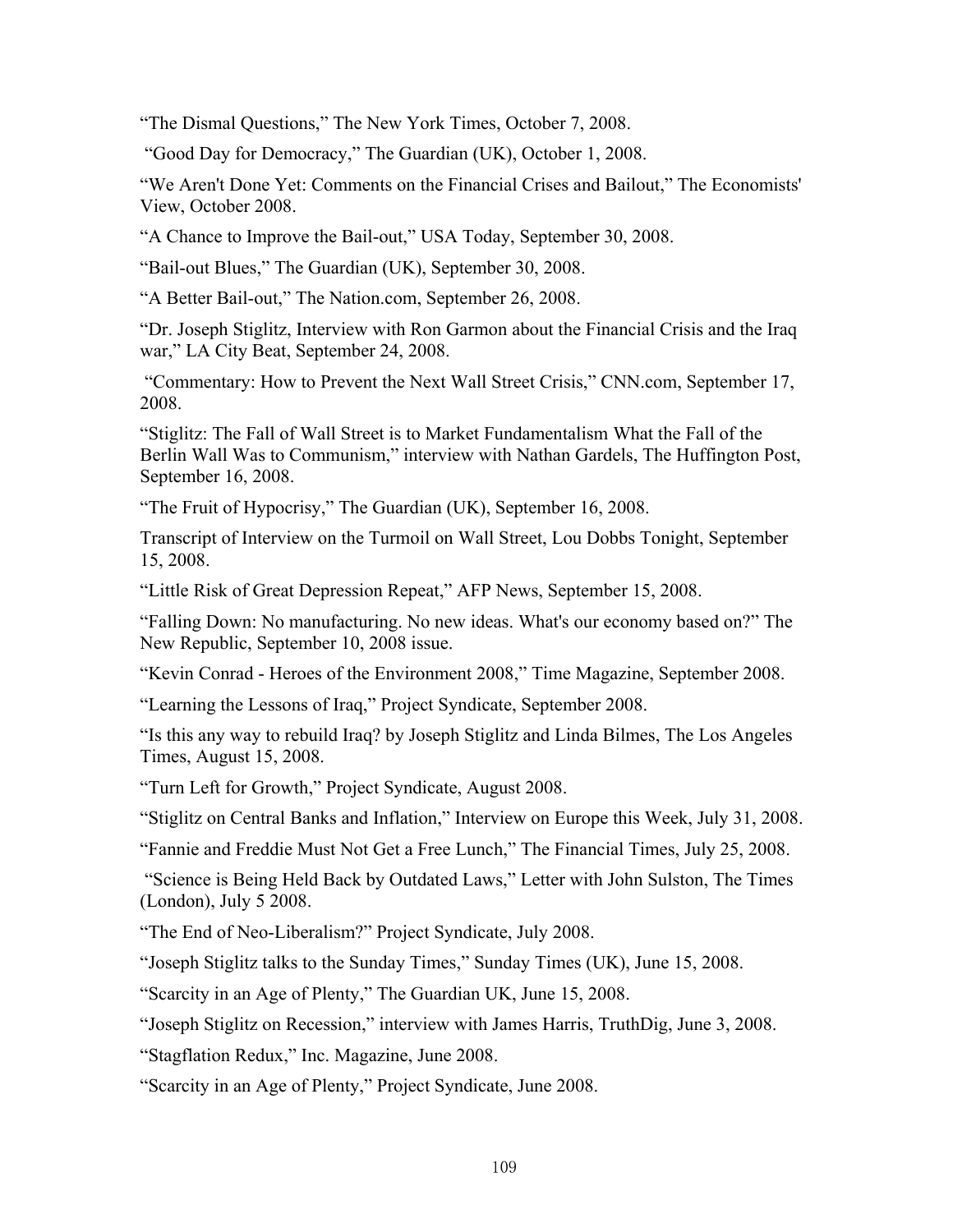"The Dismal Questions," The New York Times, October 7, 2008.

"Good Day for Democracy," The Guardian (UK), October 1, 2008.

"We Aren't Done Yet: Comments on the Financial Crises and Bailout," The Economists' View, October 2008.

"A Chance to Improve the Bail-out," USA Today, September 30, 2008.

"Bail-out Blues," The Guardian (UK), September 30, 2008.

"A Better Bail-out," The Nation.com, September 26, 2008.

"Dr. Joseph Stiglitz, Interview with Ron Garmon about the Financial Crisis and the Iraq war," LA City Beat, September 24, 2008.

 "Commentary: How to Prevent the Next Wall Street Crisis," CNN.com, September 17, 2008.

"Stiglitz: The Fall of Wall Street is to Market Fundamentalism What the Fall of the Berlin Wall Was to Communism," interview with Nathan Gardels, The Huffington Post, September 16, 2008.

"The Fruit of Hypocrisy," The Guardian (UK), September 16, 2008.

Transcript of Interview on the Turmoil on Wall Street, Lou Dobbs Tonight, September 15, 2008.

"Little Risk of Great Depression Repeat," AFP News, September 15, 2008.

"Falling Down: No manufacturing. No new ideas. What's our economy based on?" The New Republic, September 10, 2008 issue.

"Kevin Conrad - Heroes of the Environment 2008," Time Magazine, September 2008.

"Learning the Lessons of Iraq," Project Syndicate, September 2008.

"Is this any way to rebuild Iraq? by Joseph Stiglitz and Linda Bilmes, The Los Angeles Times, August 15, 2008.

"Turn Left for Growth," Project Syndicate, August 2008.

"Stiglitz on Central Banks and Inflation," Interview on Europe this Week, July 31, 2008.

"Fannie and Freddie Must Not Get a Free Lunch," The Financial Times, July 25, 2008.

 "Science is Being Held Back by Outdated Laws," Letter with John Sulston, The Times (London), July 5 2008.

"The End of Neo-Liberalism?" Project Syndicate, July 2008.

"Joseph Stiglitz talks to the Sunday Times," Sunday Times (UK), June 15, 2008.

"Scarcity in an Age of Plenty," The Guardian UK, June 15, 2008.

"Joseph Stiglitz on Recession," interview with James Harris, TruthDig, June 3, 2008.

"Stagflation Redux," Inc. Magazine, June 2008.

"Scarcity in an Age of Plenty," Project Syndicate, June 2008.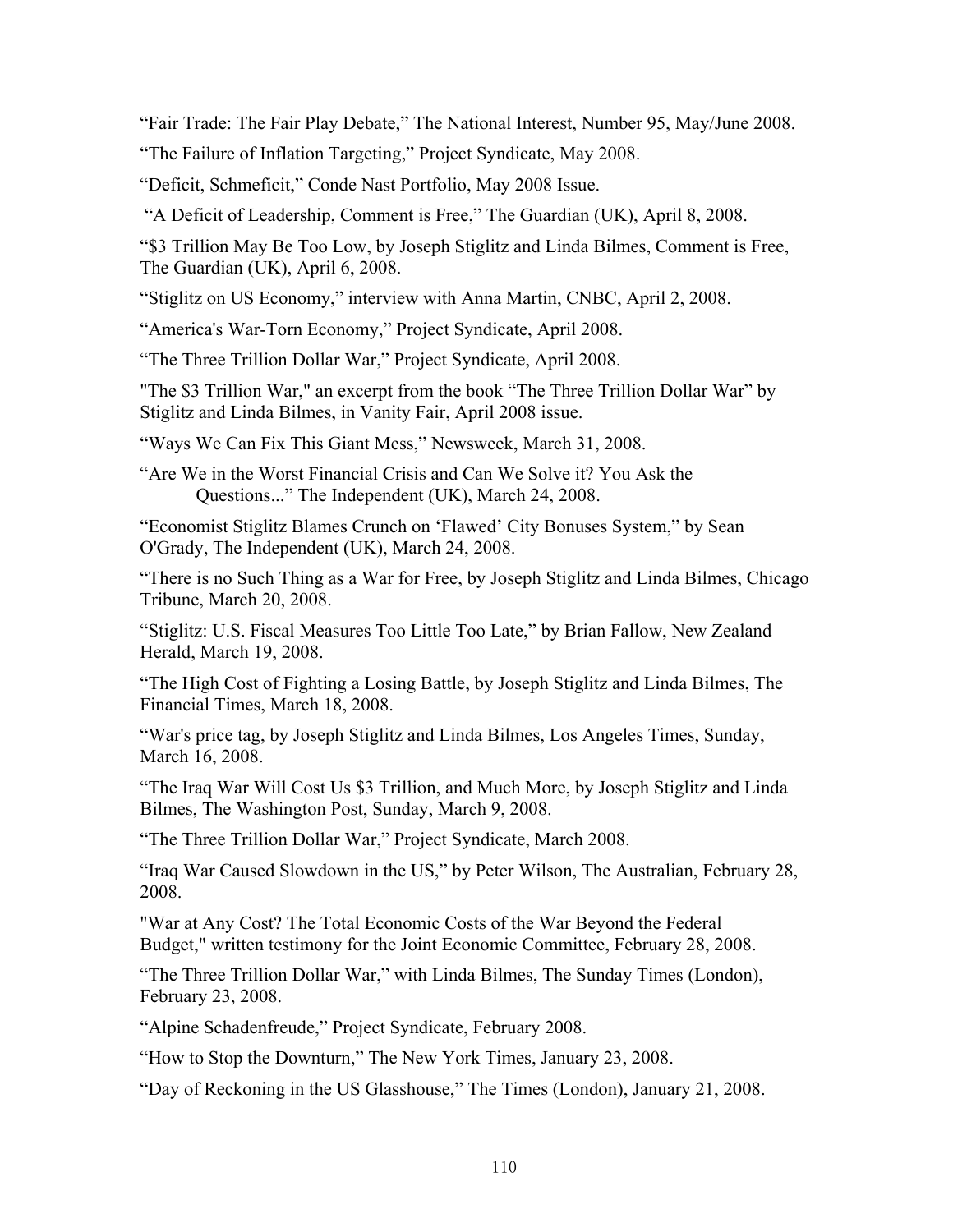"Fair Trade: The Fair Play Debate," The National Interest, Number 95, May/June 2008.

"The Failure of Inflation Targeting," Project Syndicate, May 2008.

"Deficit, Schmeficit," Conde Nast Portfolio, May 2008 Issue.

"A Deficit of Leadership, Comment is Free," The Guardian (UK), April 8, 2008.

"\$3 Trillion May Be Too Low, by Joseph Stiglitz and Linda Bilmes, Comment is Free, The Guardian (UK), April 6, 2008.

"Stiglitz on US Economy," interview with Anna Martin, CNBC, April 2, 2008.

"America's War-Torn Economy," Project Syndicate, April 2008.

"The Three Trillion Dollar War," Project Syndicate, April 2008.

"The \$3 Trillion War," an excerpt from the book "The Three Trillion Dollar War" by Stiglitz and Linda Bilmes, in Vanity Fair, April 2008 issue.

"Ways We Can Fix This Giant Mess," Newsweek, March 31, 2008.

"Are We in the Worst Financial Crisis and Can We Solve it? You Ask the Questions..." The Independent (UK), March 24, 2008.

"Economist Stiglitz Blames Crunch on 'Flawed' City Bonuses System," by Sean O'Grady, The Independent (UK), March 24, 2008.

"There is no Such Thing as a War for Free, by Joseph Stiglitz and Linda Bilmes, Chicago Tribune, March 20, 2008.

"Stiglitz: U.S. Fiscal Measures Too Little Too Late," by Brian Fallow, New Zealand Herald, March 19, 2008.

"The High Cost of Fighting a Losing Battle, by Joseph Stiglitz and Linda Bilmes, The Financial Times, March 18, 2008.

"War's price tag, by Joseph Stiglitz and Linda Bilmes, Los Angeles Times, Sunday, March 16, 2008.

"The Iraq War Will Cost Us \$3 Trillion, and Much More, by Joseph Stiglitz and Linda Bilmes, The Washington Post, Sunday, March 9, 2008.

"The Three Trillion Dollar War," Project Syndicate, March 2008.

"Iraq War Caused Slowdown in the US," by Peter Wilson, The Australian, February 28, 2008.

"War at Any Cost? The Total Economic Costs of the War Beyond the Federal Budget," written testimony for the Joint Economic Committee, February 28, 2008.

"The Three Trillion Dollar War," with Linda Bilmes, The Sunday Times (London), February 23, 2008.

"Alpine Schadenfreude," Project Syndicate, February 2008.

"How to Stop the Downturn," The New York Times, January 23, 2008.

"Day of Reckoning in the US Glasshouse," The Times (London), January 21, 2008.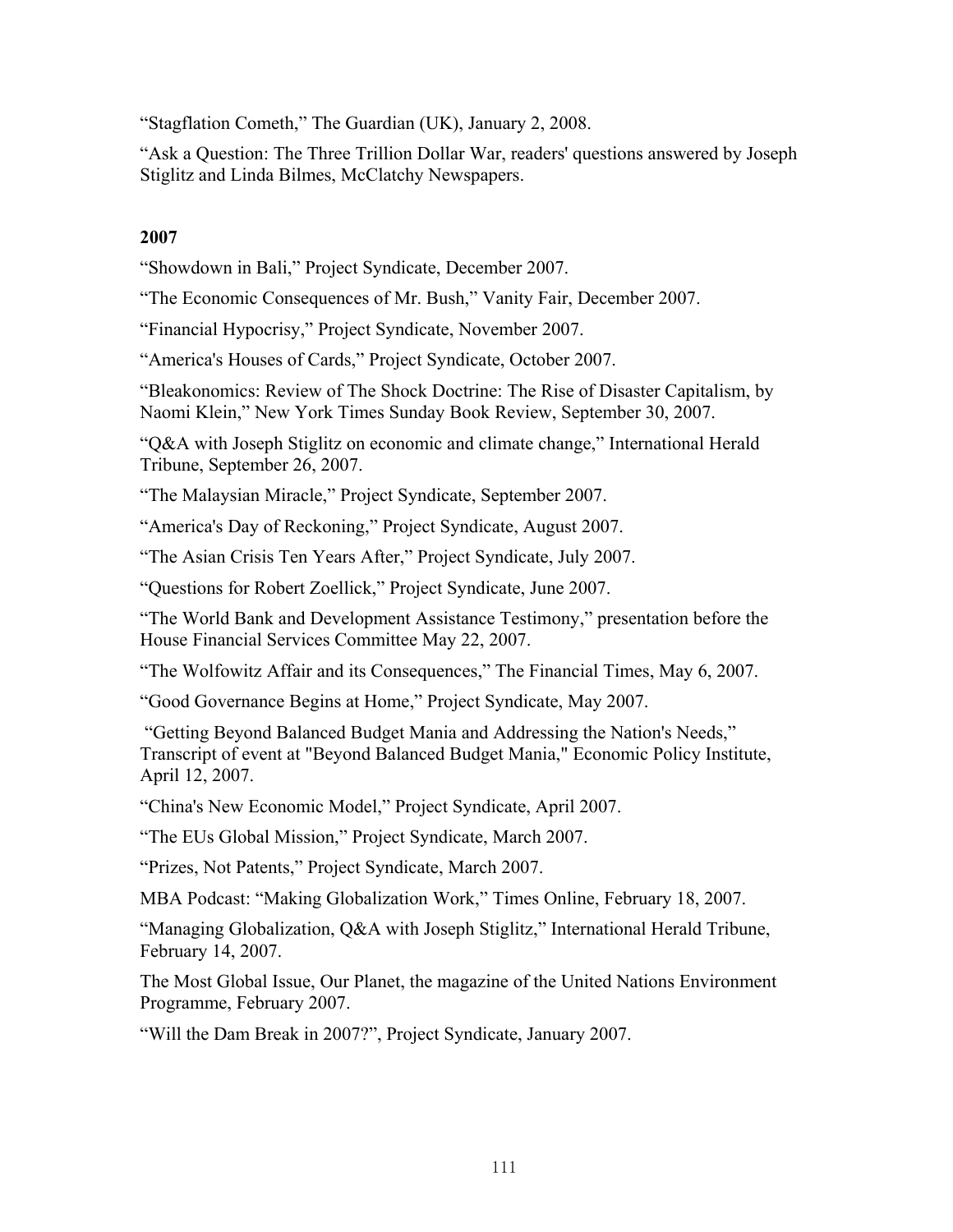"Stagflation Cometh," The Guardian (UK), January 2, 2008.

"Ask a Question: The Three Trillion Dollar War, readers' questions answered by Joseph Stiglitz and Linda Bilmes, McClatchy Newspapers.

# **2007**

"Showdown in Bali," Project Syndicate, December 2007.

"The Economic Consequences of Mr. Bush," Vanity Fair, December 2007.

"Financial Hypocrisy," Project Syndicate, November 2007.

"America's Houses of Cards," Project Syndicate, October 2007.

"Bleakonomics: Review of The Shock Doctrine: The Rise of Disaster Capitalism, by Naomi Klein," New York Times Sunday Book Review, September 30, 2007.

"Q&A with Joseph Stiglitz on economic and climate change," International Herald Tribune, September 26, 2007.

"The Malaysian Miracle," Project Syndicate, September 2007.

"America's Day of Reckoning," Project Syndicate, August 2007.

"The Asian Crisis Ten Years After," Project Syndicate, July 2007.

"Questions for Robert Zoellick," Project Syndicate, June 2007.

"The World Bank and Development Assistance Testimony," presentation before the House Financial Services Committee May 22, 2007.

"The Wolfowitz Affair and its Consequences," The Financial Times, May 6, 2007.

"Good Governance Begins at Home," Project Syndicate, May 2007.

 "Getting Beyond Balanced Budget Mania and Addressing the Nation's Needs," Transcript of event at "Beyond Balanced Budget Mania," Economic Policy Institute, April 12, 2007.

"China's New Economic Model," Project Syndicate, April 2007.

"The EUs Global Mission," Project Syndicate, March 2007.

"Prizes, Not Patents," Project Syndicate, March 2007.

MBA Podcast: "Making Globalization Work," Times Online, February 18, 2007.

"Managing Globalization, Q&A with Joseph Stiglitz," International Herald Tribune, February 14, 2007.

The Most Global Issue, Our Planet, the magazine of the United Nations Environment Programme, February 2007.

"Will the Dam Break in 2007?", Project Syndicate, January 2007.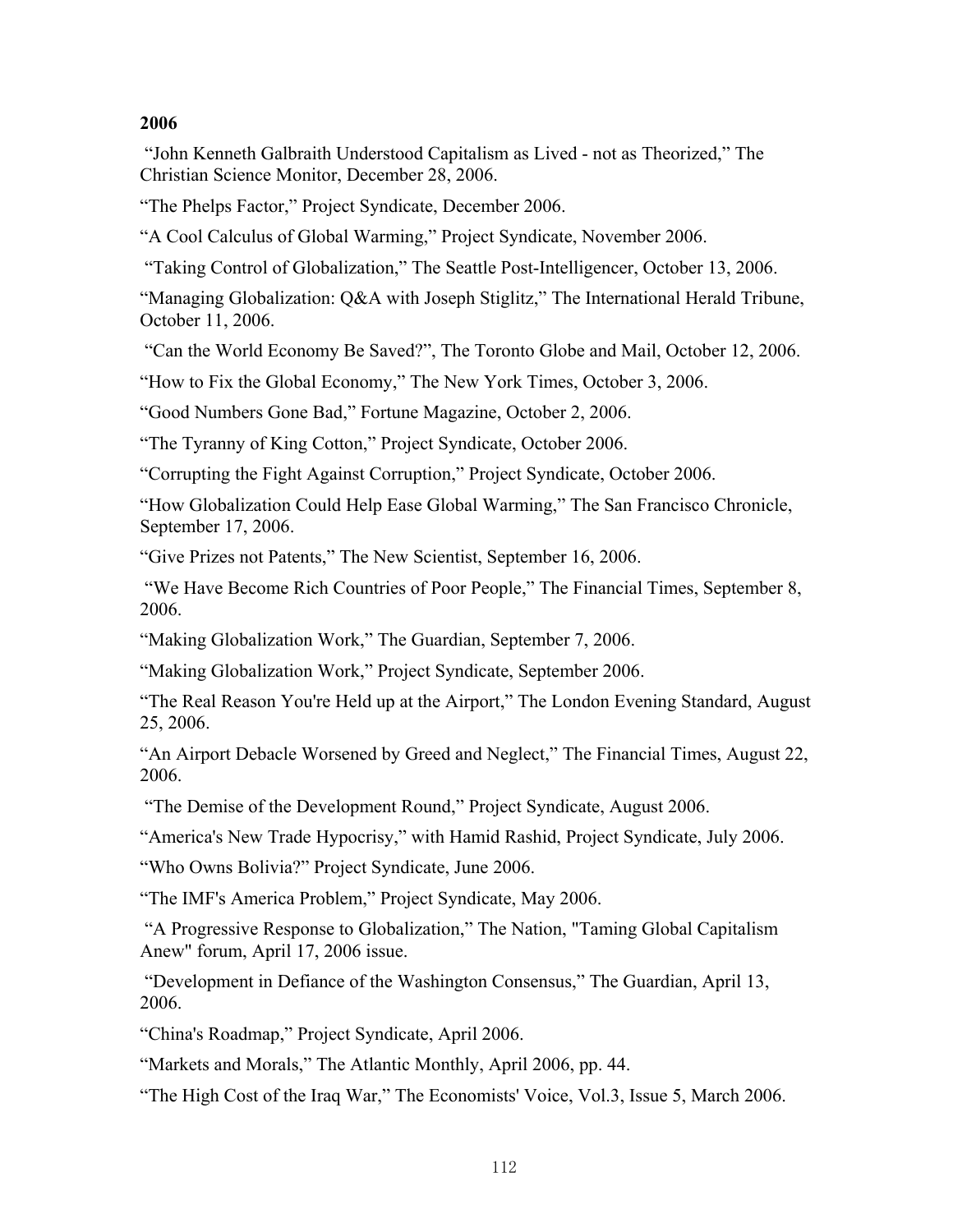## **2006**

 "John Kenneth Galbraith Understood Capitalism as Lived - not as Theorized," The Christian Science Monitor, December 28, 2006.

"The Phelps Factor," Project Syndicate, December 2006.

"A Cool Calculus of Global Warming," Project Syndicate, November 2006.

"Taking Control of Globalization," The Seattle Post-Intelligencer, October 13, 2006.

"Managing Globalization: Q&A with Joseph Stiglitz," The International Herald Tribune, October 11, 2006.

"Can the World Economy Be Saved?", The Toronto Globe and Mail, October 12, 2006.

"How to Fix the Global Economy," The New York Times, October 3, 2006.

"Good Numbers Gone Bad," Fortune Magazine, October 2, 2006.

"The Tyranny of King Cotton," Project Syndicate, October 2006.

"Corrupting the Fight Against Corruption," Project Syndicate, October 2006.

"How Globalization Could Help Ease Global Warming," The San Francisco Chronicle, September 17, 2006.

"Give Prizes not Patents," The New Scientist, September 16, 2006.

 "We Have Become Rich Countries of Poor People," The Financial Times, September 8, 2006.

"Making Globalization Work," The Guardian, September 7, 2006.

"Making Globalization Work," Project Syndicate, September 2006.

"The Real Reason You're Held up at the Airport," The London Evening Standard, August 25, 2006.

"An Airport Debacle Worsened by Greed and Neglect," The Financial Times, August 22, 2006.

"The Demise of the Development Round," Project Syndicate, August 2006.

"America's New Trade Hypocrisy," with Hamid Rashid, Project Syndicate, July 2006.

"Who Owns Bolivia?" Project Syndicate, June 2006.

"The IMF's America Problem," Project Syndicate, May 2006.

 "A Progressive Response to Globalization," The Nation, "Taming Global Capitalism Anew" forum, April 17, 2006 issue.

 "Development in Defiance of the Washington Consensus," The Guardian, April 13, 2006.

"China's Roadmap," Project Syndicate, April 2006.

"Markets and Morals," The Atlantic Monthly, April 2006, pp. 44.

"The High Cost of the Iraq War," The Economists' Voice, Vol.3, Issue 5, March 2006.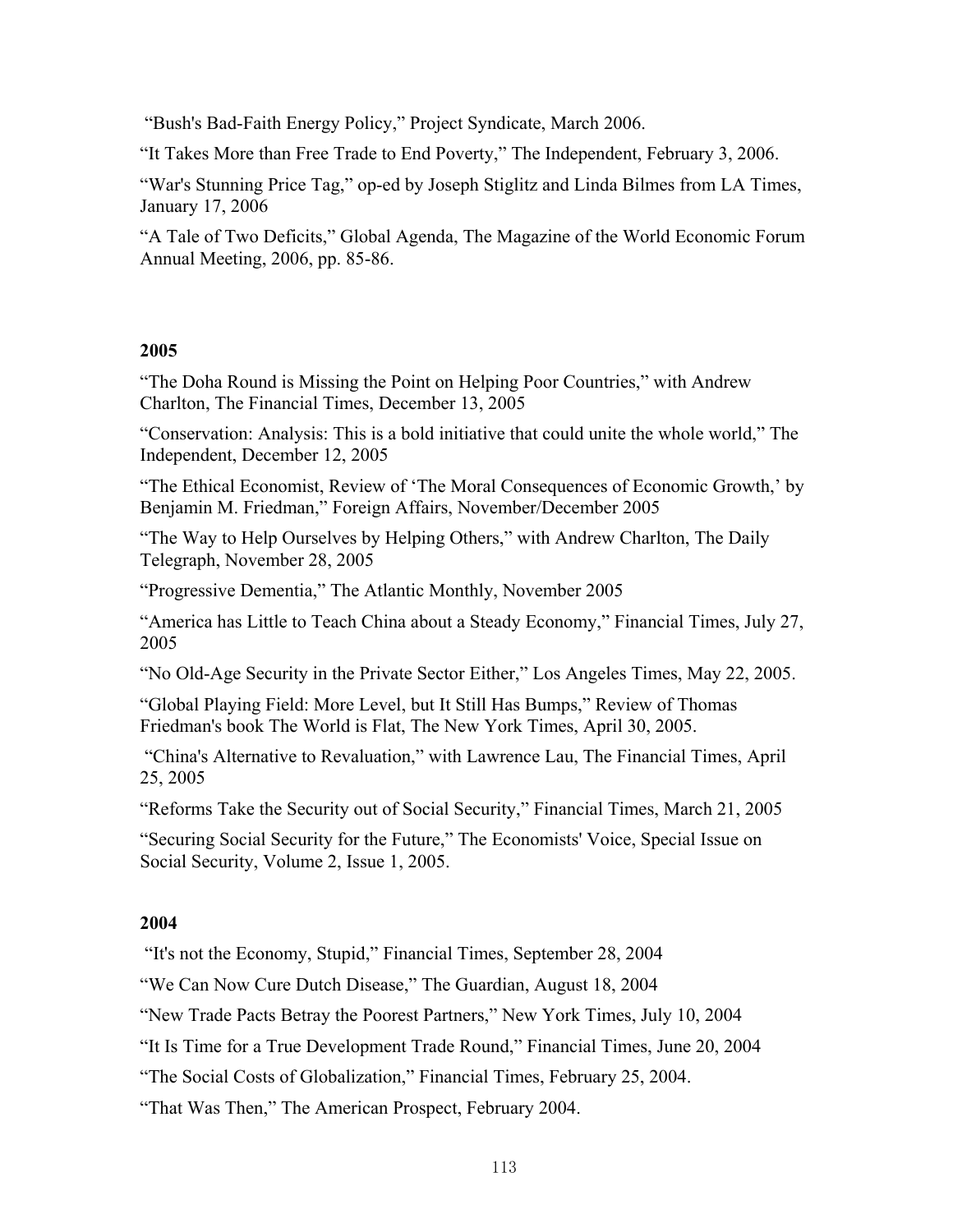"Bush's Bad-Faith Energy Policy," Project Syndicate, March 2006.

"It Takes More than Free Trade to End Poverty," The Independent, February 3, 2006.

"War's Stunning Price Tag," op-ed by Joseph Stiglitz and Linda Bilmes from LA Times, January 17, 2006

"A Tale of Two Deficits," Global Agenda, The Magazine of the World Economic Forum Annual Meeting, 2006, pp. 85-86.

### **2005**

"The Doha Round is Missing the Point on Helping Poor Countries," with Andrew Charlton, The Financial Times, December 13, 2005

"Conservation: Analysis: This is a bold initiative that could unite the whole world," The Independent, December 12, 2005

"The Ethical Economist, Review of 'The Moral Consequences of Economic Growth,' by Benjamin M. Friedman," Foreign Affairs, November/December 2005

"The Way to Help Ourselves by Helping Others," with Andrew Charlton, The Daily Telegraph, November 28, 2005

"Progressive Dementia," The Atlantic Monthly, November 2005

"America has Little to Teach China about a Steady Economy," Financial Times, July 27, 2005

"No Old-Age Security in the Private Sector Either," Los Angeles Times, May 22, 2005.

"Global Playing Field: More Level, but It Still Has Bumps," Review of Thomas Friedman's book The World is Flat, The New York Times, April 30, 2005.

 "China's Alternative to Revaluation," with Lawrence Lau, The Financial Times, April 25, 2005

"Reforms Take the Security out of Social Security," Financial Times, March 21, 2005

"Securing Social Security for the Future," The Economists' Voice, Special Issue on Social Security, Volume 2, Issue 1, 2005.

#### **2004**

"It's not the Economy, Stupid," Financial Times, September 28, 2004

"We Can Now Cure Dutch Disease," The Guardian, August 18, 2004

"New Trade Pacts Betray the Poorest Partners," New York Times, July 10, 2004

"It Is Time for a True Development Trade Round," Financial Times, June 20, 2004

"The Social Costs of Globalization," Financial Times, February 25, 2004.

"That Was Then," The American Prospect, February 2004.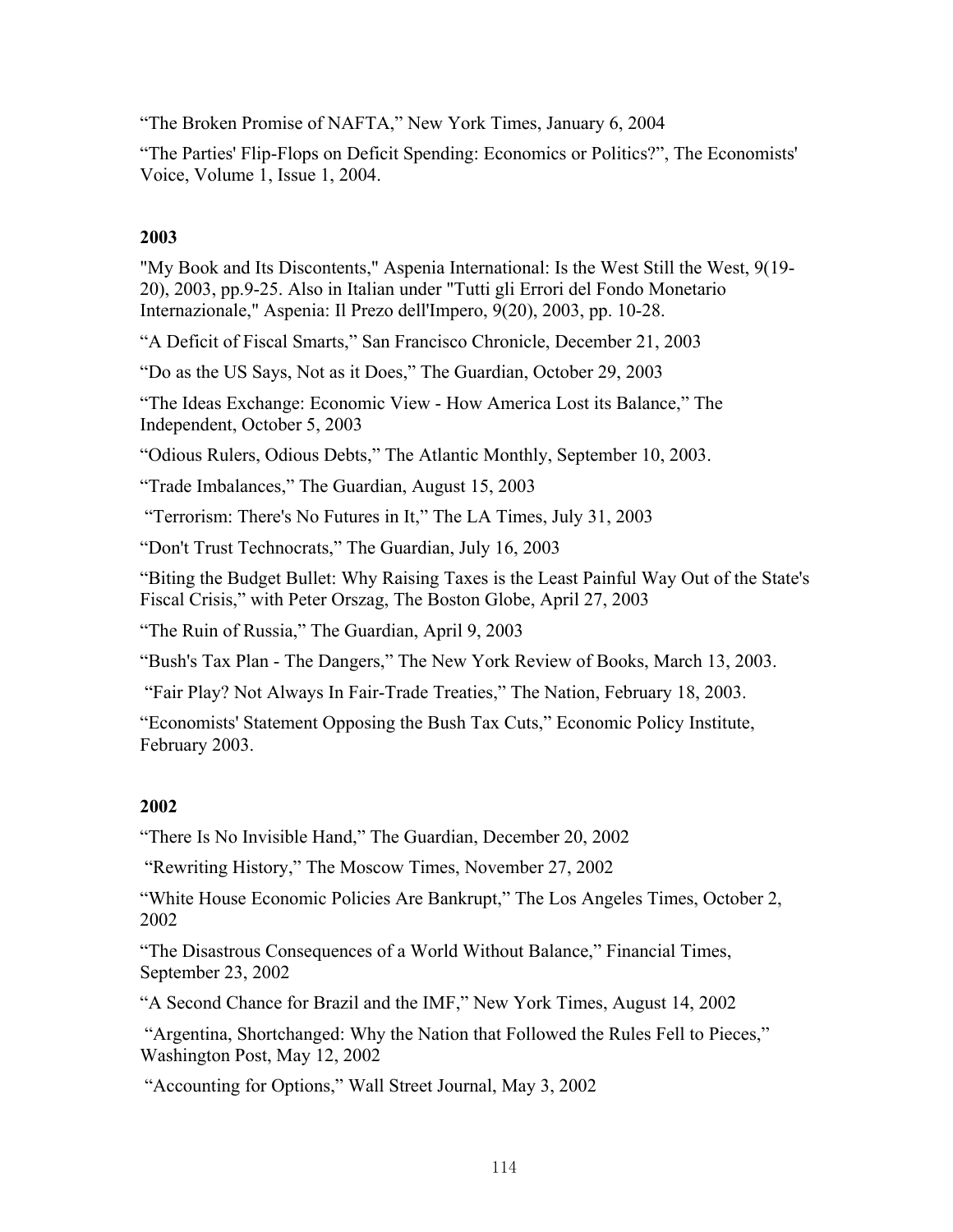"The Broken Promise of NAFTA," New York Times, January 6, 2004

"The Parties' Flip-Flops on Deficit Spending: Economics or Politics?", The Economists' Voice, Volume 1, Issue 1, 2004.

# **2003**

"My Book and Its Discontents," Aspenia International: Is the West Still the West, 9(19- 20), 2003, pp.9-25. Also in Italian under "Tutti gli Errori del Fondo Monetario Internazionale," Aspenia: Il Prezo dell'Impero, 9(20), 2003, pp. 10-28.

"A Deficit of Fiscal Smarts," San Francisco Chronicle, December 21, 2003

"Do as the US Says, Not as it Does," The Guardian, October 29, 2003

"The Ideas Exchange: Economic View - How America Lost its Balance," The Independent, October 5, 2003

"Odious Rulers, Odious Debts," The Atlantic Monthly, September 10, 2003.

"Trade Imbalances," The Guardian, August 15, 2003

"Terrorism: There's No Futures in It," The LA Times, July 31, 2003

"Don't Trust Technocrats," The Guardian, July 16, 2003

"Biting the Budget Bullet: Why Raising Taxes is the Least Painful Way Out of the State's Fiscal Crisis," with Peter Orszag, The Boston Globe, April 27, 2003

"The Ruin of Russia," The Guardian, April 9, 2003

"Bush's Tax Plan - The Dangers," The New York Review of Books, March 13, 2003.

"Fair Play? Not Always In Fair-Trade Treaties," The Nation, February 18, 2003.

"Economists' Statement Opposing the Bush Tax Cuts," Economic Policy Institute, February 2003.

# **2002**

"There Is No Invisible Hand," The Guardian, December 20, 2002

"Rewriting History," The Moscow Times, November 27, 2002

"White House Economic Policies Are Bankrupt," The Los Angeles Times, October 2, 2002

"The Disastrous Consequences of a World Without Balance," Financial Times, September 23, 2002

"A Second Chance for Brazil and the IMF," New York Times, August 14, 2002

 "Argentina, Shortchanged: Why the Nation that Followed the Rules Fell to Pieces," Washington Post, May 12, 2002

"Accounting for Options," Wall Street Journal, May 3, 2002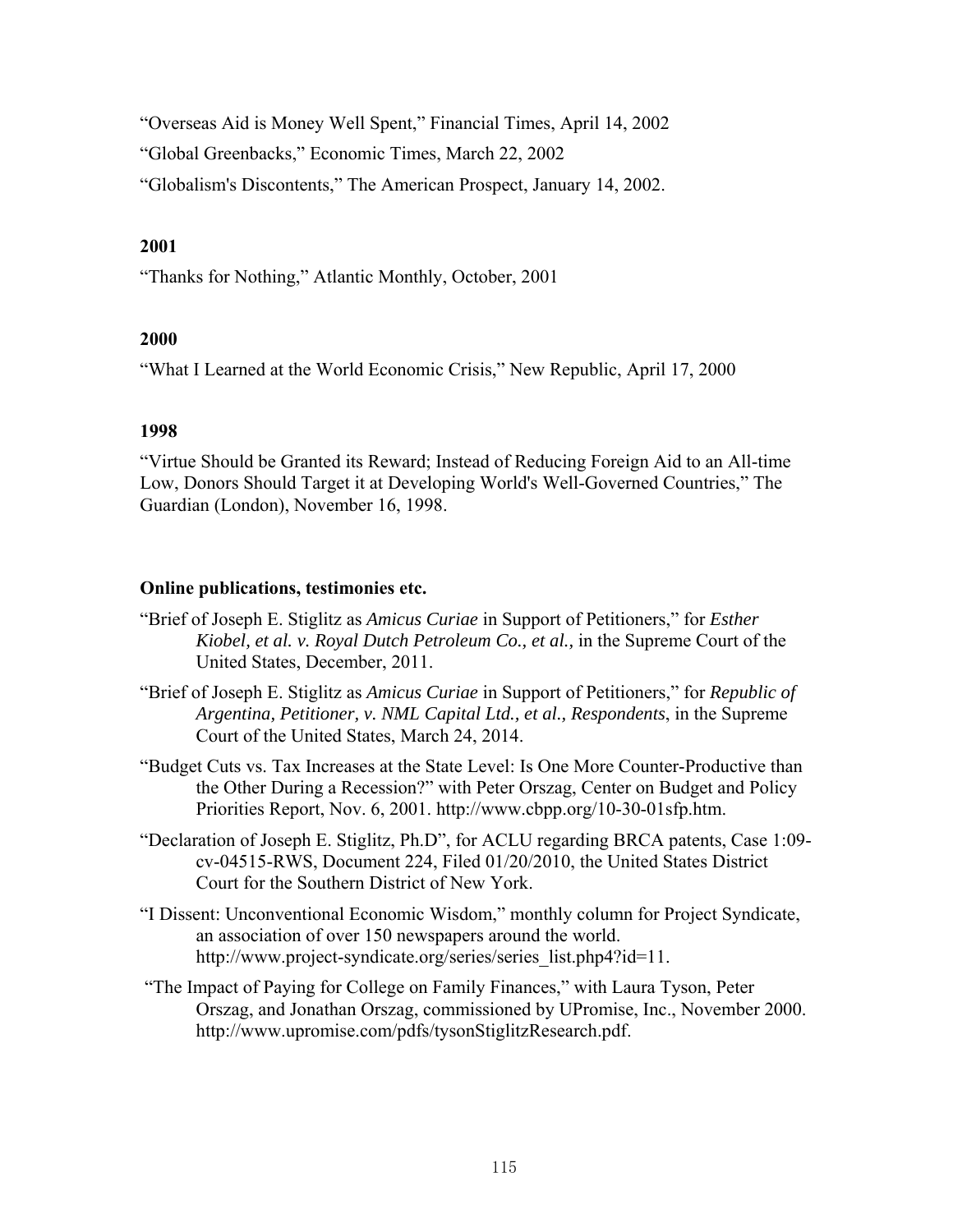"Overseas Aid is Money Well Spent," Financial Times, April 14, 2002 "Global Greenbacks," Economic Times, March 22, 2002

"Globalism's Discontents," The American Prospect, January 14, 2002.

# **2001**

"Thanks for Nothing," Atlantic Monthly, October, 2001

# **2000**

"What I Learned at the World Economic Crisis," New Republic, April 17, 2000

# **1998**

"Virtue Should be Granted its Reward; Instead of Reducing Foreign Aid to an All-time Low, Donors Should Target it at Developing World's Well-Governed Countries," The Guardian (London), November 16, 1998.

# **Online publications, testimonies etc.**

- "Brief of Joseph E. Stiglitz as *Amicus Curiae* in Support of Petitioners," for *Esther Kiobel, et al. v. Royal Dutch Petroleum Co., et al.,* in the Supreme Court of the United States, December, 2011.
- "Brief of Joseph E. Stiglitz as *Amicus Curiae* in Support of Petitioners," for *Republic of Argentina, Petitioner, v. NML Capital Ltd., et al., Respondents*, in the Supreme Court of the United States, March 24, 2014.
- "Budget Cuts vs. Tax Increases at the State Level: Is One More Counter-Productive than the Other During a Recession?" with Peter Orszag, Center on Budget and Policy Priorities Report, Nov. 6, 2001. http://www.cbpp.org/10-30-01sfp.htm.
- "Declaration of Joseph E. Stiglitz, Ph.D", for ACLU regarding BRCA patents, Case 1:09 cv-04515-RWS, Document 224, Filed 01/20/2010, the United States District Court for the Southern District of New York.
- "I Dissent: Unconventional Economic Wisdom," monthly column for Project Syndicate, an association of over 150 newspapers around the world. http://www.project-syndicate.org/series/series\_list.php4?id=11.
- "The Impact of Paying for College on Family Finances," with Laura Tyson, Peter Orszag, and Jonathan Orszag, commissioned by UPromise, Inc., November 2000. http://www.upromise.com/pdfs/tysonStiglitzResearch.pdf.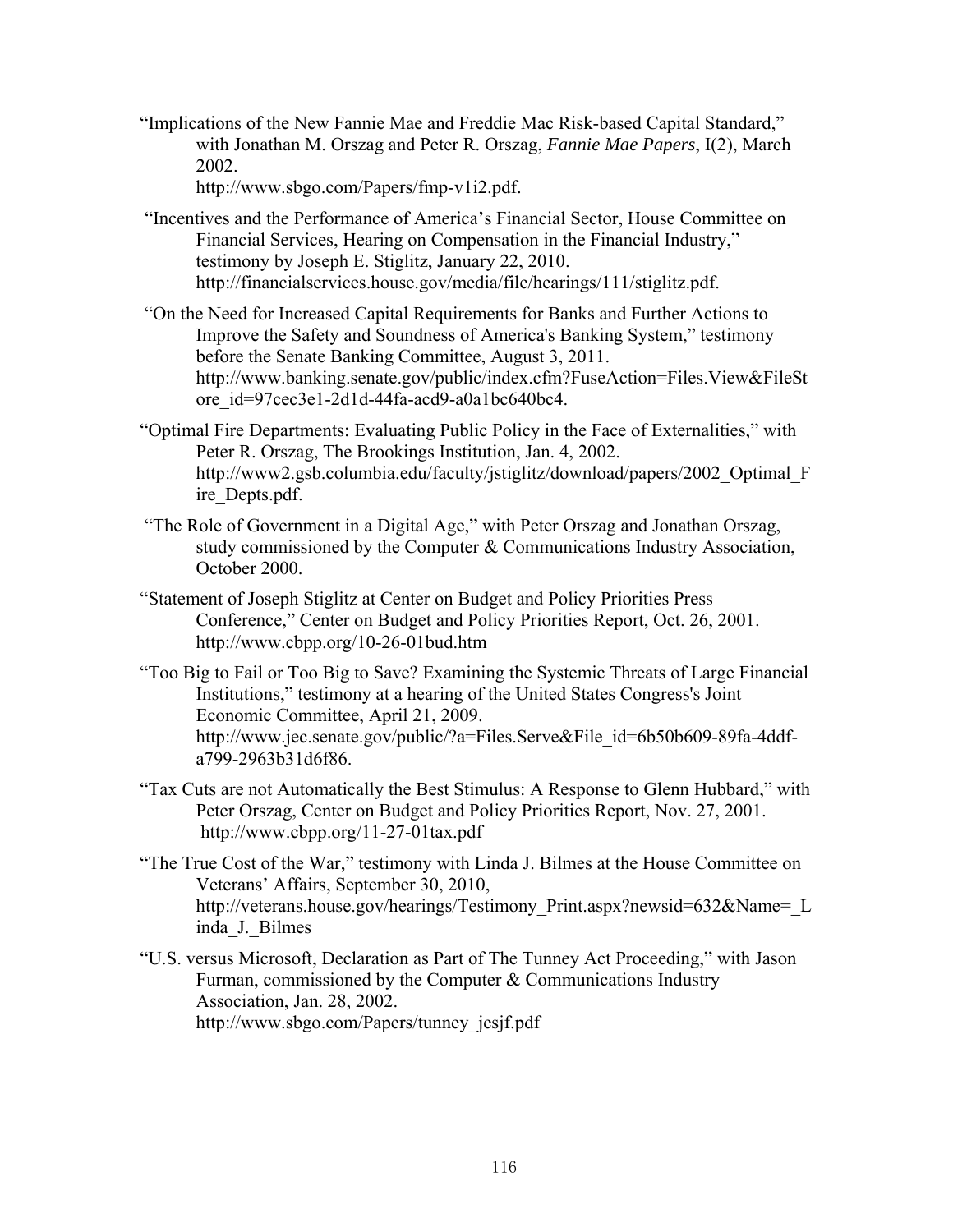"Implications of the New Fannie Mae and Freddie Mac Risk-based Capital Standard," with Jonathan M. Orszag and Peter R. Orszag, *Fannie Mae Papers*, I(2), March 2002.

http://www.sbgo.com/Papers/fmp-v1i2.pdf.

- "Incentives and the Performance of America's Financial Sector, House Committee on Financial Services, Hearing on Compensation in the Financial Industry," testimony by Joseph E. Stiglitz, January 22, 2010. http://financialservices.house.gov/media/file/hearings/111/stiglitz.pdf.
- "On the Need for Increased Capital Requirements for Banks and Further Actions to Improve the Safety and Soundness of America's Banking System," testimony before the Senate Banking Committee, August 3, 2011. http://www.banking.senate.gov/public/index.cfm?FuseAction=Files.View&FileSt ore\_id=97cec3e1-2d1d-44fa-acd9-a0a1bc640bc4.
- "Optimal Fire Departments: Evaluating Public Policy in the Face of Externalities," with Peter R. Orszag, The Brookings Institution, Jan. 4, 2002. http://www2.gsb.columbia.edu/faculty/jstiglitz/download/papers/2002\_Optimal\_F ire\_Depts.pdf.
- "The Role of Government in a Digital Age," with Peter Orszag and Jonathan Orszag, study commissioned by the Computer & Communications Industry Association, October 2000.
- "Statement of Joseph Stiglitz at Center on Budget and Policy Priorities Press Conference," Center on Budget and Policy Priorities Report, Oct. 26, 2001. http://www.cbpp.org/10-26-01bud.htm
- "Too Big to Fail or Too Big to Save? Examining the Systemic Threats of Large Financial Institutions," testimony at a hearing of the United States Congress's Joint Economic Committee, April 21, 2009. http://www.jec.senate.gov/public/?a=Files.Serve&File\_id=6b50b609-89fa-4ddfa799-2963b31d6f86.
- "Tax Cuts are not Automatically the Best Stimulus: A Response to Glenn Hubbard," with Peter Orszag, Center on Budget and Policy Priorities Report, Nov. 27, 2001. http://www.cbpp.org/11-27-01tax.pdf
- "The True Cost of the War," testimony with Linda J. Bilmes at the House Committee on Veterans' Affairs, September 30, 2010, http://veterans.house.gov/hearings/Testimony Print.aspx?newsid=632&Name= L inda\_J.\_Bilmes
- "U.S. versus Microsoft, Declaration as Part of The Tunney Act Proceeding," with Jason Furman, commissioned by the Computer & Communications Industry Association, Jan. 28, 2002. http://www.sbgo.com/Papers/tunney\_jesjf.pdf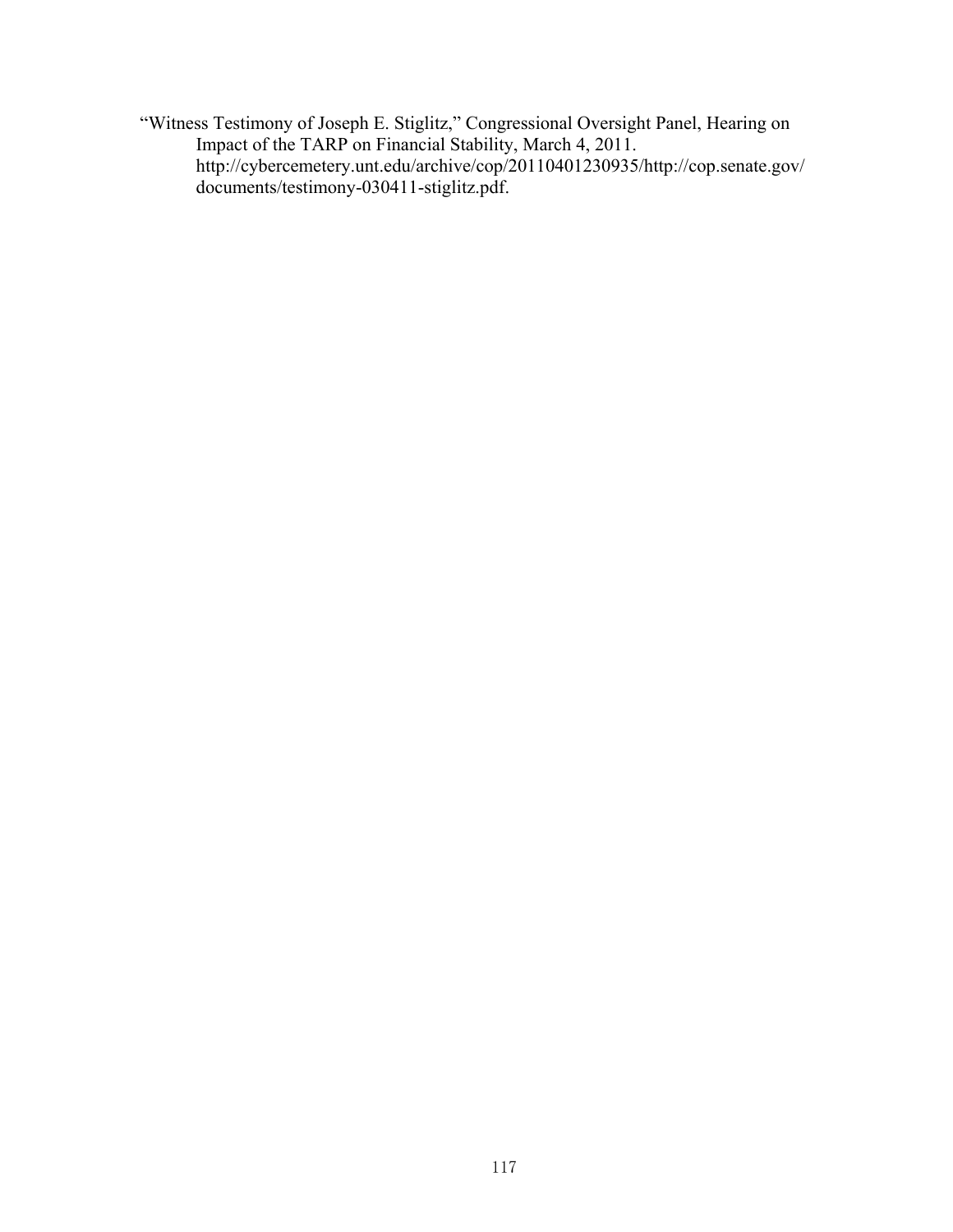"Witness Testimony of Joseph E. Stiglitz," Congressional Oversight Panel, Hearing on Impact of the TARP on Financial Stability, March 4, 2011. http://cybercemetery.unt.edu/archive/cop/20110401230935/http://cop.senate.gov/ documents/testimony-030411-stiglitz.pdf.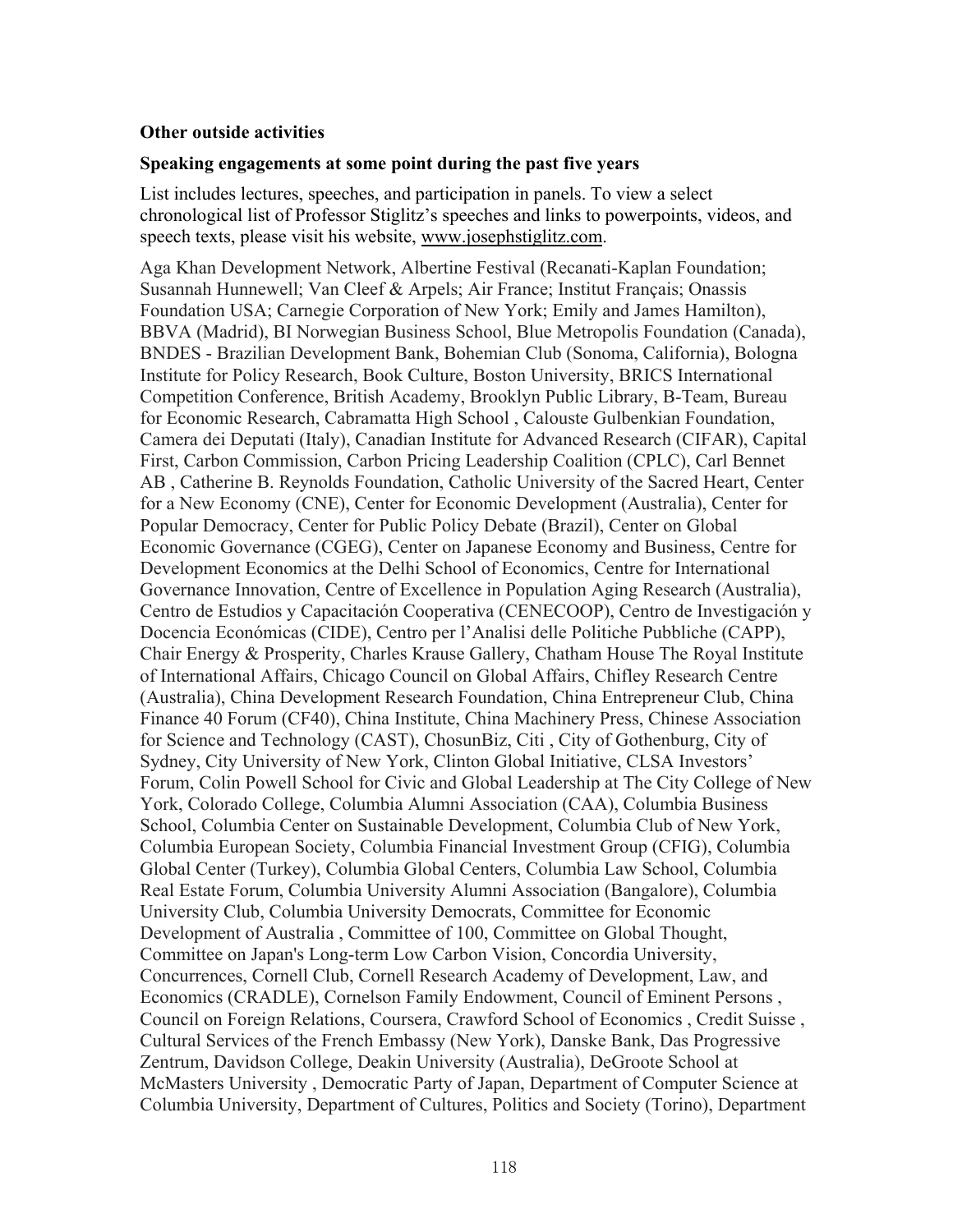## **Other outside activities**

#### **Speaking engagements at some point during the past five years**

List includes lectures, speeches, and participation in panels. To view a select chronological list of Professor Stiglitz's speeches and links to powerpoints, videos, and speech texts, please visit his website, www.josephstiglitz.com.

Aga Khan Development Network, Albertine Festival (Recanati-Kaplan Foundation; Susannah Hunnewell; Van Cleef & Arpels; Air France; Institut Français; Onassis Foundation USA; Carnegie Corporation of New York; Emily and James Hamilton), BBVA (Madrid), BI Norwegian Business School, Blue Metropolis Foundation (Canada), BNDES - Brazilian Development Bank, Bohemian Club (Sonoma, California), Bologna Institute for Policy Research, Book Culture, Boston University, BRICS International Competition Conference, British Academy, Brooklyn Public Library, B-Team, Bureau for Economic Research, Cabramatta High School , Calouste Gulbenkian Foundation, Camera dei Deputati (Italy), Canadian Institute for Advanced Research (CIFAR), Capital First, Carbon Commission, Carbon Pricing Leadership Coalition (CPLC), Carl Bennet AB , Catherine B. Reynolds Foundation, Catholic University of the Sacred Heart, Center for a New Economy (CNE), Center for Economic Development (Australia), Center for Popular Democracy, Center for Public Policy Debate (Brazil), Center on Global Economic Governance (CGEG), Center on Japanese Economy and Business, Centre for Development Economics at the Delhi School of Economics, Centre for International Governance Innovation, Centre of Excellence in Population Aging Research (Australia), Centro de Estudios y Capacitación Cooperativa (CENECOOP), Centro de Investigación y Docencia Económicas (CIDE), Centro per l'Analisi delle Politiche Pubbliche (CAPP), Chair Energy & Prosperity, Charles Krause Gallery, Chatham House The Royal Institute of International Affairs, Chicago Council on Global Affairs, Chifley Research Centre (Australia), China Development Research Foundation, China Entrepreneur Club, China Finance 40 Forum (CF40), China Institute, China Machinery Press, Chinese Association for Science and Technology (CAST), ChosunBiz, Citi , City of Gothenburg, City of Sydney, City University of New York, Clinton Global Initiative, CLSA Investors' Forum, Colin Powell School for Civic and Global Leadership at The City College of New York, Colorado College, Columbia Alumni Association (CAA), Columbia Business School, Columbia Center on Sustainable Development, Columbia Club of New York, Columbia European Society, Columbia Financial Investment Group (CFIG), Columbia Global Center (Turkey), Columbia Global Centers, Columbia Law School, Columbia Real Estate Forum, Columbia University Alumni Association (Bangalore), Columbia University Club, Columbia University Democrats, Committee for Economic Development of Australia , Committee of 100, Committee on Global Thought, Committee on Japan's Long-term Low Carbon Vision, Concordia University, Concurrences, Cornell Club, Cornell Research Academy of Development, Law, and Economics (CRADLE), Cornelson Family Endowment, Council of Eminent Persons , Council on Foreign Relations, Coursera, Crawford School of Economics , Credit Suisse , Cultural Services of the French Embassy (New York), Danske Bank, Das Progressive Zentrum, Davidson College, Deakin University (Australia), DeGroote School at McMasters University , Democratic Party of Japan, Department of Computer Science at Columbia University, Department of Cultures, Politics and Society (Torino), Department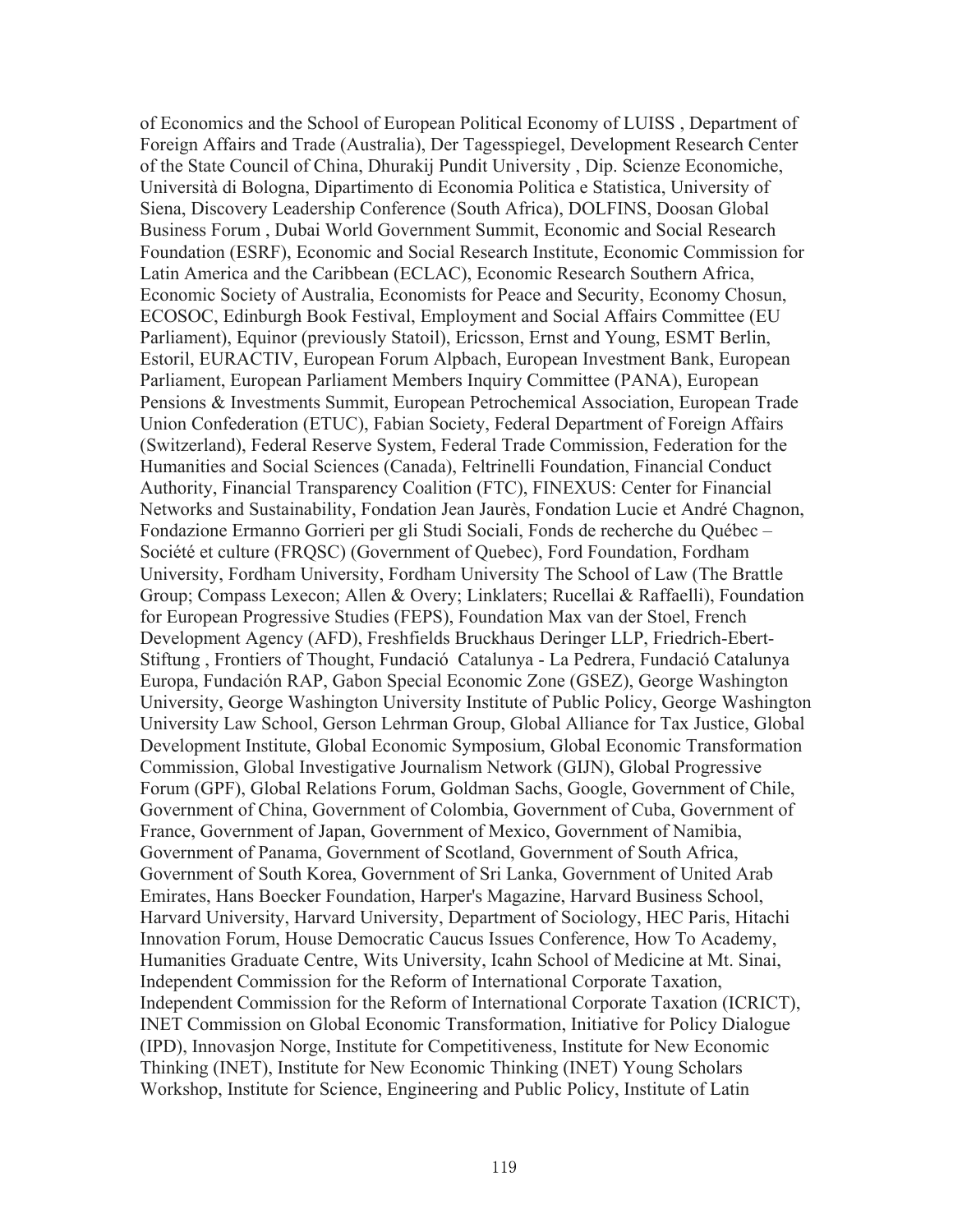of Economics and the School of European Political Economy of LUISS , Department of Foreign Affairs and Trade (Australia), Der Tagesspiegel, Development Research Center of the State Council of China, Dhurakij Pundit University , Dip. Scienze Economiche, Università di Bologna, Dipartimento di Economia Politica e Statistica, University of Siena, Discovery Leadership Conference (South Africa), DOLFINS, Doosan Global Business Forum , Dubai World Government Summit, Economic and Social Research Foundation (ESRF), Economic and Social Research Institute, Economic Commission for Latin America and the Caribbean (ECLAC), Economic Research Southern Africa, Economic Society of Australia, Economists for Peace and Security, Economy Chosun, ECOSOC, Edinburgh Book Festival, Employment and Social Affairs Committee (EU Parliament), Equinor (previously Statoil), Ericsson, Ernst and Young, ESMT Berlin, Estoril, EURACTIV, European Forum Alpbach, European Investment Bank, European Parliament, European Parliament Members Inquiry Committee (PANA), European Pensions & Investments Summit, European Petrochemical Association, European Trade Union Confederation (ETUC), Fabian Society, Federal Department of Foreign Affairs (Switzerland), Federal Reserve System, Federal Trade Commission, Federation for the Humanities and Social Sciences (Canada), Feltrinelli Foundation, Financial Conduct Authority, Financial Transparency Coalition (FTC), FINEXUS: Center for Financial Networks and Sustainability, Fondation Jean Jaurès, Fondation Lucie et André Chagnon, Fondazione Ermanno Gorrieri per gli Studi Sociali, Fonds de recherche du Québec – Société et culture (FRQSC) (Government of Quebec), Ford Foundation, Fordham University, Fordham University, Fordham University The School of Law (The Brattle Group; Compass Lexecon; Allen & Overy; Linklaters; Rucellai & Raffaelli), Foundation for European Progressive Studies (FEPS), Foundation Max van der Stoel, French Development Agency (AFD), Freshfields Bruckhaus Deringer LLP, Friedrich-Ebert-Stiftung , Frontiers of Thought, Fundació Catalunya - La Pedrera, Fundació Catalunya Europa, Fundación RAP, Gabon Special Economic Zone (GSEZ), George Washington University, George Washington University Institute of Public Policy, George Washington University Law School, Gerson Lehrman Group, Global Alliance for Tax Justice, Global Development Institute, Global Economic Symposium, Global Economic Transformation Commission, Global Investigative Journalism Network (GIJN), Global Progressive Forum (GPF), Global Relations Forum, Goldman Sachs, Google, Government of Chile, Government of China, Government of Colombia, Government of Cuba, Government of France, Government of Japan, Government of Mexico, Government of Namibia, Government of Panama, Government of Scotland, Government of South Africa, Government of South Korea, Government of Sri Lanka, Government of United Arab Emirates, Hans Boecker Foundation, Harper's Magazine, Harvard Business School, Harvard University, Harvard University, Department of Sociology, HEC Paris, Hitachi Innovation Forum, House Democratic Caucus Issues Conference, How To Academy, Humanities Graduate Centre, Wits University, Icahn School of Medicine at Mt. Sinai, Independent Commission for the Reform of International Corporate Taxation, Independent Commission for the Reform of International Corporate Taxation (ICRICT), INET Commission on Global Economic Transformation, Initiative for Policy Dialogue (IPD), Innovasjon Norge, Institute for Competitiveness, Institute for New Economic Thinking (INET), Institute for New Economic Thinking (INET) Young Scholars Workshop, Institute for Science, Engineering and Public Policy, Institute of Latin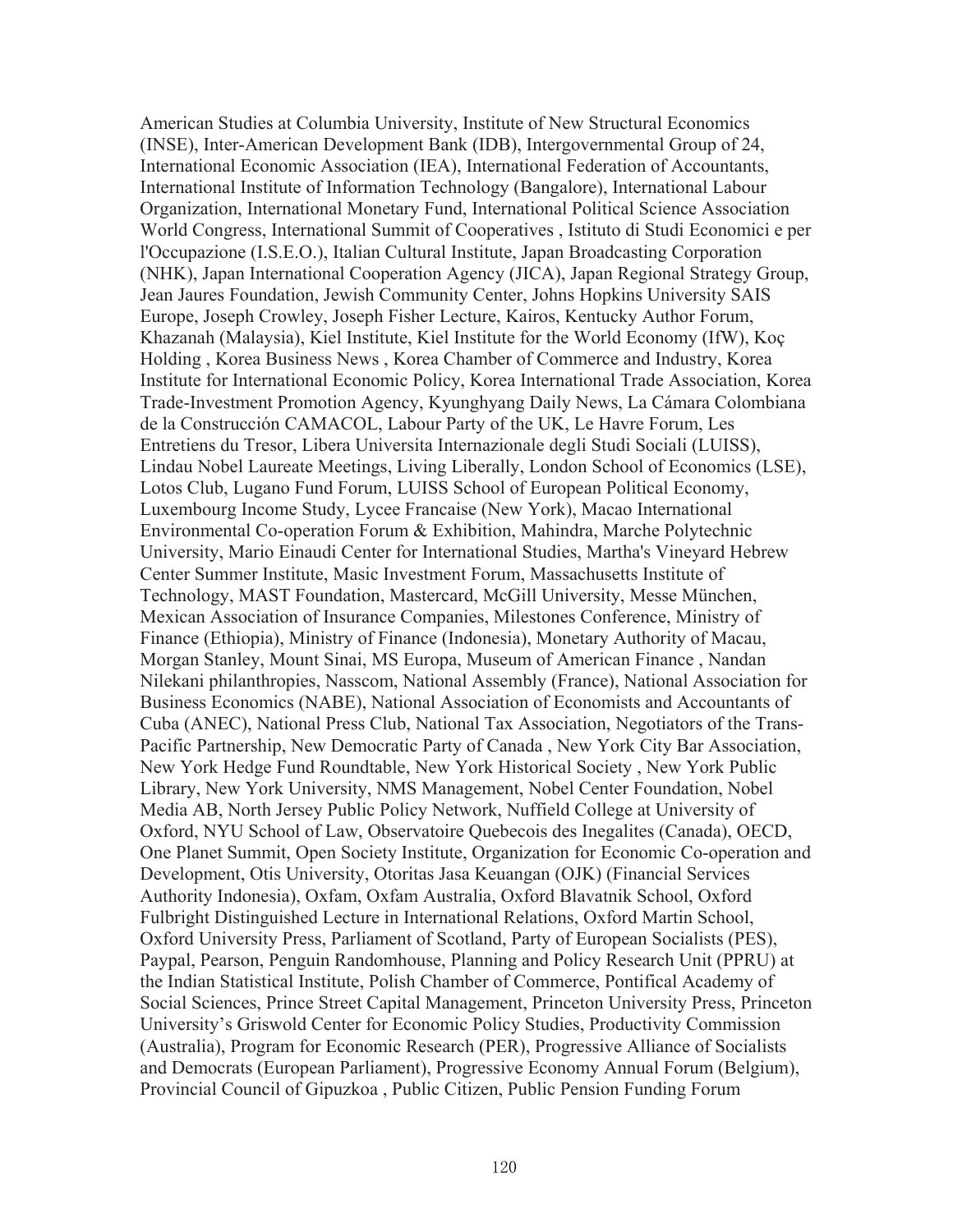American Studies at Columbia University, Institute of New Structural Economics (INSE), Inter-American Development Bank (IDB), Intergovernmental Group of 24, International Economic Association (IEA), International Federation of Accountants, International Institute of Information Technology (Bangalore), International Labour Organization, International Monetary Fund, International Political Science Association World Congress, International Summit of Cooperatives , Istituto di Studi Economici e per l'Occupazione (I.S.E.O.), Italian Cultural Institute, Japan Broadcasting Corporation (NHK), Japan International Cooperation Agency (JICA), Japan Regional Strategy Group, Jean Jaures Foundation, Jewish Community Center, Johns Hopkins University SAIS Europe, Joseph Crowley, Joseph Fisher Lecture, Kairos, Kentucky Author Forum, Khazanah (Malaysia), Kiel Institute, Kiel Institute for the World Economy (IfW), Koç Holding , Korea Business News , Korea Chamber of Commerce and Industry, Korea Institute for International Economic Policy, Korea International Trade Association, Korea Trade-Investment Promotion Agency, Kyunghyang Daily News, La Cámara Colombiana de la Construcción CAMACOL, Labour Party of the UK, Le Havre Forum, Les Entretiens du Tresor, Libera Universita Internazionale degli Studi Sociali (LUISS), Lindau Nobel Laureate Meetings, Living Liberally, London School of Economics (LSE), Lotos Club, Lugano Fund Forum, LUISS School of European Political Economy, Luxembourg Income Study, Lycee Francaise (New York), Macao International Environmental Co-operation Forum & Exhibition, Mahindra, Marche Polytechnic University, Mario Einaudi Center for International Studies, Martha's Vineyard Hebrew Center Summer Institute, Masic Investment Forum, Massachusetts Institute of Technology, MAST Foundation, Mastercard, McGill University, Messe München, Mexican Association of Insurance Companies, Milestones Conference, Ministry of Finance (Ethiopia), Ministry of Finance (Indonesia), Monetary Authority of Macau, Morgan Stanley, Mount Sinai, MS Europa, Museum of American Finance , Nandan Nilekani philanthropies, Nasscom, National Assembly (France), National Association for Business Economics (NABE), National Association of Economists and Accountants of Cuba (ANEC), National Press Club, National Tax Association, Negotiators of the Trans-Pacific Partnership, New Democratic Party of Canada , New York City Bar Association, New York Hedge Fund Roundtable, New York Historical Society , New York Public Library, New York University, NMS Management, Nobel Center Foundation, Nobel Media AB, North Jersey Public Policy Network, Nuffield College at University of Oxford, NYU School of Law, Observatoire Quebecois des Inegalites (Canada), OECD, One Planet Summit, Open Society Institute, Organization for Economic Co-operation and Development, Otis University, Otoritas Jasa Keuangan (OJK) (Financial Services Authority Indonesia), Oxfam, Oxfam Australia, Oxford Blavatnik School, Oxford Fulbright Distinguished Lecture in International Relations, Oxford Martin School, Oxford University Press, Parliament of Scotland, Party of European Socialists (PES), Paypal, Pearson, Penguin Randomhouse, Planning and Policy Research Unit (PPRU) at the Indian Statistical Institute, Polish Chamber of Commerce, Pontifical Academy of Social Sciences, Prince Street Capital Management, Princeton University Press, Princeton University's Griswold Center for Economic Policy Studies, Productivity Commission (Australia), Program for Economic Research (PER), Progressive Alliance of Socialists and Democrats (European Parliament), Progressive Economy Annual Forum (Belgium), Provincial Council of Gipuzkoa , Public Citizen, Public Pension Funding Forum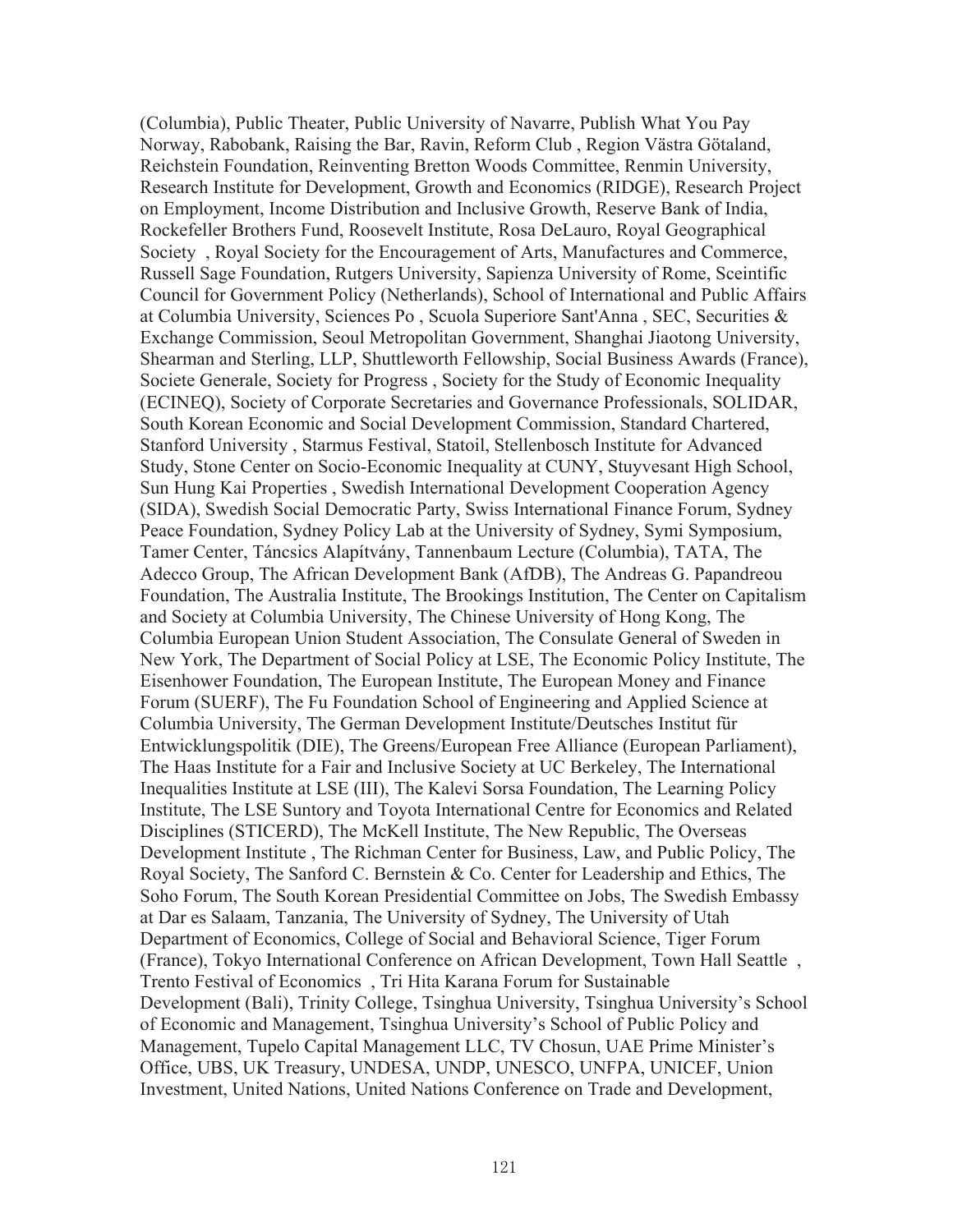(Columbia), Public Theater, Public University of Navarre, Publish What You Pay Norway, Rabobank, Raising the Bar, Ravin, Reform Club , Region Västra Götaland, Reichstein Foundation, Reinventing Bretton Woods Committee, Renmin University, Research Institute for Development, Growth and Economics (RIDGE), Research Project on Employment, Income Distribution and Inclusive Growth, Reserve Bank of India, Rockefeller Brothers Fund, Roosevelt Institute, Rosa DeLauro, Royal Geographical Society , Royal Society for the Encouragement of Arts, Manufactures and Commerce, Russell Sage Foundation, Rutgers University, Sapienza University of Rome, Sceintific Council for Government Policy (Netherlands), School of International and Public Affairs at Columbia University, Sciences Po , Scuola Superiore Sant'Anna , SEC, Securities & Exchange Commission, Seoul Metropolitan Government, Shanghai Jiaotong University, Shearman and Sterling, LLP, Shuttleworth Fellowship, Social Business Awards (France), Societe Generale, Society for Progress , Society for the Study of Economic Inequality (ECINEQ), Society of Corporate Secretaries and Governance Professionals, SOLIDAR, South Korean Economic and Social Development Commission, Standard Chartered, Stanford University , Starmus Festival, Statoil, Stellenbosch Institute for Advanced Study, Stone Center on Socio-Economic Inequality at CUNY, Stuyvesant High School, Sun Hung Kai Properties , Swedish International Development Cooperation Agency (SIDA), Swedish Social Democratic Party, Swiss International Finance Forum, Sydney Peace Foundation, Sydney Policy Lab at the University of Sydney, Symi Symposium, Tamer Center, Táncsics Alapítvány, Tannenbaum Lecture (Columbia), TATA, The Adecco Group, The African Development Bank (AfDB), The Andreas G. Papandreou Foundation, The Australia Institute, The Brookings Institution, The Center on Capitalism and Society at Columbia University, The Chinese University of Hong Kong, The Columbia European Union Student Association, The Consulate General of Sweden in New York, The Department of Social Policy at LSE, The Economic Policy Institute, The Eisenhower Foundation, The European Institute, The European Money and Finance Forum (SUERF), The Fu Foundation School of Engineering and Applied Science at Columbia University, The German Development Institute/Deutsches Institut für Entwicklungspolitik (DIE), The Greens/European Free Alliance (European Parliament), The Haas Institute for a Fair and Inclusive Society at UC Berkeley, The International Inequalities Institute at LSE (III), The Kalevi Sorsa Foundation, The Learning Policy Institute, The LSE Suntory and Toyota International Centre for Economics and Related Disciplines (STICERD), The McKell Institute, The New Republic, The Overseas Development Institute , The Richman Center for Business, Law, and Public Policy, The Royal Society, The Sanford C. Bernstein & Co. Center for Leadership and Ethics, The Soho Forum, The South Korean Presidential Committee on Jobs, The Swedish Embassy at Dar es Salaam, Tanzania, The University of Sydney, The University of Utah Department of Economics, College of Social and Behavioral Science, Tiger Forum (France), Tokyo International Conference on African Development, Town Hall Seattle , Trento Festival of Economics , Tri Hita Karana Forum for Sustainable Development (Bali), Trinity College, Tsinghua University, Tsinghua University's School of Economic and Management, Tsinghua University's School of Public Policy and Management, Tupelo Capital Management LLC, TV Chosun, UAE Prime Minister's Office, UBS, UK Treasury, UNDESA, UNDP, UNESCO, UNFPA, UNICEF, Union Investment, United Nations, United Nations Conference on Trade and Development,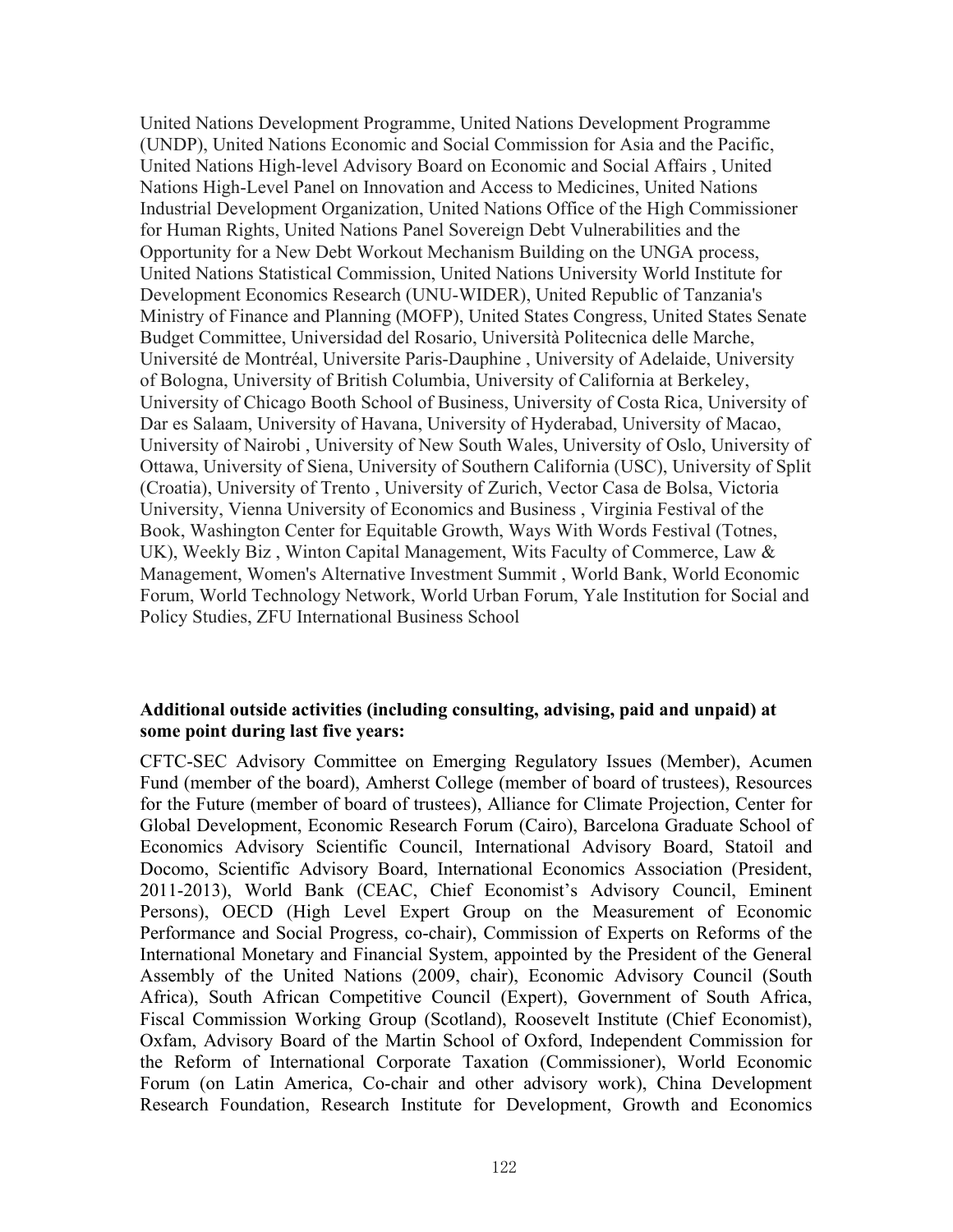United Nations Development Programme, United Nations Development Programme (UNDP), United Nations Economic and Social Commission for Asia and the Pacific, United Nations High-level Advisory Board on Economic and Social Affairs , United Nations High-Level Panel on Innovation and Access to Medicines, United Nations Industrial Development Organization, United Nations Office of the High Commissioner for Human Rights, United Nations Panel Sovereign Debt Vulnerabilities and the Opportunity for a New Debt Workout Mechanism Building on the UNGA process, United Nations Statistical Commission, United Nations University World Institute for Development Economics Research (UNU-WIDER), United Republic of Tanzania's Ministry of Finance and Planning (MOFP), United States Congress, United States Senate Budget Committee, Universidad del Rosario, Università Politecnica delle Marche, Université de Montréal, Universite Paris-Dauphine , University of Adelaide, University of Bologna, University of British Columbia, University of California at Berkeley, University of Chicago Booth School of Business, University of Costa Rica, University of Dar es Salaam, University of Havana, University of Hyderabad, University of Macao, University of Nairobi , University of New South Wales, University of Oslo, University of Ottawa, University of Siena, University of Southern California (USC), University of Split (Croatia), University of Trento , University of Zurich, Vector Casa de Bolsa, Victoria University, Vienna University of Economics and Business , Virginia Festival of the Book, Washington Center for Equitable Growth, Ways With Words Festival (Totnes, UK), Weekly Biz , Winton Capital Management, Wits Faculty of Commerce, Law & Management, Women's Alternative Investment Summit , World Bank, World Economic Forum, World Technology Network, World Urban Forum, Yale Institution for Social and Policy Studies, ZFU International Business School

## **Additional outside activities (including consulting, advising, paid and unpaid) at some point during last five years:**

CFTC-SEC Advisory Committee on Emerging Regulatory Issues (Member), Acumen Fund (member of the board), Amherst College (member of board of trustees), Resources for the Future (member of board of trustees), Alliance for Climate Projection, Center for Global Development, Economic Research Forum (Cairo), Barcelona Graduate School of Economics Advisory Scientific Council, International Advisory Board, Statoil and Docomo, Scientific Advisory Board, International Economics Association (President, 2011-2013), World Bank (CEAC, Chief Economist's Advisory Council, Eminent Persons), OECD (High Level Expert Group on the Measurement of Economic Performance and Social Progress, co-chair), Commission of Experts on Reforms of the International Monetary and Financial System, appointed by the President of the General Assembly of the United Nations (2009, chair), Economic Advisory Council (South Africa), South African Competitive Council (Expert), Government of South Africa, Fiscal Commission Working Group (Scotland), Roosevelt Institute (Chief Economist), Oxfam, Advisory Board of the Martin School of Oxford, Independent Commission for the Reform of International Corporate Taxation (Commissioner), World Economic Forum (on Latin America, Co-chair and other advisory work), China Development Research Foundation, Research Institute for Development, Growth and Economics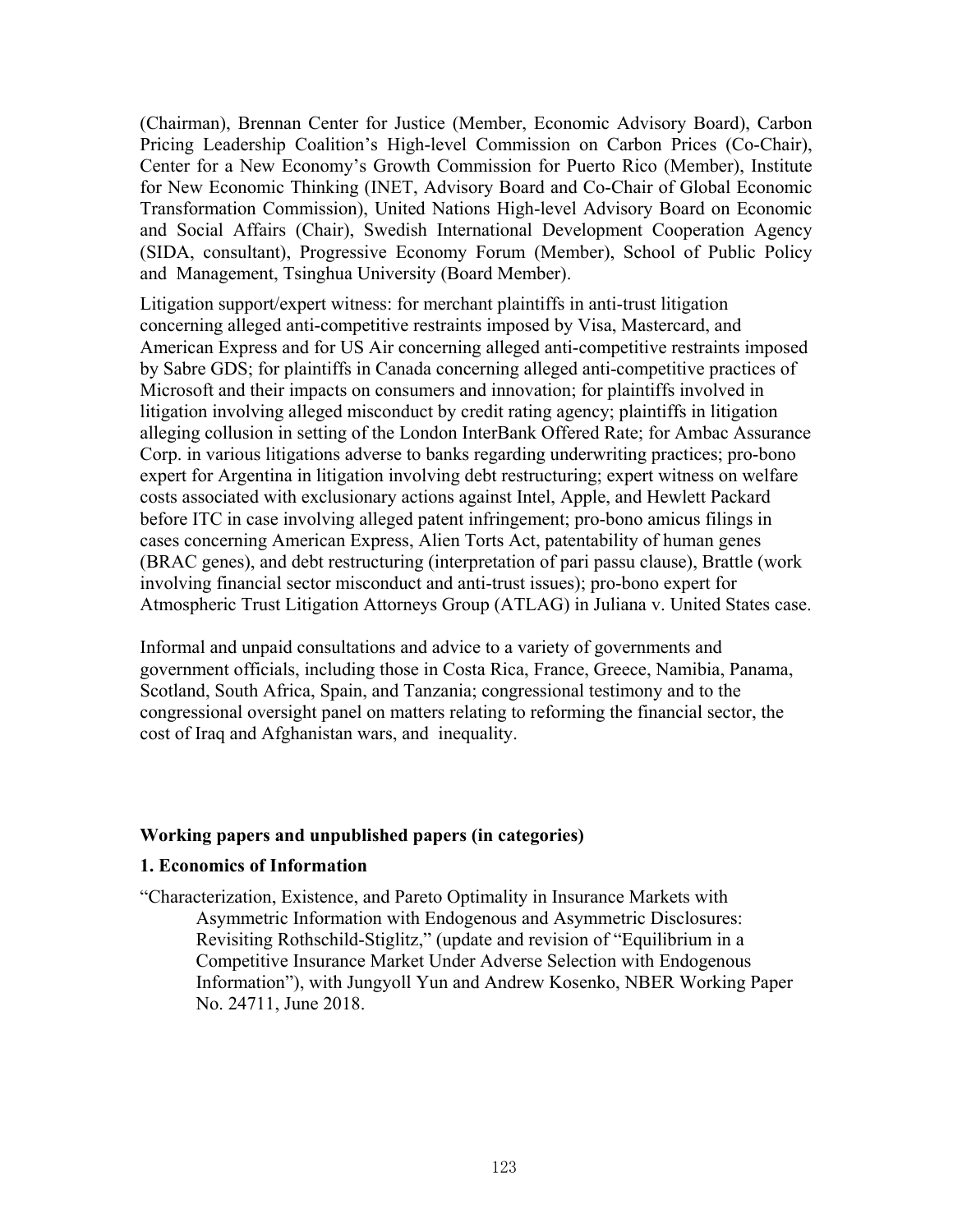(Chairman), Brennan Center for Justice (Member, Economic Advisory Board), Carbon Pricing Leadership Coalition's High-level Commission on Carbon Prices (Co-Chair), Center for a New Economy's Growth Commission for Puerto Rico (Member), Institute for New Economic Thinking (INET, Advisory Board and Co-Chair of Global Economic Transformation Commission), United Nations High-level Advisory Board on Economic and Social Affairs (Chair), Swedish International Development Cooperation Agency (SIDA, consultant), Progressive Economy Forum (Member), School of Public Policy and Management, Tsinghua University (Board Member).

Litigation support/expert witness: for merchant plaintiffs in anti-trust litigation concerning alleged anti-competitive restraints imposed by Visa, Mastercard, and American Express and for US Air concerning alleged anti-competitive restraints imposed by Sabre GDS; for plaintiffs in Canada concerning alleged anti-competitive practices of Microsoft and their impacts on consumers and innovation; for plaintiffs involved in litigation involving alleged misconduct by credit rating agency; plaintiffs in litigation alleging collusion in setting of the London InterBank Offered Rate; for Ambac Assurance Corp. in various litigations adverse to banks regarding underwriting practices; pro-bono expert for Argentina in litigation involving debt restructuring; expert witness on welfare costs associated with exclusionary actions against Intel, Apple, and Hewlett Packard before ITC in case involving alleged patent infringement; pro-bono amicus filings in cases concerning American Express, Alien Torts Act, patentability of human genes (BRAC genes), and debt restructuring (interpretation of pari passu clause), Brattle (work involving financial sector misconduct and anti-trust issues); pro-bono expert for Atmospheric Trust Litigation Attorneys Group (ATLAG) in Juliana v. United States case.

Informal and unpaid consultations and advice to a variety of governments and government officials, including those in Costa Rica, France, Greece, Namibia, Panama, Scotland, South Africa, Spain, and Tanzania; congressional testimony and to the congressional oversight panel on matters relating to reforming the financial sector, the cost of Iraq and Afghanistan wars, and inequality.

#### **Working papers and unpublished papers (in categories)**

#### **1. Economics of Information**

"Characterization, Existence, and Pareto Optimality in Insurance Markets with Asymmetric Information with Endogenous and Asymmetric Disclosures: Revisiting Rothschild-Stiglitz," (update and revision of "Equilibrium in a Competitive Insurance Market Under Adverse Selection with Endogenous Information"), with Jungyoll Yun and Andrew Kosenko, NBER Working Paper No. 24711, June 2018.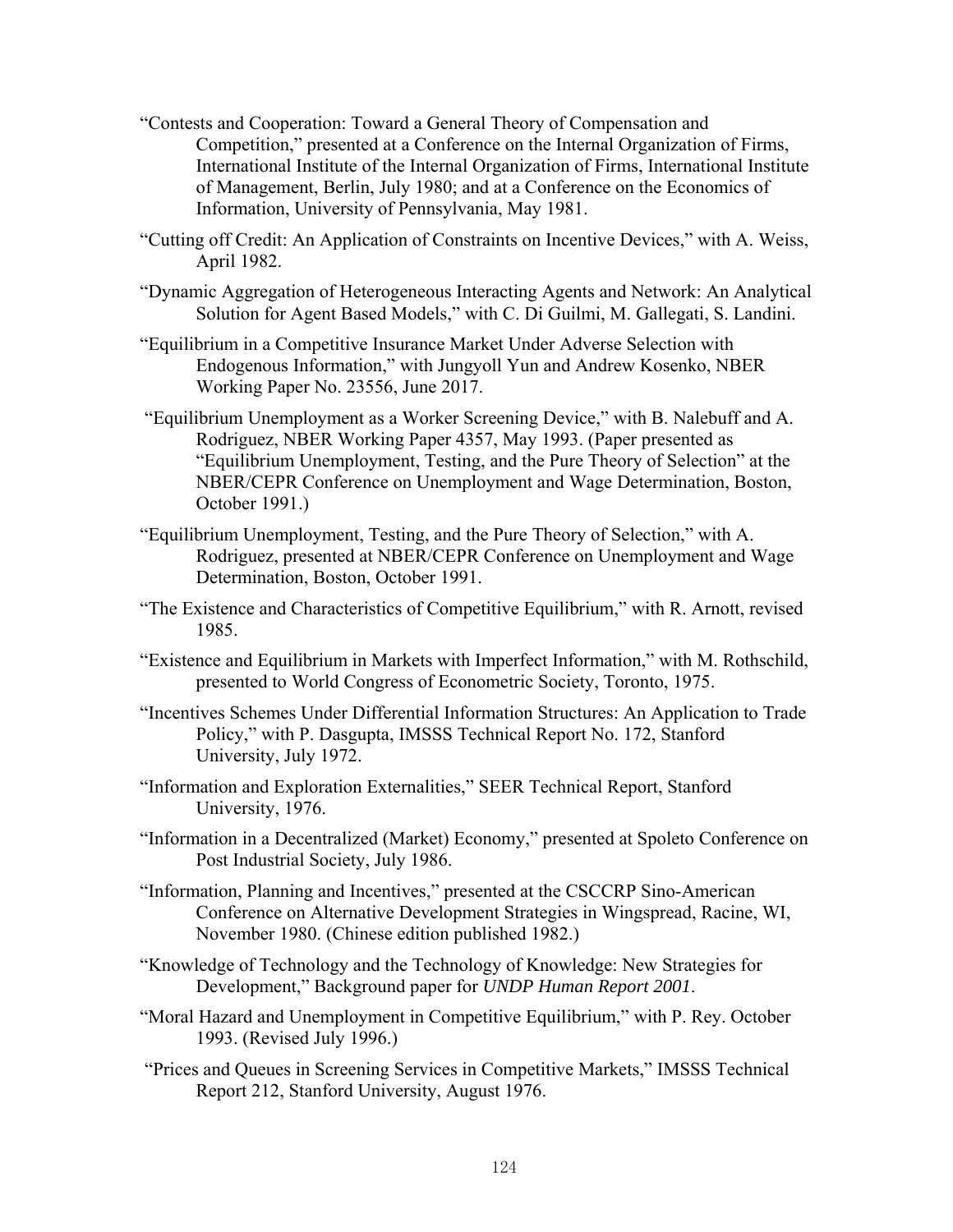- "Contests and Cooperation: Toward a General Theory of Compensation and Competition," presented at a Conference on the Internal Organization of Firms, International Institute of the Internal Organization of Firms, International Institute of Management, Berlin, July 1980; and at a Conference on the Economics of Information, University of Pennsylvania, May 1981.
- "Cutting off Credit: An Application of Constraints on Incentive Devices," with A. Weiss, April 1982.
- "Dynamic Aggregation of Heterogeneous Interacting Agents and Network: An Analytical Solution for Agent Based Models," with C. Di Guilmi, M. Gallegati, S. Landini.
- "Equilibrium in a Competitive Insurance Market Under Adverse Selection with Endogenous Information," with Jungyoll Yun and Andrew Kosenko, NBER Working Paper No. 23556, June 2017.
- "Equilibrium Unemployment as a Worker Screening Device," with B. Nalebuff and A. Rodriguez, NBER Working Paper 4357, May 1993. (Paper presented as "Equilibrium Unemployment, Testing, and the Pure Theory of Selection" at the NBER/CEPR Conference on Unemployment and Wage Determination, Boston, October 1991.)
- "Equilibrium Unemployment, Testing, and the Pure Theory of Selection," with A. Rodriguez, presented at NBER/CEPR Conference on Unemployment and Wage Determination, Boston, October 1991.
- "The Existence and Characteristics of Competitive Equilibrium," with R. Arnott, revised 1985.
- "Existence and Equilibrium in Markets with Imperfect Information," with M. Rothschild, presented to World Congress of Econometric Society, Toronto, 1975.
- "Incentives Schemes Under Differential Information Structures: An Application to Trade Policy," with P. Dasgupta, IMSSS Technical Report No. 172, Stanford University, July 1972.
- "Information and Exploration Externalities," SEER Technical Report, Stanford University, 1976.
- "Information in a Decentralized (Market) Economy," presented at Spoleto Conference on Post Industrial Society, July 1986.
- "Information, Planning and Incentives," presented at the CSCCRP Sino-American Conference on Alternative Development Strategies in Wingspread, Racine, WI, November 1980. (Chinese edition published 1982.)
- "Knowledge of Technology and the Technology of Knowledge: New Strategies for Development," Background paper for *UNDP Human Report 2001*.
- "Moral Hazard and Unemployment in Competitive Equilibrium," with P. Rey. October 1993. (Revised July 1996.)
- "Prices and Queues in Screening Services in Competitive Markets," IMSSS Technical Report 212, Stanford University, August 1976.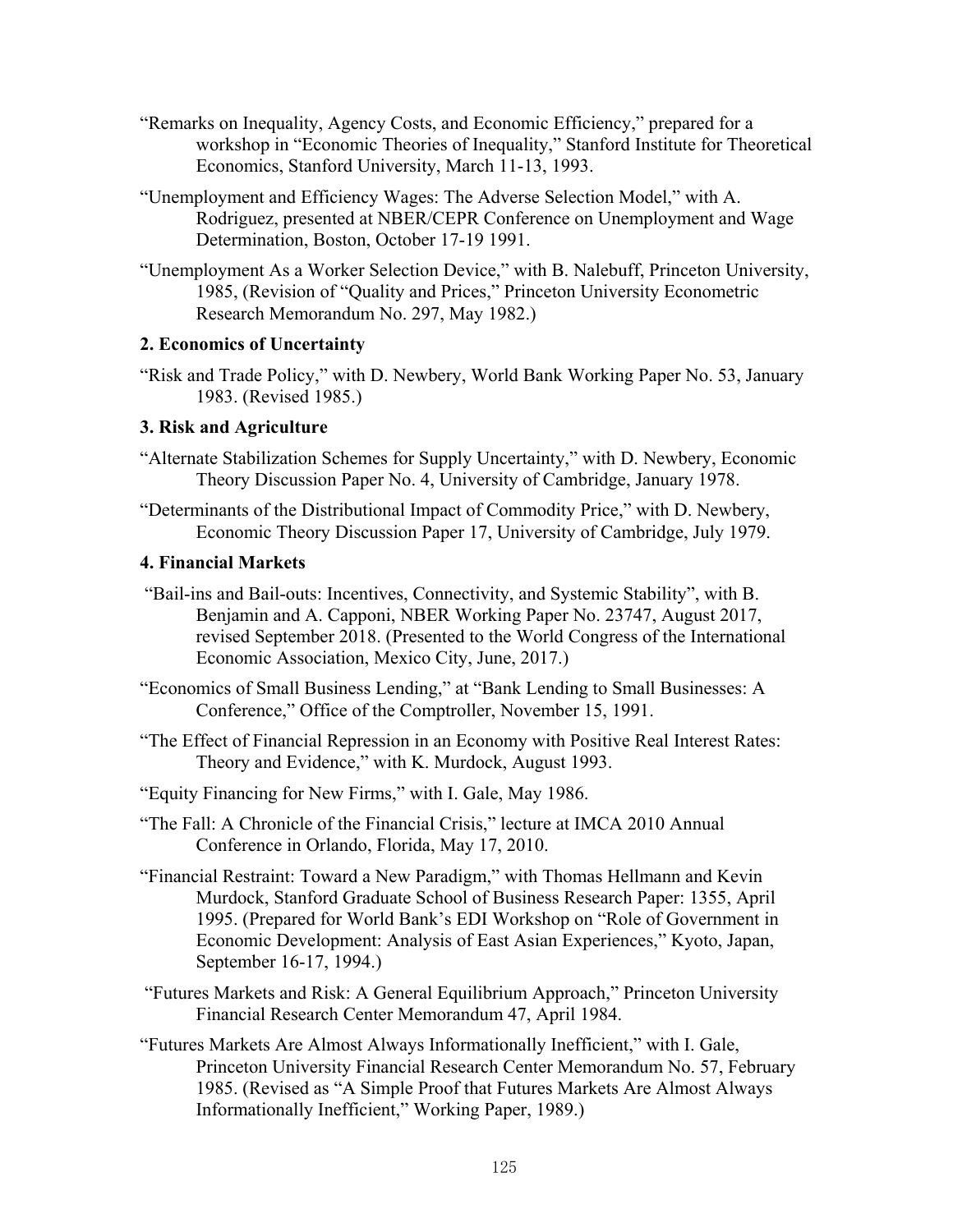- "Remarks on Inequality, Agency Costs, and Economic Efficiency," prepared for a workshop in "Economic Theories of Inequality," Stanford Institute for Theoretical Economics, Stanford University, March 11-13, 1993.
- "Unemployment and Efficiency Wages: The Adverse Selection Model," with A. Rodriguez, presented at NBER/CEPR Conference on Unemployment and Wage Determination, Boston, October 17-19 1991.
- "Unemployment As a Worker Selection Device," with B. Nalebuff, Princeton University, 1985, (Revision of "Quality and Prices," Princeton University Econometric Research Memorandum No. 297, May 1982.)

## **2. Economics of Uncertainty**

"Risk and Trade Policy," with D. Newbery, World Bank Working Paper No. 53, January 1983. (Revised 1985.)

# **3. Risk and Agriculture**

- "Alternate Stabilization Schemes for Supply Uncertainty," with D. Newbery, Economic Theory Discussion Paper No. 4, University of Cambridge, January 1978.
- "Determinants of the Distributional Impact of Commodity Price," with D. Newbery, Economic Theory Discussion Paper 17, University of Cambridge, July 1979.

# **4. Financial Markets**

- "Bail-ins and Bail-outs: Incentives, Connectivity, and Systemic Stability", with B. Benjamin and A. Capponi, NBER Working Paper No. 23747, August 2017, revised September 2018. (Presented to the World Congress of the International Economic Association, Mexico City, June, 2017.)
- "Economics of Small Business Lending," at "Bank Lending to Small Businesses: A Conference," Office of the Comptroller, November 15, 1991.
- "The Effect of Financial Repression in an Economy with Positive Real Interest Rates: Theory and Evidence," with K. Murdock, August 1993.
- "Equity Financing for New Firms," with I. Gale, May 1986.
- "The Fall: A Chronicle of the Financial Crisis," lecture at IMCA 2010 Annual Conference in Orlando, Florida, May 17, 2010.
- "Financial Restraint: Toward a New Paradigm," with Thomas Hellmann and Kevin Murdock, Stanford Graduate School of Business Research Paper: 1355, April 1995. (Prepared for World Bank's EDI Workshop on "Role of Government in Economic Development: Analysis of East Asian Experiences," Kyoto, Japan, September 16-17, 1994.)
- "Futures Markets and Risk: A General Equilibrium Approach," Princeton University Financial Research Center Memorandum 47, April 1984.
- "Futures Markets Are Almost Always Informationally Inefficient," with I. Gale, Princeton University Financial Research Center Memorandum No. 57, February 1985. (Revised as "A Simple Proof that Futures Markets Are Almost Always Informationally Inefficient," Working Paper, 1989.)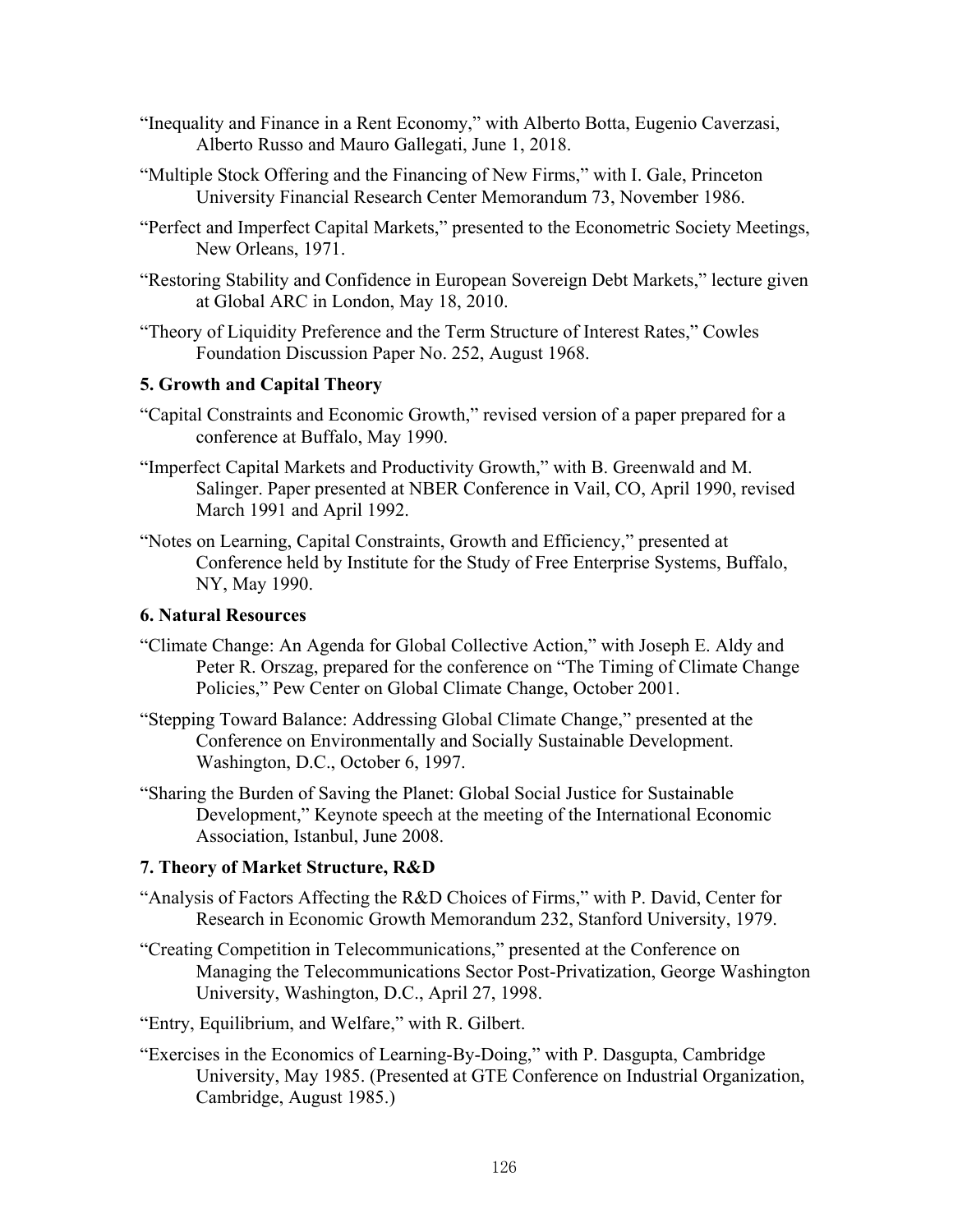- "Inequality and Finance in a Rent Economy," with Alberto Botta, Eugenio Caverzasi, Alberto Russo and Mauro Gallegati, June 1, 2018.
- "Multiple Stock Offering and the Financing of New Firms," with I. Gale, Princeton University Financial Research Center Memorandum 73, November 1986.
- "Perfect and Imperfect Capital Markets," presented to the Econometric Society Meetings, New Orleans, 1971.
- "Restoring Stability and Confidence in European Sovereign Debt Markets," lecture given at Global ARC in London, May 18, 2010.
- "Theory of Liquidity Preference and the Term Structure of Interest Rates," Cowles Foundation Discussion Paper No. 252, August 1968.

# **5. Growth and Capital Theory**

- "Capital Constraints and Economic Growth," revised version of a paper prepared for a conference at Buffalo, May 1990.
- "Imperfect Capital Markets and Productivity Growth," with B. Greenwald and M. Salinger. Paper presented at NBER Conference in Vail, CO, April 1990, revised March 1991 and April 1992.
- "Notes on Learning, Capital Constraints, Growth and Efficiency," presented at Conference held by Institute for the Study of Free Enterprise Systems, Buffalo, NY, May 1990.

#### **6. Natural Resources**

- "Climate Change: An Agenda for Global Collective Action," with Joseph E. Aldy and Peter R. Orszag, prepared for the conference on "The Timing of Climate Change Policies," Pew Center on Global Climate Change, October 2001.
- "Stepping Toward Balance: Addressing Global Climate Change," presented at the Conference on Environmentally and Socially Sustainable Development. Washington, D.C., October 6, 1997.
- "Sharing the Burden of Saving the Planet: Global Social Justice for Sustainable Development," Keynote speech at the meeting of the International Economic Association, Istanbul, June 2008.

#### **7. Theory of Market Structure, R&D**

- "Analysis of Factors Affecting the R&D Choices of Firms," with P. David, Center for Research in Economic Growth Memorandum 232, Stanford University, 1979.
- "Creating Competition in Telecommunications," presented at the Conference on Managing the Telecommunications Sector Post-Privatization, George Washington University, Washington, D.C., April 27, 1998.
- "Entry, Equilibrium, and Welfare," with R. Gilbert.
- "Exercises in the Economics of Learning-By-Doing," with P. Dasgupta, Cambridge University, May 1985. (Presented at GTE Conference on Industrial Organization, Cambridge, August 1985.)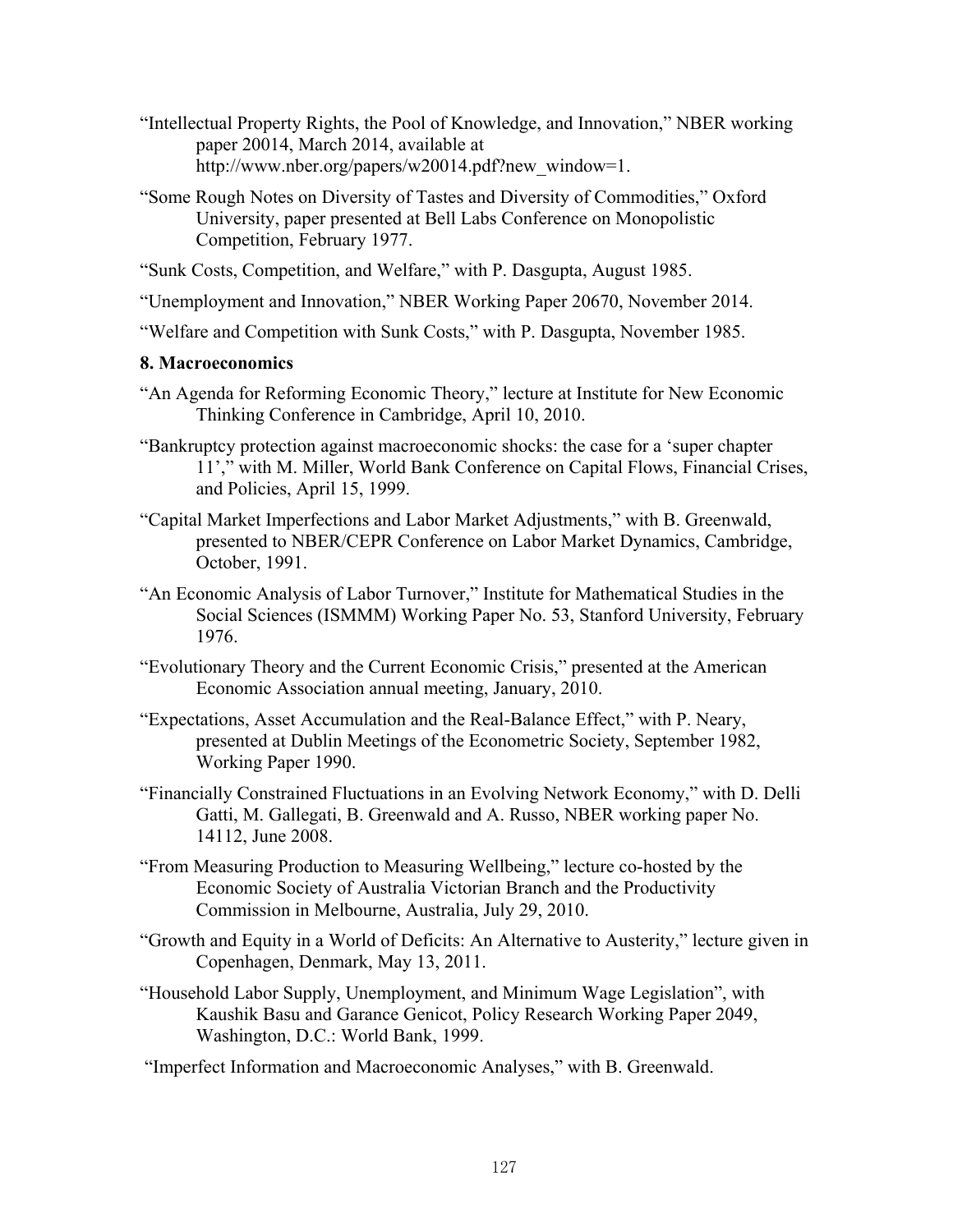- "Intellectual Property Rights, the Pool of Knowledge, and Innovation," NBER working paper 20014, March 2014, available at http://www.nber.org/papers/w20014.pdf?new\_window=1.
- "Some Rough Notes on Diversity of Tastes and Diversity of Commodities," Oxford University, paper presented at Bell Labs Conference on Monopolistic Competition, February 1977.
- "Sunk Costs, Competition, and Welfare," with P. Dasgupta, August 1985.
- "Unemployment and Innovation," NBER Working Paper 20670, November 2014.
- "Welfare and Competition with Sunk Costs," with P. Dasgupta, November 1985.

### **8. Macroeconomics**

- "An Agenda for Reforming Economic Theory," lecture at Institute for New Economic Thinking Conference in Cambridge, April 10, 2010.
- "Bankruptcy protection against macroeconomic shocks: the case for a 'super chapter 11'," with M. Miller, World Bank Conference on Capital Flows, Financial Crises, and Policies, April 15, 1999.
- "Capital Market Imperfections and Labor Market Adjustments," with B. Greenwald, presented to NBER/CEPR Conference on Labor Market Dynamics, Cambridge, October, 1991.
- "An Economic Analysis of Labor Turnover," Institute for Mathematical Studies in the Social Sciences (ISMMM) Working Paper No. 53, Stanford University, February 1976.
- "Evolutionary Theory and the Current Economic Crisis," presented at the American Economic Association annual meeting, January, 2010.
- "Expectations, Asset Accumulation and the Real-Balance Effect," with P. Neary, presented at Dublin Meetings of the Econometric Society, September 1982, Working Paper 1990.
- "Financially Constrained Fluctuations in an Evolving Network Economy," with D. Delli Gatti, M. Gallegati, B. Greenwald and A. Russo, NBER working paper No. 14112, June 2008.
- "From Measuring Production to Measuring Wellbeing," lecture co-hosted by the Economic Society of Australia Victorian Branch and the Productivity Commission in Melbourne, Australia, July 29, 2010.
- "Growth and Equity in a World of Deficits: An Alternative to Austerity," lecture given in Copenhagen, Denmark, May 13, 2011.
- "Household Labor Supply, Unemployment, and Minimum Wage Legislation", with Kaushik Basu and Garance Genicot, Policy Research Working Paper 2049, Washington, D.C.: World Bank, 1999.

"Imperfect Information and Macroeconomic Analyses," with B. Greenwald.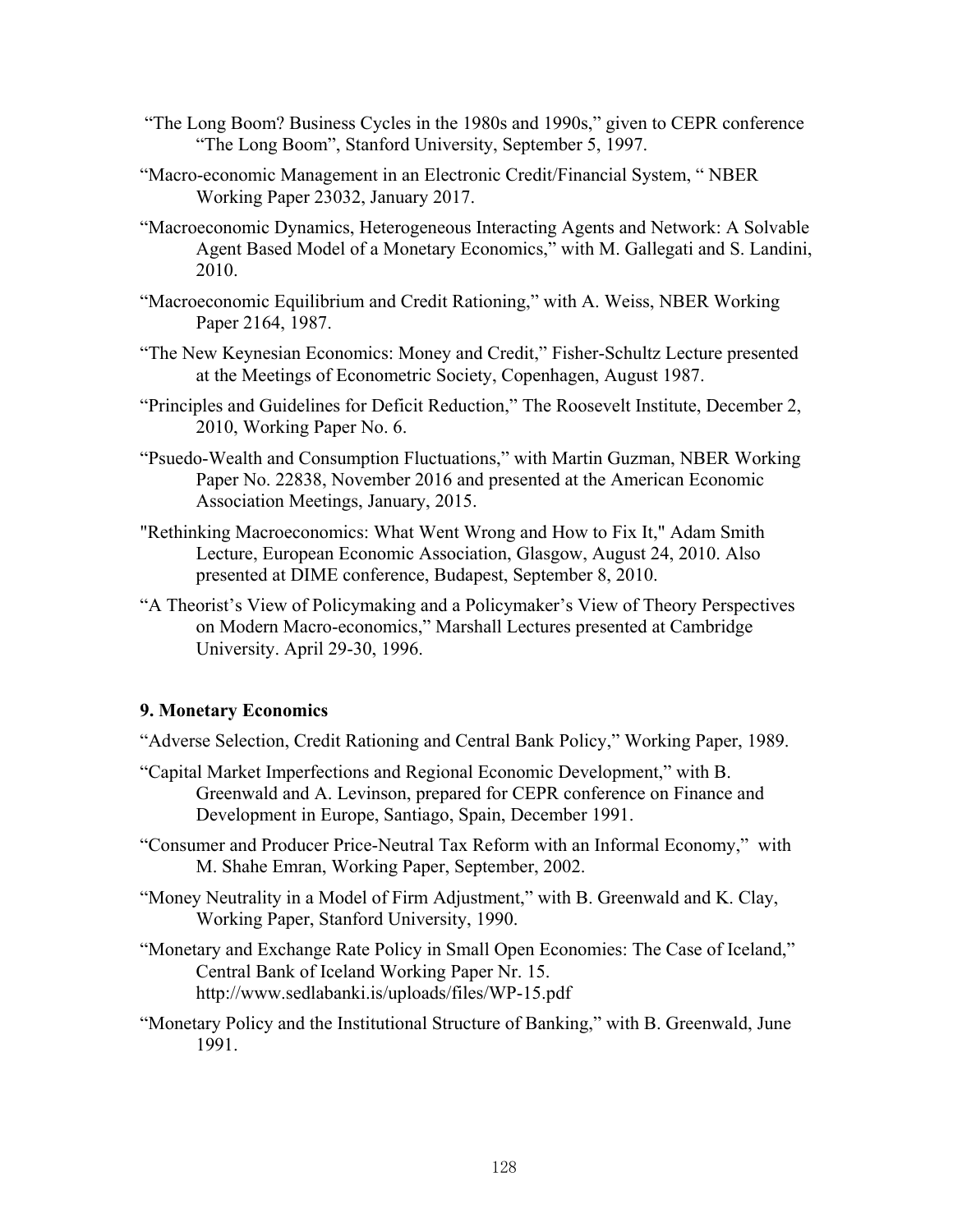- "The Long Boom? Business Cycles in the 1980s and 1990s," given to CEPR conference "The Long Boom", Stanford University, September 5, 1997.
- "Macro-economic Management in an Electronic Credit/Financial System, " NBER Working Paper 23032, January 2017.
- "Macroeconomic Dynamics, Heterogeneous Interacting Agents and Network: A Solvable Agent Based Model of a Monetary Economics," with M. Gallegati and S. Landini, 2010.
- "Macroeconomic Equilibrium and Credit Rationing," with A. Weiss, NBER Working Paper 2164, 1987.
- "The New Keynesian Economics: Money and Credit," Fisher-Schultz Lecture presented at the Meetings of Econometric Society, Copenhagen, August 1987.
- "Principles and Guidelines for Deficit Reduction," The Roosevelt Institute, December 2, 2010, Working Paper No. 6.
- "Psuedo-Wealth and Consumption Fluctuations," with Martin Guzman, NBER Working Paper No. 22838, November 2016 and presented at the American Economic Association Meetings, January, 2015.
- "Rethinking Macroeconomics: What Went Wrong and How to Fix It," Adam Smith Lecture, European Economic Association, Glasgow, August 24, 2010. Also presented at DIME conference, Budapest, September 8, 2010.
- "A Theorist's View of Policymaking and a Policymaker's View of Theory Perspectives on Modern Macro-economics," Marshall Lectures presented at Cambridge University. April 29-30, 1996.

#### **9. Monetary Economics**

- "Adverse Selection, Credit Rationing and Central Bank Policy," Working Paper, 1989.
- "Capital Market Imperfections and Regional Economic Development," with B. Greenwald and A. Levinson, prepared for CEPR conference on Finance and Development in Europe, Santiago, Spain, December 1991.
- "Consumer and Producer Price-Neutral Tax Reform with an Informal Economy," with M. Shahe Emran, Working Paper, September, 2002.
- "Money Neutrality in a Model of Firm Adjustment," with B. Greenwald and K. Clay, Working Paper, Stanford University, 1990.
- "Monetary and Exchange Rate Policy in Small Open Economies: The Case of Iceland," Central Bank of Iceland Working Paper Nr. 15. http://www.sedlabanki.is/uploads/files/WP-15.pdf
- "Monetary Policy and the Institutional Structure of Banking," with B. Greenwald, June 1991.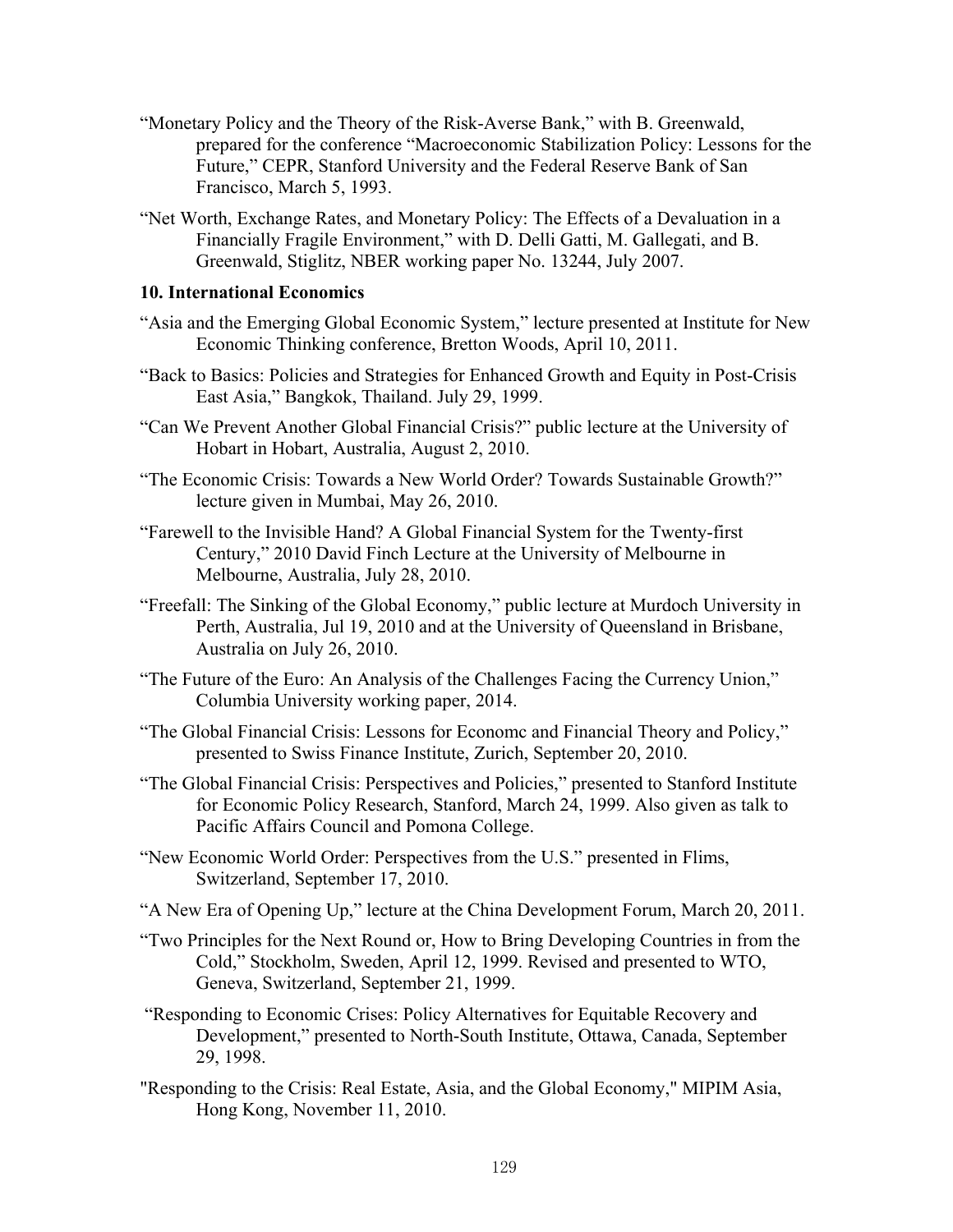- "Monetary Policy and the Theory of the Risk-Averse Bank," with B. Greenwald, prepared for the conference "Macroeconomic Stabilization Policy: Lessons for the Future," CEPR, Stanford University and the Federal Reserve Bank of San Francisco, March 5, 1993.
- "Net Worth, Exchange Rates, and Monetary Policy: The Effects of a Devaluation in a Financially Fragile Environment," with D. Delli Gatti, M. Gallegati, and B. Greenwald, Stiglitz, NBER working paper No. 13244, July 2007.

#### **10. International Economics**

- "Asia and the Emerging Global Economic System," lecture presented at Institute for New Economic Thinking conference, Bretton Woods, April 10, 2011.
- "Back to Basics: Policies and Strategies for Enhanced Growth and Equity in Post-Crisis East Asia," Bangkok, Thailand. July 29, 1999.
- "Can We Prevent Another Global Financial Crisis?" public lecture at the University of Hobart in Hobart, Australia, August 2, 2010.
- "The Economic Crisis: Towards a New World Order? Towards Sustainable Growth?" lecture given in Mumbai, May 26, 2010.
- "Farewell to the Invisible Hand? A Global Financial System for the Twenty-first Century," 2010 David Finch Lecture at the University of Melbourne in Melbourne, Australia, July 28, 2010.
- "Freefall: The Sinking of the Global Economy," public lecture at Murdoch University in Perth, Australia, Jul 19, 2010 and at the University of Queensland in Brisbane, Australia on July 26, 2010.
- "The Future of the Euro: An Analysis of the Challenges Facing the Currency Union," Columbia University working paper, 2014.
- "The Global Financial Crisis: Lessons for Economc and Financial Theory and Policy," presented to Swiss Finance Institute, Zurich, September 20, 2010.
- "The Global Financial Crisis: Perspectives and Policies," presented to Stanford Institute for Economic Policy Research, Stanford, March 24, 1999. Also given as talk to Pacific Affairs Council and Pomona College.
- "New Economic World Order: Perspectives from the U.S." presented in Flims, Switzerland, September 17, 2010.
- "A New Era of Opening Up," lecture at the China Development Forum, March 20, 2011.
- "Two Principles for the Next Round or, How to Bring Developing Countries in from the Cold," Stockholm, Sweden, April 12, 1999. Revised and presented to WTO, Geneva, Switzerland, September 21, 1999.
- "Responding to Economic Crises: Policy Alternatives for Equitable Recovery and Development," presented to North-South Institute, Ottawa, Canada, September 29, 1998.
- "Responding to the Crisis: Real Estate, Asia, and the Global Economy," MIPIM Asia, Hong Kong, November 11, 2010.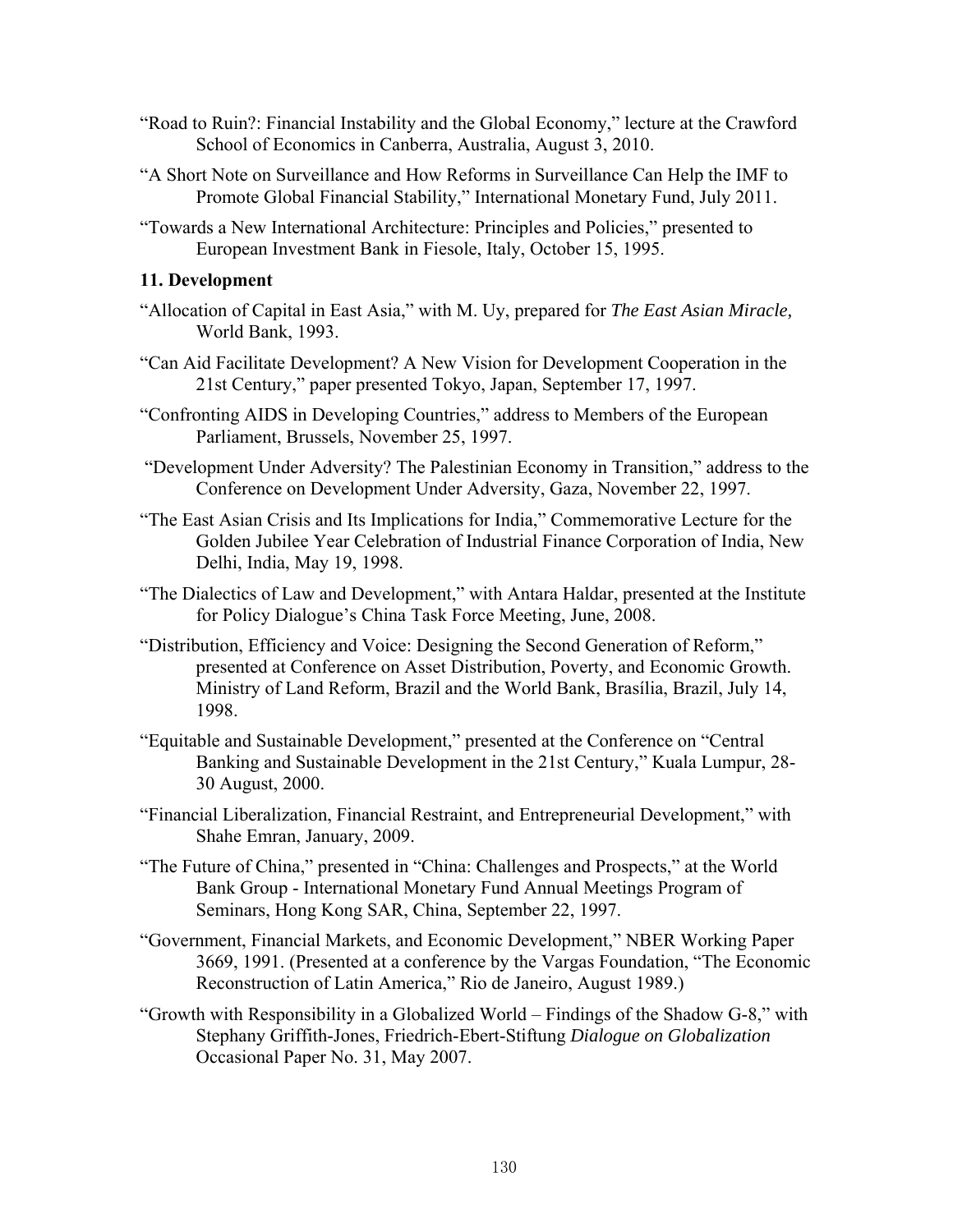- "Road to Ruin?: Financial Instability and the Global Economy," lecture at the Crawford School of Economics in Canberra, Australia, August 3, 2010.
- "A Short Note on Surveillance and How Reforms in Surveillance Can Help the IMF to Promote Global Financial Stability," International Monetary Fund, July 2011.
- "Towards a New International Architecture: Principles and Policies," presented to European Investment Bank in Fiesole, Italy, October 15, 1995.

## **11. Development**

- "Allocation of Capital in East Asia," with M. Uy, prepared for *The East Asian Miracle,* World Bank, 1993.
- "Can Aid Facilitate Development? A New Vision for Development Cooperation in the 21st Century," paper presented Tokyo, Japan, September 17, 1997.
- "Confronting AIDS in Developing Countries," address to Members of the European Parliament, Brussels, November 25, 1997.
- "Development Under Adversity? The Palestinian Economy in Transition," address to the Conference on Development Under Adversity, Gaza, November 22, 1997.
- "The East Asian Crisis and Its Implications for India," Commemorative Lecture for the Golden Jubilee Year Celebration of Industrial Finance Corporation of India, New Delhi, India, May 19, 1998.
- "The Dialectics of Law and Development," with Antara Haldar, presented at the Institute for Policy Dialogue's China Task Force Meeting, June, 2008.
- "Distribution, Efficiency and Voice: Designing the Second Generation of Reform," presented at Conference on Asset Distribution, Poverty, and Economic Growth. Ministry of Land Reform, Brazil and the World Bank, Brasília, Brazil, July 14, 1998.
- "Equitable and Sustainable Development," presented at the Conference on "Central Banking and Sustainable Development in the 21st Century," Kuala Lumpur, 28- 30 August, 2000.
- "Financial Liberalization, Financial Restraint, and Entrepreneurial Development," with Shahe Emran, January, 2009.
- "The Future of China," presented in "China: Challenges and Prospects," at the World Bank Group - International Monetary Fund Annual Meetings Program of Seminars, Hong Kong SAR, China, September 22, 1997.
- "Government, Financial Markets, and Economic Development," NBER Working Paper 3669, 1991. (Presented at a conference by the Vargas Foundation, "The Economic Reconstruction of Latin America," Rio de Janeiro, August 1989.)
- "Growth with Responsibility in a Globalized World Findings of the Shadow G-8," with Stephany Griffith-Jones, Friedrich-Ebert-Stiftung *Dialogue on Globalization* Occasional Paper No. 31, May 2007.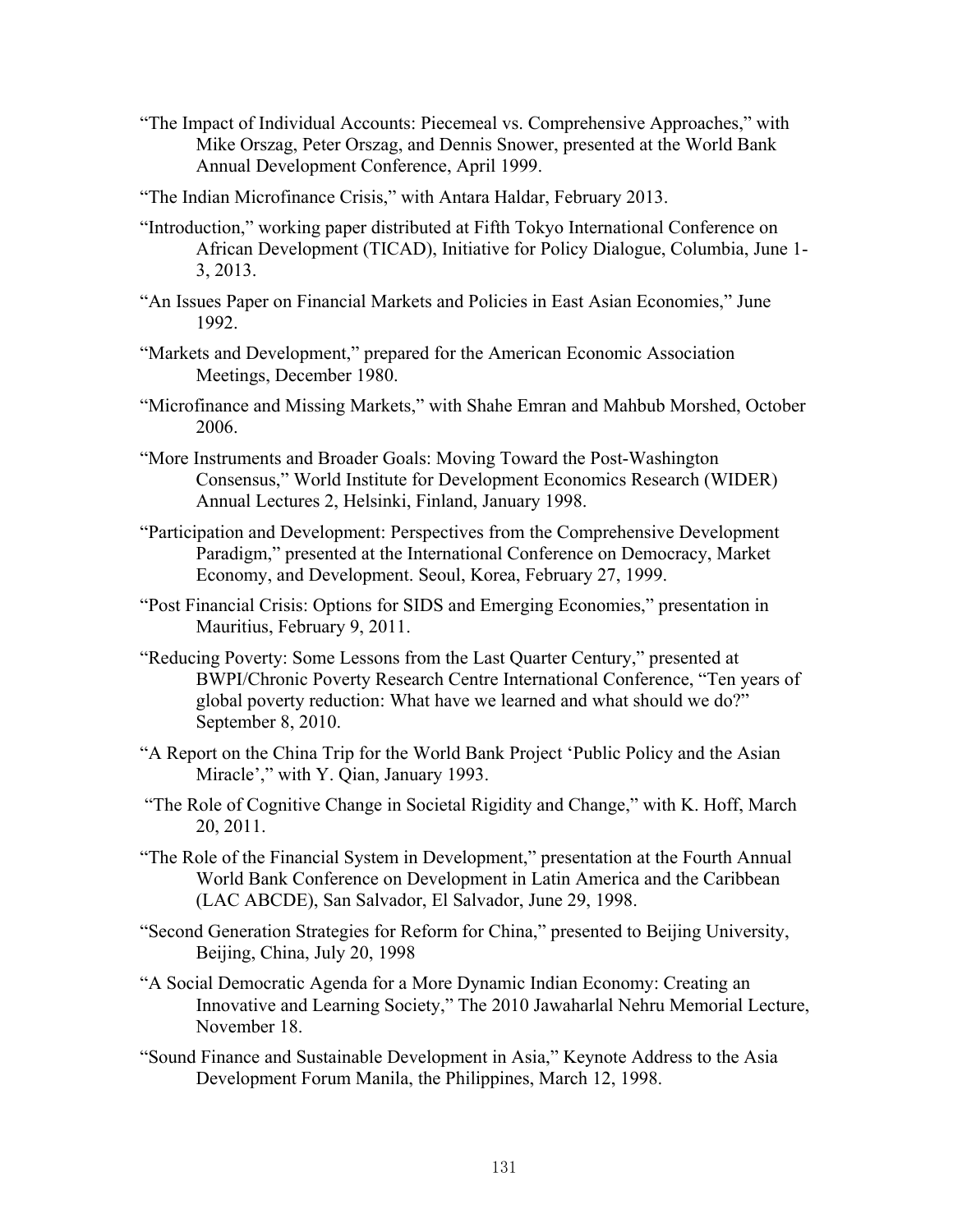- "The Impact of Individual Accounts: Piecemeal vs. Comprehensive Approaches," with Mike Orszag, Peter Orszag, and Dennis Snower, presented at the World Bank Annual Development Conference, April 1999.
- "The Indian Microfinance Crisis," with Antara Haldar, February 2013.
- "Introduction," working paper distributed at Fifth Tokyo International Conference on African Development (TICAD), Initiative for Policy Dialogue, Columbia, June 1- 3, 2013.
- "An Issues Paper on Financial Markets and Policies in East Asian Economies," June 1992.
- "Markets and Development," prepared for the American Economic Association Meetings, December 1980.
- "Microfinance and Missing Markets," with Shahe Emran and Mahbub Morshed, October 2006.
- "More Instruments and Broader Goals: Moving Toward the Post-Washington Consensus," World Institute for Development Economics Research (WIDER) Annual Lectures 2, Helsinki, Finland, January 1998.
- "Participation and Development: Perspectives from the Comprehensive Development Paradigm," presented at the International Conference on Democracy, Market Economy, and Development. Seoul, Korea, February 27, 1999.
- "Post Financial Crisis: Options for SIDS and Emerging Economies," presentation in Mauritius, February 9, 2011.
- "Reducing Poverty: Some Lessons from the Last Quarter Century," presented at BWPI/Chronic Poverty Research Centre International Conference, "Ten years of global poverty reduction: What have we learned and what should we do?" September 8, 2010.
- "A Report on the China Trip for the World Bank Project 'Public Policy and the Asian Miracle'," with Y. Qian, January 1993.
- "The Role of Cognitive Change in Societal Rigidity and Change," with K. Hoff, March 20, 2011.
- "The Role of the Financial System in Development," presentation at the Fourth Annual World Bank Conference on Development in Latin America and the Caribbean (LAC ABCDE), San Salvador, El Salvador, June 29, 1998.
- "Second Generation Strategies for Reform for China," presented to Beijing University, Beijing, China, July 20, 1998
- "A Social Democratic Agenda for a More Dynamic Indian Economy: Creating an Innovative and Learning Society," The 2010 Jawaharlal Nehru Memorial Lecture, November 18.
- "Sound Finance and Sustainable Development in Asia," Keynote Address to the Asia Development Forum Manila, the Philippines, March 12, 1998.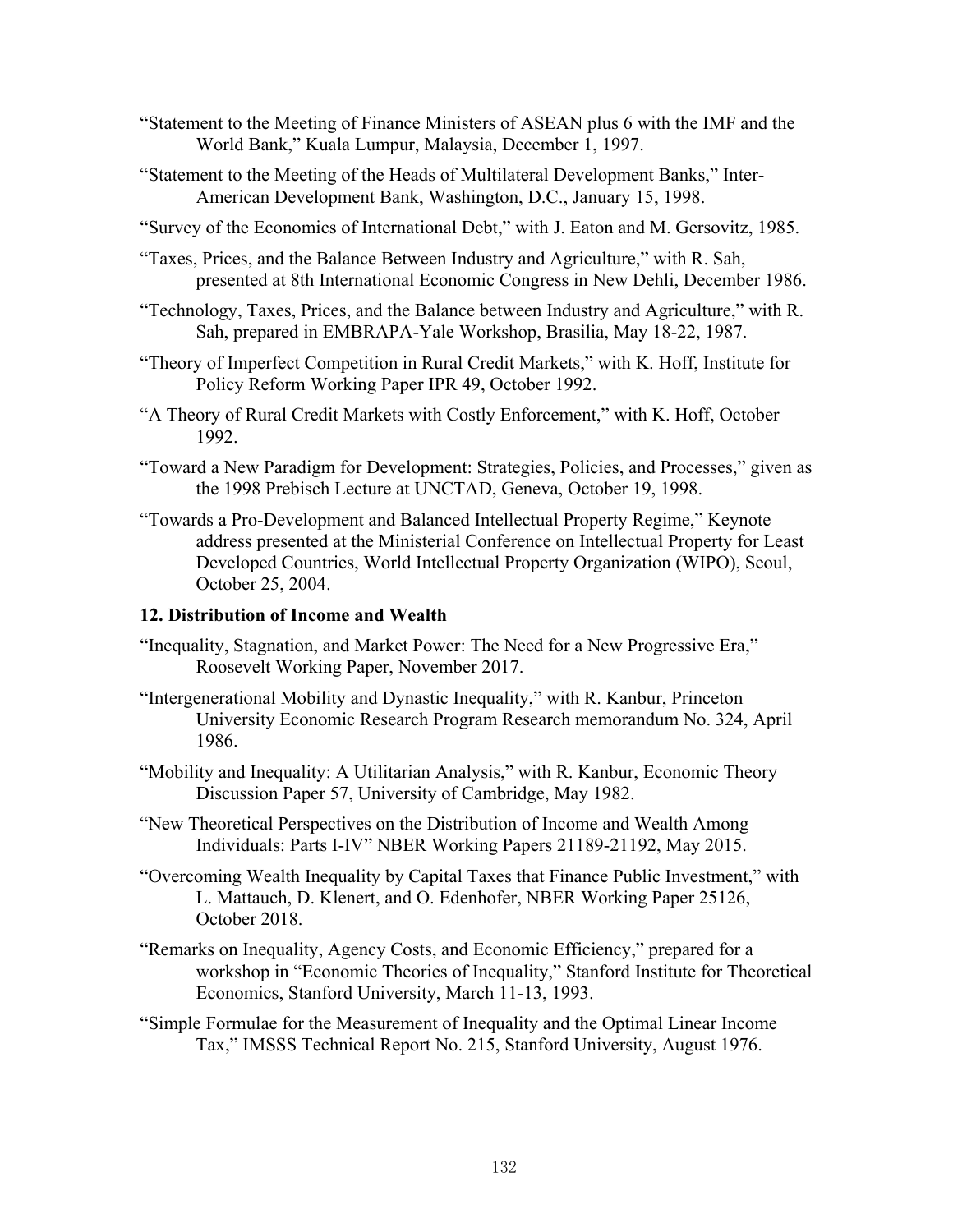- "Statement to the Meeting of Finance Ministers of ASEAN plus 6 with the IMF and the World Bank," Kuala Lumpur, Malaysia, December 1, 1997.
- "Statement to the Meeting of the Heads of Multilateral Development Banks," Inter-American Development Bank, Washington, D.C., January 15, 1998.
- "Survey of the Economics of International Debt," with J. Eaton and M. Gersovitz, 1985.
- "Taxes, Prices, and the Balance Between Industry and Agriculture," with R. Sah, presented at 8th International Economic Congress in New Dehli, December 1986.
- "Technology, Taxes, Prices, and the Balance between Industry and Agriculture," with R. Sah, prepared in EMBRAPA-Yale Workshop, Brasilia, May 18-22, 1987.
- "Theory of Imperfect Competition in Rural Credit Markets," with K. Hoff, Institute for Policy Reform Working Paper IPR 49, October 1992.
- "A Theory of Rural Credit Markets with Costly Enforcement," with K. Hoff, October 1992.
- "Toward a New Paradigm for Development: Strategies, Policies, and Processes," given as the 1998 Prebisch Lecture at UNCTAD, Geneva, October 19, 1998.
- "Towards a Pro-Development and Balanced Intellectual Property Regime," Keynote address presented at the Ministerial Conference on Intellectual Property for Least Developed Countries, World Intellectual Property Organization (WIPO), Seoul, October 25, 2004.

#### **12. Distribution of Income and Wealth**

- "Inequality, Stagnation, and Market Power: The Need for a New Progressive Era," Roosevelt Working Paper, November 2017.
- "Intergenerational Mobility and Dynastic Inequality," with R. Kanbur, Princeton University Economic Research Program Research memorandum No. 324, April 1986.
- "Mobility and Inequality: A Utilitarian Analysis," with R. Kanbur, Economic Theory Discussion Paper 57, University of Cambridge, May 1982.
- "New Theoretical Perspectives on the Distribution of Income and Wealth Among Individuals: Parts I-IV" NBER Working Papers 21189-21192, May 2015.
- "Overcoming Wealth Inequality by Capital Taxes that Finance Public Investment," with L. Mattauch, D. Klenert, and O. Edenhofer, NBER Working Paper 25126, October 2018.
- "Remarks on Inequality, Agency Costs, and Economic Efficiency," prepared for a workshop in "Economic Theories of Inequality," Stanford Institute for Theoretical Economics, Stanford University, March 11-13, 1993.
- "Simple Formulae for the Measurement of Inequality and the Optimal Linear Income Tax," IMSSS Technical Report No. 215, Stanford University, August 1976.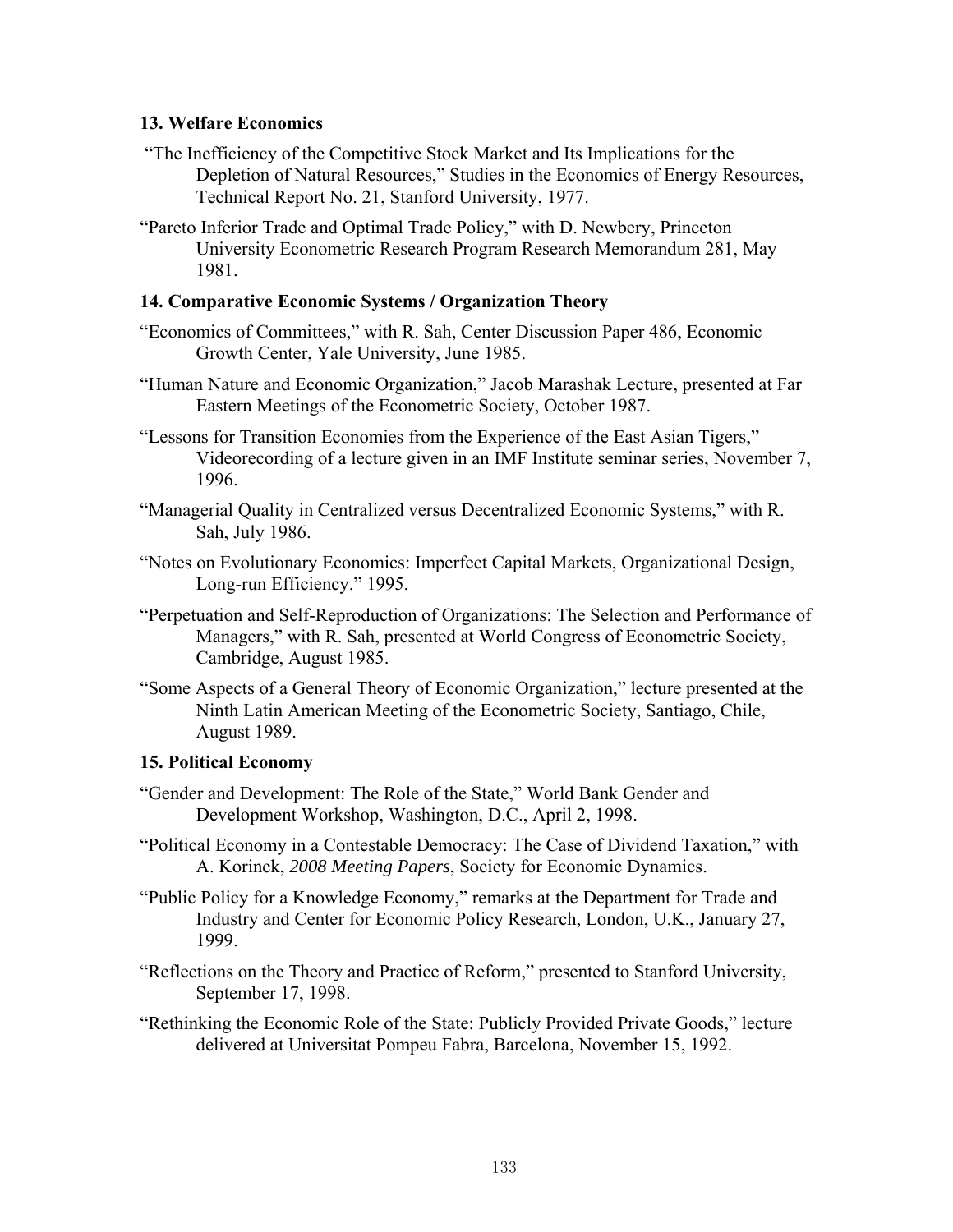## **13. Welfare Economics**

- "The Inefficiency of the Competitive Stock Market and Its Implications for the Depletion of Natural Resources," Studies in the Economics of Energy Resources, Technical Report No. 21, Stanford University, 1977.
- "Pareto Inferior Trade and Optimal Trade Policy," with D. Newbery, Princeton University Econometric Research Program Research Memorandum 281, May 1981.

## **14. Comparative Economic Systems / Organization Theory**

- "Economics of Committees," with R. Sah, Center Discussion Paper 486, Economic Growth Center, Yale University, June 1985.
- "Human Nature and Economic Organization," Jacob Marashak Lecture, presented at Far Eastern Meetings of the Econometric Society, October 1987.
- "Lessons for Transition Economies from the Experience of the East Asian Tigers," Videorecording of a lecture given in an IMF Institute seminar series, November 7, 1996.
- "Managerial Quality in Centralized versus Decentralized Economic Systems," with R. Sah, July 1986.
- "Notes on Evolutionary Economics: Imperfect Capital Markets, Organizational Design, Long-run Efficiency." 1995.
- "Perpetuation and Self-Reproduction of Organizations: The Selection and Performance of Managers," with R. Sah, presented at World Congress of Econometric Society, Cambridge, August 1985.
- "Some Aspects of a General Theory of Economic Organization," lecture presented at the Ninth Latin American Meeting of the Econometric Society, Santiago, Chile, August 1989.

#### **15. Political Economy**

- "Gender and Development: The Role of the State," World Bank Gender and Development Workshop, Washington, D.C., April 2, 1998.
- "Political Economy in a Contestable Democracy: The Case of Dividend Taxation," with A. Korinek, *2008 Meeting Papers*, Society for Economic Dynamics.
- "Public Policy for a Knowledge Economy," remarks at the Department for Trade and Industry and Center for Economic Policy Research, London, U.K., January 27, 1999.
- "Reflections on the Theory and Practice of Reform," presented to Stanford University, September 17, 1998.
- "Rethinking the Economic Role of the State: Publicly Provided Private Goods," lecture delivered at Universitat Pompeu Fabra, Barcelona, November 15, 1992.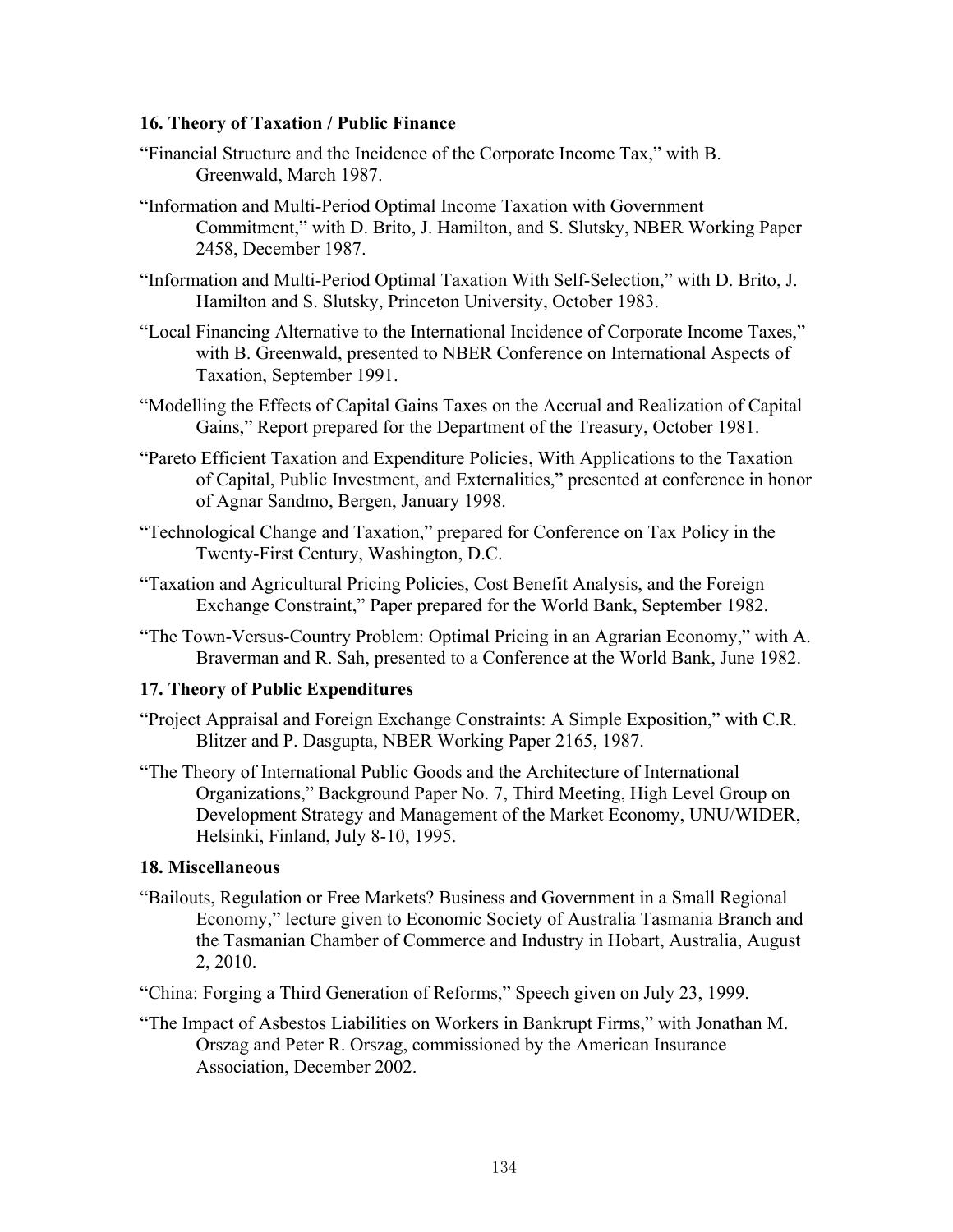## **16. Theory of Taxation / Public Finance**

- "Financial Structure and the Incidence of the Corporate Income Tax," with B. Greenwald, March 1987.
- "Information and Multi-Period Optimal Income Taxation with Government Commitment," with D. Brito, J. Hamilton, and S. Slutsky, NBER Working Paper 2458, December 1987.
- "Information and Multi-Period Optimal Taxation With Self-Selection," with D. Brito, J. Hamilton and S. Slutsky, Princeton University, October 1983.
- "Local Financing Alternative to the International Incidence of Corporate Income Taxes," with B. Greenwald, presented to NBER Conference on International Aspects of Taxation, September 1991.
- "Modelling the Effects of Capital Gains Taxes on the Accrual and Realization of Capital Gains," Report prepared for the Department of the Treasury, October 1981.
- "Pareto Efficient Taxation and Expenditure Policies, With Applications to the Taxation of Capital, Public Investment, and Externalities," presented at conference in honor of Agnar Sandmo, Bergen, January 1998.
- "Technological Change and Taxation," prepared for Conference on Tax Policy in the Twenty-First Century, Washington, D.C.
- "Taxation and Agricultural Pricing Policies, Cost Benefit Analysis, and the Foreign Exchange Constraint," Paper prepared for the World Bank, September 1982.
- "The Town-Versus-Country Problem: Optimal Pricing in an Agrarian Economy," with A. Braverman and R. Sah, presented to a Conference at the World Bank, June 1982.

## **17. Theory of Public Expenditures**

- "Project Appraisal and Foreign Exchange Constraints: A Simple Exposition," with C.R. Blitzer and P. Dasgupta, NBER Working Paper 2165, 1987.
- "The Theory of International Public Goods and the Architecture of International Organizations," Background Paper No. 7, Third Meeting, High Level Group on Development Strategy and Management of the Market Economy, UNU/WIDER, Helsinki, Finland, July 8-10, 1995.

## **18. Miscellaneous**

"Bailouts, Regulation or Free Markets? Business and Government in a Small Regional Economy," lecture given to Economic Society of Australia Tasmania Branch and the Tasmanian Chamber of Commerce and Industry in Hobart, Australia, August 2, 2010.

"China: Forging a Third Generation of Reforms," Speech given on July 23, 1999.

"The Impact of Asbestos Liabilities on Workers in Bankrupt Firms," with Jonathan M. Orszag and Peter R. Orszag, commissioned by the American Insurance Association, December 2002.